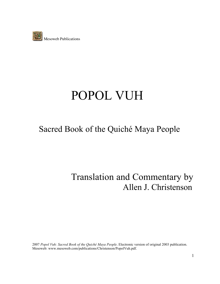

# POPOL VUH

# Sacred Book of the Quiché Maya People

# Translation and Commentary by Allen J. Christenson

2007 *Popol Vuh: Sacred Book of the Quiché Maya People*. Electronic version of original 2003 publication. Mesoweb: www.mesoweb.com/publications/Christenson/PopolVuh.pdf.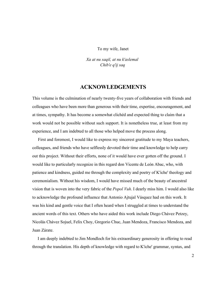To my wife, Janet

 *Xa at nu saqil, at nu k'aslemal Chib'e q'ij saq*

### ACKNOWLEDGEMENTS

This volume is the culmination of nearly twenty-five years of collaboration with friends and colleagues who have been more than generous with their time, expertise, encouragement, and at times, sympathy. It has become a somewhat clichéd and expected thing to claim that a work would not be possible without such support. It is nonetheless true, at least from my experience, and I am indebted to all those who helped move the process along.

 First and foremost, I would like to express my sincerest gratitude to my Maya teachers, colleagues, and friends who have selflessly devoted their time and knowledge to help carry out this project. Without their efforts, none of it would have ever gotten off the ground. I would like to particularly recognize in this regard don Vicente de León Abac, who, with patience and kindness, guided me through the complexity and poetry of K'iche' theology and ceremonialism. Without his wisdom, I would have missed much of the beauty of ancestral vision that is woven into the very fabric of the *Popol Vuh*. I dearly miss him. I would also like to acknowledge the profound influence that Antonio Ajtujal Vásquez had on this work. It was his kind and gentle voice that I often heard when I struggled at times to understand the ancient words of this text. Others who have aided this work include Diego Chávez Petzey, Nicolás Chávez Sojuel, Felix Choy, Gregorio Chuc, Juan Mendoza, Francisco Mendoza, and Juan Zárate.

 I am deeply indebted to Jim Mondloch for his extraordinary generosity in offering to read through the translation. His depth of knowledge with regard to K'iche' grammar, syntax, and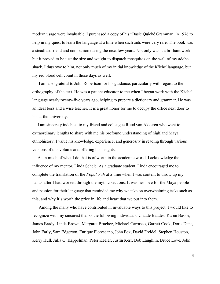modern usage were invaluable. I purchased a copy of his "Basic Quiché Grammar" in 1976 to help in my quest to learn the language at a time when such aids were very rare. The book was a steadfast friend and companion during the next few years. Not only was it a brilliant work but it proved to be just the size and weight to dispatch mosquitos on the wall of my adobe shack. I thus owe to him, not only much of my initial knowledge of the K'iche' language, but my red blood cell count in those days as well.

 I am also grateful to John Robertson for his guidance, particularly with regard to the orthography of the text. He was a patient educator to me when I began work with the K'iche' language nearly twenty-five years ago, helping to prepare a dictionary and grammar. He was an ideal boss and a wise teacher. It is a great honor for me to occupy the office next door to his at the university.

 I am sincerely indebted to my friend and colleague Ruud van Akkeren who went to extraordinary lengths to share with me his profound understanding of highland Maya ethnohistory. I value his knowledge, experience, and generosity in reading through various versions of this volume and offering his insights.

 As in much of what I do that is of worth in the academic world, I acknowledge the influence of my mentor, Linda Schele. As a graduate student, Linda encouraged me to complete the translation of the *Popol Vuh* at a time when I was content to throw up my hands after I had worked through the mythic sections. It was her love for the Maya people and passion for their language that reminded me why we take on overwhelming tasks such as this, and why it's worth the price in life and heart that we put into them.

 Among the many who have contributed in invaluable ways to this project, I would like to recognize with my sincerest thanks the following individuals: Claude Baudez, Karen Bassie, James Brady, Linda Brown, Margaret Bruchez, Michael Carrasco, Garrett Cook, Doris Dant, John Early, Sam Edgerton, Enrique Florescano, John Fox, David Freidel, Stephen Houston, Kerry Hull, Julia G. Kappelman, Peter Keeler, Justin Kerr, Bob Laughlin, Bruce Love, John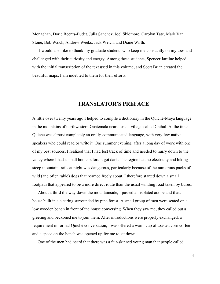Monaghan, Dorie Reents-Budet, Julia Sanchez, Joel Skidmore, Carolyn Tate, Mark Van Stone, Bob Walch, Andrew Weeks, Jack Welch, and Diane Wirth.

 I would also like to thank my graduate students who keep me constantly on my toes and challenged with their curiosity and energy. Among these students, Spencer Jardine helped with the initial transcription of the text used in this volume, and Scott Brian created the beautiful maps. I am indebted to them for their efforts.

### TRANSLATOR'S PREFACE

A little over twenty years ago I helped to compile a dictionary in the Quiché-Maya language in the mountains of northwestern Guatemala near a small village called Chihul. At the time, Quiché was almost completely an orally-communicated language, with very few native speakers who could read or write it. One summer evening, after a long day of work with one of my best sources, I realized that I had lost track of time and needed to hurry down to the valley where I had a small home before it got dark. The region had no electricity and hiking steep mountain trails at night was dangerous, particularly because of the numerous packs of wild (and often rabid) dogs that roamed freely about. I therefore started down a small footpath that appeared to be a more direct route than the usual winding road taken by buses.

 About a third the way down the mountainside, I passed an isolated adobe and thatch house built in a clearing surrounded by pine forest. A small group of men were seated on a low wooden bench in front of the house conversing. When they saw me, they called out a greeting and beckoned me to join them. After introductions were properly exchanged, a requirement in formal Quiché conversation, I was offered a warm cup of toasted corn coffee and a space on the bench was opened up for me to sit down.

One of the men had heard that there was a fair-skinned young man that people called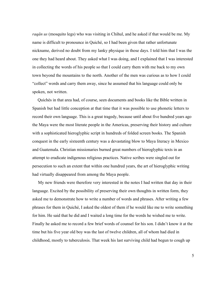*raqän us* (mosquito legs) who was visiting in Chihul, and he asked if that would be me. My name is difficult to pronounce in Quiché, so I had been given that rather unfortunate nickname, derived no doubt from my lanky physique in those days. I told him that I was the one they had heard about. They asked what I was doing, and I explained that I was interested in collecting the words of his people so that I could carry them with me back to my own town beyond the mountains to the north. Another of the men was curious as to how I could "collect" words and carry them away, since he assumed that his language could only be spoken, not written.

 Quichés in that area had, of course, seen documents and books like the Bible written in Spanish but had little conception at that time that it was possible to use phonetic letters to record their own language. This is a great tragedy, because until about five hundred years ago the Maya were the most literate people in the Americas, preserving their history and culture with a sophisticated hieroglyphic script in hundreds of folded screen books. The Spanish conquest in the early sixteenth century was a devastating blow to Maya literacy in Mexico and Guatemala. Christian missionaries burned great numbers of hieroglyphic texts in an attempt to eradicate indigenous religious practices. Native scribes were singled out for persecution to such an extent that within one hundred years, the art of hieroglyphic writing had virtually disappeared from among the Maya people.

 My new friends were therefore very interested in the notes I had written that day in their language. Excited by the possibility of preserving their own thoughts in written form, they asked me to demonstrate how to write a number of words and phrases. After writing a few phrases for them in Quiché, I asked the oldest of them if he would like me to write something for him. He said that he did and I waited a long time for the words he wished me to write. Finally he asked me to record a few brief words of counsel for his son. I didn't know it at the time but his five year old boy was the last of twelve children, all of whom had died in childhood, mostly to tuberculosis. That week his last surviving child had begun to cough up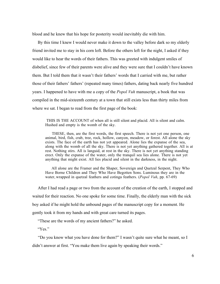blood and he knew that his hope for posterity would inevitably die with him.

 By this time I knew I would never make it down to the valley before dark so my elderly friend invited me to stay in his corn loft. Before the others left for the night, I asked if they would like to hear the words of their fathers. This was greeted with indulgent smiles of disbelief, since few of their parents were alive and they were sure that I couldn't have known them. But I told them that it wasn't their fathers' words that I carried with me, but rather those of their fathers' fathers' (repeated many times) fathers, dating back nearly five hundred years. I happened to have with me a copy of the *Popol Vuh* manuscript, a book that was compiled in the mid-sixteenth century at a town that still exists less than thirty miles from where we sat. I began to read from the first page of the book:

THIS IS THE ACCOUNT of when all is still silent and placid. All is silent and calm. Hushed and empty is the womb of the sky.

 THESE, then, are the first words, the first speech. There is not yet one person, one animal, bird, fish, crab, tree, rock, hollow, canyon, meadow, or forest. All alone the sky exists. The face of the earth has not yet appeared. Alone lies the expanse of the sea, along with the womb of all the sky. There is not yet anything gathered together. All is at rest. Nothing stirs. All is languid, at rest in the sky. There is not yet anything standing erect. Only the expanse of the water, only the tranquil sea lies alone. There is not yet anything that might exist. All lies placid and silent in the darkness, in the night.

 All alone are the Framer and the Shaper, Sovereign and Quetzal Serpent, They Who Have Borne Children and They Who Have Begotten Sons. Luminous they are in the water, wrapped in quetzal feathers and cotinga feathers. (*Popol Vuh*, pp. 67-69)

 After I had read a page or two from the account of the creation of the earth, I stopped and waited for their reaction. No one spoke for some time. Finally, the elderly man with the sick boy asked if he might hold the unbound pages of the manuscript copy for a moment. He gently took it from my hands and with great care turned its pages.

"These are the words of my ancient fathers?" he asked.

"Yes."

 "Do you know what you have done for them?" I wasn't quite sure what he meant, so I didn't answer at first. "You make them live again by speaking their words."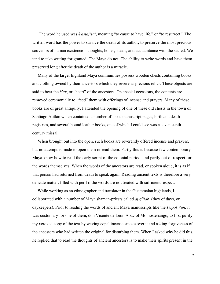The word he used was *k'astajisaj*, meaning "to cause to have life," or "to resurrect." The written word has the power to survive the death of its author, to preserve the most precious souvenirs of human existence—thoughts, hopes, ideals, and acquaintance with the sacred. We tend to take writing for granted. The Maya do not. The ability to write words and have them preserved long after the death of the author is a miracle.

 Many of the larger highland Maya communities possess wooden chests containing books and clothing owned by their ancestors which they revere as precious relics. These objects are said to bear the *k'ux*, or "heart" of the ancestors. On special occasions, the contents are removed ceremonially to "feed" them with offerings of incense and prayers. Many of these books are of great antiquity. I attended the opening of one of these old chests in the town of Santiago Atitlán which contained a number of loose manuscript pages, birth and death registries, and several bound leather books, one of which I could see was a seventeenth century missal.

 When brought out into the open, such books are reverently offered incense and prayers, but no attempt is made to open them or read them. Partly this is because few contemporary Maya know how to read the early script of the colonial period, and partly out of respect for the words themselves. When the words of the ancestors are read, or spoken aloud, it is as if that person had returned from death to speak again. Reading ancient texts is therefore a very delicate matter, filled with peril if the words are not treated with sufficient respect.

 While working as an ethnographer and translator in the Guatemalan highlands, I collaborated with a number of Maya shaman-priests called *aj q'ijab'* (they of days, or daykeepers). Prior to reading the words of ancient Maya manuscripts like the *Popol Vuh*, it was customary for one of them, don Vicente de León Abac of Momostenango, to first purify my xeroxed copy of the text by waving copal incense smoke over it and asking forgiveness of the ancestors who had written the original for disturbing them. When I asked why he did this, he replied that to read the thoughts of ancient ancestors is to make their spirits present in the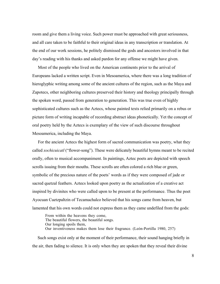room and give them a living voice. Such power must be approached with great seriousness, and all care taken to be faithful to their original ideas in any transcription or translation. At the end of our work sessions, he politely dismissed the gods and ancestors involved in that day's reading with his thanks and asked pardon for any offense we might have given.

 Most of the people who lived on the American continents prior to the arrival of Europeans lacked a written script. Even in Mesoamerica, where there was a long tradition of hieroglyphic writing among some of the ancient cultures of the region, such as the Maya and Zapotecs, other neighboring cultures preserved their history and theology principally through the spoken word, passed from generation to generation. This was true even of highly sophisticated cultures such as the Aztecs, whose painted texts relied primarily on a rebus or picture form of writing incapable of recording abstract ideas phonetically. Yet the concept of oral poetry held by the Aztecs is exemplary of the view of such discourse throughout Mesoamerica, including the Maya.

 For the ancient Aztecs the highest form of sacred communication was poetry, what they called *xochicuicatl* ("flower-song"). These were delicately beautiful hymns meant to be recited orally, often to musical accompaniment. In paintings, Aztec poets are depicted with speech scrolls issuing from their mouths. These scrolls are often colored a rich blue or green, symbolic of the precious nature of the poets' words as if they were composed of jade or sacred quetzal feathers. Aztecs looked upon poetry as the actualization of a creative act inspired by divinites who were called upon to be present at the performance. Thus the poet Ayocuan Cuetzpaltzin of Tecamachalco believed that his songs came from heaven, but lamented that his own words could not express them as they came undefiled from the gods:

From within the heavens they come, The beautiful flowers, the beautiful songs. Our longing spoils them, Our inventiveness makes them lose their fragrance. (León-Portilla 1980, 257)

 Such songs exist only at the moment of their performance, their sound hanging briefly in the air, then fading to silence. It is only when they are spoken that they reveal their divine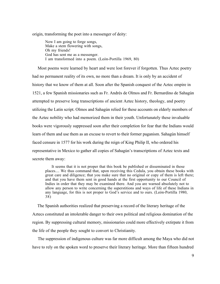origin, transforming the poet into a messenger of deity:

Now I am going to forge songs, Make a stem flowering with songs, Oh my friends! God has sent me as a messenger. I am transformed into a poem. (León-Portilla 1969, 80)

 Most poems were learned by heart and were lost forever if forgotten. Thus Aztec poetry had no permanent reality of its own, no more than a dream. It is only by an accident of history that we know of them at all. Soon after the Spanish conquest of the Aztec empire in 1521, a few Spanish missionaries such as Fr. Andrés de Olmos and Fr. Bernardino de Sahagún attempted to preserve long transcriptions of ancient Aztec history, theology, and poetry utilizing the Latin script. Olmos and Sahagún relied for these accounts on elderly members of the Aztec nobility who had memorized them in their youth. Unfortunately these invaluable books were vigorously suppressed soon after their completion for fear that the Indians would learn of them and use them as an excuse to revert to their former paganism. Sahagún himself faced censure in 1577 for his work during the reign of King Philip II, who ordered his representative in Mexico to gather all copies of Sahagún's transcriptions of Aztec texts and secrete them away:

 It seems that it is not proper that this book be published or disseminated in those places.... We thus command that, upon receiving this Cedula, you obtain these books with great care and diligence; that you make sure that no original or copy of them is left there; and that you have them sent in good hands at the first opportunity to our Council of Indies in order that they may be examined there. And you are warned absolutely not to allow any person to write concerning the superstitions and ways of life of these Indians in any language, for this is not proper to God's service and to ours. (León-Portilla 1980, 38)

 The Spanish authorities realized that preserving a record of the literary heritage of the Aztecs constituted an intolerable danger to their own political and religious domination of the region. By suppressing cultural memory, missionaries could more effectively extirpate it from the life of the people they sought to convert to Christianity.

 The suppression of indigenous culture was far more difficult among the Maya who did not have to rely on the spoken word to preserve their literary heritage. More than fifteen hundred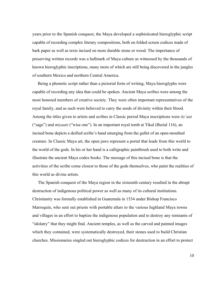years prior to the Spanish conquest, the Maya developed a sophisticated hieroglyphic script capable of recording complex literary compositions, both on folded screen codices made of bark paper as well as texts incised on more durable stone or wood. The importance of preserving written records was a hallmark of Maya culture as witnessed by the thousands of known hieroglyphic inscriptions, many more of which are still being discovered in the jungles of southern Mexico and northern Central America.

 Being a phonetic script rather than a pictorial form of writing, Maya hieroglyphs were capable of recording any idea that could be spoken. Ancient Maya scribes were among the most honored members of creative society. They were often important representatives of the royal family, and as such were believed to carry the seeds of divinity within their blood. Among the titles given to artists and scribes in Classic period Maya inscriptions were *itz'aat* ("sage") and *miyaatz* ("wise one"). In an important royal tomb at Tikal (Burial 116), an incised bone depicts a deified scribe's hand emerging from the gullet of an open-mouthed creature. In Classic Maya art, the open jaws represent a portal that leads from this world to the world of the gods. In his or her hand is a calligraphic paintbrush used to both write and illustrate the ancient Maya codex books. The message of this incised bone is that the activities of the scribe come closest to those of the gods themselves, who paint the realities of this world as divine artists.

 The Spanish conquest of the Maya region in the sixteenth century resulted in the abrupt destruction of indigenous political power as well as many of its cultural institutions. Christianity was formally established in Guatemala in 1534 under Bishop Francisco Marroquín, who sent out priests with portable altars to the various highland Maya towns and villages in an effort to baptize the indigenous population and to destroy any remnants of "idolatry" that they might find. Ancient temples, as well as the carved and painted images which they contained, were systematically destroyed, their stones used to build Christian churches. Missionaries singled out hieroglyphic codices for destruction in an effort to protect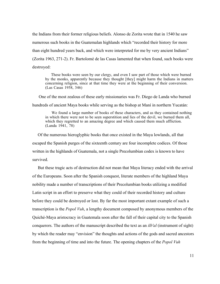the Indians from their former religious beliefs. Alonso de Zorita wrote that in 1540 he saw numerous such books in the Guatemalan highlands which "recorded their history for more than eight hundred years back, and which were interpreted for me by very ancient Indians" (Zorita 1963, 271-2). Fr. Bartolomé de las Casas lamented that when found, such books were destroyed:

 These books were seen by our clergy, and even I saw part of those which were burned by the monks, apparently because they thought [they] might harm the Indians in matters concerning religion, since at that time they were at the beginning of their conversion. (Las Casas 1958, 346)

 One of the most zealous of these early missionaries was Fr. Diego de Landa who burned hundreds of ancient Maya books while serving as the bishop at Maní in northern Yucatán:

 We found a large number of books of these characters, and as they contained nothing in which there were not to be seen superstition and lies of the devil, we burned them all, which they regretted to an amazing degree and which caused them much affliction. (Landa 1941, 78)

 Of the numerous hieroglyphic books that once existed in the Maya lowlands, all that escaped the Spanish purges of the sixteenth century are four incomplete codices. Of those written in the highlands of Guatemala, not a single Precolumbian codex is known to have survived.

 But these tragic acts of destruction did not mean that Maya literacy ended with the arrival of the Europeans. Soon after the Spanish conquest, literate members of the highland Maya nobility made a number of transcriptions of their Precolumbian books utilizing a modified Latin script in an effort to preserve what they could of their recorded history and culture before they could be destroyed or lost. By far the most important extant example of such a transcription is the *Popol Vuh*, a lengthy document composed by anonymous members of the Quiché-Maya aristocracy in Guatemala soon after the fall of their capital city to the Spanish conquerors. The authors of the manuscript described the text as an *ilb'al* (instrument of sight) by which the reader may "envision" the thoughts and actions of the gods and sacred ancestors from the beginning of time and into the future. The opening chapters of the *Popol Vuh*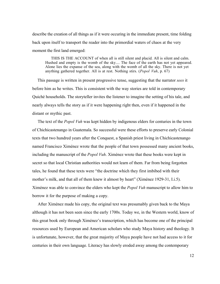describe the creation of all things as if it were occuring in the immediate present, time folding back upon itself to transport the reader into the primordial waters of chaos at the very moment the first land emerged:

 THIS IS THE ACCOUNT of when all is still silent and placid. All is silent and calm. Hushed and empty is the womb of the sky.... The face of the earth has not yet appeared. Alone lies the expanse of the sea, along with the womb of all the sky. There is not yet anything gathered together. All is at rest. Nothing stirs. (*Popol Vuh*, p. 67)

 This passage is written in present progressive tense, suggesting that the narrator *sees* it before him as he writes. This is consistent with the way stories are told in contemporary Quiché households. The storyteller invites the listener to imagine the setting of his tale, and nearly always tells the story as if it were happening right then, even if it happened in the distant or mythic past.

 The text of the *Popol Vuh* was kept hidden by indigenous elders for centuries in the town of Chichicastenango in Guatemala. So successful were these efforts to preserve early Colonial texts that two hundred years after the Conquest, a Spanish priest living in Chichicastenango named Francisco Ximénez wrote that the people of that town possessed many ancient books, including the manuscript of the *Popol Vuh*. Ximénez wrote that these books were kept in secret so that local Christian authorities would not learn of them. Far from being forgotten tales, he found that these texts were "the doctrine which they first imbibed with their mother's milk, and that all of them knew it almost by heart" (Ximénez 1929-31, I.i.5). Ximénez was able to convince the elders who kept the *Popol Vuh* manuscript to allow him to borrow it for the purpose of making a copy.

 After Ximénez made his copy, the original text was presumably given back to the Maya although it has not been seen since the early 1700s. Today we, in the Western world, know of this great book only through Ximénez's transcription, which has become one of the principal resources used by European and American scholars who study Maya history and theology. It is unfortunate, however, that the great majority of Maya people have not had access to it for centuries in their own language. Literacy has slowly eroded away among the contemporary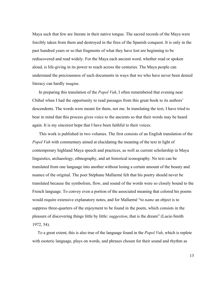Maya such that few are literate in their native tongue. The sacred records of the Maya were forcibly taken from them and destroyed in the fires of the Spanish conquest. It is only in the past hundred years or so that fragments of what they have lost are beginning to be rediscovered and read widely. For the Maya each ancient word, whether read or spoken aloud, is life-giving in its power to reach across the centuries. The Maya people can understand the preciousness of such documents in ways that we who have never been denied literacy can hardly imagine.

 In preparing this translation of the *Popol Vuh*, I often remembered that evening near Chihul when I had the opportunity to read passages from this great book to its authors' descendents. The words were meant for them, not me. In translating the text, I have tried to bear in mind that this process gives voice to the ancients so that their words may be heard again. It is my sincerest hope that I have been faithful to their voices.

 This work is published in two volumes. The first consists of an English translation of the *Popol Vuh* with commentary aimed at elucidating the meaning of the text in light of contemporary highland Maya speech and practices, as well as current scholarship in Maya linguistics, archaeology, ethnography, and art historical iconography. No text can be translated from one language into another without losing a certain amount of the beauty and nuance of the original. The poet Stéphane Mallarmé felt that his poetry should never be translated because the symbolism, flow, and sound of the words were so closely bound to the French language. To convey even a portion of the associated meaning that colored his poems would require extensive explanatory notes, and for Mallarmé "to *name* an object is to suppress three-quarters of the enjoyment to be found in the poem, which consists in the pleasure of discovering things little by little: *suggestion*, that is the dream" (Lucie-Smith 1972, 54).

 To a great extent, this is also true of the language found in the *Popol Vuh*, which is replete with esoteric language, plays on words, and phrases chosen for their sound and rhythm as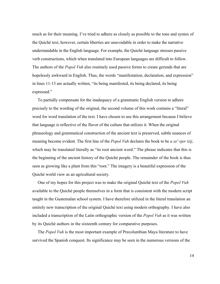much as for their meaning. I've tried to adhere as closely as possible to the tone and syntax of the Quiché text, however, certain liberties are unavoidable in order to make the narrative understandable in the English language. For example, the Quiché language stresses passive verb constructions, which when translated into European languages are difficult to follow. The authors of the *Popol Vuh* also routinely used passive forms to create gerunds that are hopelessly awkward in English. Thus, the words "manifestation, declaration, and expression" in lines 11-13 are actually written, "its being manifested, its being declared, its being expressed."

 To partially compensate for the inadequacy of a grammatic English version to adhere precisely to the wording of the original, the second volume of this work contains a "literal" word for word translation of the text. I have chosen to use this arrangement because I believe that language is reflective of the flavor of the culture that utilizes it. When the original phraseology and grammatical construction of the ancient text is preserved, subtle nuances of meaning become evident. The first line of the *Popol Vuh* declares the book to be *u xe' ojer tzij*, which may be translated literally as "its root ancient word." The phrase indicates that this is the beginning of the ancient history of the Quiché people. The remainder of the book is thus seen as growing like a plant from this "root." The imagery is a beautiful expression of the Quiché world view as an agricultural society.

 One of my hopes for this project was to make the original Quiché text of the *Popol Vuh* available to the Quiché people themselves in a form that is consistent with the modern script taught in the Guatemalan school system. I have therefore utilized in the literal translation an entirely new transcription of the original Quiché text using modern orthography. I have also included a transcription of the Latin orthographic version of the *Popol Vuh* as it was written by its Quiché authors in the sixteenth century for comparative purposes.

 The *Popol Vuh* is the most important example of Precolumbian Maya literature to have survived the Spanish conquest. Its significance may be seen in the numerous versions of the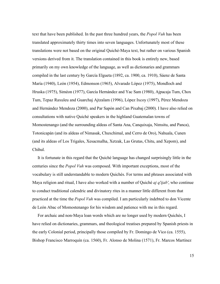text that have been published. In the past three hundred years, the *Popol Vuh* has been translated approximately thirty times into seven languages. Unfortunately most of these translations were not based on the original Quiché-Maya text, but rather on various Spanish versions derived from it. The translation contained in this book is entirely new, based primarily on my own knowledge of the language, as well as dictionaries and grammars compiled in the last century by García Elgueta (1892, ca. 1900, ca. 1910), Sáenz de Santa María (1940), León (1954), Edmonson (1965), Alvarado López (1975), Mondloch and Hruska (1975), Siméon (1977), García Hernández and Yac Sam (1980), Ajpacaja Tum, Chox Tum, Tepaz Raxuleu and Guarchaj Ajtzalam (1996), López Ixcoy (1997), Pérez Mendoza and Hernández Mendoza (2000), and Par Sapón and Can Pixabaj (2000). I have also relied on consultations with native Quiché speakers in the highland Guatemalan towns of Momostenango (and the surrounding aldeas of Santa Ana, Canquixaja, Nimsitu, and Panca), Totonicapán (and its aldeas of Nimasak, Chuxchimal, and Cerro de Oro), Nahuala, Cunen (and its aldeas of Los Trigales, Xesacmalha, Xetzak, Las Grutas, Chitu, and Xepom), and Chihul.

 It is fortunate in this regard that the Quiché language has changed surprisingly little in the centuries since the *Popol Vuh* was composed. With important exceptions, most of the vocabulary is still understandable to modern Quichés. For terms and phrases associated with Maya religion and ritual, I have also worked with a number of Quiché *aj q'ijab'*, who continue to conduct traditional calendric and divinatory rites in a manner little different from that practiced at the time the *Popol Vuh* was compiled. I am particularly indebted to don Vicente de León Abac of Momostenango for his wisdom and patience with me in this regard.

 For archaic and non-Maya loan words which are no longer used by modern Quichés, I have relied on dictionaries, grammars, and theological treatises prepared by Spanish priests in the early Colonial period, principally those compiled by Fr. Domingo de Vico (ca. 1555), Bishop Francisco Marroquín (ca. 1560), Fr. Alonso de Molina (1571), Fr. Marcos Martínez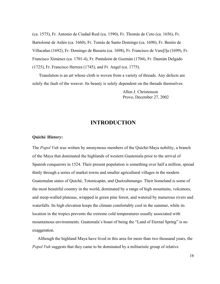(ca. 1575), Fr. Antonio de Ciudad Real (ca. 1590), Fr. Thomás de Coto (ca. 1656), Fr. Bartolomé de Anléo (ca. 1660), Fr. Tomás de Santo Domingo (ca. 1690), Fr. Benito de Villacañas (1692), Fr. Domingo de Basseta (ca. 1698), Fr. Francisco de Vare[l]a (1699), Fr. Francisco Ximénez (ca. 1701-4), Fr. Pantaleón de Guzmán (1704), Fr. Damián Delgado (1725), Fr. Francisco Herrera (1745), and Fr. Angel (ca. 1775).

 Translation is an art whose cloth is woven from a variety of threads. Any defects are solely the fault of the weaver. Its beauty is solely dependent on the threads themselves.

> Allen J. Christenson Provo, December 27, 2002

## INTRODUCTION

#### Quiché History:

The *Popol Vuh* was written by anonymous members of the Quiché-Maya nobility, a branch of the Maya that dominated the highlands of western Guatemala prior to the arrival of Spanish conquerors in 1524. Their present population is something over half a million, spread thinly through a series of market towns and smaller agricultural villages in the modern Guatemalan states of Quiché, Totonicapán, and Quetzaltenango. Their homeland is some of the most beautiful country in the world, dominated by a range of high mountains, volcanoes, and steep-walled plateaus, wrapped in green pine forest, and watered by numerous rivers and waterfalls. Its high elevation keeps the climate comfortably cool in the summer, while its location in the tropics prevents the extreme cold temperatures usually associated with mountainous environments. Guatemala's boast of being the "Land of Eternal Spring" is no exaggeration.

 Although the highland Maya have lived in this area for more than two thousand years, the *Popol Vuh* suggests that they came to be dominated by a militaristic group of relative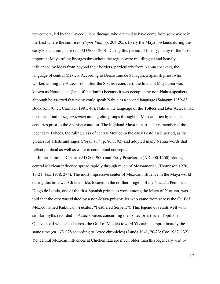newcomers, led by the Cavec-Quiché lineage, who claimed to have come from somewhere in the East where the sun rises (*Popol Vuh*, pp. 204-205), likely the Maya lowlands during the early Postclassic phase (ca. AD 900-1200). During this period of history, many of the most important Maya ruling lineages throughout the region were multilingual and heavily influenced by ideas from beyond their borders, particularly from Nahua speakers, the language of central Mexico. According to Bernardino de Sahagún, a Spanish priest who worked among the Aztecs soon after the Spanish conquest, the lowland Maya area was known as Nonoualcat (land of the dumb) because it was occupied by non-Nahua speakers, although he asserted that many could speak Nahua as a second language (Sahagún 1959-63, Book X, 170; cf. Carmack 1981, 46). Nahua, the language of the Toltecs and later Aztecs, had become a kind of *lingua franca* among elite groups throughout Mesoamerica by the last centuries prior to the Spanish conquest. The highland Maya in particular remembered the legendary Toltecs, the ruling class of central Mexico in the early Postclassic period, as the greatest of artists and sages (*Popol Vuh*, p. 80n.102) and adopted many Nahua words that reflect political as well as esoteric ceremonial concepts.

 In the Terminal Classic (AD 800-900) and Early Postclassic (AD 900-1200) phases, central Mexican influence spread rapidly through much of Mesoamerica (Thompson 1970, 18-21; Fox 1978, 274). The most impressive center of Mexican influence in the Maya world during this time was Chichen Itza, located in the northern region of the Yucatán Peninsula. Diego de Landa, one of the first Spanish priests to work among the Maya of Yucatán, was told that the city was visited by a non-Maya priest-ruler who came from across the Gulf of Mexico named Kukulcan (Yucatec: "Feathered Serpent"). This legend dovetails well with similar myths recorded in Aztec sources concerning the Toltec priest-ruler Topiltzin Quetzalcoatl who sailed across the Gulf of Mexico toward Yucatán at approximately the same time (ca. AD 978 according to Aztec chronicles) (Landa 1941, 20-23; Coe 1987, 132). Yet central Mexican influences at Chichen Itza are much older than this legendary visit by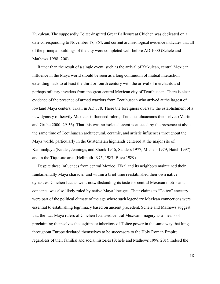Kukulcan. The supposedly Toltec-inspired Great Ballcourt at Chichen was dedicated on a date corresponding to November 18, 864, and current archaeological evidence indicates that all of the principal buildings of the city were completed well-before AD 1000 (Schele and Mathews 1998, 200).

 Rather than the result of a single event, such as the arrival of Kukulcan, central Mexican influence in the Maya world should be seen as a long continuum of mutual interaction extending back to at least the third or fourth century with the arrival of merchants and perhaps military invaders from the great central Mexican city of Teotihuacan. There is clear evidence of the presence of armed warriors from Teotihuacan who arrived at the largest of lowland Maya centers, Tikal, in AD 378. There the foreigners oversaw the establishment of a new dynasty of heavily Mexican-influenced rulers, if not Teotihuacanos themselves (Martin and Grube 2000, 29-36). That this was no isolated event is attested by the presence at about the same time of Teotihuacan architectural, ceramic, and artistic influences throughout the Maya world, particularly in the Guatemalan highlands centered at the major site of Kaminaljuyu (Kidder, Jennings, and Shook 1946; Sanders 1977; Michels 1979; Hatch 1997) and in the Tiquisate area (Hellmuth 1975, 1987; Bove 1989).

 Despite these influences from central Mexico, Tikal and its neighbors maintained their fundamentally Maya character and within a brief time reestablished their own native dynasties. Chichen Itza as well, notwithstanding its taste for central Mexican motifs and concepts, was also likely ruled by native Maya lineages. Their claims to "Toltec" ancestry were part of the political climate of the age where such legendary Mexican connections were essential to establishing legitimacy based on ancient precedent. Schele and Mathews suggest that the Itza-Maya rulers of Chichen Itza used central Mexican imagery as a means of proclaiming themselves the legitimate inheritors of Toltec power in the same way that kings throughout Europe declared themselves to be successors to the Holy Roman Empire, regardless of their familial and social histories (Schele and Mathews 1998, 201). Indeed the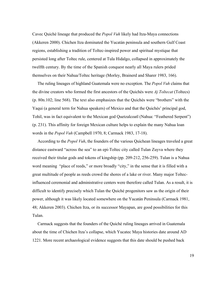Cavec Quiché lineage that produced the *Popol Vuh* likely had Itza-Maya connections (Akkeren 2000). Chichen Itza dominated the Yucatán peninsula and southern Gulf Coast regions, establishing a tradition of Toltec-inspired power and spiritual mystique that persisted long after Toltec rule, centered at Tula Hidalgo, collapsed in approximately the twelfth century. By the time of the Spanish conquest nearly all Maya rulers prided themselves on their Nahua/Toltec heritage (Morley, Brainerd and Sharer 1983, 166).

 The ruling lineages of highland Guatemala were no exception. The *Popol Vuh* claims that the divine creators who formed the first ancestors of the Quichés were *Aj Toltecat* (Toltecs) (p. 80n.102; line 568). The text also emphasizes that the Quichés were "brothers" with the Yaqui (a general term for Nahua speakers) of Mexico and that the Quichés' principal god, Tohil, was in fact equivalent to the Mexican god Quetzalcoatl (Nahua: "Feathered Serpent") (p. 231). This affinity for foreign Mexican culture helps to explain the many Nahua loan words in the *Popol Vuh* (Campbell 1970, 8; Carmack 1983, 17-18).

 According to the *Popol Vuh*, the founders of the various Quichean lineages traveled a great distance eastward "across the sea" to an epi-Toltec city called Tulan Zuyva where they received their titular gods and tokens of kingship (pp. 209-212, 256-259). Tulan is a Nahua word meaning "place of reeds," or more broadly "city," in the sense that it is filled with a great multitude of people as reeds crowd the shores of a lake or river. Many major Toltecinfluenced ceremonial and administrative centers were therefore called Tulan. As a result, it is difficult to identify precisely which Tulan the Quiché progenitors saw as the origin of their power, although it was likely located somewhere on the Yucatán Peninsula (Carmack 1981, 48; Akkeren 2003). Chichen Itza, or its successor Mayapan, are good possibilities for this Tulan.

 Carmack suggests that the founders of the Quiché ruling lineages arrived in Guatemala about the time of Chichen Itza's collapse, which Yucatec Maya histories date around AD 1221. More recent archaeological evidence suggests that this date should be pushed back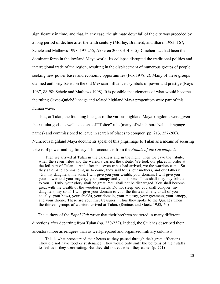significantly in time, and that, in any case, the ultimate downfall of the city was preceded by a long period of decline after the tenth century (Morley, Brainerd, and Sharer 1983, 167; Schele and Mathews 1998, 197-255; Akkeren 2000, 314-315). Chichen Itza had been the dominant force in the lowland Maya world. Its collapse disrupted the traditional politics and interregional trade of the region, resulting in the displacement of numerous groups of people seeking new power bases and economic opportunities (Fox 1978, 2). Many of these groups claimed authority based on the old Mexican-influenced symbols of power and prestige (Roys 1967, 88-98; Schele and Mathews 1998). It is possible that elements of what would become the ruling Cavec-Quiché lineage and related highland Maya progenitors were part of this human wave.

 Thus, at Tulan, the founding lineages of the various highland Maya kingdoms were given their titular gods, as well as tokens of "Toltec" rule (many of which bore Nahua language names) and commissioned to leave in search of places to conquer (pp. 213, 257-260). Numerous highland Maya documents speak of this pilgrimage to Tulan as a means of securing tokens of power and legitimacy. This account is from the *Annals of the Cakchiquels*:

 Then we arrived at Tulan in the darkness and in the night. Then we gave the tribute, when the seven tribes and the warriors carried the tribute. We took our places in order at the left part of Tulan.... And after the seven tribes had arrived, we the warriors came. So they said. And commanding us to come, they said to us, our mothers, and our fathers: "Go, my daughters, my sons. I will give you your wealth, your domain; I will give you your power and your majesty, your canopy and your throne. Thus shall they pay tribute to you.... Truly, your glory shall be great. You shall not be disparaged. You shall become great with the wealth of the wooden shields. Do not sleep and you shall conquer, my daughters, my sons! I will give your domain to you, the thirteen chiefs, to all of you equally: your bows, your shields, your domain, your majesty, your greatness, your canopy, and your throne. These are your first treasures." Thus they spoke to the Quichés when the thirteen groups of warriors arrived at Tulan. (Recinos and Goetz 1953, 50)

 The authors of the *Popol Vuh* wrote that their brethren scattered in many different directions after departing from Tulan (pp. 230-232). Indeed, the Quichés described their ancestors more as refugees than as well-prepared and organized military colonists:

 This is what preoccupied their hearts as they passed through their great afflictions. They did not have food or sustenance. They would only sniff the bottoms of their staffs to feel as if they were eating. But they did not eat when they came. (p. 221)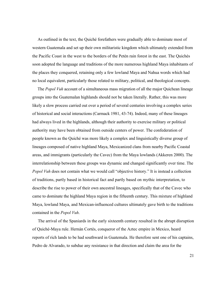As outlined in the text, the Quiché forefathers were gradually able to dominate most of western Guatemala and set up their own militaristic kingdom which ultimately extended from the Pacific Coast in the west to the borders of the Petén rain forest in the east. The Quichés soon adopted the language and traditions of the more numerous highland Maya inhabitants of the places they conquered, retaining only a few lowland Maya and Nahua words which had no local equivalent, particularly those related to military, political, and theological concepts.

 The *Popol Vuh* account of a simultaneous mass migration of all the major Quichean lineage groups into the Guatemalan highlands should not be taken literally. Rather, this was more likely a slow process carried out over a period of several centuries involving a complex series of historical and social interactions (Carmack 1981, 43-74). Indeed, many of these lineages had always lived in the highlands, although their authority to exercise military or political authority may have been obtained from outside centers of power. The confederation of people known as the Quiché was more likely a complex and linguistically diverse group of lineages composed of native highland Maya, Mexicanized clans from nearby Pacific Coastal areas, and immigrants (particularly the Cavec) from the Maya lowlands (Akkeren 2000). The interrelationship between these groups was dynamic and changed significantly over time. The *Popol Vuh* does not contain what we would call "objective history." It is instead a collection of traditions, partly based in historical fact and partly based on mythic interpretation, to describe the rise to power of their own ancestral lineages, specifically that of the Cavec who came to dominate the highland Maya region in the fifteenth century. This mixture of highland Maya, lowland Maya, and Mexican-influenced cultures ultimately gave birth to the traditions contained in the *Popol Vuh*.

 The arrival of the Spaniards in the early sixteenth century resulted in the abrupt disruption of Quiché-Maya rule. Hernán Cortés, conqueror of the Aztec empire in Mexico, heard reports of rich lands to be had southward in Guatemala. He therefore sent one of his captains, Pedro de Alvarado, to subdue any resistance in that direction and claim the area for the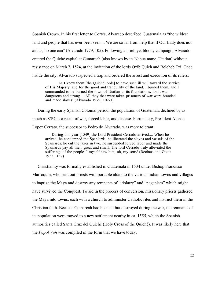Spanish Crown. In his first letter to Cortés, Alvarado described Guatemala as "the wildest land and people that has ever been seen.... We are so far from help that if Our Lady does not aid us, no one can" (Alvarado 1979, 105). Following a brief, yet bloody campaign, Alvarado entered the Quiché capital at Cumarcah (also known by its Nahua name, Utatlan) without resistance on March 7, 1524, at the invitation of the lords Oxib Quieh and Beleheb Tzi. Once inside the city, Alvarado suspected a trap and ordered the arrest and execution of its rulers:

As I knew them [the Quiché lords] to have such ill will toward the service of His Majesty, and for the good and tranquility of the land, I burned them, and I commanded to be burned the town of Utatlan to its foundations, for it was dangerous and strong.... All they that were taken prisoners of war were branded and made slaves. (Alvarado 1979, 102-3)

 During the early Spanish Colonial period, the population of Guatemala declined by as much as 85% as a result of war, forced labor, and disease. Fortunately, President Alonso López Cerrato, the successor to Pedro de Alvarado, was more tolerant:

 During this year [1549] the Lord President Cerrado arrived.... When he arrived, he condemned the Spaniards, he liberated the slaves and vassals of the Spaniards, he cut the taxes in two, he suspended forced labor and made the Spaniards pay all men, great and small. The lord Cerrado truly alleviated the sufferings of the people. I myself saw him, oh, my sons! (Recinos and Goetz 1953, 137)

Christianity was formally established in Guatemala in 1534 under Bishop Francisco

Marroquín, who sent out priests with portable altars to the various Indian towns and villages to baptize the Maya and destroy any remnants of "idolatry" and "paganism" which might have survived the Conquest. To aid in the process of conversion, missionary priests gathered the Maya into towns, each with a church to administer Catholic rites and instruct them in the Christian faith. Because Cumarcah had been all but destroyed during the war, the remnants of its population were moved to a new settlement nearby in ca. 1555, which the Spanish authorities called Santa Cruz del Quiché (Holy Cross of the Quiché). It was likely here that the *Popol Vuh* was compiled in the form that we have today.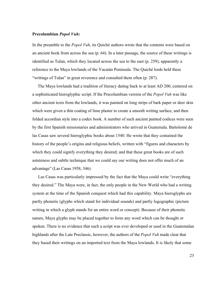#### Precolumbian *Popol Vuh*:

In the preamble to the *Popol Vuh*, its Quiché authors wrote that the contents were based on an ancient book from across the sea (p. 64). In a later passage, the source of these writings is identified as Tulan, which they located across the sea to the east (p. 259), apparently a reference to the Maya lowlands of the Yucatán Peninsula. The Quiché lords held these "writings of Tulan" in great reverence and consulted them often (p. 287).

 The Maya lowlands had a tradition of literacy dating back to at least AD 200, centered on a sophisticated hieroglyphic script. If the Precolumbian version of the *Popol Vuh* was like other ancient texts from the lowlands, it was painted on long strips of bark paper or deer skin which were given a thin coating of lime plaster to create a smooth writing surface, and then folded accordian style into a codex book. A number of such ancient painted codices were seen by the first Spanish missionaries and administrators who arrived in Guatemala. Bartolomé de las Casas saw several hieroglyphic books about 1540. He wrote that they contained the history of the people's origins and religious beliefs, written with "figures and characters by which they could signify everything they desired; and that these great books are of such astuteness and subtle technique that we could say our writing does not offer much of an advantage" (Las Casas 1958, 346).

 Las Casas was particularly impressed by the fact that the Maya could write "everything they desired." The Maya were, in fact, the only people in the New World who had a writing system at the time of the Spanish conquest which had this capability. Maya hieroglyphs are partly phonetic (glyphs which stand for individual sounds) and partly logographic (picture writing in which a glyph stands for an entire word or concept). Because of their phonetic nature, Maya glyphs may be placed together to form any word which can be thought or spoken. There is no evidence that such a script was ever developed or used in the Guatemalan highlands after the Late Preclassic, however, the authors of the *Popol Vuh* made clear that they based their writings on an imported text from the Maya lowlands. It is likely that some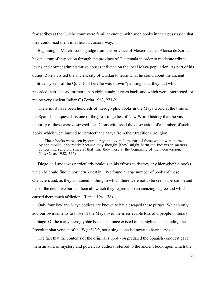few scribes at the Quiché court were familiar enough with such books in their possession that they could read them in at least a cursory way.

 Beginning in March 1555, a judge from the province of Mexico named Alonso de Zorita began a tour of inspection through the province of Guatemala in order to moderate tribute levies and correct administrative abuses inflicted on the local Maya population. As part of his duties, Zorita visited the ancient city of Utatlan to learn what he could about the ancient political system of the Quichés. There he was shown "paintings that they had which recorded their history for more than eight hundred years back, and which were interpreted for me by very ancient Indians" (Zorita 1963, 271-2).

 There must have been hundreds of hieroglyphic books in the Maya world at the time of the Spanish conquest. It is one of the great tragedies of New World history that the vast majority of these were destroyed. Las Casas witnessed the destruction of a number of such books which were burned to "protect" the Maya from their traditional religion:

 These books were seen by our clergy, and even I saw part of those which were burned by the monks, apparently because they thought [they] might harm the Indians in matters concerning religion, since at that time they were at the beginning of their conversion. (Las Casas 1958, 346)

 Diego de Landa was particularly zealous in his efforts to destroy any hieroglyphic books which he could find in northern Yucatán: "We found a large number of books of these characters and, as they contained nothing in which there were not to be seen superstition and lies of the devil, we burned them all, which they regretted to an amazing degree and which caused them much affliction" (Landa 1941, 78).

 Only four lowland Maya codices are known to have escaped these purges. We can only add our own laments to those of the Maya over the irretrievable loss of a people's literary heritage. Of the many hieroglyphic books that once existed in the highlands, including the Precolumbian version of the *Popol Vuh*, not a single one is known to have survived.

 The fact that the contents of the original *Popol Vuh* predated the Spanish conquest gave them an aura of mystery and power. Its authors referred to the ancient book upon which the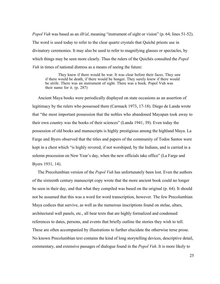*Popol Vuh* was based as an *ilb'al*, meaning "instrument of sight or vision" (p. 64; lines 51-52). The word is used today to refer to the clear quartz crystals that Quiché priests use in divinatory ceremonies. It may also be used to refer to magnifying glasses or spectacles, by which things may be seen more clearly. Thus the rulers of the Quichés consulted the *Popol Vuh* in times of national distress as a means of seeing the future:

They knew if there would be war. It was clear before their faces. They saw if there would be death, if there would be hunger. They surely knew if there would be strife. There was an instrument of sight. There was a book. Popol Vuh was their name for it. (p. 287)

 Ancient Maya books were periodically displayed on state occasions as an assertion of legitimacy by the rulers who possessed them (Carmack 1973, 17-18). Diego de Landa wrote that "the most important possession that the nobles who abandoned Mayapan took away to their own country was the books of their sciences" (Landa 1941, 39). Even today the possession of old books and manuscripts is highly prestigious among the highland Maya. La Farge and Byers observed that the titles and papers of the community of Todos Santos were kept in a chest which "is highly revered, if not worshiped, by the Indians, and is carried in a solemn procession on New Year's day, when the new officials take office" (La Farge and Byers 1931, 14).

 The Precolumbian version of the *Popol Vuh* has unfortunately been lost. Even the authors of the sixteenth century manuscript copy wrote that the more ancient book could no longer be seen in their day, and that what they compiled was based on the original (p. 64). It should not be assumed that this was a word for word transcription, however. The few Precolumbian Maya codices that survive, as well as the numerous inscriptions found on stelae, altars, architectural wall panels, etc., all bear texts that are highly formalized and condensed references to dates, persons, and events that briefly outline the stories they wish to tell. These are often accompanied by illustrations to further elucidate the otherwise terse prose. No known Precolumbian text contains the kind of long storytelling devices, descriptive detail, commentary, and extensive passages of dialogue found in the *Popol Vuh*. It is more likely to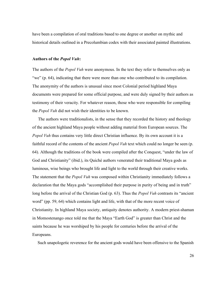have been a compilation of oral traditions based to one degree or another on mythic and historical details outlined in a Precolumbian codex with their associated painted illustrations.

#### Authors of the *Popol Vuh*:

The authors of the *Popol Vuh* were anonymous. In the text they refer to themselves only as "we" (p. 64), indicating that there were more than one who contributed to its compilation. The anonymity of the authors is unusual since most Colonial period highland Maya documents were prepared for some official purpose, and were duly signed by their authors as testimony of their veracity. For whatever reason, those who were responsible for compiling the *Popol Vuh* did not wish their identities to be known.

 The authors were traditionalists, in the sense that they recorded the history and theology of the ancient highland Maya people without adding material from European sources. The *Popol Vuh* thus contains very little direct Christian influence. By its own account it is a faithful record of the contents of the ancient *Popol Vuh* text which could no longer be seen (p. 64). Although the traditions of the book were compiled after the Conquest, "under the law of God and Christianity" (ibid.), its Quiché authors venerated their traditional Maya gods as luminous, wise beings who brought life and light to the world through their creative works. The statement that the *Popol Vuh* was composed within Christianity immediately follows a declaration that the Maya gods "accomplished their purpose in purity of being and in truth" long before the arrival of the Christian God (p. 63). Thus the *Popol Vuh* contrasts its "ancient word" (pp. 59, 64) which contains light and life, with that of the more recent voice of Christianity. In highland Maya society, antiquity denotes authority. A modern priest-shaman in Momostenango once told me that the Maya "Earth God" is greater than Christ and the saints because he was worshiped by his people for centuries before the arrival of the Europeans.

Such unapologetic reverence for the ancient gods would have been offensive to the Spanish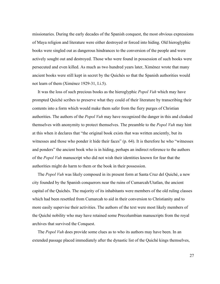missionaries. During the early decades of the Spanish conquest, the most obvious expressions of Maya religion and literature were either destroyed or forced into hiding. Old hieroglyphic books were singled out as dangerous hindrances to the conversion of the people and were actively sought out and destroyed. Those who were found in possession of such books were persecuted and even killed. As much as two hundred years later, Ximénez wrote that many ancient books were still kept in secret by the Quichés so that the Spanish authorities would not learn of them (Ximénez 1929-31, I.i.5).

 It was the loss of such precious books as the hieroglyphic *Popol Vuh* which may have prompted Quiché scribes to preserve what they could of their literature by transcribing their contents into a form which would make them safer from the fiery purges of Christian authorities. The authors of the *Popol Vuh* may have recognized the danger in this and cloaked themselves with anonymity to protect themselves. The preamble to the *Popol Vuh* may hint at this when it declares that "the original book exists that was written anciently, but its witnesses and those who ponder it hide their faces" (p. 64). It is therefore he who "witnesses and ponders" the ancient book who is in hiding, perhaps an indirect reference to the authors of the *Popol Vuh* manuscript who did not wish their identities known for fear that the authorities might do harm to them or the book in their possession.

 The *Popol Vuh* was likely composed in its present form at Santa Cruz del Quiché, a new city founded by the Spanish conquerors near the ruins of Cumarcah/Utatlan, the ancient capital of the Quichés. The majority of its inhabitants were members of the old ruling classes which had been resettled from Cumarcah to aid in their conversion to Christianity and to more easily supervise their activities. The authors of the text were most likely members of the Quiché nobility who may have retained some Precolumbian manuscripts from the royal archives that survived the Conquest.

 The *Popol Vuh* does provide some clues as to who its authors may have been. In an extended passage placed immediately after the dynastic list of the Quiché kings themselves,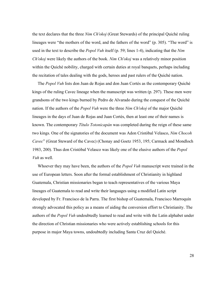the text declares that the three *Nim Ch'okoj* (Great Stewards) of the principal Quiché ruling lineages were "the mothers of the word, and the fathers of the word" (p. 305). "The word" is used in the text to describe the *Popol Vuh* itself (p. 59; lines 1-4), indicating that the *Nim Ch'okoj* were likely the authors of the book. *Nim Ch'okoj* was a relatively minor position within the Quiché nobility, charged with certain duties at royal banquets, perhaps including the recitation of tales dealing with the gods, heroes and past rulers of the Quiché nation.

 The *Popol Vuh* lists don Juan de Rojas and don Juan Cortés as the contemporary Quiché kings of the ruling Cavec lineage when the manuscript was written (p. 297). These men were grandsons of the two kings burned by Pedro de Alvarado during the conquest of the Quiché nation. If the authors of the *Popol Vuh* were the three *Nim Ch'okoj* of the major Quiché lineages in the days of Juan de Rojas and Juan Cortés, then at least one of their names is known. The contemporary *Título Totonicapán* was completed during the reign of these same two kings. One of the signatories of the document was Adon Cristóbal Velasco, *Nim Chocoh Cavec*" (Great Steward of the Cavec) (Chonay and Goetz 1953, 195; Carmack and Mondloch 1983, 200). Thus don Cristóbal Velasco was likely one of the elusive authors of the *Popol Vuh* as well.

 Whoever they may have been, the authors of the *Popol Vuh* manuscript were trained in the use of European letters. Soon after the formal establishment of Christianity in highland Guatemala, Christian missionaries began to teach representatives of the various Maya lineages of Guatemala to read and write their languages using a modified Latin script developed by Fr. Francisco de la Parra. The first bishop of Guatemala, Francisco Marroquín strongly advocated this policy as a means of aiding the conversion effort to Christianity. The authors of the *Popol Vuh* undoubtedly learned to read and write with the Latin alphabet under the direction of Christian missionaries who were actively establishing schools for this purpose in major Maya towns, undoubtedly including Santa Cruz del Quiché.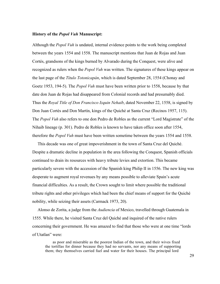#### History of the *Popol Vuh* Manuscript:

Although the *Popol Vuh* is undated, internal evidence points to the work being completed between the years 1554 and 1558. The manuscript mentions that Juan de Rojas and Juan Cortés, grandsons of the kings burned by Alvarado during the Conquest, were alive and recognized as rulers when the *Popol Vuh* was written. The signatures of these kings appear on the last page of the *Título Totonicapán*, which is dated September 28, 1554 (Chonay and Goetz 1953, 194-5). The *Popol Vuh* must have been written prior to 1558, because by that date don Juan de Rojas had disappeared from Colonial records and had presumably died. Thus the *Royal Title of Don Francisco Izquin Nehaib*, dated November 22, 1558, is signed by Don Juan Cortés and Don Martín, kings of the Quiché at Santa Cruz (Recinos 1957, 115). The *Popol Vuh* also refers to one don Pedro de Robles as the current "Lord Magistrate" of the Nihaib lineage (p. 301). Pedro de Robles is known to have taken office soon after 1554, therefore the *Popol Vuh* must have been written sometime between the years 1554 and 1558.

 This decade was one of great impoverishment in the town of Santa Cruz del Quiché. Despite a dramatic decline in population in the area following the Conquest, Spanish officials continued to drain its resources with heavy tribute levies and extortion. This became particularly severe with the accession of the Spanish king Philip II in 1556. The new king was desperate to augment royal revenues by any means possible to alleviate Spain's acute financial difficulties. As a result, the Crown sought to limit where possible the traditional tribute rights and other privileges which had been the chief means of support for the Quiché nobility, while seizing their assets (Carmack 1973, 20).

 Alonso de Zorita, a judge from the *Audiencia* of Mexico, travelled through Guatemala in 1555. While there, he visited Santa Cruz del Quiché and inquired of the native rulers concerning their government. He was amazed to find that those who were at one time "lords of Utatlan" were:

 as poor and miserable as the poorest Indian of the town, and their wives fixed the tortillas for dinner because they had no servants, nor any means of supporting them; they themselves carried fuel and water for their houses. The principal lord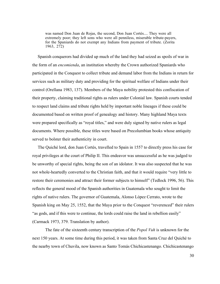was named Don Juan de Rojas, the second, Don Juan Cortés.... They were all extremely poor; they left sons who were all penniless, miserable tribute-payers, for the Spaniards do not exempt any Indians from payment of tribute. (Zorita 1963, 272)

 Spanish conquerors had divided up much of the land they had seized as spoils of war in the form of an *encomienda*, an institution whereby the Crown authorized Spaniards who participated in the Conquest to collect tribute and demand labor from the Indians in return for services such as military duty and providing for the spiritual welfare of Indians under their control (Orellana 1983, 137). Members of the Maya nobility protested this confiscation of their property, claiming traditional rights as rulers under Colonial law. Spanish courts tended to respect land claims and tribute rights held by important noble lineages if these could be documented based on written proof of genealogy and history. Many highland Maya texts were prepared specifically as "royal titles," and were duly signed by native rulers as legal documents. Where possible, these titles were based on Precolumbian books whose antiquity served to bolster their authenticity in court.

 The Quiché lord, don Juan Cortés, travelled to Spain in 1557 to directly press his case for royal privileges at the court of Philip II. This endeavor was unsuccessful as he was judged to be unworthy of special rights, being the son of an idolator. It was also suspected that he was not whole-heartedly converted to the Christian faith, and that it would require "very little to restore their ceremonies and attract their former subjects to himself" (Tedlock 1996, 56). This reflects the general mood of the Spanish authorities in Guatemala who sought to limit the rights of native rulers. The governor of Guatemala, Alonso López Cerrato, wrote to the Spanish king on May 25, 1552, that the Maya prior to the Conquest "reverenced" their rulers "as gods, and if this were to continue, the lords could raise the land in rebellion easily" (Carmack 1973, 379. Translation by author).

The fate of the sixteenth century transcription of the *Popol Vuh* is unknown for the next 150 years. At some time during this period, it was taken from Santa Cruz del Quiché to the nearby town of Chuvila, now known as Santo Tomás Chichicastenango. Chichicastenango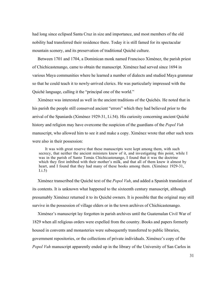had long since eclipsed Santa Cruz in size and importance, and most members of the old nobility had transferred their residence there. Today it is still famed for its spectacular mountain scenery, and its preservation of traditional Quiché culture.

 Between 1701 and 1704, a Dominican monk named Francisco Ximénez, the parish priest of Chichicastenango, came to obtain the manuscript. Ximénez had served since 1694 in various Maya communities where he learned a number of dialects and studied Maya grammar so that he could teach it to newly-arrived clerics. He was particularly impressed with the Quiché language, calling it the "principal one of the world."

 Ximénez was interested as well in the ancient traditions of the Quichés. He noted that in his parish the people still conserved ancient "errors" which they had believed prior to the arrival of the Spaniards (Ximénez 1929-31, I.i.54). His curiosity concerning ancient Quiché history and religion may have overcome the suspicion of the guardians of the *Popol Vuh* manuscript, who allowed him to see it and make a copy. Ximénez wrote that other such texts were also in their possession:

 It was with great reserve that these manuscripts were kept among them, with such secrecy, that neither the ancient ministers knew of it, and investigating this point, while I was in the parish of Santo Tomás Chichicastenango, I found that it was the doctrine which they first imbibed with their mother's milk, and that all of them knew it almost by heart, and I found that they had many of these books among them. (Ximénez 1929-31, I.i.5)

 Ximénez transcribed the Quiché text of the *Popol Vuh*, and added a Spanish translation of its contents. It is unknown what happened to the sixteenth century manuscript, although presumably Ximénez returned it to its Quiché owners. It is possible that the original may still survive in the possession of village elders or in the town archives of Chichicastenango.

 Ximénez's manuscript lay forgotten in parish archives until the Guatemalan Civil War of 1829 when all religious orders were expelled from the country. Books and papers formerly housed in convents and monasteries were subsequently transferred to public libraries, government repositories, or the collections of private individuals. Ximénez's copy of the *Popol Vuh* manuscript apparently ended up in the library of the University of San Carlos in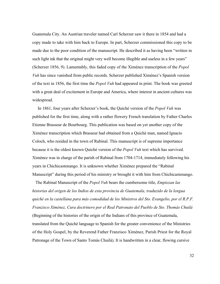Guatemala City. An Austrian traveler named Carl Scherzer saw it there in 1854 and had a copy made to take with him back to Europe. In part, Scherzer commissioned this copy to be made due to the poor condition of the manuscript. He described it as having been "written in such light ink that the original might very well become illegible and useless in a few years" (Scherzer 1856, 9). Lamentably, this faded copy of the Ximénez transcription of the *Popol Vuh* has since vanished from public records. Scherzer published Ximénez's Spanish version of the text in 1856, the first time the *Popol Vuh* had appeared in print. The book was greeted with a great deal of excitement in Europe and America, where interest in ancient cultures was widespread.

 In 1861, four years after Scherzer's book, the Quiché version of the *Popol Vuh* was published for the first time, along with a rather flowery French translation by Father Charles Etienne Brasseur de Bourbourg. This publication was based on yet another copy of the Ximénez transcription which Brasseur had obtained from a Quiché man, named Ignacio Coloch, who resided in the town of Rabinal. This manuscript is of supreme importance because it is the oldest known Quiché version of the *Popol Vuh* text which has survived. Ximénez was in charge of the parish of Rabinal from 1704-1714, immediately following his years in Chichicastenango. It is unknown whether Ximénez prepared the "Rabinal Manuscript" during this period of his ministry or brought it with him from Chichicastenango.

 The Rabinal Manuscript of the *Popol Vuh* bears the cumbersome title, *Empiezan las historias del origen de los Indios de esta provincia de Guatemala, traduzido de la lengua quiché en la castellana para más comodidad de los Ministros del Sto. Evangelio, por el R.P.F. Franzisco Ximénez, Cura doctrinero por el Real Patronato del Pueblo de Sto. Thomás Chuilá* (Beginning of the histories of the origin of the Indians of this province of Guatemala, translated from the Quiché language to Spanish for the greater convenience of the Ministries of the Holy Gospel, by the Reverend Father Franzisco Ximénez, Parish Priest for the Royal Patronage of the Town of Santo Tomás Chuilá). It is handwritten in a clear, flowing cursive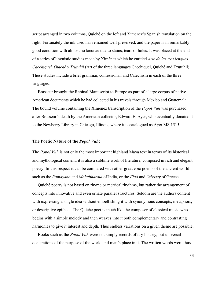script arranged in two columns, Quiché on the left and Ximénez's Spanish translation on the right. Fortunately the ink used has remained well-preserved, and the paper is in remarkably good condition with almost no lacunae due to stains, tears or holes. It was placed at the end of a series of linguistic studies made by Ximénez which he entitled *Arte de las tres lenguas Cacchiquel, Quiché y Tzutuhil* (Art of the three languages Cacchiquel, Quiché and Tzutuhil). These studies include a brief grammar, confessional, and Catechism in each of the three languages.

 Brasseur brought the Rabinal Manuscript to Europe as part of a large corpus of native American documents which he had collected in his travels through Mexico and Guatemala. The bound volume containing the Ximénez transcription of the *Popol Vuh* was purchased after Brasseur's death by the American collector, Edward E. Ayer, who eventually donated it to the Newberry Library in Chicago, Illinois, where it is catalogued as Ayer MS 1515.

#### The Poetic Nature of the *Popol Vuh*:

The *Popol Vuh* is not only the most important highland Maya text in terms of its historical and mythological content, it is also a sublime work of literature, composed in rich and elegant poetry. In this respect it can be compared with other great epic poems of the ancient world such as the *Ramayana* and *Mahabharata* of India, or the *Iliad* and *Odyssey* of Greece.

 Quiché poetry is not based on rhyme or metrical rhythms, but rather the arrangement of concepts into innovative and even ornate parallel structures. Seldom are the authors content with expressing a single idea without embellishing it with synonymous concepts, metaphors, or descriptive epithets. The Quiché poet is much like the composer of classical music who begins with a simple melody and then weaves into it both complementary and contrasting harmonies to give it interest and depth. Thus endless variations on a given theme are possible.

 Books such as the *Popol Vuh* were not simply records of dry history, but universal declarations of the purpose of the world and man's place in it. The written words were thus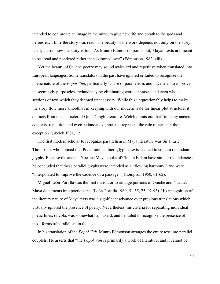intended to conjure up an image in the mind, to give new life and breath to the gods and heroes each time the story was read. The beauty of the work depends not only on the story itself, but on how the story is told. As Munro Edmonson points out, Mayan texts are meant to be "read and pondered rather than skimmed over" (Edmonson 1982, xiii).

 Yet the beauty of Quiché poetry may sound awkward and repetitive when translated into European languages. Some translators in the past have ignored or failed to recognize the poetic nature of the *Popol Vuh*, particularly its use of parallelism, and have tried to improve its seemingly purposeless redundancy by eliminating words, phrases, and even whole sections of text which they deemed unnecessary. While this unquestionably helps to make the story flow more smoothly, in keeping with our modern taste for linear plot structure, it detracts from the character of Quiché high literature. Welch points out that "in many ancient contexts, repetition and even redundancy appear to represent the rule rather than the exception" (Welch 1981, 12).

 The first modern scholar to recognize parallelism in Maya literature was Sir J. Eric Thompson, who noticed that Precolumbian hieroglyphic texts seemed to contain redundant glyphs. Because the ancient Yucatec Maya books of Chilam Balam have similar redundancies, he concluded that these parallel glyphs were intended as a "flowing harmony," and were "interpolated to improve the cadence of a passage" (Thompson 1950, 61-62).

 Miguel León-Portilla was the first translator to arrange portions of Quiché and Yucatec Maya documents into poetic verse (León-Portilla 1969, 51-55, 75, 92-93). His recognition of the literary nature of Maya texts was a significant advance over previous translations which virtually ignored the presence of poetry. Nevertheless, his criteria for separating individual poetic lines, or cola, was somewhat haphazard, and he failed to recognize the presence of most forms of parallelism in the text.

 In his translation of the *Popol Vuh,* Munro Edmonson arranges the entire text into parallel couplets. He asserts that "the *Popol Vuh* is primarily a work of literature, and it cannot be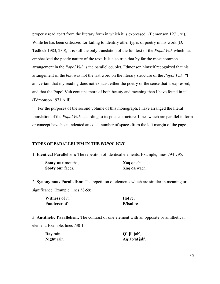properly read apart from the literary form in which it is expressed" (Edmonson 1971, xi). While he has been criticized for failing to identify other types of poetry in his work (D. Tedlock 1983, 230), it is still the only translation of the full text of the *Popol Vuh* which has emphasized the poetic nature of the text. It is also true that by far the most common arrangement in the *Popol Vuh* is the parallel couplet. Edmonson himself recognized that his arrangement of the text was not the last word on the literary structure of the *Popol Vuh*: "I am certain that my reading does not exhaust either the poetry or the sense that is expressed, and that the Popol Vuh contains more of both beauty and meaning than I have found in it" (Edmonson 1971, xiii).

 For the purposes of the second volume of this monograph, I have arranged the literal translation of the *Popol Vuh* according to its poetic structure. Lines which are parallel in form or concept have been indented an equal number of spaces from the left margin of the page.

#### TYPES OF PARALLELISM IN THE *POPOL VUH*:

1. Identical Parallelism: The repetition of identical elements. Example, lines 794-795:

| Sooty our mouths,       | Xaq qa chi',        |
|-------------------------|---------------------|
| <b>Sooty our faces.</b> | <b>Xaq qa</b> wach. |

2. Synonymous Parallelism: The repetition of elements which are similar in meaning or significance. Example, lines 58-59:

| Witness of it.         | <b>Ilol</b> re,   |
|------------------------|-------------------|
| <b>Ponderer</b> of it. | <b>B'isol</b> re. |

3. Antithetic Parallelism: The contrast of one element with an opposite or antithetical element. Example, lines 730-1:

| Day rain,   | Q'ijil jab',     |
|-------------|------------------|
| Night rain. | $Aq'ab'al$ jab'. |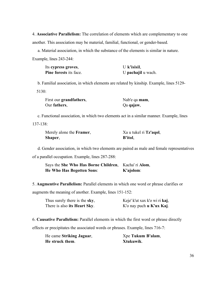4. Associative Parallelism: The correlation of elements which are complementary to one another. This association may be material, familial, functional, or gender-based.

 a. Material association, in which the substance of the elements is similar in nature. Example, lines 243-244:

| Its cypress groves,           | U k'isisil,               |
|-------------------------------|---------------------------|
| <b>Pine forests</b> its face. | U <b>pachajil</b> u wach. |

 b. Familial association, in which elements are related by kinship. Example, lines 5129- 5130:

| First our <b>grandfathers</b> , | Nab'e qa mam, |
|---------------------------------|---------------|
| Our fathers,                    | Qa qajaw,     |

 c. Functional association, in which two elements act in a similar manner. Example, lines 137-138:

| Merely alone the <b>Framer</b> , | Xa u tukel ri Tz'aqol, |
|----------------------------------|------------------------|
| Shaper,                          | B'itol,                |

d. Gender association, in which two elements are paired as male and female representatives

of a parallel occupation. Example, lines 287-288:

Says the She Who Has Borne Children, Kacha' ri Alom, He Who Has Begotten Sons: K'ajolom:

5. Augmentive Parallelism: Parallel elements in which one word or phrase clarifies or

augments the meaning of another. Example, lines 151-152:

| Thus surely there is the sky,        | Keje' k'ut xax k'o wi ri kaj, |
|--------------------------------------|-------------------------------|
| There is also its <b>Heart Sky</b> . | K'o nay puch u K'ux Kaj.      |

6. Causative Parallelism: Parallel elements in which the first word or phrase directly

effects or precipitates the associated words or phrases. Example, lines 716-7:

| He came Striking Jaguar, | Xpe Tukum B'alam, |
|--------------------------|-------------------|
| He struck them.          | Xtukuwik.         |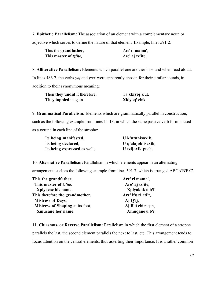7. Epithetic Parallelism: The association of an element with a complementary noun or adjective which serves to define the nature of that element. Example, lines 591-2:

| This the <b>grandfather</b> , | Are' ri mama',  |
|-------------------------------|-----------------|
| This master of tz'ite,        | Are' aj tz'ite, |

8. Alliterative Parallelism: Elements which parallel one another in sound when read aloud. In lines 486-7, the verbs *yoj* and *yoq'* were apparently chosen for their similar sounds, in addition to their synonymous meaning:

| Then <b>they undid</b> it therefore, | Ta xkiyoj k'ut, |
|--------------------------------------|-----------------|
| <b>They toppled</b> it again         | Xkiyoq' chik    |

9. Grammatical Parallelism: Elements which are grammatically parallel in construction, such as the following example from lines 11-13, in which the same passive verb form is used as a gerund in each line of the strophe:

| Its being manifested,        | U k'utunisaxik,    |
|------------------------------|--------------------|
| Its being declared,          | U q'alajob'isaxik, |
| Its being expressed as well, | U tzijoxik puch,   |

10. Alternative Parallelism: Parallelism in which elements appear in an alternating

arrangement, such as the following example from lines 591-7, which is arranged ABCA'B'B'C'.

| This the grandfather,                   | Are' ri mama',         |
|-----------------------------------------|------------------------|
| This master of tz'ite,                  | Are' aj tz'ite,        |
| Xpiyacoc his name.                      | Xpiyakok u b'i'.       |
| This therefore the grandmother,         | Are' k'u ri ati't,     |
| <b>Mistress of Days,</b>                | $\overline{A}$ j Q'ij, |
| <b>Mistress of Shaping at its foot,</b> | Aj B'it chi raqan,     |
| Xmucane her name.                       | Xmuqane u b'i'.        |

11. Chiasmus, or Reverse Parallelism: Parallelism in which the first element of a strophe parallels the last, the second element parallels the next to last, etc. This arrangement tends to focus attention on the central elements, thus asserting their importance. It is a rather common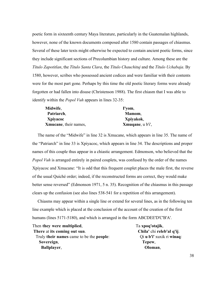poetic form in sixteenth century Maya literature, particularly in the Guatemalan highlands, however, none of the known documents composed after 1580 contain passages of chiasmus. Several of these later texts might otherwise be expected to contain ancient poetic forms, since they include significant sections of Precolumbian history and culture. Among these are the *Título Zapotitlan*, the *Título Santa Clara*, the *Título Chauchituj* and the *Título Uchabaja*. By 1580, however, scribes who possessed ancient codices and were familiar with their contents were for the most part gone. Perhaps by this time the old poetic literary forms were already forgotten or had fallen into disuse (Christenson 1988). The first chiasm that I was able to identify within the *Popol Vuh* appears in lines 32-35:

| Midwife,                      | I'yom,                   |
|-------------------------------|--------------------------|
| Patriarch,                    | Mamom,                   |
| Xpiyacoc                      | Xpiyakok,                |
| <b>Xmucane</b> , their names, | <b>Xmuqane</b> , u b'i', |

 The name of the "Midwife" in line 32 is Xmucane, which appears in line 35. The name of the "Patriarch" in line 33 is Xpiyacoc, which appears in line 34. The descriptions and proper names of this couple thus appear in a chiastic arrangement. Edmonson, who believed that the *Popol Vuh* is arranged entirely in paired couplets, was confused by the order of the names Xpiyacoc and Xmucane: "It is odd that this frequent couplet places the male first, the reverse of the usual Quiché order; indeed, if the reconstructed forms are correct, they would make better sense reversed" (Edmonson 1971, 5 n. 35). Recognition of the chiasmus in this passage clears up the confusion (see also lines 538-541 for a repetition of this arrangement).

 Chiasms may appear within a single line or extend for several lines, as in the following ten line example which is placed at the conclusion of the account of the creation of the first humans (lines 5171-5180), and which is arranged in the form ABCDEE'D'C'B'A'.

| Then they were multiplied,               | Ta xpoq'otajik,        |
|------------------------------------------|------------------------|
| There at its coming out sun.             | Chila' chi rele        |
| Truly their names came to be the people: | Qi <b>u b'i'</b> xuxil |
| Sovereign,                               | Tepew,                 |
| Ballplayer,                              | Oloman,                |

Chila' chi releb'al q'ij. Oi u b'i' xuxik ri winaq: Oloman,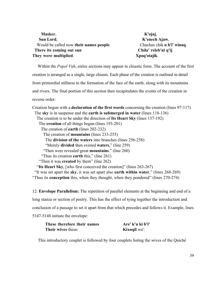| Masker,                                 | K'ojaj,      |
|-----------------------------------------|--------------|
| Sun Lord,                               | K'enech      |
| Would be called now their names people. | Chuchax c    |
| There its coming out sun                | Chila' rele  |
| They were multiplied.                   | Xpoq'otajik. |

K'enech Ajaw, Chuchax chik u b'i' winaq. Chila' releb'al q'ij Xpoq'otajik.

 Within the *Popol Vuh*, entire sections may appear in chiastic form. The account of the first creation is arranged as a single, large chiasm. Each phase of the creation is outlined in detail from primordial stillness to the formation of the face of the earth, along with its mountains and rivers. The final portion of this section then recapitulates the events of the creation in reverse order:

Creation begun with a declaration of the first words concerning the creation (lines 97-117) The sky is in suspense and the earth is submerged in water (lines 118-136) The creation is to be under the direction of Its Heart Sky (lines 137-192) The creation of all things begun (lines 193-201) The creation of earth (lines 202-232) The creation of mountains (lines 233-255) The division of the waters into branches (lines 256-258) "Merely **divided** then existed waters," (line 259) "Then were revealed great mountains." (line 260) "Thus its creation earth this," (line 261) "Then it was **created** by them" (line 262) "Its Heart Sky, [who first conceived the creation]" (lines 263-267)

 "It was set apart the sky, it was set apart also earth within water," (lines 268-269) "Thus its conception this, when they thought, when they pondered" (lines 270-274)

12. Envelope Parallelism: The repetition of parallel elements at the beginning and end of a long stanza or section of poetry. This has the effect of tying together the introduction and conclusion of a passage to set it apart from that which precedes and follows it. Example, lines 5147-5148 initiate the envelope:

| These therefore their names | Are' k'u ki b'i'    |
|-----------------------------|---------------------|
| <b>Their wives these:</b>   | <b>Kixoqil</b> wa': |

This introductory couplet is followed by four couplets listing the wives of the Quiché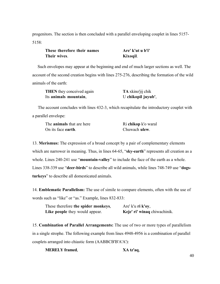progenitors. The section is then concluded with a parallel enveloping couplet in lines 5157- 5158:

These therefore their names Are' k'ut u b'i' Their wives. Kixoqil.

 Such envelopes may appear at the beginning and end of much larger sections as well. The account of the second creation begins with lines 275-276, describing the formation of the wild animals of the earth:

| <b>THEN</b> they conceived again | <b>TA</b> xkino'jij chik |
|----------------------------------|--------------------------|
| Its animals mountain,            | U chikopil juyub',       |

 The account concludes with lines 432-3, which recapitulate the introductory couplet with a parallel envelope:

| The <b>animals</b> that are here | Ri chikop k'o waral |
|----------------------------------|---------------------|
| On its face earth.               | Chuwach ulew.       |

13. Merismus: The expression of a broad concept by a pair of complementary elements which are narrower in meaning. Thus, in lines 64-65, "sky-earth" represents all creation as a whole. Lines 240-241 use "mountain-valley" to include the face of the earth as a whole. Lines 338-339 use "deer-birds" to describe all wild animals, while lines 748-749 use "dogsturkeys" to describe all domesticated animals.

14. Emblematic Parallelism: The use of simile to compare elements, often with the use of words such as "like" or "as." Example, lines 832-833:

| These therefore the spider monkeys, | Are' k'u ri k'oy,            |
|-------------------------------------|------------------------------|
| Like people they would appear.      | Keje' ri' winaq chiwachinik. |

15. Combination of Parallel Arrangements: The use of two or more types of parallelism in a single strophe. The following example from lines 4948-4956 is a combination of parallel couplets arranged into chiastic form (AABBCB'B'A'A'):

MERELY framed, XA tz'aq,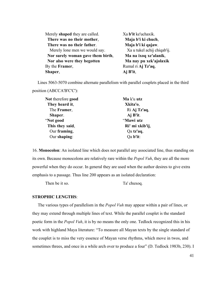| Merely shaped they are called.    | Xa b'it ke'uchaxik.         |
|-----------------------------------|-----------------------------|
| There was no their mother,        | Maja b'i ki chuch,          |
| There was no their father.        | Maja b'i ki qajaw.          |
| Merely lone men we would say.     | Xa u tukel achij chiqab'ij. |
| Nor surely woman gave them birth, | Ma na ixoq xe'alanik,       |
| Nor also were they begotten       | Ma nay pu xek'ajolaxik      |
| By the Framer,                    | Rumal ri Aj Tz'aq,          |
| Shaper,                           | $\overline{Aj}$ B'it,       |

Lines 5063-5070 combine alternate parallelism with parallel couplets placed in the third

position (ABCCA'B'C'C'):

| Not therefore good | Ma k'u utz            |  |
|--------------------|-----------------------|--|
| They heard it,     | Xkita'o,              |  |
| The Framer,        | Ri Aj Tz'aq,          |  |
| Shaper.            | $\overline{Aj}$ B'it. |  |
| "Not good          | "Mawi utz             |  |
| This they said,    | Ri' mi xkib'ij,       |  |
| Our framing,       | Qa tz'aq,             |  |
| Our shaping:       | Qa b'it:              |  |
|                    |                       |  |

16. Monocolon: An isolated line which does not parallel any associated line, thus standing on its own. Because monocolons are relatively rare within the *Popol Vuh*, they are all the more powerful when they do occur. In general they are used when the author desires to give extra emphasis to a passage. Thus line 200 appears as an isolated declaration:

Then be it so. Ta' chuxoq.

#### STROPHIC LENGTHS:

 The various types of parallelism in the *Popol Vuh* may appear within a pair of lines, or they may extend through multiple lines of text. While the parallel couplet is the standard poetic form in the *Popol Vuh*, it is by no means the only one. Tedlock recognized this in his work with highland Maya literature: "To measure all Mayan texts by the single standard of the couplet is to miss the very essence of Mayan verse rhythms, which move in twos, and sometimes threes, and once in a while arch over to produce a four" (D. Tedlock 1983b, 230). I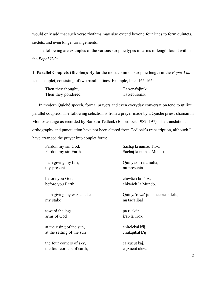would only add that such verse rhythms may also extend beyond four lines to form quintets, sextets, and even longer arrangements.

 The following are examples of the various strophic types in terms of length found within the *Popol Vuh*:

1. Parallel Couplets (Bicolon): By far the most common strophic length in the *Popol Vuh* is the couplet, consisting of two parallel lines. Example, lines 165-166:

| Then they thought,  | Ta xena'ojinik, |
|---------------------|-----------------|
| Then they pondered. | Ta xeb'isonik.  |

 In modern Quiché speech, formal prayers and even everyday conversation tend to utilize parallel couplets. The following selection is from a prayer made by a Quiché priest-shaman in Momostenango as recorded by Barbara Tedlock (B. Tedlock 1982, 197). The translation, orthography and punctuation have not been altered from Tedlock's transcription, although I have arranged the prayer into couplet form:

| Pardon my sin God.         | Sachaj la numac Tiox.           |
|----------------------------|---------------------------------|
| Pardon my sin Earth.       | Sachaj la numac Mundo.          |
| I am giving my fine,       | Quinya'o ri numulta,            |
| my present                 | nu presenta                     |
| before you God,            | chiwäch la Tiox,                |
| before you Earth.          | chiwäch la Mundo.               |
| I am giving my wax candle, | Quinya'o wa' jun nuceracandela, |
| my stake                   | nu tac'alibal                   |
| toward the legs            | pa ri akän                      |
| arms of God                | k'äb la Tiox                    |
| at the rising of the sun,  | chirelebal k'ij,                |
| at the setting of the sun  | chukajibal k'ij                 |
| the four corners of sky,   | cajxucut kaj,                   |
| the four corners of earth, | cajxucut ulew.                  |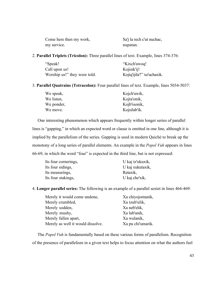| Come here then my work, |  |
|-------------------------|--|
| my service.             |  |

Sa'j la rech c'ut nuchac, nupatan.

## 2. Parallel Triplets (Tricolon): Three parallel lines of text. Example, lines 374-376:

| "Speak!                      | "Kixch'awoq!               |
|------------------------------|----------------------------|
| Call upon us!                | Kojisik'ij!                |
| Worship us!" they were told. | Kojiq'ijila'!" xe'uchaxik. |

3. Parallel Quatrains (Tetracolon): Four parallel lines of text. Example, lines 5034-5037:

| We speak,  | Kojch'awik,  |  |
|------------|--------------|--|
| We listen, | Kojta'onik,  |  |
| We ponder, | Kojb'isonik, |  |
| We move.   | Kojsilab'ik. |  |

 One interesting phenomenon which appears frequently within longer series of parallel lines is "gapping," in which an expected word or clause is omitted in one line, although it is implied by the parallelism of the series. Gapping is used in modern Quiché to break up the monotony of a long series of parallel elements. An example in the *Popol Vuh* appears in lines 66-69, in which the word "four" is expected in the third line, but is not expressed:

| Its four cornerings, | U kaj tz'ukuxik, |
|----------------------|------------------|
| Its four sidings,    | U kaj xukutaxik, |
| Its measurings,      | Retaxik,         |
| Its four stakings,   | U kaj che'xik,   |

4. Longer parallel series: The following is an example of a parallel sextet in lines 464-469:

| Merely it would come undone,      | Xa chiyojomanik,  |
|-----------------------------------|-------------------|
| Merely crumbled,                  | Xa tzub'ulik,     |
| Merely sodden,                    | Xa neb'elik,      |
| Merely mushy,                     | Xa lub'anik,      |
| Merely fallen apart,              | Xa wulanik,       |
| Merely as well it would dissolve. | Xa pu chi'umarik. |

 The *Popol Vuh* is fundamentally based on these various forms of parallelism. Recognition of the presence of parallelism in a given text helps to focus attention on what the authors feel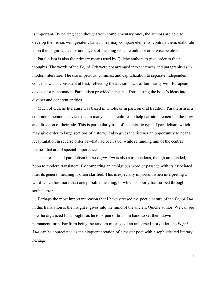is important. By pairing each thought with complementary ones, the authors are able to develop their ideas with greater clarity. They may compare elements, contrast them, elaborate upon their significance, or add layers of meaning which would not otherwise be obvious.

 Parallelism is also the primary means used by Quiché authors to give order to their thoughts. The words of the *Popol Vuh* were not arranged into sentences and paragraphs as in modern literature. The use of periods, commas, and capitalization to separate independent concepts was inconsistent at best, reflecting the authors' lack of familiarity with European devices for punctuation. Parallelism provided a means of structuring the book's ideas into distinct and coherent entities.

 Much of Quiché literature was based in whole, or in part, on oral tradition. Parallelism is a common mnemonic device used in many ancient cultures to help narrators remember the flow and direction of their tale. This is particularly true of the chiastic type of parallelism, which may give order to large sections of a story. It also gives the listener an opportunity to hear a recapitulation in reverse order of what had been said, while reminding him of the central themes that are of special importance.

 The presence of parallelism in the *Popol Vuh* is also a tremendous, though unintended, boon to modern translators. By comparing an ambiguous word or passage with its associated line, its general meaning is often clarified. This is especially important when interpreting a word which has more than one possible meaning, or which is poorly transcribed through scribal error.

 Perhaps the most important reason that I have stressed the poetic nature of the *Popol Vuh* in this translation is the insight it gives into the mind of the ancient Quiché author. We can see how he organized his thoughts as he took pen or brush in hand to set them down in permanent form. Far from being the random musings of an unlearned storyteller, the *Popol Vuh* can be appreciated as the eloquent creation of a master poet with a sophisticated literary heritage.

44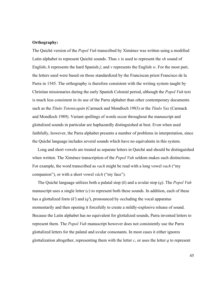#### Orthography:

The Quiché version of the *Popol Vuh* transcribed by Ximénez was written using a modified Latin alphabet to represent Quiché sounds. Thus *x* is used to represent the *sh* sound of English; *h* represents the hard Spanish *j*; and *v* represents the English *w*. For the most part, the letters used were based on those standardized by the Franciscan priest Francisco de la Parra in 1545. The orthography is therefore consistent with the writing system taught by Christian missionaries during the early Spanish Colonial period, although the *Popol Vuh* text is much less consistent in its use of the Parra alphabet than other contemporary documents such as the *Título Totonicapán* (Carmack and Mondloch 1983) or the *Título Yax* (Carmack and Mondloch 1989). Variant spellings of words occur throughout the manuscript and glottalized sounds in particular are haphazardly distinguished at best. Even when used faithfully, however, the Parra alphabet presents a number of problems in interpretation, since the Quiché language includes several sounds which have no equivalents in this system.

 Long and short vowels are treated as separate letters in Quiché and should be distinguished when written. The Ximénez transcription of the *Popol Vuh* seldom makes such distinctions. For example, the word transcribed as *vach* might be read with a long vowel *vach* ("my companion"), or with a short vowel *väch* ("my face").

 The Quiché language utilizes both a palatal stop (*k*) and a uvular stop (*q*). The *Popol Vuh* manuscript uses a single letter (*c*) to represent both these sounds. In addition, each of these has a glottalized form (*k'*) and (*q'*), pronounced by occluding the vocal apparatus momentarily and then opening it forcefully to create a mildly-explosive release of sound. Because the Latin alphabet has no equivalent for glottalized sounds, Parra invented letters to represent them. The *Popol Vuh* manuscript however does not consistently use the Parra glottalized letters for the palatal and uvular consonants. In most cases it either ignores glottalization altogether, representing them with the letter *c*, or uses the letter *q* to represent

45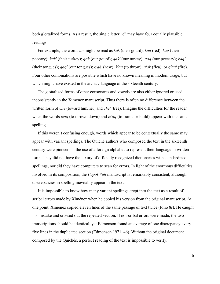both glottalized forms. As a result, the single letter "c" may have four equally plausible readings.

 For example, the word *cac* might be read as *kak* (their gourd); *kaq* (red); *kaq* (their peccary); *kak'* (their turkey); *qak* (our gourd); *qak'* (our turkey); *qaq* (our peccary); *kaq'* (their tongues); *qaq'* (our tongues); *k'ak'* (new); *k'aq* (to throw); *q'ak* (flea); or *q'aq'* (fire). Four other combinations are possible which have no known meaning in modern usage, but which might have existed in the archaic language of the sixteenth century.

 The glottalized forms of other consonants and vowels are also either ignored or used inconsistently in the Ximénez manuscript. Thus there is often no difference between the written form of *che* (toward him/her) and *che'* (tree). Imagine the difficulties for the reader when the words *tzaq* (to thrown down) and *tz'aq* (to frame or build) appear with the same spelling.

 If this weren't confusing enough, words which appear to be contextually the same may appear with variant spellings. The Quiché authors who composed the text in the sixteenth century were pioneers in the use of a foreign alphabet to represent their language in written form. They did not have the luxury of officially recognized dictionaries with standardized spellings, nor did they have computers to scan for errors. In light of the enormous difficulties involved in its composition, the *Popol Vuh* manuscript is remarkably consistent, although discrepancies in spelling inevitably appear in the text.

 It is impossible to know how many variant spellings crept into the text as a result of scribal errors made by Ximénez when he copied his version from the original manuscript. At one point, Ximénez copied eleven lines of the same passage of text twice (folio 8r). He caught his mistake and crossed out the repeated section. If no scribal errors were made, the two transcriptions should be identical, yet Edmonson found an average of one discrepancy every five lines in the duplicated section (Edmonson 1971, 46). Without the original document composed by the Quichés, a perfect reading of the text is impossible to verify.

46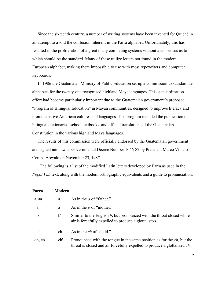Since the sixteenth century, a number of writing systems have been invented for Quiché in an attempt to avoid the confusion inherent in the Parra alphabet. Unfortunately, this has resulted in the proliferation of a great many competing systems without a consensus as to which should be the standard. Many of these utilize letters not found in the modern European alphabet, making them impossible to use with most typewriters and computer keyboards.

 In 1986 the Guatemalan Ministry of Public Education set up a commission to standardize alphabets for the twenty-one recognized highland Maya languages. This standardization effort had become particularly important due to the Guatemalan government's proposed "Program of Bilingual Education" in Mayan communities, designed to improve literacy and promote native American cultures and languages. This program included the publication of bilingual dictionaries, school textbooks, and official translations of the Guatemalan Constitution in the various highland Maya languages.

 The results of this commission were officially endorsed by the Guatemalan government and signed into law as Governmental Decree Number 1046-87 by President Marco Vinicio Cerezo Arévalo on November 23, 1987.

 The following is a list of the modified Latin letters developed by Parra as used in the *Popol Vuh* text, along with the modern orthographic equivalents and a guide to pronunciation:

| Parra  | Modern        |                                                                                                                                                                     |
|--------|---------------|---------------------------------------------------------------------------------------------------------------------------------------------------------------------|
| a, aa  | a             | As in the <i>a</i> of "father."                                                                                                                                     |
| a      | ä             | As in the $o$ of "mother."                                                                                                                                          |
| b      | $\mathbf{b}'$ | Similar to the English $b$ , but pronounced with the throat closed while<br>air is forcefully expelled to produce a glottal stop.                                   |
| ch     | ch            | As in the <i>ch</i> of "child."                                                                                                                                     |
| qh, ch | ch'           | Pronounced with the tongue in the same position as for the <i>ch</i> , but the<br>throat is closed and air forcefully expelled to produce a glottalized <i>ch</i> . |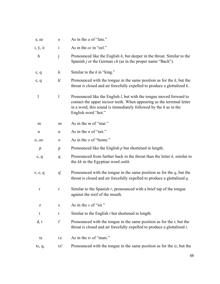| e, ee                   | e            | As in the <i>a</i> of "late."                                                                                                                                                                                                                      |
|-------------------------|--------------|----------------------------------------------------------------------------------------------------------------------------------------------------------------------------------------------------------------------------------------------------|
| $i, \ddot{y}, ii$       | $\mathbf{1}$ | As in the ee in "eel."                                                                                                                                                                                                                             |
| $\mathbf h$             | j            | Pronounced like the English $h$ , but deeper in the throat. Similar to the<br>Spanish <i>j</i> or the German $ch$ (as in the proper name "Bach").                                                                                                  |
| c, q                    | $\bf k$      | Similar to the $k$ in "king."                                                                                                                                                                                                                      |
| c, q                    | k'           | Pronounced with the tongue in the same position as for the $k$ , but the<br>throat is closed and air forcefully expelled to produce a glottalized $k$ .                                                                                            |
| $\mathbf{l}$            | $\mathbf{l}$ | Pronounced like the English <i>l</i> , but with the tongue moved forward to<br>contact the upper incisor teeth. When appearing as the terminal letter<br>in a word, this sound is immediately followed by the $h$ as in the<br>English word "hot." |
| m                       | m            | As in the $m$ of "mat."                                                                                                                                                                                                                            |
| $\mathbf n$             | n            | As in the $n$ of "net."                                                                                                                                                                                                                            |
| 0,00                    | $\mathbf O$  | As in the <i>o</i> of "home."                                                                                                                                                                                                                      |
| p                       | p            | Pronounced like the English $p$ but shortened in length.                                                                                                                                                                                           |
| c, q                    | q            | Pronounced from further back in the throat than the letter $k$ , similar to<br>the kh in the Egyptian word ankh.                                                                                                                                   |
| $\varepsilon$ , $c$ , q | q'           | Pronounced with the tongue in the same position as for the $q$ , but the<br>throat is closed and air forcefully expelled to produce a glottalized $q$ .                                                                                            |
| $\mathbf r$             | $\mathbf r$  | Similar to the Spanish $r$ , pronounced with a brief tap of the tongue<br>against the roof of the mouth.                                                                                                                                           |
| Z                       | S            | As in the s of "sit."                                                                                                                                                                                                                              |
| t                       | t            | Similar to the English $t$ but shortened in length.                                                                                                                                                                                                |
| d, t                    | t'           | Pronounced with the tongue in the same position as for the $t$ , but the<br>throat is closed and air forcefully expelled to produce a glottalized t.                                                                                               |
| tz                      | tz           | As in the ts of "mats."                                                                                                                                                                                                                            |
| tz, q,                  | tz'          | Pronounced with the tongue in the same position as for the $tz$ , but the                                                                                                                                                                          |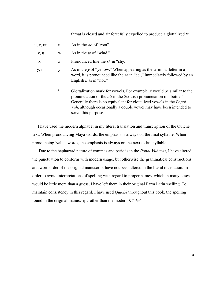throat is closed and air forcefully expelled to produce a glottalized *tz*.

- u, v, uu u As in the *oo* of "root"
- v, u w As in the *w* of "wind."
- x x Pronounced like the *sh* in "shy."
- y, i y As in the *y* of "yellow." When appearing as the terminal letter in a word, it is pronounced like the *ee* in "eel," immediately followed by an English *h* as in "hot."
	- ' Glottalization mark for vowels. For example *a'* would be similar to the pronunciation of the *ott* in the Scottish pronunciation of "bottle." Generally there is no equivalent for glottalized vowels in the *Popol Vuh*, although occasionally a double vowel may have been intended to serve this purpose.

 I have used the modern alphabet in my literal translation and transcription of the Quiché text. When pronouncing Maya words, the emphasis is always on the final syllable. When pronouncing Nahua words, the emphasis is always on the next to last syllable.

 Due to the haphazard nature of commas and periods in the *Popol Vuh* text, I have altered the punctuation to conform with modern usage, but otherwise the grammatical constructions and word order of the original manuscript have not been altered in the literal translation. In order to avoid interpretations of spelling with regard to proper names, which in many cases would be little more than a guess, I have left them in their original Parra Latin spelling. To maintain consistency in this regard, I have used *Quiché* throughout this book, the spelling found in the original manuscript rather than the modern *K'iche'*.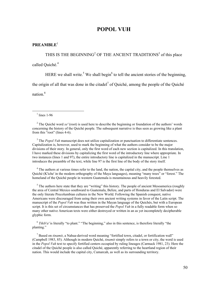# POPOL VUH

#### PREAMBLE<sup>1</sup>

THIS IS THE BEGINNING<sup>2</sup> OF THE ANCIENT TRADITIONS<sup>3</sup> of this place called Ouiché.<sup>4</sup>

HERE we shall write.<sup>5</sup> We shall begin<sup>6</sup> to tell the ancient stories of the beginning, the origin of all that was done in the citadel<sup>7</sup> of Quiché, among the people of the Quiché nation $8$ 

 $\frac{1}{1}$  lines 1-96

<sup>2</sup> The Quiché word  $xe'$  (root) is used here to describe the beginning or foundation of the authors' words concerning the history of the Quiché people. The subsequent narrative is thus seen as growing like a plant from this "root" (lines 4-6).

<sup>3</sup> The *Popol Vuh* manuscript does not utilize capitalization or punctuation to differentiate sentences. Capitalization is, however, used to mark the beginning of what the authors consider to be the major divisions of their story. In general, only the first word of each new section is capitalized. In this translation, I have marked these divisions by capitalizing the first word of the introductory line where appropriate. In two instances (lines 1 and 97), the entire introductory line is capitalized in the manuscript. Line 1 introduces the preamble of the text, while line 97 is the first line of the body of the story itself.

<sup>4</sup> The authors at various times refer to the land, the nation, the capital city, and the people themselves as Quiché (K'iche' in the modern orthography of the Maya languages), meaning "many trees" or "forest." The homeland of the Quiché people in western Guatemala is mountainous and heavily forested.

<sup>5</sup> The authors here state that they are "writing" this history. The people of ancient Mesoamerica (roughly the area of Central Mexico southward to Guatemala, Belize, and parts of Honduras and El Salvador) were the only literate Precolumbian cultures in the New World. Following the Spanish conquest, native Americans were discouraged from using their own ancient writing systems in favor of the Latin script. The manuscript of the *Popol Vuh* was thus written in the Mayan language of the Quichés, but with a European script. It is this set of circumstances that has preserved the *Popol Vuh* in a fully readable form when so many other native American texts were either destroyed or written in an as yet incompletely decipherable glyphic form.

<sup>6</sup> *Tikib'a'* is literally "to plant." "The beginning," also in this sentence, is therefore literally "the planting."

<sup>7</sup> Based on *tinamit*, a Nahua-derived word meaning "fortified town, citadel, or fortification wall" (Campbell 1983, 85). Although in modern Quiché, *tinamit* simply refers to a town or city, the word is used in the *Popol Vuh* text to specify fortified centers occupied by ruling lineages (Carmack 1981, 23). Here the citadel of the Quiché people is also called Quiché, apparently referring to the heartland region of their nation. This would include the capital city, Cumarcah, as well as its surrounding territory.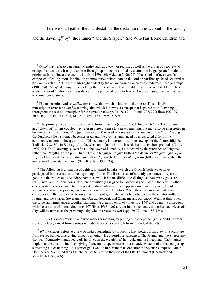Here we shall gather the manifestation, the declaration, the account of the sowing<sup>9</sup>

and the dawning<sup>10</sup> by<sup>11</sup> the Framer<sup>12</sup> and the Shaper,<sup>13</sup> She Who Has Borne Children and

<sup>9</sup> The manuscript reads *euaxibal* (obscurity, that which is hidden in darkness). This is likely a transcription error for *auaxibal* (sowing, that which is sown), a concept that is paired with "dawning" throughout the text as a metaphor for the creation (see pp. 71, 78-82, 110, 206-207, 227; lines 196-197, 209-210, 442-443, 543-544, 612-613, 1653-1654, 5091-5092).

 $10$  The primary focus of the creation is to form humanity (cf. pp. 70-71; lines 213-218). The "sowing" and "dawning" of this couplet may refer in a literal sense to a new beginning, but may also be interpreted in human terms. In addition, *tz'uk* (germinate/sprout) is used as a metaphor for human birth (Coto). Among the Quichés, when a woman becomes pregnant, the event is announced by a respected elder of the community at certain lineage shrines. This ceremony is referred to as "the sowing" of the future child (B. Tedlock 1982, 80). In Santiago Atitlán, when an infant is born it is said that "he (or she) sprouted" (Carlsen 1997, 54). The "dawning" also refers to the dawn of humanity, as indicated by the reference to "anyone" rather than "anything" on p. 71. In the Quiché language, to give birth is "to dawn" or "to give light" *(-ya' saq*). In Chichicastenango children are called *alaj q'ij* (little sun) or *alaj q'ij saj* (little ray of sun) when they are referred to in ritual contexts (Schultze-Jena 1954, 25).

 $11$  The following is a long list of deities, arranged in pairs, which the Quichés believed to have participated in the creation at the beginning of time. The list consists of not only the names of separate gods, but their titles and secondary names as well. It is thus difficult to distinguish how many gods are really involved. In some cases, titles are definitively assigned to individual gods later in the text. In other cases, gods can be assumed to be separate individuals when they appear simultaneously in different locations or when they engage in conversation as distinct entities. When these instances are taken into consideration, there appear to be only three pairs of gods who actively participate in the creation—the Framer and the Shaper, Sovereign and Quetzal Serpent, and Xmucane and Xpiyacoc. Without their titles, the same six names appear together planning the creation on p. 68 (lines 137-144) and again in connection with the creation of humankind on p. 197 (lines 4963-4968). Later in the account, yet another god, Heart of Sky, will be named as the presiding deity who oversees the work (pp. 70-72; lines 183-184).

<sup>12</sup> *Tz'aqol* (Framer) refers to one who makes something by putting things together (i.e., a building from stone or adobe, a meal from various ingredients, or a woven cloth from individual threads).

<sup>13</sup> *B'itol* (Shaper) refers to one who makes something by modeling (i.e., pottery from clay, or a sculpture from carved stone), thus giving shape to an otherwise amorphous substance. The Framer and the Shaper are the most frequently mentioned gods involved in the creation of the world and its inhabitants. Their names imply that the creation involved giving frame and shape to matter that already existed rather than conjuring something out of nothing. This pair of gods was so important that soon after the Spanish conquest, Father Domingo de Vico used their Quiché names to refer to the God of the Old Testament (Carmack and Mondloch 1983, 206).

 <sup>8</sup> *Amaq'* may refer to a geographic entity such as a town or region, as well as the group of people who occupy that territory. It may also describe a group of people unified by a common language and/or ethnic origin, such as a lineage, clan, or tribe (Hill 1996, 64; Akkeren 2000, 24). Thus Cook defines *amaq'* as composed of endogamous landholding communities subordinate to the lord or patrilineage head centered at his *tinamit* (2000, 27). Hill and Monaghan identify the *amaq'* as an alliance of confederated lineage groups (1987, 74). *Amaq'* also implies something that is permanent, fixed, stable, secure, or settled. I have chosen to use the word "nation" as this is the currently preferred term for Native American groups as well as their territorial possessions.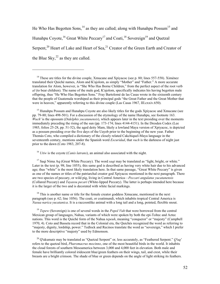He Who Has Begotten Sons,<sup>14</sup> as they are called; along with Hunahpu Possum<sup>15</sup> and Hunahpu Coyote, <sup>16</sup> Great White Peccary<sup>17</sup> and Coati, <sup>18</sup> Sovereign<sup>19</sup> and Quetzal Serpent,<sup>20</sup> Heart of Lake and Heart of Sea,<sup>21</sup> Creator of the Green Earth and Creator of the Blue Sky, $^{22}$  as they are called.

<sup>15</sup> Hunahpu Possum and Hunahpu Coyote are also likely titles for the gods Xpiyacoc and Xmucane (see pp. 79-80; lines 498-501). For a discussion of the etymology of the name Hunahpu, see footnote 163. *Wuch'* is the opossum (*Didelphis yucatanensis*), which appears later in the text presiding over the moments immediately preceding the rising of the sun (pp. 173-174; lines 4144-4151). In the Dresden Codex (Lee 1985, folios 25-28, pp. 51-52), the aged deity Mam, likely a lowland Maya version of Xpiyacoc, is depicted as a possum presiding over the five days of the Uayeb prior to the beginning of the new year. Father Thomás Coto, who compiled a dictionary of the closely related Cakchiquel-Maya language in the seventeenth century, mentions under the Spanish word *Escuridad*, that *vuch* is the darkness of night just prior to the dawn (Coto 1983, 207-8).

<sup>16</sup> *Utiw* is the coyote (*Canis latrans*), an animal also associated with the night.

 $\overline{a}$ 

<sup>17</sup> Saqi Nima Aq (Great White Peccary). The word *saqi* may be translated as "light, bright, or white." Later in the text (p. 98; line 1055), this same god is described as having very white hair due to his advanced age; thus "white" is the most likely translation here. In that same passage, "Great White Peccary" is given as one of the names or titles of the patriarchal creator god Xpiyacoc mentioned in the next paragraph. There are two species of peccary, or wild pig, living in Central America—*Peccari angulatus yucatanensis* (Collared Peccary) and *Tayassu pecari* (White-lipped Peccary). The latter is perhaps intended here because it is the larger of the two and is decorated with white facial markings.

<sup>18</sup> This is another name or title for the female creator goddess Xmucane, mentioned in the next paragraph (see p. 62; line 1056). The coati, or coatimundi, which inhabits tropical Central America is *Nasua narica yucatanica*. It is a raccoonlike animal with a long tail and a long, pointed, flexible snout.

 <sup>19</sup> *Tepew* (Sovereign) is one of several words in the *Popol Vuh* that were borrowed from the central Mexican group of languages, Nahua, variants of which were spoken by both the epi-Toltec and Aztec nations. This word is the Quiché form of the Nahua *tepeuh*, meaning "conqueror" or "majesty" (Campbell 1970, 4). Coto and Basseta record that in the Colonial era, the Quichés recognized the word as referring to "majesty, dignity, lordship, power." Tedlock and Recinos translate the word as "sovereign," which I prefer to the more descriptive "majesty" used by Edmonson.

 <sup>20</sup> Q'ukumatz may be translated as "Quetzal Serpent" or, less accurately, as "Feathered Serpent." *Q'uq'* refers to the quetzal bird, *Pharomacrus mocinno*, one of the most beautiful birds in the world. It inhabits the cloud forests of southern Mesoamerica between 3,000 and 4,000 feet in elevation. Both male and female have brilliantly colored iridescent blue/green feathers on their wings, tail, and crest, while their breasts are a bright crimson. The shade of blue or green depends on the angle of light striking its feathers.

<sup>&</sup>lt;sup>14</sup> These are titles for the divine couple, Xmucane and Xpiyacoc (see p. 80; lines 557-558). Ximénez translated their Quiché names, Alom and K'ajolom, as simply "Mother" and "Father." A more accurate translation for Alom, however, is "She Who Has Borne Children," from the perfect aspect of the root verb *al* (to bear children). The name of the male god, K'ajolom, specifically indicates his having begotten male offspring, thus "He Who Has Begotten Sons." Fray Bartolomé de las Casas wrote in the sixteenth century that the people of Guatemala worshiped as their principal gods "the Great Father and the Great Mother that were in heaven," apparently referring to this divine couple (Las Casas 1967, III.cxxiv.650).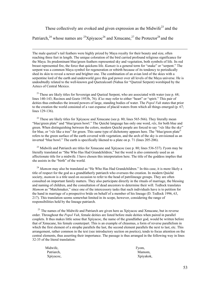These collectively are evoked and given expression as the Midwife<sup>23</sup> and the

Patriarch,<sup>24</sup> whose names are <sup>25</sup>Xpiyacoc<sup>26</sup> and Xmucane,<sup>27</sup> the Protector<sup>28</sup> and the

 The male quetzal's tail feathers were highly prized by Maya royalty for their beauty and size, often reaching three feet in length. The unique coloration of the bird carried profound religious significance for the Maya. Its predominant blue/green feathers represented sky and vegetation, both symbols of life. Its red breast represented fire, the force that quickens life. *Kumatz* is a general term for "snake" or "serpent." The serpent was a common Maya symbol for regeneration or rebirth because of its tendency to periodically shed its skin to reveal a newer and brighter one. The combination of an avian lord of the skies with a serpentine lord of the earth and underworld gave this god power over all levels of the Maya universe. He is undoubtedly related to the well-known god Quetzalcoatl (Nahua for "Quetzal Serpent) worshiped by the Aztecs of Central Mexico.

<sup>21</sup> These are likely titles for Sovereign and Quetzal Serpent, who are associated with water (see p. 68; lines 140-143; Recinos and Goetz 1953b, 76). *K'ux* may refer to either "heart" or "spirit." This pair of deities thus embodies the inward powers of large, standing bodies of water. The *Popol Vuh* states that prior to the creation the world consisted of a vast expanse of placid waters from which all things emerged (p. 67; lines 129-136).

<sup>22</sup> These are likely titles for Xpiyacoc and Xmucane (see p. 80; lines 565-566). They literally mean "blue/green plate" and "blue/green bowl." The Quiché language has only one word, *räx*, for both blue and green. When distinguishing between the colors, modern Quiché people are forced to say "*räx* like the sky" for blue, or "*räx* like a tree" for green. This same type of dichotomy appears here. The "blue/green plate" refers to the green surface of the earth covered with vegetation, and the arch of the sky is envisioned as an inverted "blue bowl." The earth is specifically likened to a plate on p. 71 (lines 205-206).

<sup>23</sup> Midwife and Patriarch are titles for Xmucane and Xpiyacoc (see p. 80; lines 536-537). I'yom may be literally translated as "She Who Has Had Grandchildren," but the word is also commonly used as an affectionate title for a midwife. I have chosen this interpretation here. The title of the goddess implies that she assists in the "birth" of the world.

<sup>24</sup> Mamom may also be translated as "He Who Has Had Grandchildren." In this case, it is more likely a title of respect for the god as a grandfatherly patriarch who oversees the creation. In modern Quiché society, *mamom* is a title used on occasion to refer to the head of patrilineage groups. They are often consulted on important family matters. They also participate directly in the rituals of marriage, the blessing and naming of children, and the consultation of dead ancestors to determine their will. Tedlock translates *Mamom* as "Matchmaker," since one of the intercessory tasks that such individuals have is to petition for the hand in marriage of a prospective bride on behalf of a member of his lineage (D. Tedlock 1996, 63, 217). This translation seems somewhat limited in its scope, however, considering the range of responsibilities held by the lineage patriarch.

 $25$  The names of the Midwife and Patriarch are given here as Xpiyacoc and Xmucane, but in reverse order. Throughout the *Popol Vuh*, female deities are listed before male deities when paired in parallel couplets. It thus makes little sense that Xpiyacoc, the name of the grandfather god, would be written before that of Xmucane, his female counterpart. This is an example of chiasmus, a form of reverse parallelism in which the first element of a strophe parallels the last, the second element parallels the next to last, etc. This arrangement, rather common in the text (see introductory section on poetics), tends to focus attention on the central elements, thus asserting their importance. The passage is thus arranged in the following way in lines 32-35 of the literal translation:

| Midwife,   | I'yom,    |
|------------|-----------|
| Patriarch, | Mamom,    |
| Xpiyacoc,  | Xpiyakok, |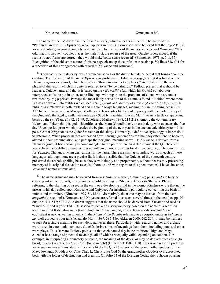Xmucane, their names. Xmuqane, u b'i'.

 The name of the "Midwife" in line 32 is Xmucane, which appears in line 35. The name of the "Patriarch" in line 33 is Xpiyacoc, which appears in line 34. Edmonson, who believed that the *Popol Vuh* is arranged entirely in paired couplets, was confused by the order of the names Xpiacoc and Xmucane: "It is odd that this frequent couplet places the male first, the reverse of the usual Quiché order; indeed, if the reconstructed forms are correct, they would make better sense reversed" (Edmonson 1971, p. 5, n. 35). Recognition of the chiasmic nature of this passage clears up the confusion (see also p. 80; lines 538-541 for a repetition of this arrangement with regard to Xpiyacoc and Xmucane).

<sup>26</sup> Xpiyacoc is the male deity, while Xmucane serves as the divine female principal that brings about the creation. The derivation of the name Xpiyacoc is problematic. Edmonson suggests that it is based on the Nahua *yex-pa-ococc(an-e)*, which he reads as "thrice in another two places," and relates it to the next phrase of the text in which this deity is referred to as "twice patriarch." Tedlock prefers that it should be read as a Quiché name, and that it is based on the verb *yekik/yakik*, which his Quiché collaborator interpreted as "to be put in order, to be lifted up" with regard to the problems of clients who are under treatment by *aj q'ij* priests. Perhaps the most likely derivation of this name is found at Rabinal where there is a design woven into textiles which locals call *piyakok* and identify as a turtle (Akkeren 2000, 207, 261- 264). *Kok* is "turtle" in both lowland and highland Maya languages, making this an intriguing possibility. At Chichen Itza as well as Mayapan (both post-Classic sites likely contemporary with the early history of the Quichés), the aged grandfather earth deity (God N, Pauahtun, Bacab, Mam) wears a turtle carapace and bears up the sky (Taube 1992, 92-99; Schele and Mathews 1998, 214-218). Among the contemporary Kekchi and Pokomchi, this god is identified as the Mam (Grandfather), an earth deity who oversees the five day Uayeb period prior which precedes the beginning of the new year in the ancient calendric system. It is possible that Xpiyacoc is the Quiché version of this deity. Ultimately, a definitive etymology is impossible to determine. When proper names are passed down through generations of time, they often tend to become altered in their pronunciation, and perhaps their original meaning as well. If Xpiyacoc is derived from a Nahua original, it had certainly become mangled to the point where an Aztec envoy at the Quiché court would have had a difficult time coming up with an obvious meaning for it in his language. The same is true for Yucatec, Cholan, or Mam derivations for the name. There are similar-sounding words in each of these languages, although none are a precise fit. It is thus possible that the Quichés of the sixteenth century preserved the archaic spelling because they saw it simply as a proper name, without necessarily preserving memory of its original derivation (see also footnote 163 with regard to this phenomenon). I have chosen to leave such names untranslated.

<sup>27</sup> The name Xmucane may be derived from *x*- (feminine marker, diminutive) plus *muqik* (to bury, to cover, plant in the ground), thus giving a possible reading of "She Who Buries or She Who Plants," referring to the planting of a seed in the earth or a developing child in the womb. Ximénez wrote that native priests in his day called upon Xmucane and Xpiyacoc for inspiration, particularly concerning the birth of infants and midwifery (Ximénez 1929-31, I.i.6). Alternatively the name may be derived from the verb *muqunik* (to see, look). Xmucane and Xpiyacoc are referred to as seers several times in the text (see pp. 79- 80; lines 511-517; 522-23). Akkeren suggests that the name should be derived from Yucatec and read as "Curved/Buried is your Tail." He associates her with a scorpion deity based on the name of a scorpion textile motif at Rabinal—*muqje* (tail in highland Maya languages is *je*, however its lowland Maya equivalent is *ne*), as well as an entry in the *Ritual of the Bacabs* referring to a scorpion entity as *bul moc a ne* (well-curved is your tail) (Arzápalo Marín 1987, 385-386; Akkeren 2000, 262-264). It may be fruitless to seek for a single meaning for such deity names as these. Particularly with regard to names and archaic words used in ceremonial contexts, Quichés derive a host of meanings from them, including puns and other word plays. Thus Barbara Tedlock points out that each named day in the traditional highland Maya calendar has a range of potential meanings, all of which are equally valid depending on context. For example, in interpreting a divinatory outcome, the meaning of the day *C'at* may be derived from *c'atic* (to burn), *pa c'at* (in nets), or *c'asaj c'olic* (to be in debt) (B. Tedlock 1982, 110). This is one reason I prefer to leave such names untranslated. Xmucane is likely the Quiché version of the grandmother goddess of the Maya lowlands (Goddess O, Chac Chel, Ix Chel). Like God N, the grandmother Goddess O is associated both with the forces of destruction and creation. On folio 74 of the Dresden Codex she is shown pouring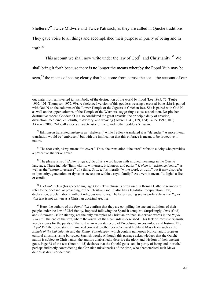Shelterer,<sup>29</sup> Twice Midwife and Twice Patriarch, as they are called in Quiché traditions.

They gave voice to all things and accomplished their purpose in purity of being and in truth $30$ 

This account we shall now write under the law of  $God<sup>31</sup>$  and Christianity.<sup>32</sup> We

shall bring it forth because there is no longer the means whereby the Popol Vuh may be

seen,<sup>33</sup> the means of seeing clearly that had come from across the sea—the account of our

<sup>28</sup> Edmonson translated *matzanel* as "shelterer," while Tedlock translated it as "defender." A more literal translation would be "embracer," but with the implication that this embrace is meant to be protective in nature.

<sup>29</sup> The root verb, *ch'uq*, means "to cover." Thus, the translation "shelterer" refers to a deity who provides a protective shelter or cover.

 <sup>30</sup> The phrase is *saqil k'olem, saqil tzij*. *Saqil* is a word laden with implied meanings in the Quiché language. These include "light, clarity, whiteness, brightness, and purity." *K'olem* is "existence, being," as well as the "nature or essence" of a thing*. Saqil tzij* is literally "white word, or truth," but it may also refer to "posterity, generation, or dynastic succession within a royal family." As a verb it means "to light" a fire or candle.

 <sup>31</sup> *U ch'ab'al Dios* (his speech/language God). This phrase is often used in Roman Catholic sermons to refer to the doctrine, or preaching, of the Christian God. It also has a legalistic interpretation (law, declaration, proclamation), without religious overtones. The latter reading seems preferable as the *Popol Vuh* text is not written as a Christian doctrinal treatise.

<sup>32</sup> Here, the authors of the *Popol Vuh* confirm that they are compiling the ancient traditions of their people under the law of Christianity, imposed following the Spanish conquest. Surprisingly, *Dios* (God) and *Christianoil* (Christianity) are the only examples of Christian or Spanish-derived words in the *Popol Vuh* until the end of the text, where the arrival of the Spaniards is described. This lack of intrusive Spanish words argues for the purity of the text as an accurate record of Precolumbian cosmology and history. The *Popol Vuh* therefore stands in marked contrast to other post-Conquest highland Maya texts such as the *Annals of the Cakchiquels* and the *Título Totonicapán*, which contain numerous biblical and European cultural allusions using borrowed Spanish words. Although this passage acknowledges that the Quiché nation is subject to Christianity, the authors unabashedly describe the glory and wisdom of their ancient gods. Page 63 of the text (lines 44-45) declares that the Quiché gods act "in purity of being and in truth," perhaps indirectly contradicting the Christian missionaries of the time, who characterized such Maya deities as devils or demons.

out water from an inverted jar, symbolic of the destruction of the world by flood (Lee 1985, 77; Taube 1992, 101; Thompson 1972, 99). A skeletized version of this goddess wearing a crossed-bone skirt is paired with God N on the columns of the Lower Temple of the Jaguars at Chichen Itza. She is paired with God N as well on the upper columns of the Temple of the Warriors, suggesting a close association. Despite her destructive aspect, Goddess O is also considered the great creatrix, the principle deity of creation, divination, medicine, childbirth, midwifery, and weaving (Tozzer 1941, 129, 154; Taube 1992, 101; Akkeren 2000, 241), all aspects characteristic of the grandmother goddess Xmucane.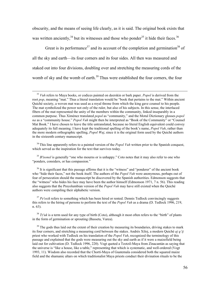obscurity, and the means of seeing life clearly, as it is said. The original book exists that was written anciently,<sup>34</sup> but its witnesses and those who ponder<sup>35</sup> it hide their faces.<sup>36</sup>

Great is its performance<sup>37</sup> and its account of the completion and germination<sup>38</sup> of all the sky and earth—its four corners and its four sides. All then was measured and staked out into four divisions, doubling over and stretching the measuring cords of the womb of sky and the womb of earth.<sup>39</sup> Thus were established the four corners, the four

<sup>34</sup> This line apparently refers to a painted version of the *Popol Vuh* written prior to the Spanish conquest, which served as the inspiration for the text that survives today.

<sup>35</sup> *B'isonel* is generally "one who mourns or is unhappy." Coto notes that it may also refer to one who "ponders, considers, or has compassion."

<sup>36</sup> It is significant that this passage affirms that it is the "witness" and "ponderer" of the ancient book who "hide their faces," not the book itself. The authors of the *Popol Vuh* were anonymous, perhaps out of fear of persecution should the manuscript be discovered by the Spanish authorities. Edmonson suggests that the "witness" who hides his face may have been the author himself (Edmonson 1971, 7 n. 56). This reading also suggests that the Precolumbian version of the *Popol Vuh* may have still existed when the Quiché authors were compiling their alphabetic version.

<sup>37</sup> *Pe'oxik* refers to something which has been hired or rented. Dennis Tedlock convincingly suggests this refers to the hiring of persons to perform the text of the *Popol Vuh* as a drama (D. Tedlock 1996, 219, n. 63).

 $38$   $Tz'uk$  is a term used for any type of birth (Coto), although it most often refers to the "birth" of plants in the form of germination or sprouting (Basseta, Varea).

<sup>39</sup> The gods thus laid out the extent of their creation by measuring its boundaries, driving stakes to mark its four corners, and stretching a measuring cord between the stakes. Andrés Xiloj, a modern Quiché *aj q'ij* priest who worked with Tedlock on his translation of the *Popol Vuh*, recognized the terminology of this passage and explained that the gods were measuring out the sky and earth as if it were a maizefield being laid out for cultivation (D. Tedlock 1996, 220). Vogt quoted a Tzotzil-Maya from Zinacantán as saying that the universe is "like a house, like a table," representing that which is systematic, and well-ordered (Vogt 1993, 11). Wisdom also recorded that the Chortí-Maya of Guatemala considered both the squared maize field and the shamanic altars on which traditionalist Maya priests conduct their divination rituals to be the

 <sup>33</sup> *Vuh* refers to Maya books, or codices painted on deerskin or bark paper. *Popol* is derived from the root *pop*, meaning "mat." Thus a literal translation would be "book that pertains to the mat." Within ancient Quiché society, a woven mat was used as a royal throne from which the king gave counsel to his people. The mat symbolized the power not only of the ruler, but also of his subjects. In this sense, the interlaced fibers of the mat represented the unity of the members within the community, linked inseparably in a common purpose. Thus Ximénez translated *popol* as "community," and the Motul Dictionary glosses *popol na* as a "community house." *Popol Vuh* might then be interpreted as "Book of the Community" or "Counsel Mat Book." I have chosen to leave the title untranslated, because no literal English equivalent could convey adequately its full meaning. I have kept the traditional spelling of the book's name, *Popol Vuh*, rather than the more modern orthographic spelling, *Popol Wuj*, since it is the original form used by the Quiché authors in the sixteenth century manuscript.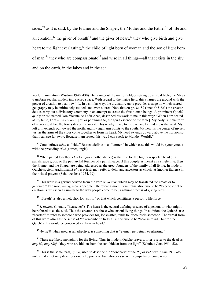sides,<sup>40</sup> as it is said, by the Framer and the Shaper, the Mother and the Father<sup>41</sup> of life and all creation,<sup>42</sup> the giver of breath<sup>43</sup> and the giver of heart,<sup>44</sup> they who give birth and give heart to the light everlasting,<sup>45</sup> the child of light born of woman and the son of light born of man,<sup>46</sup> they who are compassionate<sup>47</sup> and wise in all things—all that exists in the sky and on the earth, in the lakes and in the sea.

<sup>40</sup> Coto defines *xukut* as "side." Basseta defines it as "corner," in which case this would be synonymous with the preceding  $tz'uk$  (corner, angle).

<sup>41</sup> When paired together, *chuch-qajaw* (mother-father) is the title for the highly respected head of a patrilineage group or the patriarchal founder of a patrilineage. If this couplet is meant as a single title, then the Framer and the Shaper are being addressed as the great founders of the family of all living. In modern Quiché society, traditionalist *aj q'ij* priests may refer to deity and ancestors as chuch tat (mother fathers) in their ritual prayers (Schultze-Jena 1954, 99).

<sup>42</sup> This word is a gerund derived from the verb *winaqirik*, which may be translated "to create or to generate." The root, *winaq*, means "people"; therefore a more literal translation would be "to people." The creation is thus seen as similar to the way people come to be, a natural process of giving birth.

<sup>43</sup> "Breath" is also a metaphor for "spirit," or that which constitutes a person's life force.

<sup>44</sup> *K'uxlanel* (literally "heartener"). The heart is the central defining essence of a person, or what might be referred to as the soul. Thus the creators are those who ensoul living things. In addition, the Quichés use "hearten" to refer to someone who provides for, looks after, tends to, or counsels someone. The verbal form of this word also has the sense of "to remember." In English this would be "bear in mind," but for the Quichés this would be conceived as "bear in heart."

<sup>45</sup> *Amaq'il*, when used as an adjective, is something that is "eternal, perpetual, everlasting."

<sup>46</sup> These are likely metaphors for the living. Thus in modern Quiché prayers, priests refer to the dead as *may k'ij may sákj,* "they who are hidden from the sun, hidden from the light" (Schultze-Jena 1954, 52).

<sup>47</sup> This is the same term, *aj b'is*, used to describe the "ponderer" of the *Popol Vuh* text in line 59. Coto notes that it not only describes one who ponders, but who does so with sympathy or compassion.

world in miniature (Wisdom 1940, 430). By laying out the maize field, or setting up a ritual table, the Maya transform secular models into sacred space. With regard to the maize field, this charges the ground with the power of creation to bear new life. In a similar way, the divinatory table provides a stage on which sacred geography may be initimately studied, and even altered. Note that on pp. 81-82 (lines 565-623) the creator deities carry out a divinatory ceremony in an attempt to create the first human beings. A prominent Quiché *aj q'ij* priest, named Don Vicente de León Abac, described his work to me in this way: "When I am seated at my table, I am *aj nawal mesa* [of, or pertaining to, the spirit essence of the table]. My body is in the form of a cross just like the four sides of the world. This is why I face to the east and behind me is the west. My left arm extends out toward the north, and my right arm points to the south. My heart is the center of myself just as the arms of the cross come together to form its heart. My head extends upward above the horizon so that I can see far away. Because I am seated this way I can speak to Mundo [World]."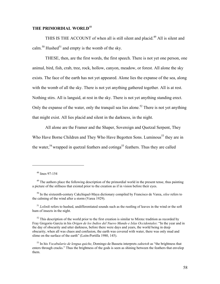# THE PRIMORDIAL WORLD<sup>48</sup>

THIS IS THE ACCOUNT of when all is still silent and placid.<sup>49</sup> All is silent and calm.<sup>50</sup> Hushed<sup>51</sup> and empty is the womb of the sky.

THESE, then, are the first words, the first speech. There is not yet one person, one animal, bird, fish, crab, tree, rock, hollow, canyon, meadow, or forest. All alone the sky exists. The face of the earth has not yet appeared. Alone lies the expanse of the sea, along with the womb of all the sky. There is not yet anything gathered together. All is at rest. Nothing stirs. All is languid, at rest in the sky. There is not yet anything standing erect. Only the expanse of the water, only the tranquil sea lies alone.<sup>52</sup> There is not yet anything that might exist. All lies placid and silent in the darkness, in the night.

 All alone are the Framer and the Shaper, Sovereign and Quetzal Serpent, They Who Have Borne Children and They Who Have Begotten Sons. Luminous<sup>53</sup> they are in the water,<sup>54</sup> wrapped in quetzal feathers and cotinga<sup>55</sup> feathers. Thus they are called

<sup>48</sup> lines 97-154

<sup>&</sup>lt;sup>49</sup> The authors place the following description of the primordial world in the present tense, thus painting a picture of the stillness that existed prior to the creation as if in vision before their eyes.

<sup>50</sup> In the sixteenth-century Cakchiquel-Maya dictionary compiled by Francisco de Varea, *silee* refers to the calming of the wind after a storm (Varea 1929).

<sup>&</sup>lt;sup>51</sup> *Lolinik* refers to hushed, undifferentiated sounds such as the rustling of leaves in the wind or the soft hum of insects in the night.

 $52$  This description of the world prior to the first creation is similar to Mixtec tradition as recorded by Fray Gregorio García in his *Origen de los Indios del Nuevo Mundo e Islas Occidentales*: "In the year and in the day of obscurity and utter darkness, before there were days and years, the world being in deep obscurity, when all was chaos and confusion, the earth was covered with water, there was only mud and slime on the surface of the earth" (León-Portilla 1980, 145).

<sup>53</sup> In his *Vocabulario de lengua quiche*, Domingo de Basseta interprets *zaktetoh* as "the brightness that enters through cracks." Thus the brightness of the gods is seen as shining between the feathers that envelop them.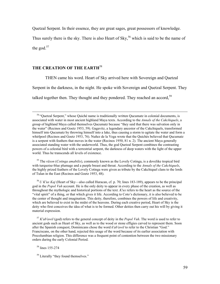Quetzal Serpent. In their essence, they are great sages, great possessors of knowledge.

Thus surely there is the sky. There is also Heart of Sky,<sup>56</sup> which is said to be the name of the god. $57$ 

## THE CREATION OF THE EARTH<sup>58</sup>

THEN came his word. Heart of Sky arrived here with Sovereign and Quetzal

Serpent in the darkness, in the night. He spoke with Sovereign and Quetzal Serpent. They

talked together then. They thought and they pondered. They reached an accord,  $59$ 

 <sup>55</sup> The *räxon* (*Cotinga amabilis*), commonly known as the Lovely Cotinga, is a dovelike tropical bird with turquoise-blue plumage and a purple breast and throat. According to the *Annals of the Cakchiquels*, the highly prized feathers of the Lovely Cotinga were given as tribute by the Cakchiquel clans to the lords of Tulan in the East (Recinos and Goetz 1953, 48).

 <sup>56</sup> *U K'ux Kaj* (Heart of Sky—also called Huracan, cf. p. 70; lines 183-189), appears to be the principal god in the *Popol Vuh* account. He is the only deity to appear in every phase of the creation, as well as throughout the mythologic and historical portions of the text. *K'ux* refers to the heart as the source of the "vital spirit" of a thing, or that which gives it life. According to Coto's dictionary, it is also believed to be the center of thought and imagination. This deity, therefore, combines the powers of life and creativity, which are believed to exist in the midst of the heavens. During each creative period, Heart of Sky is the deity who first conceives the idea of what is to be formed. Other deities then carry out his will by giving it material expression.

 <sup>57</sup> *K'ab'awil* (god) refers to the general concept of deity in the *Popol Vuh*. The word is used to refer to ancient gods such as Heart of Sky, as well as to the wood or stone effigies carved to represent them. Soon after the Spanish conquest, Dominicans chose the word *k'ab'awil* to refer to the Christian "God." Franciscans, on the other hand, rejected this usage of the word because of its earlier association with Precolumbian religion. This difference was a frequent point of contention between the two missionary orders during the early Colonial Period.

<sup>58</sup> lines 155-274

<sup>&</sup>lt;sup>54</sup> "Quetzal Serpent," whose Quiché name is traditionally written Qucumatz in colonial documents, is associated with water in most ancient highland Maya texts. According to the *Annals of the Cakchiquels*, a group of highland Maya called themselves Qucumatz because "they said that there was salvation only in the water" (Recinos and Goetz 1953, 59). Gagavitz, a legendary ancestor of the Cakchiquels, transformed himself into Qucumatz by throwing himself into a lake, thus causing a storm to agitate the water and form a whirlpool (Recinos and Goetz 1953, 76). Nuñez de la Vega wrote that the Quichés believed that Qucumatz is a serpent with feathers that moves in the water (Recinos 1950, 81 n. 2). The ancient Maya generally associated standing water with the underworld. Thus, the god Quetzal Serpent combines the contrasting powers of a celestial bird with a terrestrial serpent, the darkness of deep waters with the light of the upper world. Thus he transcends all levels of existence.

<sup>&</sup>lt;sup>59</sup> Literally "they found themselves."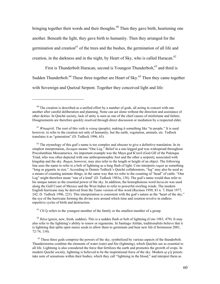bringing together their words and their thoughts.<sup>60</sup> Then they gave birth, heartening one another. Beneath the light, they gave birth to humanity. Then they arranged for the germination and creation<sup>61</sup> of the trees and the bushes, the germination of all life and creation, in the darkness and in the night, by Heart of Sky, who is called Huracan. $62$ 

First is Thunderbolt Huracan, second is Youngest Thunderbolt,<sup>63</sup> and third is Sudden Thunderbolt.<sup>64</sup> These three together are Heart of Sky.<sup>65</sup> Then they came together with Sovereign and Quetzal Serpent. Together they conceived light and life:

 $\overline{a}$ 

 $63$  *Ch'i'p* refers to the youngest member of the family or the smallest member of a group.

 <sup>64</sup> *Räxa* (green, new, fresh, sudden). This is a sudden flash or bolt of lightning (Coto 1983, 479). It may also refer to the lightning's ability to renew or regenerate. In Santiago Atitlán, traditionalists believe that it is lightning that splits open maize seeds to allow them to germinate and bear new life (Christenson 2001, 72-74, 134).

<sup>65</sup> These three gods comprise the powers of the sky, symbolized by various aspects of the thunderbolt. Thunderstorms combine the elements of water (rain) and fire (lightning), which Quichés see as essential to all life. Lightning is also considered the force that fertilizes the earth and promotes the growth of crops. In modern Quiché society, lightning is believed to be the inspirational force of the sky. Modern *aj q'ij* priests take note of sensations within their bodies, which they call "lightning in the blood," and interpret them as

 $60$  The creation is described as a unified effort by a number of gods, all acting in concert with one another after careful deliberation and planning. None can act alone without the direction and assistance of other deities. In Quiché society, lack of unity is seen as one of the chief causes of misfortune and failure. Disagreements are therefore quickly resolved through direct discussion or mediation by a respected elder.

<sup>61</sup> *Winaqirik*. The root of this verb is *winaq* (people), making it something like "to people." It is used however, to refer to the creation not only of humanity, but the earth, vegetation, animals, etc. Tedlock translates it as "generation" (D. Tedlock 1996, 65).

 $62$  The etymology of this god's name is too complex and obscure to give a definitive translation. In its simplest interpretation, *Juraqan* means "One Leg." Belief in a one-legged god was widespread throughout Precolumbian Mesoamerica. An important example was the Maya god K'awil (God GII of the Palenque Triad, who was often depicted with one anthropomorphic foot and the other a serpent), associated with kingship and the sky. *Raqan*, however, may also refer to the length or height of an object. The following line uses the name to refer to a bolt of lightning as a long flash of light. Coto interprets *raqan* as something "long or gigantic in size." According to Dennis Tedlock's Quiché collaborators, "leg" may also be used as a means of counting animate things, in the same way that we refer to the counting of "head" of cattle. "One Leg" might therefore mean "one of a kind" (D. Tedlock 1983a, 138). The god's name would thus refer to his unique nature as the essential power of the sky. In addition, the homophonous word *huracán* was used along the Gulf Coast of Mexico and the West Indies to refer to powerful swirling winds. The modern English hurricane may be derived from the Taino version of this word (Recinos 1950, 83 n. 7; Hunt 1977, 242; D. Tedlock 1996, 223). This interpretation is consistent with the god's nature as the "heart of the sky," the eye of the hurricane forming the divine axis around which time and creation revolve in endless repetitive cycles of birth and destruction.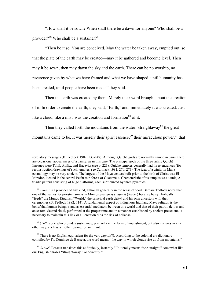"How shall it be sown? When shall there be a dawn for anyone? Who shall be a provider?<sup>66</sup> Who shall be a sustainer?<sup>67</sup>

 "Then be it so. You are conceived. May the water be taken away, emptied out, so that the plate of the earth may be created—may it be gathered and become level. Then may it be sown; then may dawn the sky and the earth. There can be no worship, no reverence given by what we have framed and what we have shaped, until humanity has been created, until people have been made," they said.

 Then the earth was created by them. Merely their word brought about the creation of it. In order to create the earth, they said, "Earth," and immediately it was created. Just like a cloud, like a mist, was the creation and formation<sup>68</sup> of it.

Then they called forth the mountains from the water. Straightaway<sup>69</sup> the great

mountains came to be. It was merely their spirit essence,  $\frac{1}{10}$  their miraculous power,  $\frac{1}{10}$  that

 $^{67}$   $Q'$ <sup> $\sigma'$ </sup> is one who provides sustenance, primarily in the form of nourishment, but also nurtures in any other way, such as a mother caring for an infant.

revelatory messages (B. Tedlock 1982, 133-147). Although Quiché gods are normally named in pairs, there are occasional appearances of a trinity, as in this case. The principal gods of the three ruling Quiché lineages were Tohil, Auilix, and Hacavitz (see p. 223). Quiché temples generally had three entrances (for reconstruction drawings of such temples, see Carmack 1981, 270, 273). The idea of a trinity in Maya cosmology may be very ancient. The largest of the Maya centers built prior to the birth of Christ was El Mirador, located in the central Petén rain forest of Guatemala. Characteristic of its temples was a unique triadic pattern consisting of huge platforms, each surmounted by three pyramids.

<sup>&</sup>lt;sup>66</sup> *Tzuqul* is a provider of any kind, although generally in the sense of food. Barbara Tedlock notes that one of the names for priest-shamans in Momostenango is *tzuqunel* (feeder) because he symbolically "feeds" the Mundo [Spanish "World," the principal earth deity] and his own ancestors with their ceremonies (B. Tedlock 1982, 114). A fundamental aspect of indigenous highland Maya religion is the belief that human beings stand as essential mediators between this world and that of their patron deities and ancestors. Sacred ritual, performed at the proper time and in a manner established by ancient precedent, is necessary to maintain this link or all creation runs the risk of collapse.

<sup>&</sup>lt;sup>68</sup> There is no English equivalent for the verb *pupuje'ik*. According to the colonial era dictionary compiled by Fr. Domingo de Basseta, the word means "the way in which clouds rise up from mountains."

<sup>&</sup>lt;sup>69</sup> *Ju suk'*. Basseta translates this as "quickly, instantly." It literally means "one straight," somewhat like our English phrases "straightaway," or "directly."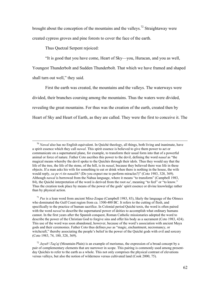brought about the conception of the mountains and the valleys.<sup>72</sup> Straightaway were created cypress groves and pine forests to cover the face of the earth.

Thus Quetzal Serpent rejoiced:

"It is good that you have come, Heart of Sky—you, Huracan, and you as well,

Youngest Thunderbolt and Sudden Thunderbolt. That which we have framed and shaped shall turn out well," they said.

 First the earth was created, the mountains and the valleys. The waterways were divided, their branches coursing among the mountains. Thus the waters were divided, revealing the great mountains. For thus was the creation of the earth, created then by Heart of Sky and Heart of Earth, as they are called. They were the first to conceive it. The

 <sup>70</sup> *Nawal* also has no English equivalent. In Quiché theology, all things, both living and inanimate, have a spirit essence which they call *nawal*. This spirit essence is believed to give them power to act or communicate on a supernatural plane, for example, to transform their usual form into that of a powerful animal or force of nature. Father Coto ascribes this power to the devil, defining the word *naual* as "the magical means whereby the devil spoke to the Quichés through their idols. Thus they would say that the life of the tree, the life of the stone, of the hill, is its *naual*, because they believed there was life in these objects. If a man asks his wife for something to eat or drink when there is nothing in the house, the wife would reply, *xa pe ri tin naualih?* (Do you expect me to perform miracles?)" (Coto 1983, 328, 369). Although *nawal* is borrowed from the Nahua language, where it means "to transform" (Campbell 1983, 84), the Quiché interpretation of the word is derived from the root *na'*, meaning "to feel" or "to know." Thus the creation took place by means of the power of the gods' spirit essence or divine knowledge rather than by physical action.

<sup>71</sup> *Pus* is a loan word from ancient Mixe-Zoque (Campbell 1983, 83), likely the language of the Olmecs who dominated the Gulf Coast region from ca. 1500-400 BC. It refers to the cutting of flesh, and specifically to the practice of human sacrifice. In Colonial period Quiché texts, the word is often paired with the word *nawal* to describe the supernatural power of deities to accomplish what ordinary humans cannot. In the first years after the Spanish conquest, Roman Catholic missionaries adopted the word to describe the power of the Christian God to forgive sins and offer his body as a sacrament (Coto 1983, 424). This use of the word was soon abandoned, however, because of the word's association with ancient Maya gods and their ceremonies. Father Coto thus defines *pus* as "magic, enchantment, necromancy, or witchcraft," thereby associating the people's belief in the power of the Quiché gods with evil and sorcery (Coto 1983, 74, 180, 328, 369).

<sup>72</sup> *Juyub'-Taq'aj* (Mountain-Plain) is an example of merismus, the expression of a broad concept by a pair of complementary elements that are narrower in scope. This pairing is commonly used among presentday Quichés to refer to the earth as a whole. This not only comprises the physical contrast of elevations versus valleys, but also the notion of wilderness versus cultivated land (Cook 2000, 75).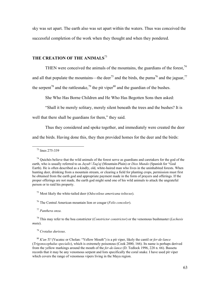sky was set apart. The earth also was set apart within the waters. Thus was conceived the successful completion of the work when they thought and when they pondered.

## THE CREATION OF THE ANIMALS<sup>73</sup>

THEN were conceived the animals of the mountains, the guardians of the forest,  $^{74}$ 

and all that populate the mountains—the deer<sup>75</sup> and the birds, the puma<sup>76</sup> and the jaguar,<sup>77</sup>

the serpent<sup>78</sup> and the rattlesnake,<sup>79</sup> the pit viper<sup>80</sup> and the guardian of the bushes.

She Who Has Borne Children and He Who Has Begotten Sons then asked:

"Shall it be merely solitary, merely silent beneath the trees and the bushes? It is

well that there shall be guardians for them," they said.

Thus they considered and spoke together, and immediately were created the deer

and the birds. Having done this, they then provided homes for the deer and the birds:

<sup>77</sup> *Panthera onza*.

#### <sup>79</sup> *Crotalus durissus*.

 <sup>80</sup> *K'an Ti'* (Yucatec or Cholan: "Yellow Mouth") is a pit viper, likely the cantil or *fer-de-lance* (*Trigonocephalus specialis*), which is extremely poisonous (Cook 2000, 166). Its name is perhaps derived from the yellow markings around the mouth of the *fer-de-lance* (D. Tedlock 1996, 228 n. 66). Basseta records that it may be any venomous serpent and lists specifically the coral snake. I have used pit viper which covers the range of venomous vipers living in the Maya region.

<sup>&</sup>lt;sup>73</sup> lines 275-339

 $74$  Quichés believe that the wild animals of the forest serve as guardians and caretakers for the god of the earth, who is usually referred to as *Juyub'-Taq'aj* (Mountain-Plain) or *Dios Mundo* (Spanish for "God Earth). He is often described as a kindly, old, white-haired man who lives in the uninhabited forests. When hunting deer, drinking from a mountain stream, or clearing a field for planting crops, permission must first be obtained from the earth god and appropriate payment made in the form of prayers and offerings. If the proper offerings are not made, the earth god might send one of his wild animals to attack the ungrateful person or to raid his property.

 <sup>75</sup> Most likely the white-tailed deer (*Odocoileus americana toltecus*).

 <sup>76</sup> The Central American mountain lion or cougar (*Felis concolor*).

<sup>78</sup> This may refer to the boa constrictor (*Constrictor constrictor*) or the venomous bushmaster (*Lechesis muta*).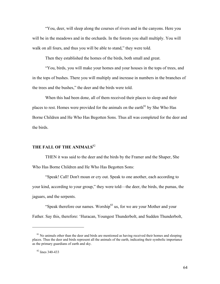"You, deer, will sleep along the courses of rivers and in the canyons. Here you will be in the meadows and in the orchards. In the forests you shall multiply. You will walk on all fours, and thus you will be able to stand," they were told.

Then they established the homes of the birds, both small and great.

 "You, birds, you will make your homes and your houses in the tops of trees, and in the tops of bushes. There you will multiply and increase in numbers in the branches of the trees and the bushes," the deer and the birds were told.

When this had been done, all of them received their places to sleep and their places to rest. Homes were provided for the animals on the earth<sup>81</sup> by She Who Has Borne Children and He Who Has Begotten Sons. Thus all was completed for the deer and the birds.

## THE FALL OF THE ANIMALS $^{82}$

 THEN it was said to the deer and the birds by the Framer and the Shaper, She Who Has Borne Children and He Who Has Begotten Sons:

 "Speak! Call! Don't moan or cry out. Speak to one another, each according to your kind, according to your group," they were told—the deer, the birds, the pumas, the jaguars, and the serpents.

"Speak therefore our names. Worship<sup>83</sup> us, for we are your Mother and your Father. Say this, therefore: 'Huracan, Youngest Thunderbolt, and Sudden Thunderbolt,

 $81$  No animals other than the deer and birds are mentioned as having received their homes and sleeping places. Thus the deer and birds represent all the animals of the earth, indicating their symbolic importance as the primary guardians of earth and sky.

<sup>&</sup>lt;sup>82</sup> lines 340-433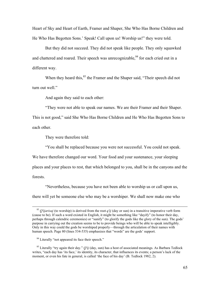Heart of Sky and Heart of Earth, Framer and Shaper, She Who Has Borne Children and He Who Has Begotten Sons.' Speak! Call upon us! Worship us!" they were told.

 But they did not succeed. They did not speak like people. They only squawked and chattered and roared. Their speech was unrecognizable, <sup>84</sup> for each cried out in a different way.

When they heard this,<sup>85</sup> the Framer and the Shaper said, "Their speech did not turn out well."

And again they said to each other:

"They were not able to speak our names. We are their Framer and their Shaper.

This is not good," said She Who Has Borne Children and He Who Has Begotten Sons to each other.

They were therefore told:

"You shall be replaced because you were not successful. You could not speak.

We have therefore changed our word. Your food and your sustenance, your sleeping places and your places to rest, that which belonged to you, shall be in the canyons and the forests.

 "Nevertheless, because you have not been able to worship us or call upon us, there will yet be someone else who may be a worshiper. We shall now make one who

 <sup>83</sup> *Q'ijarisaj* (to worship) is derived from the root *q'ij* (day or sun) in a transitive imperative verb form (cause to be). If such a word existed in English, it might be something like "dayify" (to honor their day, perhaps through calendric ceremonies) or "sunify" (to glorify the gods like the glory of the sun). The gods' purpose in carrying out the creation seems to be to provide beings who will be able to speak intelligibly. Only in this way could the gods be worshiped properly—through the articulation of their names with human speech. Page 80 (lines 534-535) emphasizes that "words" are the gods' support.

<sup>&</sup>lt;sup>84</sup> Literally "not appeared its face their speech."

<sup>&</sup>lt;sup>85</sup> Literally "try again their day." *Q'ij* (day, sun) has a host of associated meanings. As Barbara Tedlock writes, "each day has 'its face,' its identity, its character, that influences its events; a person's luck of the moment, or even his fate in general, is called 'the face of his day' (B. Tedlock 1982, 2).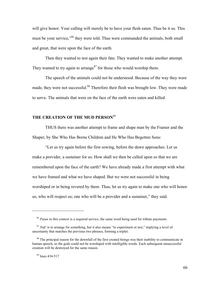will give honor. Your calling will merely be to have your flesh eaten. Thus be it so. This must be your service,"<sup>86</sup> they were told. Thus were commanded the animals, both small and great, that were upon the face of the earth.

Then they wanted to test again their fate. They wanted to make another attempt. They wanted to try again to arrange<sup>87</sup> for those who would worship them.

 The speech of the animals could not be understood. Because of the way they were made, they were not successful.<sup>88</sup> Therefore their flesh was brought low. They were made to serve. The animals that were on the face of the earth were eaten and killed.

#### THE CREATION OF THE MUD PERSON<sup>89</sup>

 THUS there was another attempt to frame and shape man by the Framer and the Shaper, by She Who Has Borne Children and He Who Has Begotten Sons:

 "Let us try again before the first sowing, before the dawn approaches. Let us make a provider, a sustainer for us. How shall we then be called upon so that we are remembered upon the face of the earth? We have already made a first attempt with what we have framed and what we have shaped. But we were not successful in being worshiped or in being revered by them. Thus, let us try again to make one who will honor us, who will respect us; one who will be a provider and a sustainer," they said.

<sup>86</sup> *Patan* in this context is a required service, the same word being used for tribute payments.

<sup>&</sup>lt;sup>87</sup> *Nuk'* is to arrange for something, but it also means "to experiment or test," implying a level of uncertainty that matches the previous two phrases, forming a triplet.

<sup>&</sup>lt;sup>88</sup> The principal reason for the downfall of the first created beings was their inability to communicate in human speech, so the gods could not be worshiped with intelligible words. Each subsequent unsuccessful creation will be destroyed for the same reason.

<sup>&</sup>lt;sup>89</sup> lines 434-517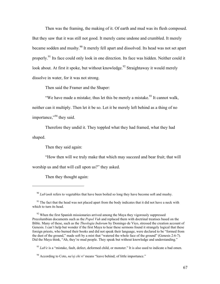Then was the framing, the making of it. Of earth and mud was its flesh composed. But they saw that it was still not good. It merely came undone and crumbled. It merely became sodden and mushy.<sup>90</sup> It merely fell apart and dissolved. Its head was not set apart properly.<sup>91</sup> Its face could only look in one direction. Its face was hidden. Neither could it look about. At first it spoke, but without knowledge.<sup>92</sup> Straightaway it would merely dissolve in water, for it was not strong.

Then said the Framer and the Shaper:

"We have made a mistake; thus let this be merely a mistake.<sup>93</sup> It cannot walk, neither can it multiply. Then let it be so. Let it be merely left behind as a thing of no importance,"<sup>94</sup> they said.

 Therefore they undid it. They toppled what they had framed, what they had shaped.

Then they said again:

 "How then will we truly make that which may succeed and bear fruit; that will worship us and that will call upon us?" they asked.

Then they thought again:

<sup>&</sup>lt;sup>90</sup> *Lub'anik* refers to vegetables that have been boiled so long they have become soft and mushy.

<sup>&</sup>lt;sup>91</sup> The fact that the head was not placed apart from the body indicates that it did not have a neck with which to turn its head.

<sup>&</sup>lt;sup>92</sup> When the first Spanish missionaries arrived among the Maya they vigorously suppressed Precolumbian documents such as the *Popol Vuh* and replaced them with doctrinal treatises based on the Bible. Many of these, such as the *Theologia Indorum* by Domingo de Vico, stressed the creation account of Genesis. I can't help but wonder if the first Maya to hear these sermons found it strangely logical that these foreign priests, who burned their books and did not speak their language, were declared to be "formed from the dust of the ground," made soft by a mist that "watered the whole face of the ground" (Genesis 2:6-7). Did the Maya think, "Ah, they're mud people. They speak but without knowledge and understanding."

<sup>&</sup>lt;sup>93</sup> *Lab'e* is a "mistake, fault, defect, deformed child, or monster." It is also used to indicate a bad omen.

<sup>&</sup>lt;sup>94</sup> According to Coto, *na'oj chi ri'* means "leave behind; of little importance."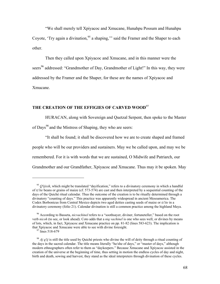"We shall merely tell Xpiyacoc and Xmucane, Hunahpu Possum and Hunahpu Coyote, 'Try again a divination,  $95$  a shaping,'" said the Framer and the Shaper to each other.

 Then they called upon Xpiyacoc and Xmucane, and in this manner were the seers<sup>96</sup> addressed: "Grandmother of Day, Grandmother of Light!" In this way, they were addressed by the Framer and the Shaper, for these are the names of Xpiyacoc and Xmucane.

#### THE CREATION OF THE EFFIGIES OF CARVED WOOD<sup>97</sup>

 HURACAN, along with Sovereign and Quetzal Serpent, then spoke to the Master of Days<sup>98</sup> and the Mistress of Shaping, they who are seers:

 "It shall be found; it shall be discovered how we are to create shaped and framed people who will be our providers and sustainers. May we be called upon, and may we be remembered. For it is with words that we are sustained, O Midwife and Patriarch, our Grandmother and our Grandfather, Xpiyacoc and Xmucane. Thus may it be spoken. May

<sup>95</sup> *Q'ijixik*, which might be translated "dayification," refers to a divinatory ceremony in which a handful of *tz'ite* beans or grains of maize (cf. 573-574) are cast and then interpreted by a sequential counting of the days of the Quiché ritual calendar. Thus the outcome of the creation is to be ritually determined through a divinatory "counting of days." This practice was apparently widespread in ancient Mesoamerica. The Codex Borbonicus from Central Mexico depicts two aged deities casting seeds of maize or *tz'ite* in a divinatory ceremony (folio 21). Calendar divination is still a common practice among the highland Maya.

<sup>&</sup>lt;sup>96</sup> According to Basseta, *nicvachinel* refers to a "soothsayer, diviner, fortuneteller," based on the root verb *nicoh* (to see, or look ahead). Coto adds that a *niq vachinel* is one who sees well, or divines by means of lots, which, in fact, Xpiyacoc and Xmucane practice on pp. 81-82 (lines 583-623). The implication is that Xpiyacoc and Xmucane were able to see with divine foresight.

<sup>&</sup>lt;sup>97</sup> lines 518-679

<sup>&</sup>lt;sup>98</sup> *Aj q'ij* is still the title used by Quiché priests who divine the will of deity through a ritual counting of the days in the sacred calendar. The title means literally "he/she of days," or "master of days," although modern ethnographers often refer to them as "daykeepers." Because Xmucane and Xpiyacoc assisted in the creation of the universe at the beginning of time, thus setting in motion the endless cycles of day and night, birth and death, sowing and harvest, they stand as the ideal interpreters through divination of these cycles.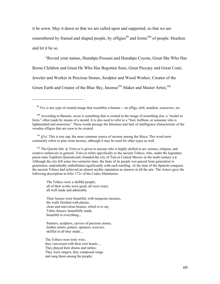it be sown. May it dawn so that we are called upon and supported, so that we are remembered by framed and shaped people, by effigies<sup>99</sup> and forms<sup>100</sup> of people. Hearken and let it be so.

 "Reveal your names, Hunahpu Possum and Hunahpu Coyote, Great She Who Has Borne Children and Great He Who Has Begotten Sons, Great Peccary and Great Coati, Jeweler and Worker in Precious Stones, Sculptor and Wood Worker, Creator of the Green Earth and Creator of the Blue Sky, Incense<sup>101</sup> Maker and Master Artist,  $102$ 

 $101$  *Q'ol.* This is tree sap, the most common source of incense among the Maya. This word most commonly refers to pine resin incense, although it may be used for other types as well.

<sup>102</sup> The Quiché title *Aj Toltecat* is given to anyone who is highly skilled in art, science, religion, and creative endeavors in general. *Toltecat* refers specifically to the ancient Toltecs, who, under the legendary priest-ruler Topiltzin Quetzalcoatl, founded the city of Tula in Central Mexico in the tenth century a.d. Although the city fell some two centuries later, the fame of its people was passed from generation to generation, undoubtedly embellished significantly with each retelling. At the time of the Spanish conquest, the ancient Toltecs had achieved an almost mythic reputation as masters in all the arts. The Aztecs gave the following description in folio 172v of the Codex Matritensis:

 The Toltecs were a skillful people; all of their works were good, all were exact, all well made and admirable.

 $\overline{a}$ 

 Their houses were beautiful, with turquoise mosaics, the walls finished with plaster, clean and marvelous houses, which is to say Toltec houses, beautifully made, beautiful in everything...

 Painters, sculptors, carvers of precious stones, feather artists, potters, spinners, weavers, skillful in all they made....

The Toltecs were truly wise; they conversed with their own hearts.... They played their drums and rattles; They were singers, they composed songs and sang them among the people;

<sup>&</sup>lt;sup>99</sup> *Poy* is any type of created image that resembles a human— an effigy, doll, manikin, scarecrow, etc.

<sup>&</sup>lt;sup>100</sup> According to Basseta, *anom* is something that is created in the image of something else, a "model or form," often made by means of a mould. It is also used to refer to a "fool, buffoon, or someone who is lightminded and unserious." These words presage the falseness and lack of intelligence characteristic of the wooden effigies that are soon to be created.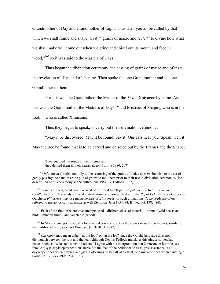Grandmother of Day and Grandmother of Light. Thus shall you all be called by that which we shall frame and shape. Cast<sup>103</sup> grains of maize and *tz'ite*<sup>104</sup> to divine how what we shall make will come out when we grind and chisel out its mouth and face in wood,"<sup>105</sup> so it was said to the Masters of Days.

Thus began the divination ceremony, the casting of grains of maize and of *tz'ite*,

the revelation of days and of shaping. Then spoke the one Grandmother and the one

Grandfather to them.

For this was the Grandfather, the Master of the *Tz'ite*, Xpiyacoc by name. And

this was the Grandmother, the Mistress of Days<sup>106</sup> and Mistress of Shaping who is at the

foot, $107$  who is called Xmucane.

Thus they began to speak, to carry out their divination ceremony:

"May it be discovered. May it be found. Say it! Our ears hear you. Speak! Tell it!

May the tree be found that is to be carved and chiseled out by the Framer and the Shaper.

 <sup>104</sup> *Tz'ite* is the bright-red beanlike seed of the coral tree (Spanish: *palo de pito* tree; *Erythrina corallodendron*). The seeds are used in divination ceremonies. Just as in the *Popol Vuh* manuscript, modern Quiché *aj q'ij* priests may use maize kernels or *tz'ite* seeds for such divinations. *Tz'ite* seeds are often referred to metaphorically as maize as well (Schultze-Jena 1954, 84; B. Tedlock 1982, 84).

<sup>105</sup> Each of the first three creative attempts used a different class of material—animal (wild beasts and birds), mineral (mud), and vegetable (wood).

<sup>106</sup> In Momostenango the ideal is for married couples to act as the agents in such ceremonies, similar to the tradition of Xpiyacoc and Xmucane (B. Tedlock 1982, 85).

They guarded the songs in their memories, they deified them in their hearts. (León-Portilla 1980, 207)

<sup>&</sup>lt;sup>103</sup> *Mala'* (to cast) refers not only to the scattering of the grains of maize or *tz'ite*, but also to the act of gently passing the hand over the pile of grains to mix them prior to their use in divination ceremonies (for a description of this ceremony see Schultze-Jena 1954; B. Tedlock 1982).

<sup>&</sup>lt;sup>107</sup> *Chi raqan* may mean either "at the foot" or "at the leg" since the Quiché language does not distinguish between the foot and the leg. Although Dennis Tedlock translates this phrase somewhat inaccurately as "who stands behind others," I agree with his interpretation that Xmucane in her role as a female *aj q'ij* (daykeeper) positions herself at the feet of the petitioner so as to give assistance "as a daykeeper does when praying and giving offerings on behalf of a client, or a midwife does when assisting a birth" (D. Tedlock 1996, 234 n. 70).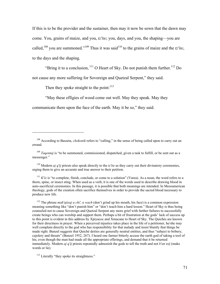If this is to be the provider and the sustainer, then may it now be sown that the dawn may come. You, grains of maize, and you, *tz'ite*; you, days, and you, the shaping—you are called, <sup>108</sup> you are summoned."<sup>109</sup> Thus it was said<sup>110</sup> to the grains of maize and the *tz'ite*, to the days and the shaping.

"Bring it to a conclusion,  $^{111}$  O Heart of Sky. Do not punish them further.  $^{112}$  Do

not cause any more suffering for Sovereign and Quetzal Serpent," they said.

Then they spoke straight to the point:  $113$ 

 $\overline{a}$ 

"May these effigies of wood come out well. May they speak. May they

communicate there upon the face of the earth. May it be so," they said.

<sup>110</sup> Modern *aj q'ij* priests also speak directly to the *tz'ite* as they carry out their divinatory ceremonies, urging them to give an accurate and true answer to their petition.

 $111$  *K'ix* is "to complete, finish, conclude, or come to a solution" (Varea). As a noun, the word refers to a thorn, spine, or insect sting. When used as a verb, it is one of the words used to describe drawing blood in auto-sacrificial ceremonies. In this passage, it is possible that both meanings are intended. In Mesoamerican theology, gods of the creation often sacrifice themselves in order to provide the sacred blood necessary to produce new life.

<sup>112</sup> The phrase *mak'ajisaj u chi', u wach* (don't grind up his mouth, his face) is a common expression meaning something like "don't punish him" or "don't teach him a hard lesson." Heart of Sky is thus being counseled not to cause Sovereign and Quetzal Serpent any more grief with further failures to successfully create beings who can worship and support them. Perhaps a bit of frustration at the gods' lack of success up to this point is evident in this address by Xpiyacoc and Xmucane to Heart of Sky. The Quichés are known for their directness in prayer. When a perceived injustice takes place in the life of a petitioner, he/she may well complain directly to the god who has responsibility for that malady and insist bluntly that things be made right. Bunzel suggests that Quiché deities are generally neutral entities, and thus "subject to bribery, cajolery and threats" (Bunzel 1952, 267). I heard one farmer bitterly accuse the earth god of taking a tool of his, even though the man had made all the appropriate offerings, and demand that it be returned immediately. Modern *aj q'ij* priests repeatedly admonish the gods to tell the truth and not *b'an tzij* (make words or lie).

<sup>113</sup> Literally "they spoke its straightness."

<sup>&</sup>lt;sup>108</sup> According to Basseta, *chokonik* refers to "calling," in the sense of being called upon to carry out an errand.

<sup>109</sup> *Taqentaj* is "to be summoned, commissioned, dispatched, given a task to fulfill, or be sent out as a messenger."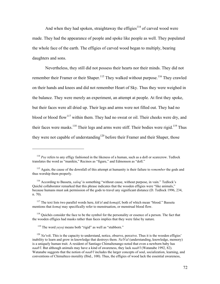And when they had spoken, straightaway the effigies $114$  of carved wood were made. They had the appearance of people and spoke like people as well. They populated the whole face of the earth. The effigies of carved wood began to multiply, bearing daughters and sons.

Nevertheless, they still did not possess their hearts nor their minds. They did not remember their Framer or their Shaper.<sup>115</sup> They walked without purpose.<sup>116</sup> They crawled on their hands and knees and did not remember Heart of Sky. Thus they were weighed in the balance. They were merely an experiment, an attempt at people. At first they spoke, but their faces were all dried up. Their legs and arms were not filled out. They had no blood or blood flow<sup>117</sup> within them. They had no sweat or oil. Their cheeks were dry, and their faces were masks.<sup>118</sup> Their legs and arms were stiff. Their bodies were rigid.<sup>119</sup> Thus they were not capable of understanding<sup>120</sup> before their Framer and their Shaper, those

<sup>&</sup>lt;sup>114</sup> *Pov* refers to any effigy fashioned in the likeness of a human, such as a doll or scarecrow. Tedlock translates the word as "manikin," Recinos as "figure," and Edmonson as "doll."

<sup>&</sup>lt;sup>115</sup> Again, the cause of the downfall of this attempt at humanity is their failure to *remember* the gods and thus worship them properly.

<sup>&</sup>lt;sup>116</sup> According to Basseta, *xaloq'* is something "without cause, without purpose, in vain." Tedlock's Quiché collaborator remarked that this phrase indicates that the wooden effigies were "like animals," because humans must ask permission of the gods to travel any significant distance (D. Tedlock 1996, 234, n. 70).

<sup>&</sup>lt;sup>117</sup> The text lists two parallel words here, *kik'el* and *komajil*, both of which mean "blood." Basseta mentions that *komaj* may specifically refer to menstruation, or menstrual blood flow.

<sup>&</sup>lt;sup>118</sup> Quichés consider the face to be the symbol for the personality or essence of a person. The fact that the wooden effigies had masks rather than faces implies that they were false by nature.

<sup>&</sup>lt;sup>119</sup> The word *yeyoj* means both "rigid" as well as "stubborn."

<sup>&</sup>lt;sup>120</sup> *Na'wik*. This is the capacity to understand, notice, observe, perceive. Thus it is the wooden effigies' inability to learn and grow in knowledge that destroys them. *Na'b'al* (understanding, knowledge, memory) is a uniquely human trait. A resident of Santiago Chimaltenango noted that even a newborn baby has *naab'l*. But although animals may have a kind of awareness, they lack *naab'l* (Watanabe 1992, 82). Watanabe suggests that the notion of *naab'l* includes the larger concepts of soul, socialization, learning, and conventions of Chimalteco morality (Ibid., 100). Thus, the effigies of wood lack the essential awareness,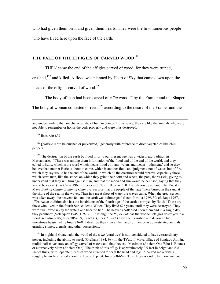who had given them birth and given them hearts. They were the first numerous people who have lived here upon the face of the earth.

### THE FALL OF THE EFFIGIES OF CARVED WOOD<sup>121</sup>

THEN came the end of the effigies carved of wood, for they were ruined,

crushed,<sup>122</sup> and killed. A flood was planned by Heart of Sky that came down upon the

heads of the effigies carved of wood.<sup>123</sup>

The body of man had been carved of  $tz$  *'ite* wood<sup>124</sup> by the Framer and the Shaper.

The body of woman consisted of reeds<sup>125</sup> according to the desire of the Framer and the

 and understanding that are characteristic of human beings. In this sense, they are like the animals who were not able to remember or honor the gods properly and were thus destroyed.

<sup>121</sup> lines 680-837

<sup>122</sup>  $Q'$ utuxik is "to be crushed or pulverized," generally with reference to dried vegetables like chili peppers.

 $123$  The destruction of the earth by flood prior to our present age was a widespread tradition in Mesoamerica: "There was among them information of the flood and of the end of the world, and they called it Butic, which is the word which means flood of many waters and means 'judgment,' and so they believe that another Butic is about to come, which is another flood and judgment, not of water, but of fire, which they say would be the end of the world, in which all the creatures would reprove, especially those which serve man, like the stones on which they grind their corn and wheat, the pots, the vessels, giving to understand that they will turn against man, and that the moon and sun would be eclipsed, saying that they would be eaten" (Las Casas 1967, III.ccxxxv.507; cf. III.cxxiv.650. Translation by author). The Yucatec Maya *Book of Chilam Balam of Chumayel* records that the people of that age "were buried in the sand at the shore of the sea, in the waves. Then in a great sheet of water the waves came. When the great serpent was taken away, the heavens fell and the earth was submerged" (León-Portilla 1969, 50; cf. Roys 1967, 170). Aztec tradition also has the inhabitants of the fourth age of the earth destroyed by flood: "These are those who lived in the fourth Sun, called 4-Water. They lived 676 years, until they were destroyed. They were swallowed up by the waters and became fish. The heavens collapsed upon them and in a single day they perished" (Velázquez 1945, 119-120). Although the *Popol Vuh* has the wooden effigies destroyed in a flood (see also p. 85; lines 706-709, 728-731), lines 710-723 have them crushed and devoured by monstrous beasts, while lines 736-823 describe their ruin at the hands of their own domesticated animals, grinding stones, utensils, and other possessions.

<sup>124</sup> In highland Guatemala, the wood of the *tz'ite* (coral tree) is still considered to have extraordinary power, including the ability to speak (Orellana 1984, 98). In the Tz'utujil-Maya village of Santiago Atitlán, traditionalists venerate an effigy carved of *tz'ite* wood that they call Maximon (Ancient One Who Is Bound) or alternatively Mam (Ancient One). The trunk of this effigy is approximately 2.5 feet in height and 6-8 inches thick, with separate pieces of wood attached to form the head and legs. A carved mask with a roughly hewn face is tied about the head (cf. p. 84; lines 668-669). This effigy is said to be more ancient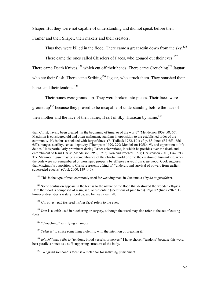Shaper. But they were not capable of understanding and did not speak before their

Framer and their Shaper, their makers and their creators.

Thus they were killed in the flood. There came a great resin down from the sky.<sup>126</sup>

There came the ones called Chiselers of Faces, who gouged out their eyes.<sup>127</sup>

There came Death Knives,<sup>128</sup> which cut off their heads. There came Crouching<sup>129</sup> Jaguar, who ate their flesh. There came Striking<sup>130</sup> Jaguar, who struck them. They smashed their bones and their tendons.<sup>131</sup>

 Their bones were ground up. They were broken into pieces. Their faces were ground  $up<sup>132</sup>$  because they proved to be incapable of understanding before the face of their mother and the face of their father, Heart of Sky, Huracan by name.<sup>133</sup>

 than Christ, having been created "in the beginning of time, or of the world" (Mendelson 1959, 58, 60). Maximon is considered old and often malignant, standing in opposition to the established order of the community. He is thus associated with forgetfulness (B. Tedlock 1982, 101; cf. p. 83; lines 652-653, 656- 657), hunger, sterility, sexual depravity (Thompson 1970, 299; Mendelson 1958b, 9), and opposition to life deities. He is particularly prominent during Easter celebrations, in which he presides over the death and entombment of Jesus Christ (Mendelson 1959, 1965; Tarn and Prechtel 1997; Christenson 2001, 176-191). The Maximon figure may be a remembrance of the chaotic world prior to the creation of humankind, when the gods were not remembered or worshiped properly by effigies carved from *tz'ite* wood. Cook suggests that Maximon's opposition to Christ represents a kind of "underground survival of powers from earlier, superseded epochs" (Cook 2000, 139-140).

<sup>125</sup> This is the type of reed commonly used for weaving mats in Guatemala (*Typha angustifolia*).

 $126$  Some confusion appears in the text as to the nature of the flood that destroyed the wooden effigies. Here the flood is composed of resin, sap, or turpentine (secretions of pine trees). Page 87 (lines 728-731) however describes a watery flood caused by heavy rainfall.

<sup>127</sup> *U b'aq' u wach* (its seed his/her face) refers to the eyes.

<sup>128</sup> *Lotz* is a knife used in butchering or surgery, although the word may also refer to the act of cutting flesh.

 $129$  "Crouching," as if lying in ambush.

<sup>130</sup> *Tukuj* is "to strike something violently, with the intention of breaking it."

<sup>131</sup> *Ib'och'il* may refer to "tendons, blood vessels, or nerves." I have chosen "tendons" because this word best parallels bones as a stiff supporting structure of the body.

<sup>132</sup> To "grind someone's face" is a metaphor for inflicting punishment.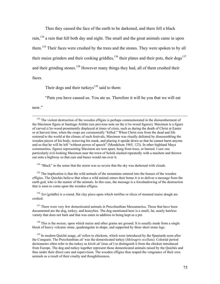Thus they caused the face of the earth to be darkened, and there fell a black rain,<sup>134</sup> a rain that fell both day and night. The small and the great animals came in upon them.<sup>135</sup> Their faces were crushed by the trees and the stones. They were spoken to by all their maize grinders and their cooking griddles,  $^{136}$  their plates and their pots, their dogs<sup>137</sup> and their grinding stones.<sup>138</sup> However many things they had, all of them crushed their faces.

Their dogs and their turkeys<sup>139</sup> said to them:

"Pain you have caused us. You ate us. Therefore it will be you that we will eat

now."

 $\overline{a}$ 

 $134$  "Black" in the sense that the storm was so severe that the sky was darkened with clouds.

<sup>135</sup> The implication is that the wild animals of the mountains entered into the houses of the wooden effigies. The Quichés believe that when a wild animal enters their home it is to deliver a message from the earth god, who is the master of the animals. In this case, the message is a foreshadowing of the destruction that is soon to come upon the wooden effigies.

<sup>136</sup> *Xot* (griddle) is a round, flat clay piece upon which tortillas or slices of steamed maize dough are cooked.

 $137$  There were very few domesticated animals in Precolumbian Mesoamerica. Those that have been documented are the dog, turkey, and honeybee. The dog mentioned here is a small, fat, nearly hairless variety that does not bark and that was eaten in addition to being kept as a pet.

<sup>138</sup> This is the *metate*, upon which maize and other grains are ground. It is usually made from a single block of heavy volcanic stone, quadrangular in shape, and supported by three short stone legs.

 $139$  In modern Quiché usage,  $ak'$  refers to chickens, which were introduced by the Spaniards soon after the Conquest. The Precolumbian *ak'* was the domesticated turkey (*Meleagris ocellata*). Colonial period dictionaries often refer to the turkey as *kitzih ak'* (true *ak'*) to distinguish it from the chicken introduced from Europe. The dog and turkey together represent those domesticated animals raised by the Quichés and thus under their direct care and supervision. The wooden effigies thus reaped the vengeance of their own animals as a result of their cruelty and thoughtlessness.

<sup>&</sup>lt;sup>133</sup> The violent destruction of the wooden effigies is perhaps commemorated in the dismemberment of the Maximon figure at Santiago Atitlán (see previous note on the *tz'ite*-wood figures). Maximon is a figure of carved *tz'ite*-wood prominently displayed at times of crisis, such as during the death of Christ at Easter or at harvest time, when the crops are ceremonially "killed." When Christ rose from the dead and life restored to the world at the climax of such festivals, Maximon was ritually defeated by disassembling the wooden pieces of his body, removing his mask, and placing it upside down so that he cannot harm anyone and so that he will be left "without power of speech" (Mendelson 1965, 123). In other highland Maya communities, figures representing Maximon are torn apart, hung from trees, or burned. I saw one particularly evil-looking Maximon near the town of Sololá slashed repeatedly with a machete and thrown out onto a highway so that cars and buses would run over it.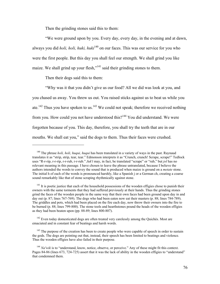Then the grinding stones said this to them:

 "We were ground upon by you. Every day, every day, in the evening and at dawn, always you did *holi, holi, huki, huki*<sup>140</sup> on our faces. This was our service for you who were the first people. But this day you shall feel our strength. We shall grind you like maize. We shall grind up your flesh,"<sup>141</sup> said their grinding stones to them.

Then their dogs said this to them:

 $\overline{a}$ 

 "Why was it that you didn't give us our food? All we did was look at you, and you chased us away. You threw us out. You raised sticks against us to beat us while you ate.<sup>142</sup> Thus you have spoken to us.<sup>143</sup> We could not speak; therefore we received nothing from you. How could you not have understood this?<sup>144</sup> You did understand. We were forgotten because of you. This day, therefore, you shall try the teeth that are in our mouths. We shall eat you," said the dogs to them. Thus their faces were crushed.

<sup>&</sup>lt;sup>140</sup> The phrase *holi, holi, huqui, huqui* has been translated in a variety of ways in the past. Raynaud translates it as "strip, strip, tear, tear." Edmonson interprets it as "Crunch, crunch! Scrape, scrape!" Tedlock uses "R-r-rip, r-r-rip, r-r-rub, r-r-rub." *Juk'i* may, in fact, be translated "scrape" or "rub," but *jol* has no relevant meaning in this passage. I have chosen to leave the phrase untranslated, because I believe the authors intended the words to convey the sound that is produced when maize is ground on a *metate* stone. The initial h of each of the words is pronounced harshly, like a Spanish j or a German ch, creating a coarse sound remarkably like that of stone scraping rhythmically against stone.

<sup>&</sup>lt;sup>141</sup> It is poetic justice that each of the household possessions of the wooden effigies chose to punish their owners with the same torments that they had suffered previously at their hands. Thus the grinding stones grind the faces of the wooden people in the same way that their own faces had been ground upon day in and day out (p. 87; lines 767-769). The dogs who had been eaten now eat their masters (p. 88; lines 784-789). The griddles and pots, which had been placed on the fire each day, now throw their owners into the fire to be burned (p. 88; lines 799-800). The stone tools and hearthstones pound the heads of the wooden effigies as they had been beaten upon (pp. 88-89; lines 800-807).

<sup>&</sup>lt;sup>142</sup> Even today domesticated dogs are often treated very carelessly among the Quichés. Most are emaciated and in constant fear of beatings and harsh words.

<sup>&</sup>lt;sup>143</sup> The purpose of the creation has been to create people who were capable of speech in order to sustain the gods. The dogs are pointing out that, instead, their speech has been limited to beatings and violence. Thus the wooden effigies have also failed in their purpose.

<sup>&</sup>lt;sup>144</sup> *Na'wik* is to "understand, know, notice, observe, or perceive." Any of these might fit this context. Pages 84-86 (lines 673, 724-725) assert that it was the lack of ability in the wooden effigies to "understand" that condemned them.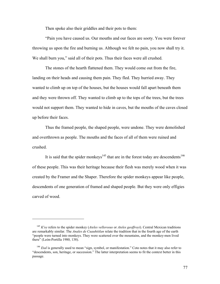Then spoke also their griddles and their pots to them:

 "Pain you have caused us. Our mouths and our faces are sooty. You were forever throwing us upon the fire and burning us. Although we felt no pain, you now shall try it. We shall burn you," said all of their pots. Thus their faces were all crushed.

 The stones of the hearth flattened them. They would come out from the fire, landing on their heads and causing them pain. They fled. They hurried away. They wanted to climb up on top of the houses, but the houses would fall apart beneath them and they were thrown off. They wanted to climb up to the tops of the trees, but the trees would not support them. They wanted to hide in caves, but the mouths of the caves closed up before their faces.

 Thus the framed people, the shaped people, were undone. They were demolished and overthrown as people. The mouths and the faces of all of them were ruined and crushed.

It is said that the spider monkeys<sup>145</sup> that are in the forest today are descendents<sup>146</sup> of these people. This was their heritage because their flesh was merely wood when it was created by the Framer and the Shaper. Therefore the spider monkeys appear like people, descendents of one generation of framed and shaped people. But they were only effigies carved of wood.

<sup>145</sup> *K'oy* refers to the spider monkey (*Ateles vellerosus* or *Ateles geoffroyi*). Central Mexican traditions are remarkably similar. The *Anales de Cuauhtitlan* relate the tradition that in the fourth age of the earth "people were turned into monkeys. They were scattered over the mountains, and the monkey-men lived there" (León-Portilla 1980, 138).

<sup>&</sup>lt;sup>146</sup> *Etal* is generally used to mean "sign, symbol, or manifestation." Coto notes that it may also refer to "descendents, son, heritage, or succession." The latter interpretation seems to fit the context better in this passage.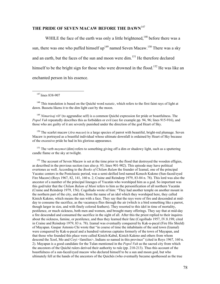### THE PRIDE OF SEVEN MACAW BEFORE THE DAWN<sup>147</sup>

WHILE the face of the earth was only a little brightened,  $148$  before there was a sun, there was one who puffed himself up<sup>149</sup> named Seven Macaw.<sup>150</sup> There was a sky and an earth, but the faces of the sun and moon were dim.<sup>151</sup> He therefore declared himself to be the bright sign for those who were drowned in the flood.<sup>152</sup> He was like an enchanted person in his essence.

<sup>148</sup> This translation is based on the Quiché word *natatic*, which refers to the first faint rays of light at dawn. Basseta likens it to the dim light cast by the moon.

 <sup>149</sup> *Nimarisaj rib'* (to aggrandise self) is a common Quiché expression for pride or boastfulness. The *Popol Vuh* repeatedly describes this as forbidden or evil (see for example pp. 94, 96; lines 915-916), and those who are guilty of it are severely punished under the direction of the god Heart of Sky.

<sup>150</sup> The scarlet macaw (*Ara macao*) is a large species of parrot with beautiful, bright-red plumage. Seven Macaw is portrayed as a boastful individual whose ultimate downfall is ordained by Heart of Sky because of the excessive pride he had in his glorious appearance.

<sup>151</sup> The verb *moymot* (dim) refers to something giving off a dim or shadowy light, such as a sputtering candle flame or the sky at twilight.

<sup>152</sup> The account of Seven Macaw is set at the time prior to the flood that destroyed the wooden effigies, as described in the previous section (see also p. 93; lines 901-902). This episode may have political overtones as well. According to the *Books of Chilam Balam* the founder of Izamal, one of the principal Yucatec centers in the Postclassic period, was a semi-deified lord named Kenech Kukmo (Sun-faced/eyed Fire Macaw) (Roys 1967, 82, 141, 160 n. 2; Craine and Reindorp 1979, 83-84 n. 78). This lord was also the ancestor of a number of the principal lineages of Yucatán who worshiped him as a god. So important was this god/ruler that the *Chilam Balam of Maní* refers to him as the personification of all northern Yucatán (Craine and Reindorp 1979, 156). Cogolludo wrote of him: "They had another temple on another mount in the northern part of the city, and this, from the name of an idol which they worshiped here, they called Kinich Kakmo, which means the sun with a face. They say that the rays were of fire and descended at midday to consume the sacrifice, as the vacamaya flies through the air (which is a bird something like a parrot, though larger in size, and with finely colored feathers). They resorted to this idol in time of mortality, pestilence, or much sickness, both men and women, and brought many offerings. They say that at mid-day a fire descended and consumed the sacrifice in the sight of all. After this the priest replied to their inquires about the sickness, famine, or pestilence, and thus they learned their fate (Cogolludo 1957, IV.8.198; cited in Craine and Reindorp 1979, 83 n. 78). Izamal was eventually conquered by Kak-u-pacal (Fire His Shield) of Mayapan. Gaspar Antonio Chi wrote that "in course of time the inhabitants of the said town (Izamal) were conquered by Kak-u-pacal and a hundred valorous captains formerly of the town of Mayapan, and that those who founded this place were called Kinich-Kabul, Kinich Kakmo and others from whom descend the Xool, Mo and Coyi <families>, Indians so named in this province" (cited in Roys 1967, 160 n. 2). Mayapan is a good candidate for the Tulan mentioned in the *Popol Vuh* as the sacred city from which the ancestors of the Quiché rulers derived their authority to rule (pp. 210-213). Thus this account of the boastfulness of a sun-faced/eyed macaw who declared himself to be a sun and moon god, but who ultimately fell at the hands of the ancestors of the Quichés (who eventually became apotheosed as the true

<sup>&</sup>lt;sup>147</sup> lines 838-907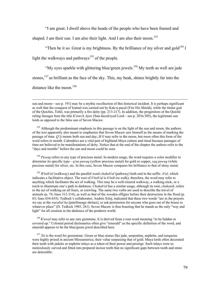"I am great. I dwell above the heads of the people who have been framed and

shaped. I am their sun. I am also their light. And I am also their moon.<sup>153</sup>

"Then be it so. Great is my brightness. By the brilliance of my silver and gold<sup>154</sup> I

light the walkways and pathways<sup>155</sup> of the people.

"My eyes sparkle with glittering blue/green jewels.<sup>156</sup> My teeth as well are jade stones,<sup>157</sup> as brilliant as the face of the sky. This, my beak, shines brightly far into the distance like the moon.<sup>158</sup>

<sup>153</sup> Although the predominant emphasis in this passage is on the light of the sun and moon, the authors of the text apparently also meant to emphasize that Seven Macaw saw himself as the means of marking the passage of time. *Q'ij* means both sun and day; *Ik'il* may refer to the moon, but more often this form of the word refers to month. Calendrics are a vital part of highland Maya culture and ritual because passages of time are believed to be manifestations of deity. Notice that at the end of the chapter the authors refer to the "days and months" before the sun and moon could be seen.

 <sup>154</sup> *Puwaq* refers to any type of precious metal. In modern usage, the word requires a color modifier to determine its specific type—*q'an puwaq* (yellow precious metal) for gold or copper, *saq puwaq* (white precious metal) for silver, etc. In this case, Seven Macaw compares his brilliance to that of shiny metal.

 <sup>155</sup> *B'inib'al* (walkway) and the parallel word *chakab'al* (pathway) both end in the suffix *-b'al*, which indicates a facilitative object. The root of *b'inib'al* is *b'inik* (to walk); therefore, the word may refer to anything which facilitates the act of walking. This may be a well-cleared walkway, a walking stick, or a torch to illuminate one's path in darkness. *Chakab'al* has a similar usage, although its root, *chakanik*, refers to the act of walking on all fours, or crawling. The same two verbs are used to describe the travel of animals (p. 74; lines 312-314), as well as that of the wooden effigies before their destruction in the flood (p. 83; lines 654-655). Tedlock's collaborator, Andrés Xiloj, indicated that these two words "are in the prayers we say at the *warabal ha* [patrilineage shrines], to ask permission for anyone who goes out of the house to whatever place" (D. Tedlock 1985, 261). Seven Macaw is thus boasting that he stands as the only "way and light" for all creation in the darkness of the predawn world.

<sup>156</sup>*K'uwal* may refer to any rare gemstone. It is derived from a root word meaning "to be hidden or covered up." Colonial period dictionaries often give "emerald" as the specific definition of the word, and emerald appears to be the blue/green jewel described here.

<sup>157</sup> *Xit* is the word for greenstone. Green or blue stones like jade, serpentine, nephrite, and turquoise were highly prized in ancient Mesoamerica, their value surpassing that of gold. Maya lords often decorated their teeth with jadeite or nephrite inlays as a token of their power and prestige. Such inlays were so meticulously carved and fitted into prepared incisor teeth that no significant gaps between tooth and stone are detectable.

sun and moon—see p. 191) may be a mythic recollection of this historical incident. It is perhaps significant as well that the conquest of Izamal was carried out by Kak-u-pacal (Fire His Shield), while the titular god of the Quichés, Tohil, was primarily a fire deity (pp. 213-217). In addition, the progenitors of the Quiché ruling lineages bore the title *K'enech Ajaw* (Sun-faced/eyed Lord—see p. 203n.505), the legitimate sun lords as opposed to the false sun of Seven Macaw.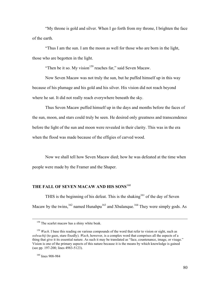"My throne is gold and silver. When I go forth from my throne, I brighten the face of the earth.

 "Thus I am the sun. I am the moon as well for those who are born in the light, those who are begotten in the light.

"Then be it so. My vision<sup>159</sup> reaches far," said Seven Macaw.

 Now Seven Macaw was not truly the sun, but he puffed himself up in this way because of his plumage and his gold and his silver. His vision did not reach beyond where he sat. It did not really reach everywhere beneath the sky.

 Thus Seven Macaw puffed himself up in the days and months before the faces of the sun, moon, and stars could truly be seen. He desired only greatness and transcendence before the light of the sun and moon were revealed in their clarity. This was in the era when the flood was made because of the effigies of carved wood.

 Now we shall tell how Seven Macaw died; how he was defeated at the time when people were made by the Framer and the Shaper.

# THE FALL OF SEVEN MACAW AND HIS SONS<sup>160</sup>

THIS is the beginning of his defeat. This is the shaking  $161$  of the day of Seven Macaw by the twins,  $162$  named Hunahpu<sup>163</sup> and Xbalanque.  $164$  They were simply gods. As

<sup>&</sup>lt;sup>158</sup> The scarlet macaw has a shiny white beak.

<sup>&</sup>lt;sup>159</sup> *Wach*. I base this reading on various compounds of the word that refer to vision or sight, such as *solwachij* (to gaze, stare fixedly). *Wach*, however, is a complex word that comprises all the aspects of a thing that give it its essential nature. As such it may be translated as "face, countenance, image, or visage." Vision is one of the primary aspects of this nature because it is the means by which knowledge is gained (see pp. 197-200; lines 4983-5123).

<sup>&</sup>lt;sup>160</sup> lines 908-984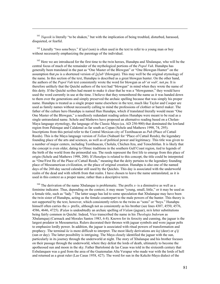<sup>161</sup> *Yigoxik* is literally "to be shaken," but with the implication of being troubled, disturbed, harassed, disquieted, or fearful.

<sup>162</sup> Literally "two sons/boys." *K'ajol* (son) is often used in the text to refer to a young man or boy without necessarily emphasizing the parentage of the individual.

 $\overline{a}$ 

<sup>163</sup> Here we are introduced for the first time to the twin heroes, Hunahpu and Xbalanque, who will be the central focus of much of the remainder of the mythological portions of the *Popol Vuh*. Hunahpu has generally been translated in the past as "One Master of the Blowgun" or "One Blowgun Hunter" on the assumption that *pu* is a shortened version of *[p]ub'* (blowgun). This may well be the original etymology of the name. In this section of the text, Hunahpu is described as a great blowgun hunter. On the other hand, the authors of the *Popol Vuh* text consistently wrote the word for blowgun as *ub'* or *wub',* not *pu.* It is therefore unlikely that the Quiché authors of the text had "blowgun" in mind when they wrote the name of this deity. If the Quiché scribes had meant to make it clear that he was a "blowgunner," they would have used the word currently in use at the time. I believe that they remembered the name as it was handed down to them over the generations and simply preserved the archaic spelling because that was simply his proper name. Hunahpu is treated as a single proper name elsewhere in the text, much like Taylor and Cooper are used as family names without necessarily calling to mind the professions of clothier or barrel maker. The father of the culture hero Hunahpu is named Hun Hunahpu, which if translated literally would mean "One One Master of the Blowgun," a needlessly redundant reading unless Hunahpu were meant to be read as a single untranslated name. Schele and Mathews have proposed an alternative reading based on a Cholan-Maya language etymology, the language of the Classic Maya (ca. AD 250-900) that dominated the lowland region from Palenque and Calakmul as far south as Copan (Schele and Mathews 1998, 74, 295). Inscriptions from this period refer to the Central Mexican city of Teotihuacan as *Puh* (Place of Cattail Reeds). This is the Maya language version of *Tollan* (Nahuatl for "Place of Cattail Reeds), the legendary founding place of the arts and sciences, as well as of political power and legitimacy. This title was given to a number of major centers, including Teotihuacan, Cholula, Chichen Itza, and Tenochtitlan. It is likely that the concept is even older, dating to Olmec traditions in the southern Gulf Coast region, tied to legends of the birth of the world from the primordial sea. The reeds represent the first life to emerge from this place of origin (Schele and Mathews 1998, 200). If *Hunahpu* is related to this concept, the title could be interpreted as "One/First He of the Place of Cattail Reeds," meaning that the deity pertains to the legendary founding place of Mesoamerican civilization, or the place of original creation. Hunahpu is also one of the named days of the 260-day sacred calendar still used by the Quichés. This day is associated with the underworld realm of the dead and with rebirth from that realm. I have chosen to leave the name untranslated, as it is used in this context as a proper name, rather than a descriptive term.

<sup>164</sup> The derivation of the name Xbalanque is problematic. The prefix  $x$ - is a diminutive as well as a feminine indicator. Thus, depending on the context, it may mean "young, small, little," or it may be used as a female title, such as "lady." The latter usage has led to some speculation that Xbalanque may have been the twin sister of Hunahpu, acting as the female counterpart to the male powers of the hunter. This theory is not supported by the text, however, which consistently refers to the twins as "sons" or "boys." Hunahpu himself often carries the *x-* prefix, although not as consistently as his brother (see lines 4307, 4550, 4576, 4586, 4646, 4725). *B'alan* is undoubtedly an archaic spelling of *b'alam* (jaguar), m/n letter substitutions being fairly common in Quiché. Indeed, Vico transcribed the name in his *Theologia Indorum* as Xbalamquej (Carmack and Morales Santos 1983, 6-8). Known for its ferocity and cunning, the jaguar is the largest predator in Mesoamerica. Rulers decorated their thrones with jaguar symbols and wore jaguar pelts to emphasize lordly power. In addition, the jaguar is associated with ritual powers of transformation and prophecy. The terminal *ke* is more difficult to interpret. The most likely derivations are *kej* (deer) or *q'ij* (sun or day). The latter possibility is intriguing. The Maya closely identified the jaguar with the sun, particularly in its journey through the underworld at night. The story of Xbalanque and his brother focuses on their passage through the underworld, where they defeat the lords of death, ultimately to become the apotheosed sun and moon in the sky. Father Bartolomé de las Casas was told in the sixteenth century that Exbalanquen was a god from the area of the Guatemalan Alta Verapaz who made war with the lords of hell and returned as a great ruler (Las Casas 1958, 427). The word for sun in the Kekchi-Maya dialect of the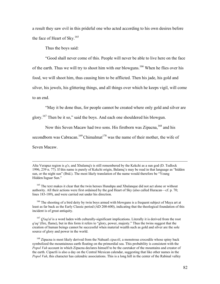a result they saw evil in this prideful one who acted according to his own desires before the face of Heart of Sky.<sup>165</sup>

Thus the boys said:

 "Good shall never come of this. People will never be able to live here on the face of the earth. Thus we will try to shoot him with our blowguns.<sup>166</sup> When he flies over his food, we will shoot him, thus causing him to be afflicted. Then his jade, his gold and silver, his jewels, his glittering things, and all things over which he keeps vigil, will come to an end.

"May it be done thus, for people cannot be created where only gold and silver are

glory.<sup>167</sup> Then be it so," said the boys. And each one shouldered his blowgun.

Now this Seven Macaw had two sons. His firstborn was Zipacna,<sup>168</sup> and his

secondborn was Cabracan.<sup>169</sup> Chimalmat<sup>170</sup> was the name of their mother, the wife of

Seven Macaw.

<sup>166</sup> The shooting of a bird deity by twin boys armed with blowguns is a frequent subject of Maya art at least as far back as the Early Classic period (AD 200-600), indicating that the theological foundation of this incident is of great antiquity.

<sup>167</sup> *Q'aq'al* is a word laden with culturally-significant implications. Literally it is derived from the root *q'aq'* (fire, flame), but in this form it refers to "glory, power, majesty." Thus the twins suggest that the creation of human beings cannot be successful when material wealth such as gold and silver are the sole source of glory and power in the world.

<sup>168</sup> Zipacna is most likely derived from the Nahuatl *cipactli*, a monstrous crocodile whose spiny back symbolized the mountainous earth floating on the primordial sea. This probability is consistent with the *Popol Vuh* account in which Zipacna declares himself to be the caretaker of the mountains and creator of the earth. Cipactli is also a day on the Central Mexican calendar, suggesting that like other names in the *Popol Vuh*, this character has calendric associations. This is a long hill in the center of the Rabinal valley

Alta Verapaz region is *q'e*, and Xbalamq'e is still remembered by the Kekchi as a sun god (D. Tedlock 1996, 239 n. 77). If this name is purely of Kekchi origin, Balamq'e may be read in that language as "hidden sun, or the night sun" (Ibid.). The most likely translation of the name would therefore be "Young Hidden/Jaguar Sun."

<sup>&</sup>lt;sup>165</sup> The text makes it clear that the twin heroes Hunahpu and Xbalanque did not act alone or without authority. All their actions were first ordained by the god Heart of Sky (also called Huracan—cf. p. 70; lines 183-189), and were carried out under his direction.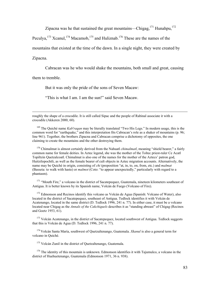Zipacna was he that sustained the great mountains—Chigag,  $171$  Hunahpu,  $172$ 

Peculya,  $^{173}$  Xcanul,  $^{174}$  Macamob,  $^{175}$  and Huliznab.  $^{176}$  These are the names of the

mountains that existed at the time of the dawn. In a single night, they were created by

Zipacna.

Cabracan was he who would shake the mountains, both small and great, causing

them to tremble.

But it was only the pride of the sons of Seven Macaw:

"This is what I am. I am the sun!" said Seven Macaw.

 roughly the shape of a crocodile. It is still called Sipac and the people of Rabinal associate it with a crocodile (Akkeren 2000, 60).

<sup>169</sup> The Quiché name *Kab'raqan* may be literally translated "Two His Legs." In modern usage, this is the common word for "earthquake," and this interpretation fits Cabracan's role as a shaker of mountains (p. 96; line 961). Together, the brothers Zipacna and Cabracan comprise a dichotomy of opposites, the one claiming to create the mountains and the other destroying them.

<sup>170</sup> Chimalmat is almost certainly derived from the Nahuatl *chimalmatl*, meaning "shield bearer," a fairly common name for female deities. In Aztec legend, she was the mother of the Toltec priest-ruler Ce Acatl Topiltzin Quetzalcoatl. Chimalmat is also one of the names for the mother of the Aztecs' patron god, Huitzilopochtli, as well as the female bearer of cult objects in Aztec migration accounts. Alternatively, the name may be Quiché in origin, consisting of *chi* (preposition "at, in, to, on, from, etc.) and *malmat* (Basseta: to walk with haste) or *malmot* (Coto: "to appear unexpectedly," particularly with regard to a phantasm).

<sup>171</sup> "Mouth Fire," a volcano in the district of Sacatepequez, Guatemala, nineteen kilometers southeast of Antigua. It is better known by its Spanish name, Volcán de Fuego (Volcano of Fire).

<sup>172</sup> Edmonson and Recinos identify this volcano as Volcán de Agua (Spanish: Volcano of Water), also located in the district of Sacatepequez, southeast of Antigua. Tedlock identifies it with Volcán de Acatenango, located in the same district (D. Tedlock 1996, 241 n. 77). In either case, it must be a volcano located near Chigag as the *Annals of the Cakchiquels* describes it as "standing abreast" of Chigag (Recinos and Goetz 1953, 61).

<sup>173</sup> Volcán Acatenango, in the district of Sacatepequez, located southwest of Antigua. Tedlock suggests that this is Volcán de Agua (D. Tedlock 1996, 241 n. 77).

 <sup>174</sup> Volcán Santa María, southwest of Quetzaltenango, Guatemala. *Xkanul* is also a general term for volcano in Quiché.

<sup>175</sup> Volcán Zunil in the district of Quetzaltenango, Guatemala.

<sup>176</sup> The identity of this mountain is unknown. Edmonson identifies it with Tajumulco, a volcano in the district of Huehuetenango, Guatemala (Edmonson 1971, 36 n. 938).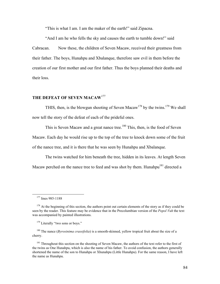"This is what I am. I am the maker of the earth!" said Zipacna.

 "And I am he who fells the sky and causes the earth to tumble down!" said Cabracan. Now these, the children of Seven Macaw, received their greatness from their father. The boys, Hunahpu and Xbalanque, therefore saw evil in them before the creation of our first mother and our first father. Thus the boys planned their deaths and their loss.

### THE DEFEAT OF SEVEN MACAW<sup>177</sup>

THIS, then, is the blowgun shooting of Seven Macaw<sup>178</sup> by the twins.<sup>179</sup> We shall now tell the story of the defeat of each of the prideful ones.

This is Seven Macaw and a great nance tree.<sup>180</sup> This, then, is the food of Seven Macaw. Each day he would rise up to the top of the tree to knock down some of the fruit of the nance tree, and it is there that he was seen by Hunahpu and Xbalanque.

 The twins watched for him beneath the tree, hidden in its leaves. At length Seven Macaw perched on the nance tree to feed and was shot by them. Hunahpu $^{181}$  directed a

<sup>&</sup>lt;sup>177</sup> lines 985-1188

<sup>&</sup>lt;sup>178</sup> At the beginning of this section, the authors point out certain elements of the story as if they could be seen by the reader. This feature may be evidence that in the Precolumbian version of the *Popol Vuh* the text was accompanied by painted illustrations.

<sup>&</sup>lt;sup>179</sup> Literally "two sons or boys."

<sup>&</sup>lt;sup>180</sup> The nance (*Byrosinima crassifolia*) is a smooth-skinned, yellow tropical fruit about the size of a cherry.

<sup>&</sup>lt;sup>181</sup> Throughout this section on the shooting of Seven Macaw, the authors of the text refer to the first of the twins as One Hunahpu, which is also the name of his father. To avoid confusion, the authors generally shortened the name of the son to Hunahpu or Xhunahpu (Little Hunahpu). For the same reason, I have left the name as Hunahpu.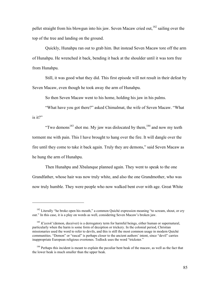pellet straight from his blowgun into his jaw. Seven Macaw cried out, <sup>182</sup> sailing over the top of the tree and landing on the ground.

 Quickly, Hunahpu ran out to grab him. But instead Seven Macaw tore off the arm of Hunahpu. He wrenched it back, bending it back at the shoulder until it was torn free from Hunahpu.

 Still, it was good what they did. This first episode will not result in their defeat by Seven Macaw, even though he took away the arm of Hunahpu.

So then Seven Macaw went to his home, holding his jaw in his palms.

 "What have you got there?" asked Chimalmat, the wife of Seven Macaw. "What is it?"

"Two demons<sup>183</sup> shot me. My jaw was dislocated by them,  $184$  and now my teeth torment me with pain. This I have brought to hang over the fire. It will dangle over the fire until they come to take it back again. Truly they are demons," said Seven Macaw as he hung the arm of Hunahpu.

 Then Hunahpu and Xbalanque planned again. They went to speak to the one Grandfather, whose hair was now truly white, and also the one Grandmother, who was now truly humble. They were people who now walked bent over with age. Great White

<sup>&</sup>lt;sup>182</sup> Literally "he broke open his mouth," a common Quiché expression meaning "to scream, shout, or cry out." In this case, it is a play on words as well, considering Seven Macaw's broken jaw.

<sup>&</sup>lt;sup>183</sup> *K'axtok'* (demon, deceiver) is a derrogatory term for harmful beings, either human or supernatural, particularly when the harm is some form of deception or trickery. In the colonial period, Christian missionaries used the word to refer to devils, and this is still the most common usage in modern Quiché communities. "Demon" or "rascal" is perhaps closer to the ancient authors' intent, since "devil" carries inappropriate European religious overtones. Tedlock uses the word "trickster."

<sup>&</sup>lt;sup>184</sup> Perhaps this incident is meant to explain the peculiar bent beak of the macaw, as well as the fact that the lower beak is much smaller than the upper beak.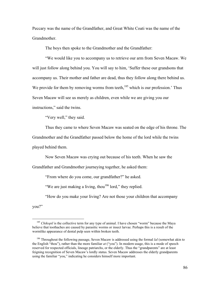Peccary was the name of the Grandfather, and Great White Coati was the name of the Grandmother.

The boys then spoke to the Grandmother and the Grandfather:

 "We would like you to accompany us to retrieve our arm from Seven Macaw. We will just follow along behind you. You will say to him, 'Suffer these our grandsons that accompany us. Their mother and father are dead, thus they follow along there behind us. We provide for them by removing worms from teeth,  $185$  which is our profession.' Thus Seven Macaw will see us merely as children, even while we are giving you our instructions," said the twins.

"Very well," they said.

 $\overline{a}$ 

Thus they came to where Seven Macaw was seated on the edge of his throne. The

Grandmother and the Grandfather passed below the home of the lord while the twins played behind them.

Now Seven Macaw was crying out because of his teeth. When he saw the

Grandfather and Grandmother journeying together, he asked them:

"From where do you come, our grandfather?" he asked.

"We are just making a living, thou<sup>186</sup> lord," they replied.

 "How do you make your living? Are not those your children that accompany you?"

<sup>&</sup>lt;sup>185</sup> *Chikopil* is the collective term for any type of animal. I have chosen "worm" because the Maya believe that toothaches are caused by parasitic worms or insect larvae. Perhaps this is a result of the wormlike appearance of dental pulp seen within broken teeth.

<sup>&</sup>lt;sup>186</sup> Throughout the following passage, Seven Macaw is addressed using the formal *lal* (somewhat akin to the English "thou"), rather than the more familiar *at* ("you"). In modern usage, this is a mode of speech reserved for respected officials, lineage patriarchs, or the elderly. Thus the "grandparents" are at least feigning recognition of Seven Macaw's lordly status. Seven Macaw addresses the elderly grandparents using the familiar "you," indicating he considers himself more important.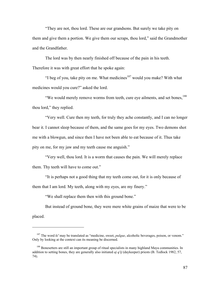"They are not, thou lord. These are our grandsons. But surely we take pity on them and give them a portion. We give them our scraps, thou lord," said the Grandmother and the Grandfather.

 The lord was by then nearly finished off because of the pain in his teeth. Therefore it was with great effort that he spoke again:

"I beg of you, take pity on me. What medicines<sup>187</sup> would you make? With what medicines would you cure?" asked the lord.

"We would merely remove worms from teeth, cure eye ailments, and set bones, <sup>188</sup> thou lord," they replied.

 "Very well. Cure then my teeth, for truly they ache constantly, and I can no longer bear it. I cannot sleep because of them, and the same goes for my eyes. Two demons shot me with a blowgun, and since then I have not been able to eat because of it. Thus take pity on me, for my jaw and my teeth cause me anguish."

 "Very well, thou lord. It is a worm that causes the pain. We will merely replace them. Thy teeth will have to come out."

 "It is perhaps not a good thing that my teeth come out, for it is only because of them that I am lord. My teeth, along with my eyes, are my finery."

"We shall replace them then with this ground bone."

 $\overline{a}$ 

 But instead of ground bone, they were mere white grains of maize that were to be placed.

<sup>&</sup>lt;sup>187</sup> The word *ki'* may be translated as "medicine, sweet, *pulque*, alcoholic beverages, poison, or venom." Only by looking at the context can its meaning be discerned.

<sup>&</sup>lt;sup>188</sup> Bonesetters are still an important group of ritual specialists in many highland Maya communities. In addition to setting bones, they are generally also initiated *aj q'ij* (daykeeper) priests (B. Tedlock 1982, 57, 74).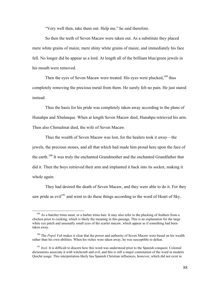"Very well then, take them out. Help me," he said therefore.

 So then the teeth of Seven Macaw were taken out. As a substitute they placed mere white grains of maize, mere shiny white grains of maize, and immediately his face fell. No longer did he appear as a lord. At length all of the brilliant blue/green jewels in his mouth were removed.

Then the eyes of Seven Macaw were treated. His eyes were plucked, <sup>189</sup> thus completely removing the precious metal from them. He surely felt no pain. He just stared instead.

 Thus the basis for his pride was completely taken away according to the plans of Hunahpu and Xbalanque. When at length Seven Macaw died, Hunahpu retrieved his arm. Then also Chimalmat died, the wife of Seven Macaw.

 Thus the wealth of Seven Macaw was lost, for the healers took it away—the jewels, the precious stones, and all that which had made him proud here upon the face of the earth.<sup>190</sup> It was truly the enchanted Grandmother and the enchanted Grandfather that did it. Then the boys retrieved their arm and implanted it back into its socket, making it whole again.

 They had desired the death of Seven Macaw, and they were able to do it. For they saw pride as evil<sup>191</sup> and went to do these things according to the word of Heart of Sky.

<sup>&</sup>lt;sup>189</sup> As a butcher trims meat, or a barber trims hair. It may also refer to the plucking of feathers from a chicken prior to cooking, which is likely the meaning in this passage. This is an explanation for the large white eye patch and unusually small eyes of the scarlet macaw, which appear as if something had been taken away.

<sup>&</sup>lt;sup>190</sup> The *Popol Vuh* makes it clear that the power and authority of Seven Macaw were based on his wealth rather than his own abilities. When his riches were taken away, he was susceptible to defeat.

<sup>&</sup>lt;sup>191</sup> *Itzel*. It is difficult to discern how this word was understood prior to the Spanish conquest. Colonial dictionaries associate it with witchcraft and evil, and this is still a major connotation of the word in modern Quiché usage. This interpretation likely has Spanish Christian influences, however, which did not exist in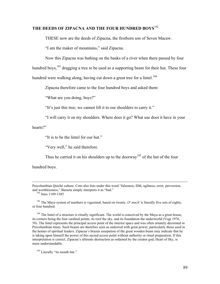# THE DEEDS OF ZIPACNA AND THE FOUR HUNDRED BOYS<sup>192</sup>

THESE now are the deeds of Zipacna, the firstborn son of Seven Macaw.

"I am the maker of mountains," said Zipacna.

Now this Zipacna was bathing on the banks of a river when there passed by four

hundred boys, <sup>193</sup> dragging a tree to be used as a supporting beam for their hut. These four

hundred were walking along, having cut down a great tree for a lintel.<sup>194</sup>

Zipacna therefore came to the four hundred boys and asked them:

"What are you doing, boys?"

"It's just this tree; we cannot lift it to our shoulders to carry it."

"I will carry it on my shoulders. Where does it go? What use does it have in your

hearts?"

"It is to be the lintel for our hut."

"Very well," he said therefore.

Thus he carried it on his shoulders up to the doorway<sup>195</sup> of the hut of the four

hundred boys.

 Precolumbian Quiché culture. Coto also lists under this word "falseness, filth, ugliness, error, perversion, and worthlessness." Basseta simply interprets it as "bad."

<sup>192</sup> lines 1189-1385

<sup>193</sup> The Maya system of numbers is vigesimal, based on twenty. *O' much'* is literally five sets of eighty, or four hundred.

 $194$  The lintel of a structure is ritually significant. The world is conceived by the Maya as a great house, its corners being the four cardinal points, its roof the sky, and its foundation the underworld (Vogt 1976, 58). The lintel represents the principal access point of the interior space and was often ornately decorated in Precolumbian times. Such beams are therefore seen as endowed with great power, particularly those used in the homes of spiritual leaders. Zipacna's brazen usurpation of the great wooden beam may indicate that he is taking upon himself the power of this sacred access point without authority or ritual preparation. If this interpretation is correct, Zipacna's ultimate destruction as ordained by the creator god, Heart of Sky, is more understandable.

<sup>195</sup> Literally "its mouth hut."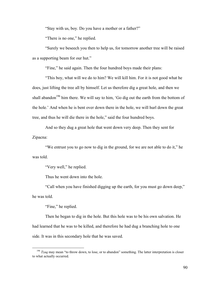"Stay with us, boy. Do you have a mother or a father?"

"There is no one," he replied.

 "Surely we beseech you then to help us, for tomorrow another tree will be raised as a supporting beam for our hut."

"Fine," he said again. Then the four hundred boys made their plans:

 "This boy, what will we do to him? We will kill him. For it is not good what he does, just lifting the tree all by himself. Let us therefore dig a great hole, and then we shall abandon<sup>196</sup> him there. We will say to him, 'Go dig out the earth from the bottom of the hole.' And when he is bent over down there in the hole, we will hurl down the great tree, and thus he will die there in the hole," said the four hundred boys.

 And so they dug a great hole that went down very deep. Then they sent for Zipacna:

 "We entrust you to go now to dig in the ground, for we are not able to do it," he was told.

"Very well," he replied.

Thus he went down into the hole.

 "Call when you have finished digging up the earth, for you must go down deep," he was told.

"Fine," he replied.

 Then he began to dig in the hole. But this hole was to be his own salvation. He had learned that he was to be killed, and therefore he had dug a branching hole to one side. It was in this secondary hole that he was saved.

 <sup>196</sup> *Tzaq* may mean "to throw down, to lose, or to abandon" something. The latter interpretation is closer to what actually occurred.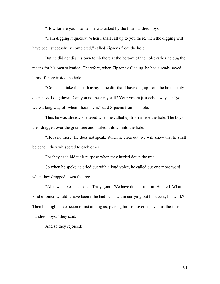"How far are you into it?" he was asked by the four hundred boys.

 "I am digging it quickly. When I shall call up to you there, then the digging will have been successfully completed," called Zipacna from the hole.

 But he did not dig his own tomb there at the bottom of the hole; rather he dug the means for his own salvation. Therefore, when Zipacna called up, he had already saved himself there inside the hole:

 "Come and take the earth away—the dirt that I have dug up from the hole. Truly deep have I dug down. Can you not hear my call? Your voices just echo away as if you were a long way off when I hear them," said Zipacna from his hole.

 Thus he was already sheltered when he called up from inside the hole. The boys then dragged over the great tree and hurled it down into the hole.

 "He is no more. He does not speak. When he cries out, we will know that he shall be dead," they whispered to each other.

For they each hid their purpose when they hurled down the tree.

 So when he spoke he cried out with a loud voice, he called out one more word when they dropped down the tree.

 "Aha, we have succeeded! Truly good! We have done it to him. He died. What kind of omen would it have been if he had persisted in carrying out his deeds, his work? Then he might have become first among us, placing himself over us, even us the four hundred boys," they said.

And so they rejoiced: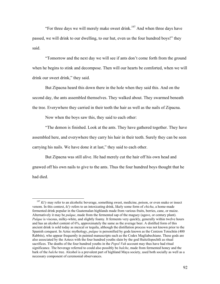"For three days we will merely make sweet drink.<sup>197</sup> And when three days have passed, we will drink to our dwelling, to our hut, even us the four hundred boys!" they said.

 "Tomorrow and the next day we will see if ants don't come forth from the ground when he begins to stink and decompose. Then will our hearts be comforted, when we will drink our sweet drink," they said.

 But Zipacna heard this down there in the hole when they said this. And on the second day, the ants assembled themselves. They walked about. They swarmed beneath the tree. Everywhere they carried in their teeth the hair as well as the nails of Zipacna.

Now when the boys saw this, they said to each other:

 "The demon is finished. Look at the ants. They have gathered together. They have assembled here, and everywhere they carry his hair in their teeth. Surely they can be seen carrying his nails. We have done it at last," they said to each other.

 But Zipacna was still alive. He had merely cut the hair off his own head and gnawed off his own nails to give to the ants. Thus the four hundred boys thought that he had died.

 $197$  *Ki'v* may refer to an alcoholic beverage, something sweet, medicine, poison, or even snake or insect venom. In this context, *ki'y* refers to an intoxicating drink, likely some form of *chicha*, a home-made fermented drink popular in the Guatemalan highlands made from various fruits, berries, cane, or maize. Alternatively it may be *pulque*, made from the fermented sap of the maguey (agave, or century plant). *Pulque* is viscous, milky-white, and slightly foamy. It ferments very quickly, generally within twelve hours and has an alcohol content of 6%, approximately the same as the average beer. A distilled form of this ancient drink is sold today as mezcal or tequila, although the distillation process was not known prior to the Spanish conquest. In Aztec mythology, *pulque* is personified by gods known as the Centzon Totochtin (400 Rabbits), who appear frequently in painted manuscripts such as the Codex Magliabechiano. These gods are also associated by the Aztecs with the four hundred youths slain by the god Huitzilopochtli as ritual sacrifices. The deaths of the four hundred youths in the *Popol Vuh* account may thus have had ritual significance. The beverage referred to could also possibly be *balche*, made from fermented honey and the bark of the *balche* tree. Alcohol is a prevalent part of highland Maya society, used both socially as well as a necessary component of ceremonial observances.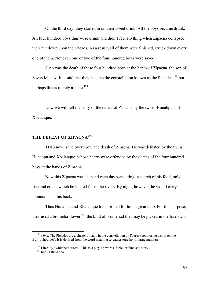On the third day, they started in on their sweet drink. All the boys became drunk. All four hundred boys thus were drunk and didn't feel anything when Zipacna collapsed their hut down upon their heads. As a result, all of them were finished, struck down every one of them. Not even one or two of the four hundred boys were saved.

 Such was the death of these four hundred boys at the hands of Zipacna, the son of Seven Macaw. It is said that they became the constellation known as the Pleiades, <sup>198</sup> but perhaps this is merely a fable.<sup>199</sup>

 Now we will tell the story of the defeat of Zipacna by the twins, Hunahpu and Xbalanque.

### THE DEFEAT OF ZIPACNA<sup>200</sup>

 THIS now is the overthrow and death of Zipacna. He was defeated by the twins, Hunahpu and Xbalanque, whose hearts were offended by the deaths of the four hundred boys at the hands of Zipacna.

 Now this Zipacna would spend each day wandering in search of his food, only fish and crabs, which he looked for in the rivers. By night, however, he would carry mountains on his back.

 Thus Hunahpu and Xbalanque transformed for him a great crab. For this purpose, they used a bromelia flower,  $201$  the kind of bromeliad that may be picked in the forests, to

<sup>&</sup>lt;sup>198</sup> *Motz*. The Pleiades are a cluster of stars in the constellation of Taurus (composing a spot on the Bull's shoulder). It is derived from the word meaning to gather together in large numbers.

<sup>&</sup>lt;sup>199</sup> Literally "whiteness word." This is a play on words, fable, or fantastic story.

<sup>&</sup>lt;sup>200</sup> lines 1386-1524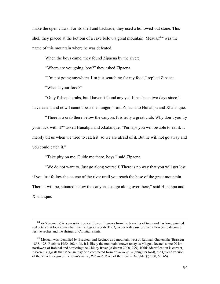make the open claws. For its shell and backside, they used a hollowed-out stone. This shell they placed at the bottom of a cave below a great mountain. Meauan<sup>202</sup> was the name of this mountain where he was defeated.

When the boys came, they found Zipacna by the river:

"Where are you going, boy?" they asked Zipacna.

"I'm not going anywhere. I'm just searching for my food," replied Zipacna.

"What is your food?"

 $\overline{a}$ 

 "Only fish and crabs, but I haven't found any yet. It has been two days since I have eaten, and now I cannot bear the hunger," said Zipacna to Hunahpu and Xbalanque.

 "There is a crab there below the canyon. It is truly a great crab. Why don't you try your luck with it?" asked Hunahpu and Xbalanque. "Perhaps you will be able to eat it. It merely bit us when we tried to catch it, so we are afraid of it. But he will not go away and you could catch it."

"Take pity on me. Guide me there, boys," said Zipacna.

 "We do not want to. Just go along yourself. There is no way that you will get lost if you just follow the course of the river until you reach the base of the great mountain. There it will be, situated below the canyon. Just go along over there," said Hunahpu and Xbalanque.

<sup>&</sup>lt;sup>201</sup> *Ek'* (bromelia) is a parasitic tropical flower. It grows from the branches of trees and has long, pointed red petals that look somewhat like the legs of a crab. The Quichés today use bromelia flowers to decorate festive arches and the shrines of Christian saints.

<sup>&</sup>lt;sup>202</sup> Meauan was identified by Brasseur and Recinos as a mountain west of Rabinal, Guatemala (Brasseur 1858, 128; Recinos 1950, 102 n. 3). It is likely the mountain known today as Miagua, located some 20 km. northwest of Rabinal and bordering the Chixoy River (Akkeren 2000, 299). If this identification is correct, Akkeren suggests that Meauan may be a contracted form of *me'al ajaw* (daughter lord), the Quiché version of the Kekchi origin of the town's name, *Rab'inal* (Place of the Lord's Daughter) (2000, 60, 66).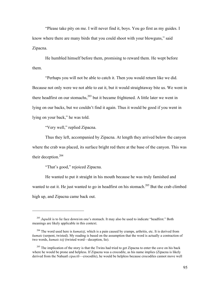"Please take pity on me. I will never find it, boys. You go first as my guides. I know where there are many birds that you could shoot with your blowguns," said Zipacna.

 He humbled himself before them, promising to reward them. He wept before them.

 "Perhaps you will not be able to catch it. Then you would return like we did. Because not only were we not able to eat it, but it would straightaway bite us. We went in there headfirst on our stomachs,  $203$  but it became frightened. A little later we went in lying on our backs, but we couldn't find it again. Thus it would be good if you went in lying on your back," he was told.

"Very well," replied Zipacna.

 Thus they left, accompanied by Zipacna. At length they arrived below the canyon where the crab was placed, its surface bright red there at the base of the canyon. This was their deception.204

"That's good," rejoiced Zipacna.

 $\overline{a}$ 

 He wanted to put it straight in his mouth because he was truly famished and wanted to eat it. He just wanted to go in headfirst on his stomach.<sup>205</sup> But the crab climbed high up, and Zipacna came back out.

<sup>&</sup>lt;sup>203</sup> *Jupulik* is to lie face down/on one's stomach. It may also be used to indicate "headfirst." Both meanings are likely applicable in this context.

<sup>&</sup>lt;sup>204</sup> The word used here is *kumatzij*, which is a pain caused by cramps, arthritis, etc. It is derived from *kumatz* (serpent, twisted). My reading is based on the assumption that the word is actually a contraction of two words, *kumatz tzij* (twisted word—deception, lie).

<sup>&</sup>lt;sup>205</sup> The implication of the story is that the Twins had tried to get Zipacna to enter the cave on his back where he would be prone and helpless. If Zipacna was a crocodile, as his name implies (Zipacna is likely derived from the Nahuatl *cipactli*—crocodile), he would be helpless because crocodiles cannot move well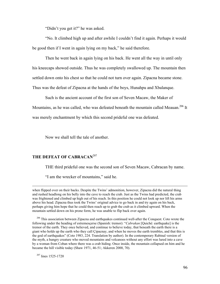"Didn't you get it?" he was asked.

 "No. It climbed high up and after awhile I couldn't find it again. Perhaps it would be good then if I went in again lying on my back," he said therefore.

 Then he went back in again lying on his back. He went all the way in until only his kneecaps showed outside. Thus he was completely swallowed up. The mountain then settled down onto his chest so that he could not turn over again. Zipacna became stone. Thus was the defeat of Zipacna at the hands of the boys, Hunahpu and Xbalanque.

Such is the ancient account of the first son of Seven Macaw, the Maker of Mountains, as he was called, who was defeated beneath the mountain called Meauan.<sup>206</sup> It was merely enchantment by which this second prideful one was defeated.

Now we shall tell the tale of another.

#### THE DEFEAT OF CABRACAN<sup>207</sup>

THE third prideful one was the second son of Seven Macaw, Cabracan by name.

"I am the wrecker of mountains," said he.

when flipped over on their backs. Despite the Twins' admonition, however, Zipacna did the natural thing and rushed headlong on his belly into the cave to reach the crab. Just as the Twins had predicted, the crab was frightened and climbed up high out of his reach. In this position he could not look up nor lift his arms above his head. Zipacna thus took the Twins' original advice to go back in and try again on his back, perhaps giving him hope that he could then reach up to grab the crab as it climbed upward. When the mountain settled down on his prone form, he was unable to flip back over again.

<sup>&</sup>lt;sup>206</sup> This association between Zipacna and earthquakes continued well-after the Conquest. Coto wrote the following under the heading of estremesçerse (Spanish: tremor): "*Cabrakan* [Quiché: earthquake] is the tremor of the earth. They once believed, and continue to believe today, that beneath the earth there is a giant who holds up the earth who they call Çipacnay, and when he moves the earth trembles, and that this is the god of earthquakes" (Coto 1983, 224. Translation by author). In the contemporary Rabinal version of the myth, a hungry creature who moved mountains and volcanoes without any effort was lured into a cave by a woman from Coban where there was a crab hiding. Once inside, the mountain collapsed on him and he became the hill visible today (Shaw 1971, 46-51; Akkeren 2000, 70).

<sup>&</sup>lt;sup>207</sup> lines 1525-1720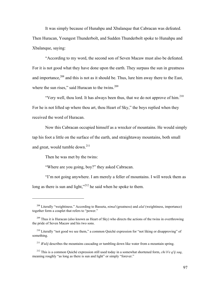It was simply because of Hunahpu and Xbalanque that Cabracan was defeated. Then Huracan, Youngest Thunderbolt, and Sudden Thunderbolt spoke to Hunahpu and Xbalanque, saying:

 "According to my word, the second son of Seven Macaw must also be defeated. For it is not good what they have done upon the earth. They surpass the sun in greatness and importance,<sup>208</sup> and this is not as it should be. Thus, lure him away there to the East, where the sun rises," said Huracan to the twins.<sup>209</sup>

"Very well, thou lord. It has always been thus, that we do not approve of him.<sup>210</sup> For he is not lifted up where thou art, thou Heart of Sky," the boys replied when they received the word of Huracan.

 Now this Cabracan occupied himself as a wrecker of mountains. He would simply tap his foot a little on the surface of the earth, and straightaway mountains, both small and great, would tumble down.<sup>211</sup>

Then he was met by the twins:

 $\overline{a}$ 

"Where are you going, boy?" they asked Cabracan.

 "I'm not going anywhere. I am merely a feller of mountains. I will wreck them as long as there is sun and light," $2^{12}$  he said when he spoke to them.

<sup>211</sup> *B'ulij* describes the mountains cascading or tumbling down like water from a mountain spring.

<sup>208</sup> Literally "weightiness." According to Basseta, *nimal* (greatness) and *alal* (weightiness, importance) together form a couplet that refers to "power."

 $209$  Thus it is Huracan (also known as Heart of Sky) who directs the actions of the twins in overthrowing the pride of Seven Macaw and his two sons.

<sup>&</sup>lt;sup>210</sup> Literally "not good we see them," a common Quiché expression for "not liking or disapproving" of something.

<sup>212</sup> This is a common Quiché expression still used today in a somewhat shortened form, *chi b'e q'ij saq*, meaning roughly "as long as there is sun and light" or simply "forever."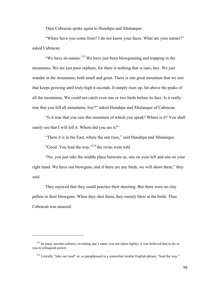Then Cabracan spoke again to Hunahpu and Xbalanque:

 "Where have you come from? I do not know your faces. What are your names?" asked Cabracan.

"We have no names.<sup>213</sup> We have just been blowgunning and trapping in the mountains. We are just poor orphans, for there is nothing that is ours, boy. We just wander in the mountains, both small and great. There is one great mountain that we saw that keeps growing until truly high it ascends. It simply rises up, far above the peaks of all the mountains. We could not catch even one or two birds before its face. Is it really true that you fell all mountains, boy?" asked Hunahpu and Xbalanque of Cabracan.

 "Is it true that you saw this mountain of which you speak? Where is it? You shall surely see that I will fell it. Where did you see it?"

"There it is in the East, where the sun rises," said Hunahpu and Xbalanque.

"Good. You lead the way,"214 the twins were told.

 $\overline{a}$ 

 "No, you just take the middle place between us, one on your left and one on your right hand. We have our blowguns, and if there are any birds, we will shoot them," they said.

 They rejoiced that they could practice their shooting. But there were no clay pellets in their blowguns. When they shot them, they merely blew at the birds. Thus Cabracan was amazed.

<sup>&</sup>lt;sup>213</sup> In many ancient cultures, revealing one's name was not taken lightly; it was believed that to do so was to relinquish power.

<sup>&</sup>lt;sup>214</sup> Literally "take our road" or, as paraphrased in a somewhat similar English phrase, "lead the way."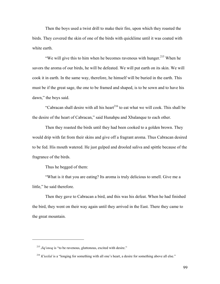Then the boys used a twist drill to make their fire, upon which they roasted the birds. They covered the skin of one of the birds with quicklime until it was coated with white earth.

"We will give this to him when he becomes ravenous with hunger.<sup>215</sup> When he savors the aroma of our birds, he will be defeated. We will put earth on its skin. We will cook it in earth. In the same way, therefore, he himself will be buried in the earth. This must be if the great sage, the one to be framed and shaped, is to be sown and to have his dawn," the boys said.

"Cabracan shall desire with all his heart<sup>216</sup> to eat what we will cook. This shall be the desire of the heart of Cabracan," said Hunahpu and Xbalanque to each other.

 Then they roasted the birds until they had been cooked to a golden brown. They would drip with fat from their skins and give off a fragrant aroma. Thus Cabracan desired to be fed. His mouth watered. He just gulped and drooled saliva and spittle because of the fragrance of the birds.

Thus he begged of them:

 $\overline{a}$ 

 "What is it that you are eating? Its aroma is truly delicious to smell. Give me a little," he said therefore.

 Then they gave to Cabracan a bird, and this was his defeat. When he had finished the bird, they went on their way again until they arrived in the East. There they came to the great mountain.

<sup>215</sup> *Jiq'onoq* is "to be ravenous, gluttonous, excited with desire."

<sup>&</sup>lt;sup>216</sup> *K'uxilal* is a "longing for something with all one's heart, a desire for something above all else."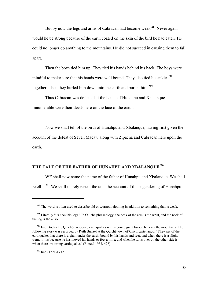But by now the legs and arms of Cabracan had become weak.<sup>217</sup> Never again would he be strong because of the earth coated on the skin of the bird he had eaten. He could no longer do anything to the mountains. He did not succeed in causing them to fall apart.

 Then the boys tied him up. They tied his hands behind his back. The boys were mindful to make sure that his hands were well bound. They also tied his ankles $^{218}$ together. Then they hurled him down into the earth and buried him.<sup>219</sup>

 Thus Cabracan was defeated at the hands of Hunahpu and Xbalanque. Innumerable were their deeds here on the face of the earth.

 Now we shall tell of the birth of Hunahpu and Xbalanque, having first given the account of the defeat of Seven Macaw along with Zipacna and Cabracan here upon the earth.

#### THE TALE OF THE FATHER OF HUNAHPU AND XBALANQUE<sup>220</sup>

 WE shall now name the name of the father of Hunahpu and Xbalanque. We shall retell it.<sup>221</sup> We shall merely repeat the tale, the account of the engendering of Hunahpu

 $^{217}$  The word is often used to describe old or wornout clothing in addition to something that is weak.

<sup>&</sup>lt;sup>218</sup> Literally "its neck his legs." In Quiché phraseology, the neck of the arm is the wrist, and the neck of the leg is the ankle.

<sup>&</sup>lt;sup>219</sup> Even today the Quichés associate earthquakes with a bound giant buried beneath the mountains. The following story was recorded by Ruth Bunzel at the Quiché town of Chichicastenango: "They say of the earthquake, that there is a giant under the earth, bound by his hands and feet, and when there is a slight tremor, it is because he has moved his hands or feet a little; and when he turns over on the other side is when there are strong earthquakes" (Bunzel 1952, 428).

<sup>220</sup> lines 1721-1732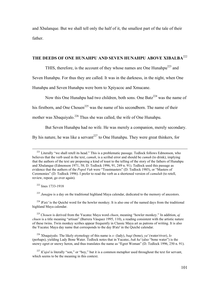and Xbalanque. But we shall tell only the half of it, the smallest part of the tale of their father.

# THE DEEDS OF ONE HUNAHPU AND SEVEN HUNAHPU ABOVE XIBALBA<sup>222</sup>

THIS, therefore, is the account of they whose names are One Hunahpu<sup>223</sup> and

Seven Hunahpu. For thus they are called. It was in the darkness, in the night, when One

Hunahpu and Seven Hunahpu were born to Xpiyacoc and Xmucane.

Now this One Hunahpu had two children, both sons. One Batz<sup>224</sup> was the name of

his firstborn, and One Chouen<sup>225</sup> was the name of his secondborn. The name of their

mother was Xbaquiyalo.<sup>226</sup> Thus she was called, the wife of One Hunahpu.

But Seven Hunahpu had no wife. He was merely a companion, merely secondary.

By his nature, he was like a servant<sup>227</sup> to One Hunahpu. They were great thinkers, for

<sup>222</sup> lines 1733-1918

<sup>223</sup> Junajpu is a day on the traditional highland Maya calendar, dedicated to the memory of ancestors.

<sup>224</sup> *B'atz'* is the Quiché word for the howler monkey. It is also one of the named days from the traditional highland Maya calendar.

 <sup>225</sup>*Chouen* is derived from the Yucatec Maya word *chuen*, meaning "howler monkey." In addition, *aj chuen* is a title meaning "artisan" (Barrera Vásquez 1995, 110), a reading consistent with the artistic nature of these twins. Twin monkey scribes appear frequently in Classic Maya art as patrons of writing. It is also the Yucatec Maya day name that corresponds to the day B'atz' in the Quiché calendar.

 <sup>226</sup> Xbaquiyalo. The likely etymology of this name is *x-* (lady), *baqi* (bone), *ya'* (water/river), *lo* (perhaps), yielding Lady Bone Water. Tedlock notes that in Yucatec, *bak ha'* (also "bone water") is the snowy egret or snowy heron, and thus translates the name as "Egret Woman" (D. Tedlock 1996, 250 n. 91).

<sup>&</sup>lt;sup>221</sup> Literally "we shall retell its head." This is a problematic passage. Tedlock follows Edmonson, who believes that the verb used in the text, *camuh*, is a scribal error and should be *cumuh* (to drink), implying that the authors of the text are proposing a kind of toast to the telling of the story of the fathers of Hunahpu and Xbalanque (Edmonson 1971, 58; D. Tedlock 1996, 91, 249 n. 91). Tedlock used this passage as evidence that the authors of the *Popol Vuh* were "Toastmasters" (D. Tedlock 1985), or "Masters of Ceremonies" (D. Tedlock 1996). I prefer to read the verb as a shortened version of *camuluh* (to retell, review, repeat, go over again).

<sup>&</sup>lt;sup>227</sup> *K'ajol* is literally "son," or "boy," but it is a common metaphor used throughout the text for servant, which seems to be the meaning in this context.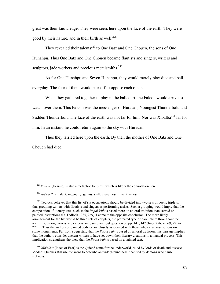great was their knowledge. They were seers here upon the face of the earth. They were good by their nature, and in their birth as well.<sup>228</sup>

They revealed their talents<sup>229</sup> to One Batz and One Chouen, the sons of One Hunahpu. Thus One Batz and One Chouen became flautists and singers, writers and sculptors, jade workers and precious metalsmiths. $230$ 

 As for One Hunahpu and Seven Hunahpu, they would merely play dice and ball everyday. The four of them would pair off to oppose each other.

 When they gathered together to play in the ballcourt, the Falcon would arrive to watch over them. This Falcon was the messenger of Huracan, Youngest Thunderbolt, and Sudden Thunderbolt. The face of the earth was not far for him. Nor was Xibalba<sup>231</sup> far for him. In an instant, he could return again to the sky with Huracan.

 Thus they tarried here upon the earth. By then the mother of One Batz and One Chouen had died.

 $\overline{a}$ 

<sup>231</sup> *Xib'alb'a* (Place of Fear) is the Quiché name for the underworld, ruled by lords of death and disease. Modern Quichés still use the word to describe an underground hell inhabited by demons who cause sickness.

<sup>&</sup>lt;sup>228</sup> *Yake'ik* (to arise) is also a metaphor for birth, which is likely the connotation here.

<sup>229</sup> *Na'wikil* is "talent, ingenuity, genius, skill, cleverness, inventiveness."

<sup>&</sup>lt;sup>230</sup> Tedlock believes that this list of six occupations should be divided into two sets of poetic triplets, thus grouping writers with flautists and singers as performing artists. Such a grouping would imply that the composition of literary texts such as the *Popol Vuh* is based more on an oral tradition than carved or painted inscriptions (D. Tedlock 1985, 269). I come to the opposite conclusion. The more likely arrangement for the list would be three sets of couplets, the preferred type of parallelism throughout the text. In addition, writers and carvers are paired without question on pp. 141, 147 (lines 2568-2569, 2714- 2715). Thus the authors of painted codices are closely associated with those who carve inscriptions on stone monuments. Far from suggesting that the *Popol Vuh* is based on an oral tradition, this passage implies that the authors consider ancient writers to have set down their literary creations in a manual process. This implication strengthens the view that the *Popol Vuh* is based on a painted text.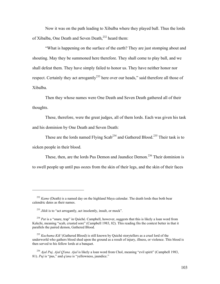Now it was on the path leading to Xibalba where they played ball. Thus the lords of Xibalba, One Death and Seven Death,<sup>232</sup> heard them:

 "What is happening on the surface of the earth? They are just stomping about and shouting. May they be summoned here therefore. They shall come to play ball, and we shall defeat them. They have simply failed to honor us. They have neither honor nor respect. Certainly they act arrogantly<sup>233</sup> here over our heads," said therefore all those of Xibalba.

 Then they whose names were One Death and Seven Death gathered all of their thoughts.

 These, therefore, were the great judges, all of them lords. Each was given his task and his dominion by One Death and Seven Death:

These are the lords named Flying Scab<sup>234</sup> and Gathered Blood.<sup>235</sup> Their task is to sicken people in their blood.

These, then, are the lords Pus Demon and Jaundice Demon.<sup>236</sup> Their dominion is to swell people up until pus oozes from the skin of their legs, and the skin of their faces

<sup>&</sup>lt;sup>232</sup> *Kame* (Death) is a named day on the highland Maya calendar. The death lords thus both bear calendric dates as their names.

<sup>&</sup>lt;sup>233</sup> *Jikik* is to "act arrogantly, act insolently, insult, or mock".

<sup>&</sup>lt;sup>234</sup> *Pat* is a "snare, trap" in Quiché. Campbell, however, suggests that this is likely a loan word from Kekchi, meaning "scab, crusted sore" (Campbell 1983, 82). This reading fits the context better in that it parallels the paired demon, Gathered Blood.

<sup>235</sup> *Kuchuma Kik'* (Gathered Blood) is still known by Quiché storytellers as a cruel lord of the underworld who gathers blood shed upon the ground as a result of injury, illness, or violence. This blood is then served to his fellow lords at a banquet.

<sup>236</sup> *Ajal Puj, Ajal Q'ana. Ajal* is likely a loan word from Chol, meaning "evil spirit" (Campbell 1983, 81). *Puj* is "pus," and *q'ana* is "yellowness, jaundice."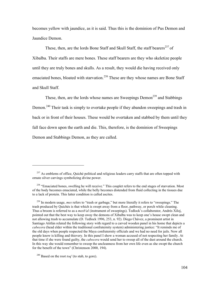becomes yellow with jaundice, as it is said. Thus this is the dominion of Pus Demon and Jaundice Demon.

These, then, are the lords Bone Staff and Skull Staff, the staff bearers<sup>237</sup> of Xibalba. Their staffs are mere bones. These staff bearers are they who skeletize people until they are truly bones and skulls. As a result, they would die having received only emaciated bones, bloated with starvation.<sup>238</sup> These are they whose names are Bone Staff and Skull Staff.

These, then, are the lords whose names are Sweepings  $Demon<sup>239</sup>$  and Stabbings Demon.<sup>240</sup> Their task is simply to overtake people if they abandon sweepings and trash in back or in front of their houses. These would be overtaken and stabbed by them until they fall face down upon the earth and die. This, therefore, is the dominion of Sweepings Demon and Stabbings Demon, as they are called.

<sup>&</sup>lt;sup>237</sup> As emblems of office, Quiché political and religious leaders carry staffs that are often topped with ornate silver carvings symbolizing divine power.

<sup>&</sup>lt;sup>238</sup> "Emaciated bones, swelling he will receive." This couplet refers to the end stages of starvation. Most of the body becomes emaciated, while the belly becomes distended from fluid collecting in the tissues due to a lack of protein. This latter condition is called ascites.

<sup>&</sup>lt;sup>239</sup> In modern usage, *mes* refers to "trash or garbage," but more literally it refers to "sweepings." The trash produced by Quichés is that which is swept away from a floor, pathway, or porch while cleaning. Thus a broom is referred to as a *mesb'al* (instrument of sweepings). Tedlock's collaborator, Andrés Xiloj, pointed out that the best way to keep away the demons of Xibalba was to keep one's house swept clean and not allowing trash to accumulate (D. Tedlock 1996, 253, n. 92). Diego Chávez, a prominent artist in Santiago Atitlán related the following story with regard to a carved wooden panel in his home that depicts a *cabecera* (head elder within the traditional confraternity system) administering justice: "It reminds me of the old days when people respected the Maya confraternity officials and we had no need for jails. Now all people know is killing and thievery. In this panel I show a woman accused of not respecting her family. At that time if she were found guilty, the *cabecera* would send her to sweep all of the dust around the church. In this way she would remember to sweep the uncleanness from her own life even as she swept the church for the benefit of the town" (Christenson 2000, 194).

<sup>&</sup>lt;sup>240</sup> Based on the root *toq'* (to stab, to gore).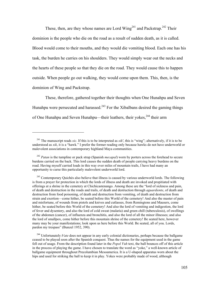These, then, are they whose names are Lord Wing<sup>241</sup> and Packstrap.<sup>242</sup> Their dominion is the people who die on the road as a result of sudden death, as it is called. Blood would come to their mouths, and they would die vomiting blood. Each one has his task, the burden he carries on his shoulders. They would simply wear out the necks and the hearts of these people so that they die on the road. They would cause this to happen outside. When people go out walking, they would come upon them. This, then, is the dominion of Wing and Packstrap.

 These, therefore, gathered together their thoughts when One Hunahpu and Seven Hunahpu were persecuted and harassed.<sup>243</sup> For the Xibalbans desired the gaming things of One Hunahpu and Seven Hunahpu—their leathers, their yokes,<sup>244</sup> their arm

<sup>&</sup>lt;sup>241</sup> The manuscript reads *xic*. If this is to be interpreted as *xik'*, this is "wing"; alternatively, if it is to be understood as *xik*, it is a "hawk." I prefer the former reading only because hawks do not have underworld or malevolent associations in contemporary highland Maya communities.

<sup>&</sup>lt;sup>242</sup> *Patan* is the tumpline or pack strap (Spanish *mecapal*) worn by porters across the forehead to secure burdens carried on the back. This lord causes the sudden death of people carrying heavy burdens on the road. Having myself carried loads in this way over miles of mountain trails, I have had many an opportunity to curse this particularly malevolent underworld lord.

<sup>&</sup>lt;sup>243</sup> Contemporary Quichés also believe that illness is caused by various underworld lords. The following is from a prayer for protection in which the lords of illness and death are invoked and propitiated with offerings at a shrine in the cemetery at Chichicastenango. Among these are the "lord of sickness and pain, of death and destruction in the roads and trails, of death and destruction through *aguardiente*, of death and destruction from food poisoning, of death and destruction from vomiting, of death and destruction from strain and exertion—come hither, be seated before this World of the cemetery! And also the master of pain and misfortune, of wounds from pistols and knives and cutlasses, from Remingtons and Mausers, come hither, be seated before this World of the cemetery! And also the lord of vomiting and indigestion, the lord of fever and dysentery, and also the lord of cold sweat (malaria) and green chill (tuberculosis), of swellings of the abdomen (cancer), of influenza and bronchitis, and also the lord of all the minor illnesses; and also the lord of smallpox, come hither before this mountain shrine of the cemetery! Be seated here, however many may be your manifestations; look upon us here before this World. Be seated, all of you. Lords, pardon my trespass" (Bunzel 1952, 390).

<sup>&</sup>lt;sup>244</sup> Unfortunately *b'ate* does not appear in any early colonial dictionaries, perhaps because the ballgame ceased to be played soon after the Spanish conquest. Thus the names for the equipment used in the game fell out of usage. From the description found later in the *Popol Vuh* text, the ball bounces off of this article in the process of playing the game. I have chosen to translate the word as "yoke," a well-known article of ballgame equipment throughout Precolumbian Mesoamerica. It is a U-shaped apparatus worn about the hips and used for striking the ball to keep it in play. Yokes were probably made of wood, although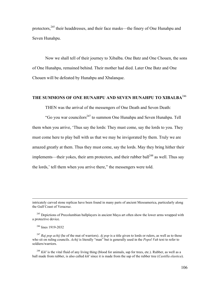protectors,<sup>245</sup> their headdresses, and their face masks—the finery of One Hunahpu and Seven Hunahpu.

 Now we shall tell of their journey to Xibalba. One Batz and One Chouen, the sons of One Hunahpu, remained behind. Their mother had died. Later One Batz and One Chouen will be defeated by Hunahpu and Xbalanque.

## THE SUMMONS OF ONE HUNAHPU AND SEVEN HUNAHPU TO XIBALBA<sup>246</sup>

THEN was the arrival of the messengers of One Death and Seven Death:

"Go you war councilors<sup>247</sup> to summon One Hunahpu and Seven Hunahpu. Tell them when you arrive, 'Thus say the lords: They must come, say the lords to you. They must come here to play ball with us that we may be invigorated by them. Truly we are amazed greatly at them. Thus they must come, say the lords. May they bring hither their implements—their yokes, their arm protectors, and their rubber ball $^{248}$  as well. Thus say the lords,' tell them when you arrive there," the messengers were told.

 intricately carved stone replicas have been found in many parts of ancient Mesoamerica, particularly along the Gulf Coast of Veracruz.

<sup>245</sup> Depictions of Precolumbian ballplayers in ancient Maya art often show the lower arms wrapped with a protective device.

<sup>246</sup> lines 1919-2032

 <sup>247</sup> *Raj pop achij* (he of the mat of warriors). *Aj pop* is a title given to lords or rulers, as well as to those who sit on ruling councils. *Achij* is literally "man" but is generally used in the *Popol Vuh* text to refer to soldiers/warriors.

<sup>248</sup> *Kik'* is the vital fluid of any living thing (blood for animals, sap for trees, etc.). Rubber, as well as a ball made from rubber, is also called *kik'* since it is made from the sap of the rubber tree (*Castilla elastica*).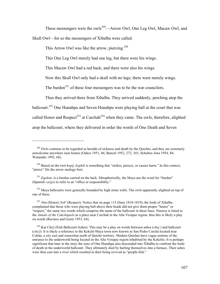These messengers were the owls<sup>249</sup>—Arrow Owl, One Leg Owl, Macaw Owl, and Skull Owl—for so the messengers of Xibalba were called.

This Arrow Owl was like the arrow, piercing.<sup>250</sup>

 $\overline{a}$ 

This One Leg Owl merely had one leg, but there were his wings.

This Macaw Owl had a red back, and there were also his wings.

Now this Skull Owl only had a skull with no legs; there were merely wings.

The burden<sup>251</sup> of these four messengers was to be the war councilors.

Thus they arrived there from Xibalba. They arrived suddenly, perching atop the

ballcourt.<sup>252</sup> One Hunahpu and Seven Hunahpu were playing ball at the court that was

called Honor and Respect<sup>253</sup> at Carchah<sup>254</sup> when they came. The owls, therefore, alighted

atop the ballcourt, where they delivered in order the words of One Death and Seven

<sup>252</sup> Maya ballcourts were generally bounded by high stone walls. The owls apparently alighted on top of one of these.

<sup>&</sup>lt;sup>249</sup> Owls continue to be regarded as heralds of sickness and death by the Quichés, and they are extremely unwelcome anywhere near homes (Oakes 1951, 46; Bunzel 1952, 272, 343; Schultze-Jena 1954, 84; Watanabe 1992, 68).

<sup>&</sup>lt;sup>250</sup> Based on the root *kopij, kopkik* is something that "strikes, pierces, or causes harm." In this context, "pierce" fits the arrow analogy best.

<sup>&</sup>lt;sup>251</sup> *Eqalem*, is a burden carried on the back. Metaphorically, the Maya use the word for "burden" (Spanish *cargo*) to refer to an "office or responsibility."

<sup>253</sup> *Nim* (Honor) *Xob'* (Respect). Notice that on page 115 (lines 1818-1819), the lords of Xibalba complained that those who were playing ball above their heads did not give them proper "honor" or "respect," the same two words which comprise the name of the ballcourt in these lines. Nimxor is listed in the *Annals of the Cakchiquels* as a place near Carchah in the Alta Verapaz region, thus this is likely a play on words (Recinos and Goetz 1953, 64).

<sup>254</sup> Kar Cha'j (Fish Ballcourt/Ashes). This may be a play on words between ashes (*chaj* ) and ballcourt (*cha'j*). It is likely a reference to the Kekchi-Maya town now known as San Pedro Carchá located near Cobán, a city east and somewhat north of Quiché territory. Modern Quichés have vague notions of the entrance to the underworld being located in the Alta Verapaz region inhabited by the Kekchis. It is perhaps significant that later in the story the sons of One Hunahpu also descended into Xibalba to confront the lords of death in the underworld ballcourt. They ultimately died by hurling themselves into a furnace. Their ashes were then cast into a river which resulted in their being revived as "people-fish."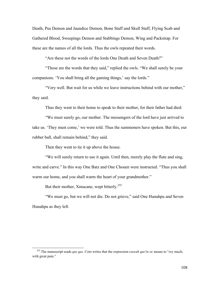Death, Pus Demon and Jaundice Demon, Bone Staff and Skull Staff, Flying Scab and Gathered Blood, Sweepings Demon and Stabbings Demon, Wing and Packstrap. For these are the names of all the lords. Thus the owls repeated their words.

"Are these not the words of the lords One Death and Seven Death?"

 "Those are the words that they said," replied the owls. "We shall surely be your companions. 'You shall bring all the gaming things,' say the lords."

 "Very well. But wait for us while we leave instructions behind with our mother," they said.

Thus they went to their home to speak to their mother, for their father had died:

 "We must surely go, our mother. The messengers of the lord have just arrived to take us. 'They must come,' we were told. Thus the summoners have spoken. But this, our rubber ball, shall remain behind," they said.

Then they went to tie it up above the house.

 "We will surely return to use it again. Until then, merely play the flute and sing, write and carve." In this way One Batz and One Chouen were instructed. "Thus you shall warm our home, and you shall warm the heart of your grandmother."

But their mother, Xmucane, wept bitterly.<sup>255</sup>

 "We must go, but we will not die. Do not grieve," said One Hunahpu and Seven Hunahpu as they left.

 <sup>255</sup> The manuscript reads *quz quz*. Coto writes that the expression ε*uz*ε*uh que'in o*ε means to "cry much, with great pain."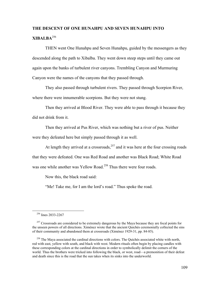# THE DESCENT OF ONE HUNAHPU AND SEVEN HUNAHPU INTO  $XIRALBA<sup>256</sup>$

 THEN went One Hunahpu and Seven Hunahpu, guided by the messengers as they descended along the path to Xibalba. They went down steep steps until they came out again upon the banks of turbulent river canyons. Trembling Canyon and Murmuring Canyon were the names of the canyons that they passed through.

 They also passed through turbulent rivers. They passed through Scorpion River, where there were innumerable scorpions. But they were not stung.

 Then they arrived at Blood River. They were able to pass through it because they did not drink from it.

 Then they arrived at Pus River, which was nothing but a river of pus. Neither were they defeated here but simply passed through it as well.

At length they arrived at a crossroads,  $257$  and it was here at the four crossing roads that they were defeated. One was Red Road and another was Black Road; White Road was one while another was Yellow Road.<sup>258</sup> Thus there were four roads.

Now this, the black road said:

"Me! Take me, for I am the lord's road." Thus spoke the road.

<sup>&</sup>lt;sup>256</sup> lines 2033-2267

<sup>&</sup>lt;sup>257</sup> Crossroads are considered to be extremely dangerous by the Maya because they are focal points for the unseen powers of all directions. Ximénez wrote that the ancient Quichés ceremonially collected the sins of their community and abandoned them at crossroads (Ximénez 1929-31, pp. 84-85).

<sup>&</sup>lt;sup>258</sup> The Maya associated the cardinal directions with colors. The Quichés associated white with north, red with east, yellow with south, and black with west. Modern rituals often begin by placing candles with these corresponding colors at the cardinal directions in order to symbolically delimit the corners of the world. Thus the brothers were tricked into following the black, or west, road—a premonition of their defeat and death since this is the road that the sun takes when its sinks into the underworld.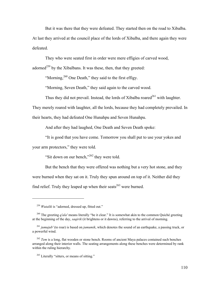But it was there that they were defeated. They started then on the road to Xibalba. At last they arrived at the council place of the lords of Xibalba, and there again they were defeated.

They who were seated first in order were mere effigies of carved wood,

adorned<sup>259</sup> by the Xibalbans. It was these, then, that they greeted:

"Morning, $2^{60}$  One Death," they said to the first effigy.

"Morning, Seven Death," they said again to the carved wood.

Thus they did not prevail. Instead, the lords of Xibalba roared<sup>261</sup> with laughter.

They merely roared with laughter, all the lords, because they had completely prevailed. In their hearts, they had defeated One Hunahpu and Seven Hunahpu.

And after they had laughed, One Death and Seven Death spoke:

"It is good that you have come. Tomorrow you shall put to use your yokes and

your arm protectors," they were told.

"Sit down on our bench,"<sup>262</sup> they were told.

 But the bench that they were offered was nothing but a very hot stone, and they were burned when they sat on it. Truly they spun around on top of it. Neither did they find relief. Truly they leaped up when their seats<sup>263</sup> were burned.

<sup>259</sup> *Wutalik* is "adorned, dressed up, fitted out."

<sup>&</sup>lt;sup>260</sup> The greeting *q'ala'* means literally "be it clear." It is somewhat akin to the common Quiché greeting at the beginning of the day, *saqirik* (it brightens or it dawns), referring to the arrival of morning.

<sup>261</sup> *jumujub'* (to roar) is based on *jumumik*, which denotes the sound of an earthquake, a passing truck, or a powerful wind.

<sup>&</sup>lt;sup>262</sup> *Tem* is a long, flat wooden or stone bench. Rooms of ancient Maya palaces contained such benches arranged along their interior walls. The seating arrangements along these benches were determined by rank within the ruling hierarchy.

<sup>&</sup>lt;sup>263</sup> Literally "sitters, or means of sitting."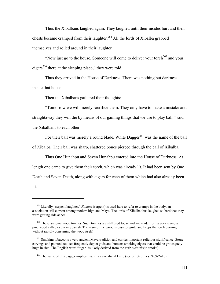Thus the Xibalbans laughed again. They laughed until their insides hurt and their chests became cramped from their laughter.<sup>264</sup> All the lords of Xibalba grabbed themselves and rolled around in their laughter.

"Now just go to the house. Someone will come to deliver your torch<sup>265</sup> and your cigars<sup>266</sup> there at the sleeping place," they were told.

 Thus they arrived in the House of Darkness. There was nothing but darkness inside that house.

Then the Xibalbans gathered their thoughts:

 $\overline{a}$ 

 "Tomorrow we will merely sacrifice them. They only have to make a mistake and straightaway they will die by means of our gaming things that we use to play ball," said the Xibalbans to each other.

For their ball was merely a round blade. White Dagger<sup>267</sup> was the name of the ball of Xibalba. Their ball was sharp, shattered bones pierced through the ball of Xibalba.

 Thus One Hunahpu and Seven Hunahpu entered into the House of Darkness. At length one came to give them their torch, which was already lit. It had been sent by One Death and Seven Death, along with cigars for each of them which had also already been lit.

<sup>&</sup>lt;sup>264</sup> Literally "serpent laughter." *Kumatz* (serpent) is used here to refer to cramps in the body, an association still current among modern highland Maya. The lords of Xibalba thus laughed so hard that they were getting side aches.

<sup>&</sup>lt;sup>265</sup> These are pine wood torches. Such torches are still used today and are made from a very resinous pine wood called *ocote* in Spanish. The resin of the wood is easy to ignite and keeps the torch burning without rapidly consuming the wood itself.

<sup>&</sup>lt;sup>266</sup> Smoking tobacco is a very ancient Maya tradition and carries important religious significance. Stone carvings and painted codices frequently depict gods and humans smoking cigars that could be grotesquely huge in size. The English word "cigar" is likely derived from the verb *sik'arik* (to smoke).

 $^{267}$  The name of this dagger implies that it is a sacrificial knife (see p. 132; lines 2409-2410).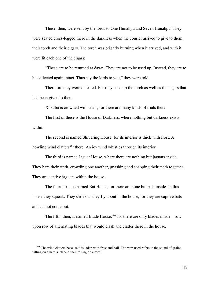These, then, were sent by the lords to One Hunahpu and Seven Hunahpu. They were seated cross-legged there in the darkness when the courier arrived to give to them their torch and their cigars. The torch was brightly burning when it arrived, and with it were lit each one of the cigars:

 "These are to be returned at dawn. They are not to be used up. Instead, they are to be collected again intact. Thus say the lords to you," they were told.

 Therefore they were defeated. For they used up the torch as well as the cigars that had been given to them.

Xibalba is crowded with trials, for there are many kinds of trials there.

 The first of these is the House of Darkness, where nothing but darkness exists within.

 The second is named Shivering House, for its interior is thick with frost. A howling wind clatters<sup>268</sup> there. An icy wind whistles through its interior.

 The third is named Jaguar House, where there are nothing but jaguars inside. They bare their teeth, crowding one another, gnashing and snapping their teeth together. They are captive jaguars within the house.

 The fourth trial is named Bat House, for there are none but bats inside. In this house they squeak. They shriek as they fly about in the house, for they are captive bats and cannot come out.

The fifth, then, is named Blade House,  $269$  for there are only blades inside—row upon row of alternating blades that would clash and clatter there in the house.

<sup>&</sup>lt;sup>268</sup> The wind clatters because it is laden with frost and hail. The verb used refers to the sound of grains falling on a hard surface or hail falling on a roof.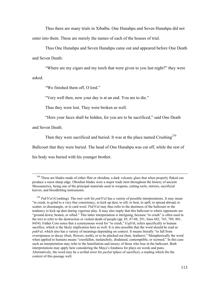Thus there are many trials in Xibalba. One Hunahpu and Seven Hunahpu did not enter into them. These are merely the names of each of the houses of trial.

 Thus One Hunahpu and Seven Hunahpu came out and appeared before One Death and Seven Death:

"Where are my cigars and my torch that were given to you last night?" they were

asked.

"We finished them off, O lord."

"Very well then, now your day is at an end. You are to die."

Thus they were lost. They were broken as well.

"Here your faces shall be hidden, for you are to be sacrificed," said One Death

and Seven Death.

 $\overline{a}$ 

Then they were sacrificed and buried. It was at the place named Crushing<sup>270</sup>

Ballcourt that they were buried. The head of One Hunahpu was cut off, while the rest of

his body was buried with his younger brother.

<sup>&</sup>lt;sup>269</sup> These are blades made of either flint or obsidian, a dark volcanic glass that when properly flaked can produce a razor-sharp edge. Obsidian blades were a major trade item throughout the history of ancient Mesoamerica, being one of the principal materials used in weapons, cutting tools, mirrors, sacrificial knives, and bloodletting instruments.

<sup>270</sup> *Puk'b'al* (Crushing). The root verb for *puk'b'al* has a variety of possible interpretations. It may mean "to crush, to grind to a very fine consistency, to kick up dust, to sift, to beat, to spill, to spread abroad, to scatter, to disentangle, or to card wool. *Puk'b'al* may thus refer to the dustiness of the ballcourt or the tendency to kick up dust during vigorous play. It may also imply that this ballcourt is where opponents are "ground down, beaten, or sifted." This latter interpretation is intriguing, because "to crush" is often used in the text to refer to the destruction or violent death of people (pp. 85, 87-88, 291; lines 682, 743, 789, 801, 8454). Father Coto notes that a synonymous word for "to crush," *k'ajb'ik*, refers specifically to human sacrifice, which is the likely implication here as well. It is also possible that the word should be read as *pukb'al*, which also has a variety of meanings depending on context. It means literally "to fall from overripeness or decay (fruit, flowers, teeth), or to be plucked out (hair, feathers)." Metaphorically the word when applied to humans means "crestfallen, melancholy, disdained, contemptible, or scorned." In this case such an interpretation may refer to the humiliation and misery of those who lose in the ballcourt. Both interpretations may apply here considering the Maya's fondness for plays on words and puns. Alternatively, the word may be a scribal error for *puzbal* (place of sacrifice), a reading which fits the context of this passage well.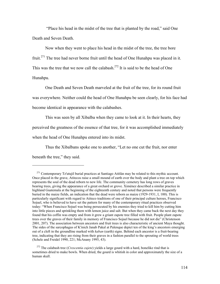"Place his head in the midst of the tree that is planted by the road," said One Death and Seven Death.

 Now when they went to place his head in the midst of the tree, the tree bore fruit.<sup>271</sup> The tree had never borne fruit until the head of One Hunahpu was placed in it. This was the tree that we now call the calabash.<sup>272</sup> It is said to be the head of One Hunahpu.

One Death and Seven Death marveled at the fruit of the tree, for its round fruit was everywhere. Neither could the head of One Hunahpu be seen clearly, for his face had become identical in appearance with the calabashes.

 This was seen by all Xibalba when they came to look at it. In their hearts, they perceived the greatness of the essence of that tree, for it was accomplished immediately when the head of One Hunahpu entered into its midst.

 Thus the Xibalbans spoke one to another, "Let no one cut the fruit, nor enter beneath the tree," they said.

<sup>&</sup>lt;sup>271</sup> Contemporary Tz'utujil burial practices at Santiago Atitlán may be related to this mythic account. Once placed in the grave, Atitecos raise a small mound of earth over the body and plant a tree on top which represents the soul of the dead reborn to new life. The community cemetery has long rows of graves bearing trees, giving the appearance of a great orchard or grove. Ximénez described a similar practice in highland Guatemala at the beginning of the eighteenth century and noted that persons were frequently buried in the maize fields, an indication that the dead were reborn as maize (1929-1931, I, 100). This is particularly significant with regard to Atiteco traditions of one of their principal culture heroes, Francisco Sojuel, who is believed to have set the pattern for many of the contemporary ritual practices observed today: "When Francisco Sojuel was being persecuted by his enemies they tried to kill him by cutting him into little pieces and sprinkling them with lemon juice and salt. But when they came back the next day they found that his coffin was empty and from it grew a griant zapote tree filled with fruit. People plant zapote trees over the graves of their family in memory of Francisco Sojuel because he did not die" (Christenson 2001, 207). The association between ancestors and fruit trees is also characteristic of ancient Maya thought. The sides of the sarcophagus of K'inich Janab Pakal at Palenque depict ten of the king's ancestors emerging out of a cleft in the groundline marked with *kaban* (earth) signs. Behind each ancestor is a fruit-bearing tree, indicating that they are rising from their graves in a fashion parallel to the sprouting of world trees (Schele and Freidel 1990, 221; McAnany 1995, 43).

<sup>&</sup>lt;sup>272</sup> The calabash tree (*Crescentia cujete*) yields a large gourd with a hard, bonelike rind that is sometimes dried to make bowls. When dried, the gourd is whitish in color and approximately the size of a human skull.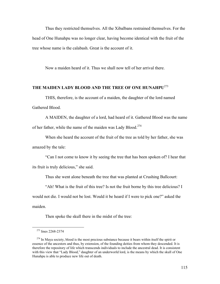Thus they restricted themselves. All the Xibalbans restrained themselves. For the head of One Hunahpu was no longer clear, having become identical with the fruit of the tree whose name is the calabash. Great is the account of it.

Now a maiden heard of it. Thus we shall now tell of her arrival there.

## THE MAIDEN LADY BLOOD AND THE TREE OF ONE HUNAHPU<sup>273</sup>

 THIS, therefore, is the account of a maiden, the daughter of the lord named Gathered Blood.

A MAIDEN, the daughter of a lord, had heard of it. Gathered Blood was the name of her father, while the name of the maiden was Lady Blood.<sup>274</sup>

 When she heard the account of the fruit of the tree as told by her father, she was amazed by the tale:

 "Can I not come to know it by seeing the tree that has been spoken of? I hear that its fruit is truly delicious," she said.

Thus she went alone beneath the tree that was planted at Crushing Ballcourt:

"Ah! What is the fruit of this tree? Is not the fruit borne by this tree delicious? I would not die. I would not be lost. Would it be heard if I were to pick one?" asked the maiden.

Then spoke the skull there in the midst of the tree:

<sup>273</sup> lines 2268-2374

 $^{274}$  In Maya society, blood is the most precious substance because it bears within itself the spirit or essence of the ancestors and thus, by extension, of the founding deities from whom they descended. It is therefore the repository of life which transcends individuals to include the ancestral dead. It is consistent with this view that "Lady Blood," daughter of an underworld lord, is the means by which the skull of One Hunahpu is able to produce new life out of death.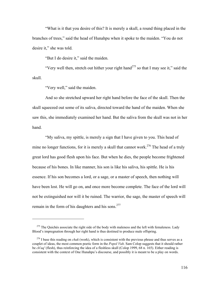"What is it that you desire of this? It is merely a skull, a round thing placed in the branches of trees," said the head of Hunahpu when it spoke to the maiden. "You do not desire it," she was told.

"But I do desire it," said the maiden.

"Very well then, stretch out hither your right hand<sup>275</sup> so that I may see it," said the skull.

"Very well," said the maiden.

 $\overline{a}$ 

 And so she stretched upward her right hand before the face of the skull. Then the skull squeezed out some of its saliva, directed toward the hand of the maiden. When she saw this, she immediately examined her hand. But the saliva from the skull was not in her hand.

 "My saliva, my spittle, is merely a sign that I have given to you. This head of mine no longer functions, for it is merely a skull that cannot work.<sup>276</sup> The head of a truly great lord has good flesh upon his face. But when he dies, the people become frightened because of his bones. In like manner, his son is like his saliva, his spittle. He is his essence. If his son becomes a lord, or a sage, or a master of speech, then nothing will have been lost. He will go on, and once more become complete. The face of the lord will not be extinguished nor will it be ruined. The warrior, the sage, the master of speech will remain in the form of his daughters and his sons.<sup>277</sup>

 $^{275}$  The Quichés associate the right side of the body with maleness and the left with femaleness. Lady Blood's impregnation through her right hand is thus destined to produce male offspring.

<sup>&</sup>lt;sup>276</sup> I base this reading on *chak* (work), which is consistent with the previous phrase and thus serves as a couplet of ideas, the most common poetic form in the *Popol Vuh*. Sam Colop suggests that it should rather be *ch'aq'* (flesh), thus reinforcing the idea of a fleshless skull (Colop 1999, 68 n. 165). Either reading is consistent with the context of One Hunahpu's discourse, and possibly it is meant to be a play on words.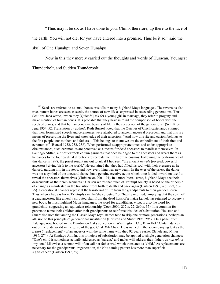"Thus may it be so, as I have done to you. Climb, therefore, up there to the face of the earth. You will not die, for you have entered into a promise. Thus be it so," said the skull of One Hunahpu and Seven Hunahpu.

 Now in this they merely carried out the thoughts and words of Huracan, Youngest Thunderbolt, and Sudden Thunderbolt.

<sup>&</sup>lt;sup>277</sup> Seeds are referred to as small bones or skulls in many highland Maya languages. The reverse is also true, human bones are seen as seeds, the source of new life as expressed in succeeding generations. Thus Schultze-Jena wrote, "when they [Quichés] ask for a young girl in marriage, they refer to progeny and make mention of human bones. It is probable that they have in mind the comparison of bones with the seeds of plants, and that human bones are bearers of life in the succession of the generations" (Schultze-Jena 1954, 52. Translation by author). Ruth Bunzel noted that the Quichés of Chichicastenango claimed that their formalized speech and ceremonies were attributed to ancient ancestral precedent and that this is a means of preserving the lives and knowledge of their ancestors: "And now this rite and custom belongs to the first people, our mothers and fathers.... This belongs to them; we are the embodiment of their rites and ceremonies" (Bunzel 1952, 232, 238). When performed at appropriate times and under appropriate circumstances, such ceremonies are perceived as a means for dead ancestors to manifest themselves. In Santiago Atitlán, a priest extracts certain garments that once belonged to the ancestors and wears them as he dances to the four cardinal directions to recreate the limits of the cosmos. Following the performance of this dance in 1998, the priest sought me out to ask if I had seen "the ancient *nuwals* [revered, powerful ancestors] giving birth to the world." He explained that they had filled his soul with their presence as he danced, guiding him in his steps, and now everything was new again. In the eyes of the priest, the dance was not a symbol of the ancestral dance, but a genuine creative act in which time folded inward on itself to reveal the ancestors themselves (Christenson 2001, 24). In a more literal sense, highland Maya see their descendents as their "replacements." Carlsen writes that much of Tz'utujil society is based on the principle of change as manifested in the transition from birth to death and back again (Carlsen 1991, 26; 1997, 50- 55). Generational changes represent the transferral of life from the grandparents to their grandchildren. Thus when a baby is born, Tz'utujils say "he/she sprouted," or "he/she returned," implying that the spirit of a dead ancestor, like a newly-sprouted plant from the dead husk of a maize kernel, has returned to occupy a new body. In most highland Maya languages, the word for grandfather, *mam*, is also the word for grandchild, suggesting an equivalent relationship (Cook 2000, 257 n. 22, 260 n. 35). It is common for parents to name their children after their grandparents to reinforce this idea of substitution. Houston and Stuart also note that among the Classic Maya royal names tend to skip one or more generations, perhaps an allusion to this principle of generational substitution (Houston and Stuart 1996, 295). On a panel from Palenque now housed in the Dumbarton Oaks collection in Washington D.C., K'an Hok' Chitam dances out of the underworld in the guise of the god Chak Xib Chak. He is named in the accompanying text as the *k'exol* ("replacement") of an ancestor with the same name who died 92 years earlier (Schele and Miller 1986, 274). At Santiago Atitlán, this principle of substitution may be applied to single generation changes: "One's child is sometimes actually addressed as 'parent,' and males will address their fathers as *nuk'jol*, or 'my son.' Likewise, a woman will often call her father *wal*, which translates as 'child.' As replacements are necessary for the grandparents' regeneration, the *k'ex* naming pattern has more than superficial significance" (Carlsen 1997, 55).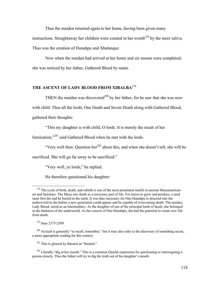Thus the maiden returned again to her home, having been given many instructions. Straightaway her children were created in her womb<sup>278</sup> by the mere saliva. Thus was the creation of Hunahpu and Xbalanque.

 Now when the maiden had arrived at her home and six moons were completed, she was noticed by her father, Gathered Blood by name.

# THE ASCENT OF LADY BLOOD FROM XIBALBA<sup>279</sup>

THEN the maiden was discovered<sup>280</sup> by her father, for he saw that she was now with child. Thus all the lords, One Death and Seven Death along with Gathered Blood, gathered their thoughts:

"This my daughter is with child, O lords. It is merely the result of her

fornication,"<sup>281</sup> said Gathered Blood when he met with the lords.

"Very well then. Question her<sup>282</sup> about this, and when she doesn't tell, she will be sacrificed. She will go far away to be sacrificed."

"Very well, ye lords," he replied.

He therefore questioned his daughter:

<sup>&</sup>lt;sup>278</sup> The cycle of birth, death, and rebirth is one of the most prominent motifs in ancient Mesoamerican art and literature. The Maya saw death as a necessary part of life. For maize to grow and produce, a seed must first die and be buried in the earth. It was thus necessary for One Hunahpu to descend into the underworld to die before a new generation could appear and be capable of overcoming death. The maiden, Lady Blood, stood as an intermediary. As the daughter of one of the principal lords of death, she belonged to the darkness of the underworld. As the consort of One Hunahpu, she had the potential to create new life from death.

<sup>&</sup>lt;sup>279</sup> lines 2375-2509

<sup>&</sup>lt;sup>280</sup> *Na'tajik* is generally "to recall, remember," but it may also refer to the discovery of something secret, a more appropriate reading for this context.

 $281$  This is glossed by Basseta as "bastard."

<sup>&</sup>lt;sup>282</sup> Literally "dig at her mouth." This is a common Quiché expression for questioning or interrogating a person closely. Thus the father will try to dig the truth out of his daughter's mouth.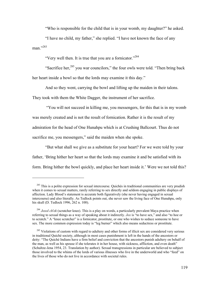"Who is responsible for the child that is in your womb, my daughter?" he asked.

 "I have no child, my father," she replied. "I have not known the face of any man."283

"Very well then. It is true that you are a fornicator."284

"Sacrifice her, $285$  you war councilors," the four owls were told. "Then bring back" her heart inside a bowl so that the lords may examine it this day."

 And so they went, carrying the bowl and lifting up the maiden in their talons. They took with them the White Dagger, the instrument of her sacrifice.

 "You will not succeed in killing me, you messengers, for this that is in my womb was merely created and is not the result of fornication. Rather it is the result of my admiration for the head of One Hunahpu which is at Crushing Ballcourt. Thus do not sacrifice me, you messengers," said the maiden when she spoke.

 "But what shall we give as a substitute for your heart? For we were told by your father, 'Bring hither her heart so that the lords may examine it and be satisfied with its form. Bring hither the bowl quickly, and place her heart inside it.' Were we not told this?

<sup>&</sup>lt;sup>283</sup> This is a polite expression for sexual intercourse. Quichés in traditional communities are very prudish when it comes to sexual matters, rarely referring to sex directly and seldom engaging in public displays of affection. Lady Blood's statement is accurate both figuratively (she never having engaged in sexual intercourse) and also literally. As Tedlock points out, she never saw the living face of One Hunahpu, only his skull (D. Tedlock 1996, 262 n. 100).

<sup>284</sup> *Joxol ch'ek* (scratcher knee). This is a play on words, a particularly prevalent Maya practice when referring to sexual things as a way of speaking about it indirectly. *Jox* is "to have sex," and also "to hoe or to scratch." A "knee scratcher" is a fornicator, prostitute, or one who wishes to seduce someone to have sex. The more common expression today is "leg burner" which also means seductress or prostitute.

<sup>&</sup>lt;sup>285</sup> Violations of custom with regard to adultery and other forms of illicit sex are considered very serious in traditional Quiché society, although in most cases punishment is left in the hands of the ancestors or deity: "The Quiché Indians have a firm belief and conviction that the ancestors punish adultery on behalf of the man, as well as his spouse if she tolerates it in her house, with sickness, affliction, and even death" (Schultze-Jena 1954, 23. Translation by author). Sexual transgressions in particular are believed to subject those involved to the whims of the lords of various illnesses who live in the underworld and who "feed" on the lives of those who do not live in accordance with societal rules.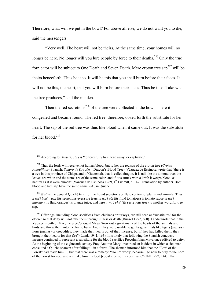Therefore, what will we put in the bowl? For above all else, we do not want you to die," said the messengers.

 "Very well. The heart will not be theirs. At the same time, your homes will no longer be here. No longer will you lure people by force to their deaths.<sup>286</sup> Only the true fornicator will be subject to One Death and Seven Death. Mere croton tree sap<sup>287</sup> will be theirs henceforth. Thus be it so. It will be this that you shall burn before their faces. It will not be this, the heart, that you will burn before their faces. Thus be it so. Take what the tree produces," said the maiden.

Then the red secretions<sup>288</sup> of the tree were collected in the bowl. There it congealed and became round. The red tree, therefore, oozed forth the substitute for her heart. The sap of the red tree was thus like blood when it came out. It was the substitute for her blood.<sup>289</sup>

<sup>288</sup> *Wa'l* is the general Quiché term for the liquid secretions or fluid content of plants and animals. Thus *u wa'l baq' wach* (its secretions eyes) are tears, *u wa'l pix* (its fluid tomatoes) is tomato sauce, *u wa'l alanxax* (its fluid oranges) is orange juice, and here *u wa'l che'* (its secretions tree) is another word for tree sap.

<sup>&</sup>lt;sup>286</sup> According to Basseta, *chi'j* is "to forcefully lure, lead away, or captivate."

<sup>287</sup> Thus the lords will receive not human blood, but rather the red sap of the croton tree (*Croton sanguifluus;* Spanish: *Sangre de Dragón*—Dragon's Blood Tree). Vázquez de Espinosa wrote that "there is a tree in this province of Chiapa and of Guatemala that is called dragon. It is tall like the almond tree; the leaves are white and the stems are of the same color, and if it is struck with a knife it weeps blood, as natural as if it were human" (Vázquez de Espinosa 1969, 1<sup>st</sup>.I.iv.590, p. 147. Translation by author). Both blood and tree sap have the same name, *kik'*, in Quiché.

<sup>&</sup>lt;sup>289</sup> Offerings, including blood sacrifices from chickens or turkeys, are still seen as "substitutes" for the offerer so that deity will not take them through illness or death (Bunzel 1952, 360). Landa wrote that in the Yucatec month of Mac, the pre-Conquest Maya "took out a great many of the hearts of the animals and birds and threw them into the fire to burn. And if they were unable to get large animals like tigers (jaguars), lions (pumas) or crocodiles, they made their hearts out of their incense; but if they had killed them, they brought their hearts for that fire" (Landa 1941, 163). It is likely that following the Spanish conquest, incense continued to represent a substitute for the blood sacrifice Precolumbian Maya once offered to deity. At the beginning of the eighteenth century Fray Antonio Margil recorded an incident in which a sick man consulted a Quiché shaman after falling ill in a forest. The shaman informed him that the "Lord of the Forest" had made him ill, but that there was a remedy: "Do not worry, because I go now to pray to the Lord of the Forest for you, and will take him his food [copal incense] in your name" (Hill 1992, 144). The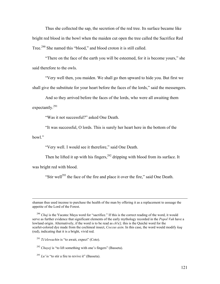Thus she collected the sap, the secretion of the red tree. Its surface became like bright red blood in the bowl when the maiden cut open the tree called the Sacrifice Red Tree.<sup>290</sup> She named this "blood," and blood croton it is still called.

 "There on the face of the earth you will be esteemed, for it is become yours," she said therefore to the owls.

 "Very well then, you maiden. We shall go then upward to hide you. But first we shall give the substitute for your heart before the faces of the lords," said the messengers.

 And so they arrived before the faces of the lords, who were all awaiting them expectantly. $^{291}$ 

"Was it not successful?" asked One Death.

"It was successful, O lords. This is surely her heart here in the bottom of the

bowl."

"Very well. I would see it therefore," said One Death.

Then he lifted it up with his fingers,  $292$  dripping with blood from its surface. It was bright red with blood.

"Stir well<sup>293</sup> the face of the fire and place it over the fire," said One Death.

shaman thus used incense to purchase the health of the man by offering it as a replacement to assuage the appetite of the Lord of the Forest.

<sup>&</sup>lt;sup>290</sup> *Chuj* is the Yucatec Maya word for "sacrifice." If this is the correct reading of the word, it would serve as further evidence that significant elements of the early mythology recorded in the *Popol Vuh* have a lowland origin. Alternatively, if the word is to be read as *ch'u'j,* this is the Quiché word for the scarlet-colored dye made from the cochineal insect, *Coccus axin*. In this case, the word would modify *kaq* (red), indicating that it is a bright, vivid red.

<sup>&</sup>lt;sup>291</sup> *Tz'elewachin* is "to await, expect" (Coto).

<sup>&</sup>lt;sup>292</sup> *Chuyej* is "to lift something with one's fingers" (Basseta).

 $^{293}$  *Lu'* is "to stir a fire to revive it" (Basseta).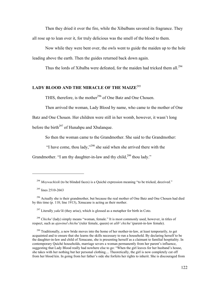Then they dried it over the fire, while the Xibalbans savored its fragrance. They all rose up to lean over it, for truly delicious was the smell of the blood to them.

 Now while they were bent over, the owls went to guide the maiden up to the hole leading above the earth. Then the guides returned back down again.

Thus the lords of Xibalba were defeated, for the maiden had tricked them all.<sup>294</sup>

### LADY BLOOD AND THE MIRACLE OF THE MAIZE<sup>295</sup>

THIS, therefore, is the mother<sup>296</sup> of One Batz and One Chouen.

Then arrived the woman, Lady Blood by name, who came to the mother of One

Batz and One Chouen. Her children were still in her womb, however, it wasn't long

before the birth<sup>297</sup> of Hunahpu and Xbalanque.

So then the woman came to the Grandmother. She said to the Grandmother:

"I have come, thou lady,"<sup>298</sup> she said when she arrived there with the

Grandmother. "I am thy daughter-in-law and thy child, $299$  thou lady."

 $\overline{a}$ 

<sup>297</sup> Literally *yake'ik* (they arise), which is glossed as a metaphor for birth in Coto.

<sup>298</sup> *Chichu'* (lady) simply means "woman, female." It is most commonly used, however, in titles of respect, such as *ajawinel chichu'* (ruler female, queen) or *alib' chichu'* (parent-in-law female).

<sup>299</sup> Traditionally, a new bride moves into the home of her mother-in-law, at least temporarily, to get acquainted and to ensure that she learns the skills necessary to run a household. By declaring herself to be the daughter-in-law and child of Xmucane, she is presenting herself as a claimant to familial hospitality. In contemporary Quiché households, marriage severs a woman permanently from her parent's influence, suggesting that Lady Blood really had nowhere else to go: "When the girl leaves for her husband's house, she takes with her nothing but her personal clothing.... Theoretically, the girl is now completely cut off from her blood kin. In going from her father's side she forfeits her rights to inherit. She is discouraged from

<sup>&</sup>lt;sup>294</sup> *Moywachixik* (to be blinded faces) is a Quiché expression meaning "to be tricked, deceived."

<sup>&</sup>lt;sup>295</sup> lines 2510-2663

<sup>&</sup>lt;sup>296</sup> Actually she is their grandmother, but because the real mother of One Batz and One Chouen had died by this time (p. 118; line 1913), Xmucane is acting as their mother.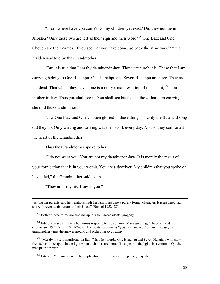"From where have you come? Do my children yet exist? Did they not die in Xibalba? Only these two are left as their sign and their word. $300$  One Batz and One Chouen are their names. If you see that you have come, go back the same way," $301$  the maiden was told by the Grandmother.

 "But it is true that I am thy daughter-in-law. These are surely his. These that I am carrying belong to One Hunahpu. One Hunahpu and Seven Hunahpu are alive. They are not dead. That which they have done is merely a manifestation of their light,  $302$  thou mother-in-law. Thus you shall see it. You shall see his face in these that I am carrying," she told the Grandmother.

Now One Batz and One Chouen gloried in these things:<sup>303</sup> Only the flute and song did they do. Only writing and carving was their work every day. And so they comforted the heart of the Grandmother.

Thus the Grandmother spoke to her:

 "I do not want you. You are not my daughter-in-law. It is merely the result of your fornication that is in your womb. You are a deceiver. My children that you spoke of have died," the Grandmother said again.

"They are truly his, I say to you."

visiting her parents, and her relations with her family assume a purely formal character. It is assumed that she will never again return to their house" (Bunzel 1952, 28).

<sup>&</sup>lt;sup>300</sup> Both of these terms are also metaphors for "descendents, progeny."

<sup>&</sup>lt;sup>301</sup> Edmonson sees this as a humorous response to the common Maya greeting, "I have arrived" (Edmonson 1971, 81 nn. 2451-2452). The polite response is "you have arrived," but in this case, the grandmother turns the answer around and orders her to go away.

<sup>&</sup>lt;sup>302</sup> "Merely his self-manifestation light." In other words, One Hunahpu and Seven Hunahpu will show themselves once again in the light when their sons are born. "To appear in the light" is a common Quiché metaphor for birth.

 $303$  Literally "inflames," with the implication that it gives glory, power, majesty.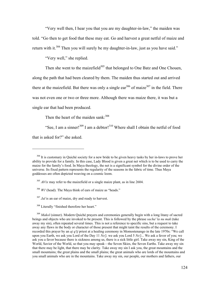"Very well then, I hear you that you are my daughter-in-law," the maiden was told. "Go then to get food that these may eat. Go and harvest a great netful of maize and return with it.<sup>304</sup> Then you will surely be my daughter-in-law, just as you have said."

"Very well," she replied.

Then she went to the maizefield<sup>305</sup> that belonged to One Batz and One Chouen, along the path that had been cleared by them. The maiden thus started out and arrived there at the maizefield. But there was only a single  $ear^{306}$  of maize $107$  in the field. There was not even one or two or three more. Although there was maize there, it was but a single ear that had been produced.

Then the heart of the maiden sank:  $308$ 

"See, I am a sinner!<sup>309</sup> I am a debtor!<sup>310</sup> Where shall I obtain the netful of food that is asked for?" she asked.

<sup>308</sup> Literally "finished therefore her heart."

<sup>&</sup>lt;sup>304</sup> It is customary in Quiché society for a new bride to be given heavy tasks by her in-laws to prove her ability to provide for a family. In this case, Lady Blood is given a great net which is to be used to carry the maize for the family's food. In Maya theology, the net is a significant symbol for the divine order of the universe. Its fixed pattern represents the regularity of the seasons in the fabric of time. Thus Maya goddesses are often depicted weaving on a cosmic loom.

<sup>&</sup>lt;sup>305</sup> *Ab'ix* may refer to the maizefield or a single maize plant, as in line 2604.

<sup>&</sup>lt;sup>306</sup> *Wi'* (head). The Maya think of ears of maize as "heads."

<sup>&</sup>lt;sup>307</sup> *Jal* is an ear of maize, dry and ready to harvest.

<sup>309</sup> *Makol* (sinner). Modern Quiché prayers and ceremonies generally begin with a long litany of sacred beings and objects who are invoked to be present. This is followed by the phrase *sacha' la nu mak* (take away my sin), often repeated several times. This is not a reference to specific sins, but a request to take away any flaws in the body or character of those present that might taint the results of the ceremony. I recorded this prayer by an *aj q'ij* priest at a healing ceremony in Momostenango in the late 1970s: "We call upon you Earth, we ask you Lord of the Day 11 *No'j,* we ask you Lord 5 *No'j*... We ask a favor of you; we ask you a favor because there is sickness among us, there is a sick little girl. Take away my sin, King of the World, Savior of the World, so that you may speak—the Seven Skies, the Seven Earths. Take away my sin that there may be light, that there may be clarity. Take away my sin I ask you, the great mountains and the small mountains; the great plains and the small plains; the great animals who are lords of the mountains and you small animals who are in the mountains. Take away my sin, our people, our mothers and fathers, our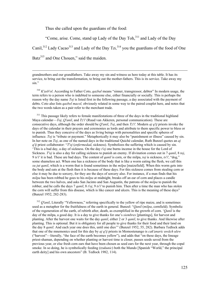Thus she called upon the guardians of the food:

 $\overline{a}$ 

"Come, arise. Come, stand up Lady of the Day Toh, $311$  and Lady of the Day

Canil,  $3^{12}$  Lady Cacao  $3^{13}$  and Lady of the Day Tzi,  $3^{14}$  you the guardians of the food of One Batz<sup>315</sup> and One Chouen," said the maiden.

grandmothers and our grandfathers. Take away my sin and witness us here today at this table. It has its service, to bring out the transformation, to bring out the mother-fathers. This is its service. Take away my sin."

 <sup>310</sup> *K'asb'ol*. According to Father Coto, *qazbal* means "sinner, transgressor, debtor" In modern usage, the term refers to a person who is indebted to someone else, either financially or socially. This is perhaps the reason why the day name *Toj* is listed first in the following passage, a day associated with the payment of debts. Coto also lists *qazbol macol,* obviously related in some way to the paired couplet here, and notes that the two words taken as a pair refer to the merchant trade.

<sup>311</sup> This passage likely refers to female manifestations of three of the days in the traditional highland Maya calendar—*Toj*, *Q'anil*, and *Tz'i'* (Ruud van Akkeren, personal communication). These are consecutive days, although the order should be *Q'anil*, *Toj*, and then *Tz'i'*. Modern *aj q'ij* priests invoke the days of the calendar in their prayers and ceremonies as lords and attribute to them specific power to bless or to punish. Thus they conceive of the days as living beings with personalities and specific spheres of influence. *Toj* is "tribute or payment." Metaphorically it may also be "punishment or illness" caused by sin. In her note on *Toj*, as one of the named days in the traditional Quiché calendar, Ruth Bunzel quotes an *aj q'ij* priest collaborator: "*T'oj* (*enfermedad*, sickness). Symbolizes the suffering which is caused by sin. 'This is a bad day, a day of sickness. On the day *t'oj* one burns incense in the house for the Lord of Sickness. *T'oj* is also a day for calling sickness to punish an enemy. If divination comes out in 7 *qanil*, 8 *toj*, 9 *ts'i'* it is bad. These are bad days. The content of *qanil* is corn, or the milpa, *toj* is sickness, *ts'i'*, "dog," some shameless act. When one has a sickness of the body that is like a worm eating the flesh, we call this *xu jut qanil*, which is a worm that is found sometimes in the *milpa* [maizefield]. When this worm gets into the body and eats at the flesh then it is because of these days. For this sickness comes from stealing corn or else it may be due to sorcery, for they are the days of sorcery also. For instance, if a man finds that his *milpa* has been robbed he goes to his *milpa* at midnight, breaks off an ear of corn and places a candle between the two halves, and asks San Jacinto and San Augustín, the patrons of the *milpa* to punish the robber, and he calls the days 7 *qanil*, 8 *t'oj*, 9 *ts'i'* to punish him. Then after a time the man who has stolen the corn will suffer from this disease, which is like cancer and ulcers. This is the meaning of these days" (Bunzel 1952, 282-283).

<sup>312</sup> *Q'anil*, Literally "Yellowness," referring specifically to the yellow of ripe maize, and is sometimes used as a metaphor for the fruitfulness of the earth in general. Bunzel: "*Qanil* (*milpa*, cornfield). Symbolic of the regeneration of the earth, of rebirth after, death, as exemplified in the growth of corn. '*Qanil* is the day of the milpa, a good day. It is a day to give thanks for one's *siembres* [plantings], for harvest and planting. After the harvest one waits for the day *qanil*, either 2 or 3 *qanil*, to give thanks. And likewise after planting. This is optional. But it is obligatory for all people to give thanks for their food and their land on the day 8 *qanil*. And each year one does this, until one dies'" (Bunzel 1952, 55, 282). Barbara Tedlock adds that one of the mnemonics used for this day by *aj q'ij* priests in Momostenango is *cak'anaric uwäch ulew* ("harvest"—literally, "the face of the earth becomes yellow"), and adds that "on these days, the lineage priest-shaman, depending on whether planting or harvest time is closer, passes seeds saved from the previous year, or else fresh corn ears that have been chosen as seed ears for the next year, through the copal smoke. In so doing, he is symbolically feeding (*tzukunic*) both the Mundo [Spanish "World," the principal earth deity] and his own ancestors" (B. Tedlock 1982, 114).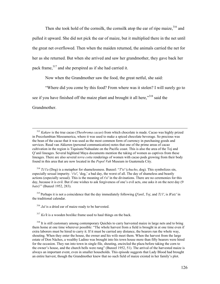Then she took hold of the cornsilk, the cornsilk atop the ear of ripe maize,  $316$  and pulled it upward. She did not pick the ear of maize, but it multiplied there in the net until the great net overflowed. Then when the maiden returned, the animals carried the net for her as she returned. But when she arrived and saw her grandmother, they gave back her pack frame,<sup>317</sup> and she perspired as if she had carried it.

Now when the Grandmother saw the food, the great netful, she said:

"Where did you come by this food? From where was it stolen? I will surely go to

see if you have finished off the maize plant and brought it all here,<sup> $318$ </sup> said the

Grandmother.

 <sup>314</sup> *Tz'i'a* (Dog) is a metaphor for shamelessness. Bunzel: "*T'si'* (*chucho*, dog). This symbolizes sin, especially sexual impurity. '*t'si'*, 'dog,' a bad day, the worst of all. The day of shameless and beastly actions (especially sexual). This is the meaning of *t'si'* in the divinations. There are no ceremonies for this day, because it is evil. But if one wishes to ask forgiveness of one's evil acts, one asks it on the next day (9) *bats*)'" (Bunzel 1952, 283).

 <sup>315</sup> Perhaps it is not a coincidence that the day immediately following *Q'anil*, *Toj*, and *Tz'i'*, is *B'atz'* in the traditional calendar.

<sup>316</sup> *Jal* is a dried ear of maize ready to be harvested.

<sup>317</sup> *Ko'k* is a wooden boxlike frame used to haul things on the back.

 <sup>313</sup> *Kakaw* is the true cacao (*Theobroma cacao*) from which chocolate is made. Cacao was highly prized in Precolumbian Mesoamerica, where it was used to make a spiced chocolate beverage. So precious was the bean of the cacao that it was used as the most common form of currency in purchasing goods and services. Ruud van Akkeren (personal communication) notes that one of the prime areas of cacao cultivation in the region is Tiquisate/Nahualate on the Pacific coast. This is also the area of the Toj and Q'anil lineages. Several highland Maya documents mention the taking of women as captives from these lineages. There are also several *terra cotta* renderings of women with cacao pods growing from their body found in this area that are now located in the *Popol Vuh* Museum in Guatemala City.

<sup>&</sup>lt;sup>318</sup> It is still customary among contemporary Quichés to carry harvested maize in large nets and to bring them home at one time wherever possible: "The whole harvest from a field is brought in at one time even if extra laborers must be hired to carry it. If it must be carried any distance, the bearers run the whole way, shouting. When they enter the house, the owner and his wife meet them. When the harvest from the large estate of Don Náches, a wealthy Ladino was brought into his town house more than fifty bearers were hired for the occasion. They ran into town in single file, shouting, encircled the plaza before taking the corn to the owner's house, and the church bells were rung" (Bunzel 1952, 51). The arrival of the harvested maize is always an important event, even in smaller households. This episode suggests that Lady Blood had brought an entire harvest, though the Grandmother knew that no such field of maize existed in her family's plot.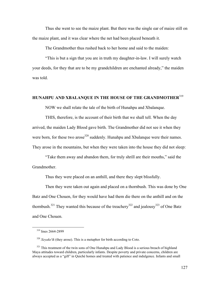Thus she went to see the maize plant. But there was the single ear of maize still on the maize plant, and it was clear where the net had been placed beneath it.

The Grandmother thus rushed back to her home and said to the maiden:

 "This is but a sign that you are in truth my daughter-in-law. I will surely watch your deeds, for they that are to be my grandchildren are enchanted already," the maiden was told.

#### HUNAHPU AND XBALANQUE IN THE HOUSE OF THE GRANDMOTHER<sup>319</sup>

NOW we shall relate the tale of the birth of Hunahpu and Xbalanque.

 THIS, therefore, is the account of their birth that we shall tell. When the day arrived, the maiden Lady Blood gave birth. The Grandmother did not see it when they were born, for these two arose<sup>320</sup> suddenly. Hunahpu and Xbalanque were their names. They arose in the mountains, but when they were taken into the house they did not sleep:

 "Take them away and abandon them, for truly shrill are their mouths," said the Grandmother.

Thus they were placed on an anthill, and there they slept blissfully.

 Then they were taken out again and placed on a thornbush. This was done by One Batz and One Chouen, for they would have had them die there on the anthill and on the thornbush.<sup>321</sup> They wanted this because of the treachery<sup>322</sup> and jealousy<sup>323</sup> of One Batz and One Chouen.

<sup>&</sup>lt;sup>319</sup> lines 2664-2899

<sup>&</sup>lt;sup>320</sup> *Xeyake'ik* (they arose). This is a metaphor for birth according to Coto.

<sup>&</sup>lt;sup>321</sup> This treatment of the twin sons of One Hunahpu and Lady Blood is a serious breach of highland Maya attitudes toward children, particularly infants. Despite poverty and private concerns, children are always accepted as a "gift" in Quiché homes and treated with patience and indulgence. Infants and small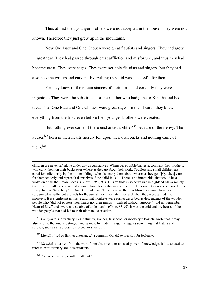Thus at first their younger brothers were not accepted in the house. They were not known. Therefore they just grew up in the mountains.

Now One Batz and One Chouen were great flautists and singers. They had grown in greatness. They had passed through great affliction and misfortune, and thus they had become great. They were sages. They were not only flautists and singers, but they had also become writers and carvers. Everything they did was successful for them.

 For they knew of the circumstances of their birth, and certainly they were ingenious. They were the substitutes for their father who had gone to Xibalba and had died. Thus One Batz and One Chouen were great sages. In their hearts, they knew everything from the first, even before their younger brothers were created.

But nothing ever came of these enchanted abilities  $324$  because of their envy. The abuses<sup>325</sup> born in their hearts merely fell upon their own backs and nothing came of them  $326$ 

children are never left alone under any circumstances. Whenever possible babies accompany their mothers, who carry them on their backs everywhere as they go about their work. Toddlers and small children are cared for solicitously by their older siblings who also carry them about wherever they go. "[Quichés] care for them tenderly and reproach themselves if the child falls ill. There is no infanticide; that would be a violation of all their moral ideas" (Bunzel 1952, 99). This attitude is so pervasive in highland Maya society that it is difficult to believe that it would have been otherwise at the time the *Popol Vuh* was composed. It is likely that the "treachery" of One Batz and One Chouen toward their half-brothers would have been recognized as sufficient grounds for the punishment they later received when they were turned into monkeys. It is significant in this regard that monkeys were earlier described as descendents of the wooden people who "did not possess their hearts nor their minds," "walked without purpose," "did not remember Heart of Sky," and "were not capable of understanding" (pp. 83-90). It was the cold and dry hearts of the wooden people that had led to their ultimate destruction.

<sup>&</sup>lt;sup>322</sup> *Ch'agimal* is "treachery, lies, calumny, slander, falsehood, or mockery." Basseta wrote that it may also refer to the loud shouting of young men. In modern usage it suggests something that festers and spreads, such as an abscess, gangrene, or smallpox.

<sup>&</sup>lt;sup>323</sup> Literally "red or fiery countenance," a common Quiché expression for jealousy.

<sup>&</sup>lt;sup>324</sup> *Na'wikil* is derived from the word for enchantment, or unusual power of knowledge. It is also used to refer to extraordinary abilities or talents.

<sup>&</sup>lt;sup>325</sup> *Yoq'* is an "abuse, insult, or affront."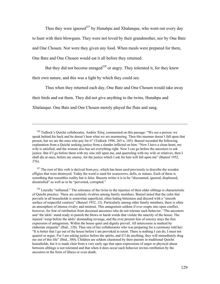Thus they were ignored<sup>327</sup> by Hunahpu and Xbalanque, who went out every day

to hunt with their blowguns. They were not loved by their grandmother, nor by One Batz

and One Chouen. Nor were they given any food. When meals were prepared for them,

One Batz and One Chouen would eat it all before they returned.

But they did not become enraged<sup>328</sup> or angry. They tolerated it, for they knew

their own nature, and this was a light by which they could see.

 $\overline{a}$ 

 Thus when they returned each day, One Batz and One Chouen would take away their birds and eat them. They did not give anything to the twins, Hunahpu and Xbalanque. One Batz and One Chouen merely played the flute and sang.

<sup>&</sup>lt;sup>326</sup> Tedlock's Quiché collaborator, Andrés Xiloj, commented on this passage: "We see a person; we speak behind his back and he doesn't hear what we are murmuring. Then this murmur doesn't fall upon that person, but we are the ones who pay for it" (Tedlock 1996, 265 n. 105). Bunzel recorded the following explanation from a Quiché seeking justice from a slander inflicted on him: "Now I have a clean heart, my wife is satisfied, and the woman also has set everything right. Now I can go before the ancestors to ask justice. But if I go before them with my sins still upon me, and quarreling with my wife or relatives, then I shall die at once, before my enemy, for the justice which I ask for him will fall upon me" (Bunzel 1952, 376).

<sup>&</sup>lt;sup>327</sup> The root of this verb is derived from *poy*, which has been used previously to describe the wooden effigies that were destroyed. Today the word is used for scarecrows, dolls, or statues. Each of these is something that resembles reality but is false. Basseta writes it is to be "discounted, ignored, displeased, dissatisfied" as well as to be "perverted, corrupted."

<sup>&</sup>lt;sup>328</sup> Literally "inflamed." The tolerance of the twins to the injustice of their older siblings is characteristic of Quiché practice. There are certainly rivalries among family members. Bunzel noted that the calm that prevails in all households is somewhat superficial, often hiding bitterness and discord with a "smooth surface of respectful courtesy" (Bunzel 1952, 12). Particularly among older family members, there is often an atmosphere of intense rivalry and mistrust. This antagonism seldom if ever erupts into open conflict, however, for fear of retribution from deceased ancestors who do not tolerate such behavior: "The ancestors and 'the idols' stand ready to punish the blows or harsh words that violate the sanctity of the house. The injured 'weep before the idols' demanding revenge, and the ever present fear of sorcery stays the free expression of antagonism. Within the house quiet and dignity prevail. All intercourse is marked by elaborate etiquette" (Ibid., 120). Thus one of her collaborators who was preparing for a ceremony told her: "It is better that I go out of the house before I am provoked to retort. There is nothing I can do, I must not quarrel or argue. For I am asking justice before the spirits, and if I do anything, they will immediately drag me out of this life" (Ibid., 380). Children are seldom chastened by their parents in traditional Quiché households, but it is made clear from a very early age that open expressions of anger or physical abuse between siblings is not tolerated and that when it does occur such behavior invites retribution by the ancestors in the form of illness or even death.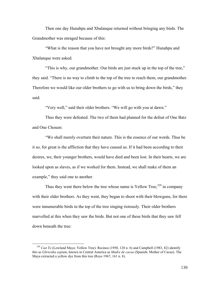Then one day Hunahpu and Xbalanque returned without bringing any birds. The Grandmother was enraged because of this:

 "What is the reason that you have not brought any more birds?" Hunahpu and Xbalanque were asked.

 "This is why, our grandmother. Our birds are just stuck up in the top of the tree," they said. "There is no way to climb to the top of the tree to reach them, our grandmother. Therefore we would like our older brothers to go with us to bring down the birds," they said.

"Very well," said their older brothers. "We will go with you at dawn."

 Thus they were defeated. The two of them had planned for the defeat of One Batz and One Chouen:

 "We shall merely overturn their nature. This is the essence of our words. Thus be it so, for great is the affliction that they have caused us. If it had been according to their desires, we, their younger brothers, would have died and been lost. In their hearts, we are looked upon as slaves, as if we worked for them. Instead, we shall make of them an example," they said one to another.

Thus they went there below the tree whose name is Yellow Tree,  $329$  in company with their older brothers. As they went, they began to shoot with their blowguns, for there were innumerable birds in the top of the tree singing riotously. Their older brothers marvelled at this when they saw the birds. But not one of these birds that they saw fell down beneath the tree:

<sup>&</sup>lt;sup>329</sup> *Can Te* (Lowland Maya: Yellow Tree). Recinos (1950, 128 n. 6) and Campbell (1983, 82) identify this as *Gliricidia sepium*, known in Central America as *Madre de cacao* (Spanish: Mother of Cacao). The Maya extracted a yellow dye from this tree (Roys 1967, 161 n. 8).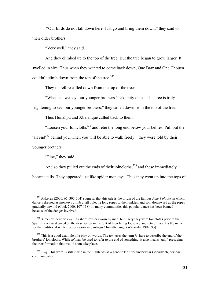"Our birds do not fall down here. Just go and bring them down," they said to their older brothers.

"Very well," they said.

 And they climbed up to the top of the tree. But the tree began to grow larger. It swelled in size. Thus when they wanted to come back down, One Batz and One Chouen couldn't climb down from the top of the tree. $330$ 

They therefore called down from the top of the tree:

"What can we say, our younger brothers? Take pity on us. This tree is truly

frightening to see, our younger brothers," they called down from the top of the tree.

Thus Hunahpu and Xbalanque called back to them:

"Loosen your loincloths<sup>331</sup> and retie the long end below your bellies. Pull out the

tail end<sup>332</sup> behind you. Then you will be able to walk freely," they were told by their

younger brothers.

 $\overline{a}$ 

"Fine," they said.

And so they pulled out the ends of their loincloths,<sup>333</sup> and these immediately

became tails. They appeared just like spider monkeys. Thus they went up into the tops of

<sup>330</sup> Akkeren (2000, 65, 303-304) suggests that this tale is the origin of the famous *Palo Volador* in which dancers dressed as monkeys climb a tall pole, tie long ropes to their ankles, and spin downward as the ropes gradually unwind (Cook 2000, 107-118). In many communities this popular dance has been banned because of the danger involved.

 $331$  Ximénez identifies *we'x* as short trousers worn by men, but likely they were loincloths prior to the Spanish conquest based on the description in the text of their being loosened and retied. *Weexj* is the name for the traditional white trousers worn in Santiago Chimaltenango (Watanabe 1992, 93)

<sup>&</sup>lt;sup>332</sup> This is a good example of a play on words. The text uses the term *je'* here to describe the end of the brothers' loincloths. While *je'* may be used to refer to the end of something, it also means "tail," presaging the transformation that would soon take place.

<sup>&</sup>lt;sup>333</sup> *To'g*. This word is still in use in the highlands as a generic term for underwear (Mondloch, personal communication).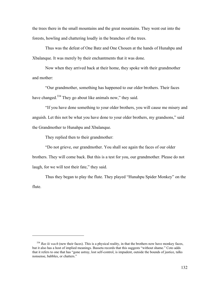the trees there in the small mountains and the great mountains. They went out into the forests, howling and chattering loudly in the branches of the trees.

 Thus was the defeat of One Batz and One Chouen at the hands of Hunahpu and Xbalanque. It was merely by their enchantments that it was done.

 Now when they arrived back at their home, they spoke with their grandmother and mother:

 "Our grandmother, something has happened to our older brothers. Their faces have changed.<sup>334</sup> They go about like animals now," they said.

 "If you have done something to your older brothers, you will cause me misery and anguish. Let this not be what you have done to your older brothers, my grandsons," said the Grandmother to Hunahpu and Xbalanque.

They replied then to their grandmother:

 $\overline{a}$ 

 "Do not grieve, our grandmother. You shall see again the faces of our older brothers. They will come back. But this is a test for you, our grandmother. Please do not laugh, for we will test their fate," they said.

 Thus they began to play the flute. They played "Hunahpu Spider Monkey" on the flute.

<sup>&</sup>lt;sup>334</sup> *Rax ki wach* (new their faces). This is a physical reality, in that the brothers now have monkey faces, but it also has a host of implied meanings. Basseta records that this suggests "without shame." Coto adds that it refers to one that has "gone astray, lost self-control, is impudent, outside the bounds of justice, talks nonsense, babbles, or chatters."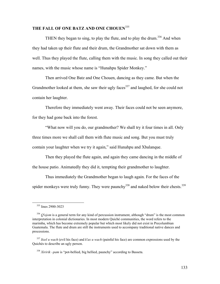## THE FALL OF ONE BATZ AND ONE CHOUEN<sup>335</sup>

THEN they began to sing, to play the flute, and to play the drum.<sup>336</sup> And when they had taken up their flute and their drum, the Grandmother sat down with them as well. Thus they played the flute, calling them with the music. In song they called out their names, with the music whose name is "Hunahpu Spider Monkey."

 Then arrived One Batz and One Chouen, dancing as they came. But when the Grandmother looked at them, she saw their ugly faces $337$  and laughed, for she could not contain her laughter.

 Therefore they immediately went away. Their faces could not be seen anymore, for they had gone back into the forest.

 "What now will you do, our grandmother? We shall try it four times in all. Only three times more we shall call them with flute music and song. But you must truly contain your laughter when we try it again," said Hunahpu and Xbalanque.

 Then they played the flute again, and again they came dancing in the middle of the house patio. Animatedly they did it, tempting their grandmother to laughter.

 Thus immediately the Grandmother began to laugh again. For the faces of the spider monkeys were truly funny. They were paunchy<sup>338</sup> and naked below their chests.<sup>339</sup>

<sup>&</sup>lt;sup>335</sup> lines 2900-3023

<sup>&</sup>lt;sup>336</sup> *Q'ojom* is a general term for any kind of percussion instrument, although "drum" is the most common interpretation in colonial dictionaries. In most modern Quiché communities, the word refers to the marimba, which has become extremely popular but which most likely did not exist in Precolumbian Guatemala. The flute and drum are still the instruments used to accompany traditional native dances and processions.

<sup>337</sup> *Itzel u wach* (evil his face) and *k'ax u wach* (painful his face) are common expressions used by the Quichés to describe an ugly person.

<sup>338</sup> *Xiririk –pam* is "pot-bellied, big bellied, paunchy" according to Basseta.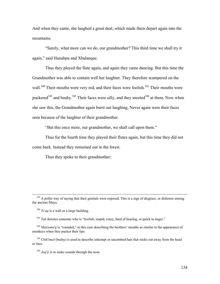And when they came, she laughed a great deal, which made them depart again into the mountains.

 "Surely, what more can we do, our grandmother? This third time we shall try it again," said Hunahpu and Xbalanque.

 Thus they played the flute again, and again they came dancing. But this time the Grandmother was able to contain well her laughter. They therefore scampered on the wall.<sup>340</sup> Their mouths were very red, and their faces were foolish.<sup>341</sup> Their mouths were puckered<sup>342</sup> and bushy.<sup>343</sup> Their faces were silly, and they snorted<sup>344</sup> at them. Now when she saw this, the Grandmother again burst out laughing. Never again were their faces seen because of the laughter of their grandmother.

"But this once more, our grandmother, we shall call upon them."

 Thus for the fourth time they played their flutes again, but this time they did not come back. Instead they remained out in the forest.

Thus they spoke to their grandmother:

<sup>&</sup>lt;sup>339</sup> A polite way of saying that their genitals were exposed. This is a sign of disgrace, or dishonor among the ancient Maya.

 $340$  Tz'aq is a wall or a large building.

<sup>&</sup>lt;sup>341</sup> *Tak* denotes someone who is "foolish, stupid, crazy, hard of hearing, or quick to anger."

<sup>&</sup>lt;sup>342</sup> *Mutzuma'q* is "rounded," in this case describing the brothers' mouths as similar to the appearance of monkeys when they pucker their lips.

<sup>&</sup>lt;sup>343</sup> *Chik'imal* (bushy) is used to describe unkempt or uncombed hair that sticks out away from the head or face.

<sup>&</sup>lt;sup>344</sup> *Joq'ii* is to make sounds through the nose.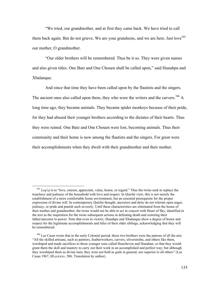"We tried, our grandmother, and at first they came back. We have tried to call them back again. But do not grieve. We are your grandsons, and we are here. Just love<sup>345</sup> our mother, O grandmother.

 "Our older brothers will be remembered. Thus be it so. They were given names and also given titles. One Batz and One Chouen shall be called upon," said Hunahpu and Xbalanque.

And since that time they have been called upon by the flautists and the singers. The ancient ones also called upon them, they who were the writers and the carvers.  $346$  A long time ago, they became animals. They became spider monkeys because of their pride, for they had abused their younger brothers according to the dictates of their hearts. Thus they were ruined. One Batz and One Chouen were lost, becoming animals. Thus their community and their home is now among the flautists and the singers. For great were their accomplishments when they dwelt with their grandmother and their mother.

<sup>&</sup>lt;sup>345</sup> *Log'oj* is to "love, esteem, appreciate, value, honor, or regard." Thus the twins seek to replace the treachery and jealousy of the household with love and respect. In Quiché view, this is not merely the establishment of a more comfortable home environment, but an essential prerequisite for the proper expression of divine will. In contemporary Quiché thought, ancestors and deity do not tolerate open anger, jealousy, or pride and punish such severely. Until these characteristics are eliminated from the house of their mother and grandmother, the twins would not be able to act in concert with Heart of Sky, identified in the text as the inspiration for the twins subsequent actions in defeating death and restoring their father/ancestor to power. Note that even in victory, Hunahpu and Xbalanque show a degree of honor and respect for the legitimate accomplishments and titles of their older siblings, acknowledging that they will be remembered.

<sup>&</sup>lt;sup>346</sup> Las Casas wrote that in the early Colonial period, these two brothers were the patrons of all the arts: "All the skilled artisans, such as painters, featherworkers, carvers, silversmiths, and others like them, worshiped and made sacrifices to those younger sons called Huncheven and Hunahan, so that they would grant them the skill and mastery to carry out their work in an accomplished and perfect way; but although they worshiped them as divine men, they were not held as gods in general, nor superior to all others" (Las Casas 1967, III.ccxxxv, 506. Translation by author).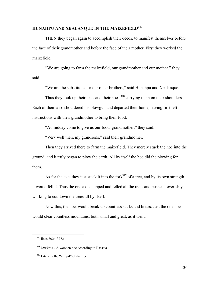## HUNAHPU AND XBALANQUE IN THE MAIZEFIELD<sup>347</sup>

 THEN they began again to accomplish their deeds, to manifest themselves before the face of their grandmother and before the face of their mother. First they worked the maizefield:

 "We are going to farm the maizefield, our grandmother and our mother," they said.

"We are the substitutes for our older brothers," said Hunahpu and Xbalanque.

Thus they took up their axes and their hoes,  $348$  carrying them on their shoulders. Each of them also shouldered his blowgun and departed their home, having first left instructions with their grandmother to bring their food:

"At midday come to give us our food, grandmother," they said.

"Very well then, my grandsons," said their grandmother.

 Then they arrived there to farm the maizefield. They merely stuck the hoe into the ground, and it truly began to plow the earth. All by itself the hoe did the plowing for them.

As for the axe, they just stuck it into the fork $349$  of a tree, and by its own strength it would fell it. Thus the one axe chopped and felled all the trees and bushes, feverishly working to cut down the trees all by itself.

 Now this, the hoe, would break up countless stalks and briars. Just the one hoe would clear countless mountains, both small and great, as it went.

<sup>&</sup>lt;sup>347</sup> lines 3024-3272

<sup>348</sup> *Mixk'ina'*. A wooden hoe according to Basseta.

<sup>&</sup>lt;sup>349</sup> Literally the "armpit" of the tree.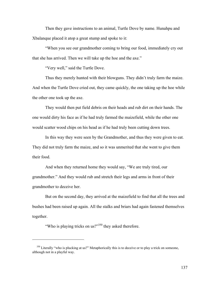Then they gave instructions to an animal, Turtle Dove by name. Hunahpu and Xbalanque placed it atop a great stump and spoke to it:

 "When you see our grandmother coming to bring our food, immediately cry out that she has arrived. Then we will take up the hoe and the axe."

"Very well," said the Turtle Dove.

 Thus they merely hunted with their blowguns. They didn't truly farm the maize. And when the Turtle Dove cried out, they came quickly, the one taking up the hoe while the other one took up the axe.

 They would then put field debris on their heads and rub dirt on their hands. The one would dirty his face as if he had truly farmed the maizefield, while the other one would scatter wood chips on his head as if he had truly been cutting down trees.

 In this way they were seen by the Grandmother, and thus they were given to eat. They did not truly farm the maize, and so it was unmerited that she went to give them their food.

 And when they returned home they would say, "We are truly tired, our grandmother." And they would rub and stretch their legs and arms in front of their grandmother to deceive her.

 But on the second day, they arrived at the maizefield to find that all the trees and bushes had been raised up again. All the stalks and briars had again fastened themselves together.

"Who is playing tricks on us?"<sup>350</sup> they asked therefore.

<sup>&</sup>lt;sup>350</sup> Literally "who is plucking at us?" Metaphorically this is to deceive or to play a trick on someone, although not in a playful way.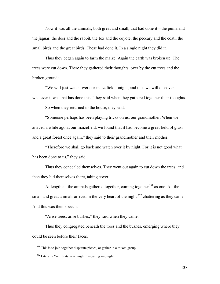Now it was all the animals, both great and small, that had done it—the puma and the jaguar, the deer and the rabbit, the fox and the coyote, the peccary and the coati, the small birds and the great birds. These had done it. In a single night they did it.

 Thus they began again to farm the maize. Again the earth was broken up. The trees were cut down. There they gathered their thoughts, over by the cut trees and the broken ground:

 "We will just watch over our maizefield tonight, and thus we will discover whatever it was that has done this," they said when they gathered together their thoughts.

So when they returned to the house, they said:

 "Someone perhaps has been playing tricks on us, our grandmother. When we arrived a while ago at our maizefield, we found that it had become a great field of grass and a great forest once again," they said to their grandmother and their mother.

"Therefore we shall go back and watch over it by night. For it is not good what has been done to us," they said.

 Thus they concealed themselves. They went out again to cut down the trees, and then they hid themselves there, taking cover.

At length all the animals gathered together, coming together<sup>351</sup> as one. All the small and great animals arrived in the very heart of the night,<sup>352</sup> chattering as they came. And this was their speech:

"Arise trees; arise bushes," they said when they came.

 Thus they congregated beneath the trees and the bushes, emerging where they could be seen before their faces.

<sup>&</sup>lt;sup>351</sup> This is to join together disparate pieces, or gather in a mixed group.

<sup>&</sup>lt;sup>352</sup> Literally "zenith its heart night," meaning midnight.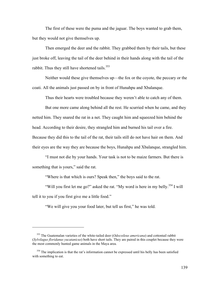The first of these were the puma and the jaguar. The boys wanted to grab them, but they would not give themselves up.

 Then emerged the deer and the rabbit. They grabbed them by their tails, but these just broke off, leaving the tail of the deer behind in their hands along with the tail of the rabbit. Thus they still have shortened tails. $353$ 

 Neither would these give themselves up—the fox or the coyote, the peccary or the coati. All the animals just passed on by in front of Hunahpu and Xbalanque.

Thus their hearts were troubled because they weren't able to catch any of them.

 But one more came along behind all the rest. He scurried when he came, and they netted him. They snared the rat in a net. They caught him and squeezed him behind the head. According to their desire, they strangled him and burned his tail over a fire. Because they did this to the tail of the rat, their tails still do not have hair on them. And their eyes are the way they are because the boys, Hunahpu and Xbalanque, strangled him.

 "I must not die by your hands. Your task is not to be maize farmers. But there is something that is yours," said the rat.

"Where is that which is ours? Speak then," the boys said to the rat.

"Will you first let me go?" asked the rat. "My word is here in my belly.<sup>354</sup> I will tell it to you if you first give me a little food."

"We will give you your food later, but tell us first," he was told.

<sup>&</sup>lt;sup>353</sup> The Guatemalan varieties of the white-tailed deer (*Odocoileus americana*) and cottontail rabbit (*Sylvilagus floridanus yucatanicus*) both have short tails. They are paired in this couplet because they were the most commonly hunted game animals in the Maya area.

<sup>&</sup>lt;sup>354</sup> The implication is that the rat's information cannot be expressed until his belly has been satisfied with something to eat.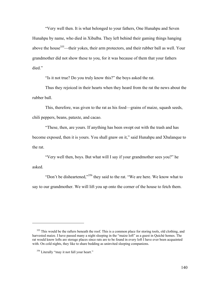"Very well then. It is what belonged to your fathers, One Hunahpu and Seven Hunahpu by name, who died in Xibalba. They left behind their gaming things hanging above the house<sup>355</sup>—their yokes, their arm protectors, and their rubber ball as well. Your grandmother did not show these to you, for it was because of them that your fathers died."

"Is it not true? Do you truly know this?" the boys asked the rat.

 Thus they rejoiced in their hearts when they heard from the rat the news about the rubber ball.

 This, therefore, was given to the rat as his food—grains of maize, squash seeds, chili peppers, beans, pataxte, and cacao.

 "These, then, are yours. If anything has been swept out with the trash and has become exposed, then it is yours. You shall gnaw on it," said Hunahpu and Xbalanque to the rat.

 "Very well then, boys. But what will I say if your grandmother sees you?" he asked.

"Don't be disheartened,"<sup>356</sup> they said to the rat. "We are here. We know what to say to our grandmother. We will lift you up onto the corner of the house to fetch them.

<sup>&</sup>lt;sup>355</sup> This would be the rafters beneath the roof. This is a common place for storing tools, old clothing, and harvested maize. I have passed many a night sleeping in the "maize loft" as a guest in Quiché homes. The rat would know lofts are storage places since rats are to be found in every loft I have ever been acquainted with. On cold nights, they like to share bedding as uninvited sleeping companions.

<sup>&</sup>lt;sup>356</sup> Literally "may it not fall your heart."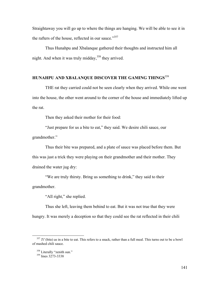Straightaway you will go up to where the things are hanging. We will be able to see it in the rafters of the house, reflected in our sauce."357

 Thus Hunahpu and Xbalanque gathered their thoughts and instructed him all night. And when it was truly midday, $358$  they arrived.

## HUNAHPU AND XBALANQUE DISCOVER THE GAMING THINGS<sup>359</sup>

 THE rat they carried could not be seen clearly when they arrived. While one went into the house, the other went around to the corner of the house and immediately lifted up the rat.

Then they asked their mother for their food:

 "Just prepare for us a bite to eat," they said. We desire chili sauce, our grandmother."

 Thus their bite was prepared, and a plate of sauce was placed before them. But this was just a trick they were playing on their grandmother and their mother. They drained the water jug dry:

 "We are truly thirsty. Bring us something to drink," they said to their grandmother.

"All right," she replied.

 Thus she left, leaving them behind to eat. But it was not true that they were hungry. It was merely a deception so that they could see the rat reflected in their chili

 $357$  *Ti'* (bite) as in a bite to eat. This refers to a snack, rather than a full meal. This turns out to be a bowl of mashed chili sauce.

<sup>&</sup>lt;sup>358</sup> Literally "zenith sun."

<sup>&</sup>lt;sup>359</sup> lines 3273-3338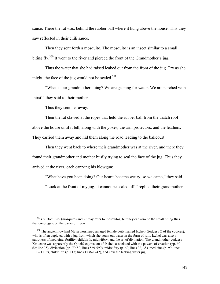sauce. There the rat was, behind the rubber ball where it hung above the house. This they saw reflected in their chili sauce.

 Then they sent forth a mosquito. The mosquito is an insect similar to a small biting fly.<sup>360</sup> It went to the river and pierced the front of the Grandmother's jug.

Thus the water that she had raised leaked out from the front of the jug. Try as she might, the face of the jug would not be sealed. $361$ 

 "What is our grandmother doing? We are gasping for water. We are parched with thirst!" they said to their mother.

Thus they sent her away.

 $\overline{a}$ 

 Then the rat clawed at the ropes that held the rubber ball from the thatch roof above the house until it fell, along with the yokes, the arm protectors, and the leathers. They carried them away and hid them along the road leading to the ballcourt.

Then they went back to where their grandmother was at the river, and there they found their grandmother and mother busily trying to seal the face of the jug. Thus they arrived at the river, each carrying his blowgun:

"What have you been doing? Our hearts became weary, so we came," they said.

"Look at the front of my jug. It cannot be sealed off," replied their grandmother.

<sup>360</sup> *Us*. Both *xa'n* (mosquito) and *us* may refer to mosquitos, but they can also be the small biting flies that congregate on the banks of rivers.

<sup>&</sup>lt;sup>361</sup> The ancient lowland Maya worshiped an aged female deity named Ixchel (Goddess O of the codices), who is often depicted with a jug from which she pours out water in the form of rain. Ixchel was also a patroness of medicine, fertility, childbirth, midwifery, and the art of divination. The grandmother goddess Xmucane was apparently the Quiché equivalent of Ixchel, associated with the powers of creation (pp. 60- 62; line 35), divination (pp. 79-82; lines 569-599), midwifery (p. 62; lines 32, 38), medicine (p. 99; lines 1112-1119), childbirth (p. 113; lines 1736-1742), and now the leaking water jug.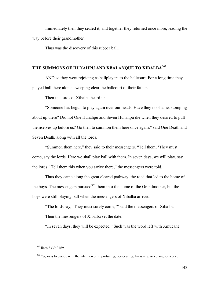Immediately then they sealed it, and together they returned once more, leading the way before their grandmother.

Thus was the discovery of this rubber ball.

## THE SUMMONS OF HUNAHPU AND XBALANQUE TO XIBALBA<sup>362</sup>

 AND so they went rejoicing as ballplayers to the ballcourt. For a long time they played ball there alone, sweeping clear the ballcourt of their father.

Then the lords of Xibalba heard it:

 "Someone has begun to play again over our heads. Have they no shame, stomping about up there? Did not One Hunahpu and Seven Hunahpu die when they desired to puff themselves up before us? Go then to summon them here once again," said One Death and Seven Death, along with all the lords.

 "Summon them here," they said to their messengers. "Tell them, 'They must come, say the lords. Here we shall play ball with them. In seven days, we will play, say the lords.' Tell them this when you arrive there," the messengers were told.

 Thus they came along the great cleared pathway, the road that led to the home of the boys. The messengers pursued<sup>363</sup> them into the home of the Grandmother, but the boys were still playing ball when the messengers of Xibalba arrived.

"The lords say, 'They must surely come,'" said the messengers of Xibalba.

Then the messengers of Xibalba set the date:

"In seven days, they will be expected." Such was the word left with Xmucane.

<sup>&</sup>lt;sup>362</sup> lines 3339-3469

<sup>&</sup>lt;sup>363</sup> *Toq'oj* is to pursue with the intention of importuning, persecuting, harassing, or vexing someone.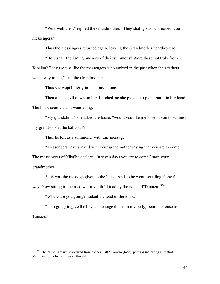"Very well then," replied the Grandmother. "They shall go as summoned, you messengers."

Thus the messengers returned again, leaving the Grandmother heartbroken:

 "How shall I tell my grandsons of their summons? Were these not truly from Xibalba? They are just like the messengers who arrived in the past when their fathers went away to die," said the Grandmother.

Thus she wept bitterly in the house alone.

 Then a louse fell down on her. It itched, so she picked it up and put it in her hand. The louse scuttled as it went along.

 "My grandchild," she asked the louse, "would you like me to send you to summon my grandsons at the ballcourt?"

Thus he left as a summoner with this message:

"Messengers have arrived with your grandmother saying that you are to come.

The messengers of Xibalba declare, 'In seven days you are to come,' says your grandmother."

 Such was the message given to the louse. And so he went, scuttling along the way. Now sitting in the road was a youthful toad by the name of Tamazul.<sup>364</sup>

"Where are you going?" asked the toad of the louse.

 $\overline{a}$ 

 "I am going to give the boys a message that is in my belly," said the louse to Tamazul.

<sup>&</sup>lt;sup>364</sup> The name Tamazul is derived from the Nahuatl *tamasolli* (toad), perhaps indicating a Central Mexican origin for portions of this tale.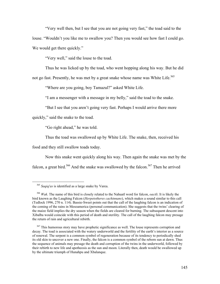"Very well then, but I see that you are not going very fast," the toad said to the louse. "Wouldn't you like me to swallow you? Then you would see how fast I could go. We would get there quickly."

"Very well," said the louse to the toad.

Thus he was licked up by the toad, who went hopping along his way. But he did

not go fast. Presently, he was met by a great snake whose name was White Life.<sup>365</sup>

"Where are you going, boy Tamazul?" asked White Life.

"I am a messenger with a message in my belly," said the toad to the snake.

"But I see that you aren't going very fast. Perhaps I would arrive there more

quickly," said the snake to the toad.

"Go right ahead," he was told.

Thus the toad was swallowed up by White Life. The snake, then, received his

food and they still swallow toads today.

Now this snake went quickly along his way. Then again the snake was met by the

falcon, a great bird.<sup>366</sup> And the snake was swallowed by the falcon.<sup>367</sup> Then he arrived

 <sup>365</sup> *Saqiq'as* is identified as a large snake by Varea.

<sup>366</sup> *Wak*. The name of this bird is closely related to the Nahuatl word for falcon, *oactli*. It is likely the bird known as the Laughing Falcon (*Herpetotheres cachinnans*), which makes a sound similar to this call (Tedlock 1996, 270 n. 114). Bassie-Sweet points out that the call of the laughing falcon is an indication of the coming of the rains in Mesoamerica (personal communication). She suggests that the twins' clearing of the maize field implies the dry season when the fields are cleared for burning. The subsequent descent into Xibalba would coincide with this period of death and sterility. The call of the laughing falcon may presage the return of rain and agricultural rebirth.

<sup>&</sup>lt;sup>367</sup> This humorous story may have prophetic significance as well. The louse represents corruption and decay. The toad is associated with the watery underworld and the fertility of the earth's interior as a source of renewal. The serpent is a common symbol of regeneration because of its tendency to periodically shed its old skin to uncover a new one. Finally, the falcon is a common symbol of the reborn sun at dawn. Thus the sequence of animals may presage the death and corruption of the twins in the underworld, followed by their rebirth to new life and apotheosis as the sun and moon. Literally then, death would be swallowed up by the ultimate triumph of Hunahpu and Xbalanque.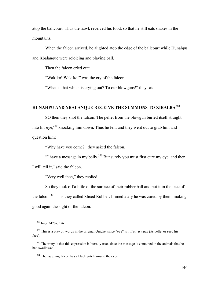atop the ballcourt. Thus the hawk received his food, so that he still eats snakes in the mountains.

 When the falcon arrived, he alighted atop the edge of the ballcourt while Hunahpu and Xbalanque were rejoicing and playing ball.

Then the falcon cried out:

"Wak-ko! Wak-ko!" was the cry of the falcon.

"What is that which is crying out? To our blowguns!" they said.

# HUNAHPU AND XBALANQUE RECEIVE THE SUMMONS TO XIBALBA<sup>368</sup>

 SO then they shot the falcon. The pellet from the blowgun buried itself straight into his eye,<sup>369</sup> knocking him down. Thus he fell, and they went out to grab him and question him:

"Why have you come?" they asked the falcon.

"I have a message in my belly. $370$  But surely you must first cure my eye, and then I will tell it," said the falcon.

"Very well then," they replied.

 So they took off a little of the surface of their rubber ball and put it in the face of the falcon.<sup>371</sup> This they called Sliced Rubber. Immediately he was cured by them, making good again the sight of the falcon.

<sup>368</sup> lines 3470-3556

<sup>369</sup> This is a play on words in the original Quiché, since "eye" is *u b'aq' u wach* (its pellet or seed his face).

<sup>&</sup>lt;sup>370</sup> The irony is that this expression is literally true, since the message is contained in the animals that he had swallowed.

 $371$  The laughing falcon has a black patch around the eyes.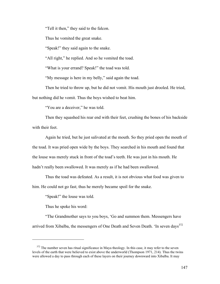"Tell it then," they said to the falcon.

Thus he vomited the great snake.

"Speak!" they said again to the snake.

"All right," he replied. And so he vomited the toad.

"What is your errand? Speak!" the toad was told.

"My message is here in my belly," said again the toad.

 Then he tried to throw up, but he did not vomit. His mouth just drooled. He tried, but nothing did he vomit. Thus the boys wished to beat him.

"You are a deceiver," he was told.

 Then they squashed his rear end with their feet, crushing the bones of his backside with their feet.

 Again he tried, but he just salivated at the mouth. So they pried open the mouth of the toad. It was pried open wide by the boys. They searched in his mouth and found that the louse was merely stuck in front of the toad's teeth. He was just in his mouth. He hadn't really been swallowed. It was merely as if he had been swallowed.

 Thus the toad was defeated. As a result, it is not obvious what food was given to him. He could not go fast; thus he merely became spoil for the snake.

"Speak!" the louse was told.

Thus he spoke his word:

 $\overline{a}$ 

 "The Grandmother says to you boys, 'Go and summon them. Messengers have arrived from Xibalba, the messengers of One Death and Seven Death. 'In seven days<sup>372</sup>

<sup>&</sup>lt;sup>372</sup> The number seven has ritual significance in Maya theology. In this case, it may refer to the seven levels of the earth that were believed to exist above the underworld (Thompson 1971, 214). Thus the twins were allowed a day to pass through each of these layers on their journey downward into Xibalba. It may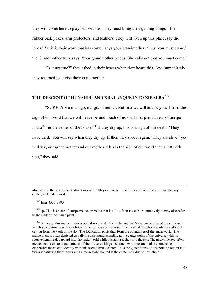they will come here to play ball with us. They must bring their gaming things—the rubber ball, yokes, arm protectors, and leathers. They will liven up this place, say the lords.' 'This is their word that has come,' says your grandmother. 'Thus you must come,' the Grandmother truly says. Your grandmother weeps. She calls out that you must come."

 "Is it not true?" they asked in their hearts when they heard this. And immediately they returned to advise their grandmother.

# THE DESCENT OF HUNAHPU AND XBALANQUE INTO XIBALBA<sup>373</sup>

 "SURELY we must go, our grandmother. But first we will advise you. This is the sign of our word that we will leave behind. Each of us shall first plant an ear of unripe maize $^{374}$  in the center of the house.<sup>375</sup> If they dry up, this is a sign of our death. 'They have died,' you will say when they dry up. If then they sprout again, 'They are alive,' you will say, our grandmother and our mother. This is the sign of our word that is left with you," they said.

also refer to the seven sacred directions of the Maya universe—the four cardinal directions plus the sky, center, and underworld.

<sup>&</sup>lt;sup>373</sup> lines 3557-3993

 $374$  *Aj*. This is an ear of unripe maize, or maize that is still soft on the cob. Alternatively, it may also refer to the stalk of the maize plant.

<sup>&</sup>lt;sup>375</sup> Although this incident seems odd, it is consistent with the ancient Maya conception of the universe in which all creation is seen as a house. The four corners represent the cardinal directions while its walls and ceiling form the vault of the sky. The foundation posts thus form the boundaries of the underworld. The maize plant is often depicted as a divine axis mundi standing at the center point of the universe with its roots extending downward into the underworld while its stalk reaches into the sky. The ancient Maya often erected colossal stone monuments of their revered kings decorated with tree and maize elements to emphasize the rulers' identity with this sacred living center. Thus the Quichés would see nothing odd in the twins identifying themselves with a maizestalk planted at the center of a divine household.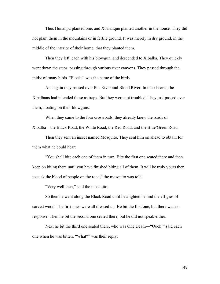Thus Hunahpu planted one, and Xbalanque planted another in the house. They did not plant them in the mountains or in fertile ground. It was merely in dry ground, in the middle of the interior of their home, that they planted them.

Then they left, each with his blowgun, and descended to Xibalba. They quickly went down the steps, passing through various river canyons. They passed through the midst of many birds. "Flocks" was the name of the birds.

 And again they passed over Pus River and Blood River. In their hearts, the Xibalbans had intended these as traps. But they were not troubled. They just passed over them, floating on their blowguns.

When they came to the four crossroads, they already knew the roads of Xibalba—the Black Road, the White Road, the Red Road, and the Blue/Green Road.

 Then they sent an insect named Mosquito. They sent him on ahead to obtain for them what he could hear:

 "You shall bite each one of them in turn. Bite the first one seated there and then keep on biting them until you have finished biting all of them. It will be truly yours then to suck the blood of people on the road," the mosquito was told.

"Very well then," said the mosquito.

 So then he went along the Black Road until he alighted behind the effigies of carved wood. The first ones were all dressed up. He bit the first one, but there was no response. Then he bit the second one seated there, but he did not speak either.

Next he bit the third one seated there, who was One Death—"Ouch!" said each one when he was bitten. "What?" was their reply:

149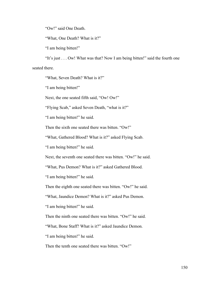"Ow!" said One Death.

"What, One Death? What is it?"

"I am being bitten!"

 "It's just . . . Ow! What was that? Now I am being bitten!" said the fourth one seated there.

"What, Seven Death? What is it?"

"I am being bitten!"

Next, the one seated fifth said, "Ow! Ow!"

"Flying Scab," asked Seven Death, "what is it?"

"I am being bitten!" he said.

Then the sixth one seated there was bitten. "Ow!"

"What, Gathered Blood? What is it?" asked Flying Scab.

"I am being bitten!" he said.

Next, the seventh one seated there was bitten. "Ow!" he said.

"What, Pus Demon? What is it?" asked Gathered Blood.

"I am being bitten!" he said.

Then the eighth one seated there was bitten. "Ow!" he said.

"What, Jaundice Demon? What is it?" asked Pus Demon.

"I am being bitten!" he said.

Then the ninth one seated there was bitten. "Ow!" he said.

"What, Bone Staff? What is it?" asked Jaundice Demon.

"I am being bitten!" he said.

Then the tenth one seated there was bitten. "Ow!"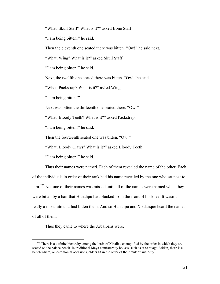"What, Skull Staff? What is it?" asked Bone Staff.

"I am being bitten!" he said.

Then the eleventh one seated there was bitten. "Ow!" he said next.

"What, Wing? What is it?" asked Skull Staff.

"I am being bitten!" he said.

Next, the twelfth one seated there was bitten. "Ow!" he said.

"What, Packstrap? What is it?" asked Wing.

"I am being bitten!"

Next was bitten the thirteenth one seated there. "Ow!"

"What, Bloody Teeth? What is it?" asked Packstrap.

"I am being bitten!" he said.

Then the fourteenth seated one was bitten. "Ow!"

"What, Bloody Claws? What is it?" asked Bloody Teeth.

"I am being bitten!" he said.

 Thus their names were named. Each of them revealed the name of the other. Each of the individuals in order of their rank had his name revealed by the one who sat next to him.<sup>376</sup> Not one of their names was missed until all of the names were named when they were bitten by a hair that Hunahpu had plucked from the front of his knee. It wasn't really a mosquito that had bitten them. And so Hunahpu and Xbalanque heard the names of all of them.

Thus they came to where the Xibalbans were.

<sup>&</sup>lt;sup>376</sup> There is a definite hierarchy among the lords of Xibalba, exemplified by the order in which they are seated on the palace bench. In traditional Maya confraternity houses, such as at Santiago Atitlán, there is a bench where, on ceremonial occasions, elders sit in the order of their rank of authority.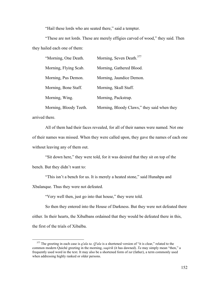"Hail these lords who are seated there," said a tempter.

 "These are not lords. These are merely effigies carved of wood," they said. Then they hailed each one of them:

| "Morning, One Death.   | Morning, Seven Death. <sup>377</sup>        |
|------------------------|---------------------------------------------|
| Morning, Flying Scab.  | Morning, Gathered Blood.                    |
| Morning, Pus Demon.    | Morning, Jaundice Demon.                    |
| Morning, Bone Staff.   | Morning, Skull Staff.                       |
| Morning, Wing.         | Morning, Packstrap.                         |
| Morning, Bloody Teeth. | Morning, Bloody Claws," they said when they |

arrived there.

 All of them had their faces revealed, for all of their names were named. Not one of their names was missed. When they were called upon, they gave the names of each one without leaving any of them out.

 "Sit down here," they were told, for it was desired that they sit on top of the bench. But they didn't want to:

"This isn't a bench for us. It is merely a heated stone," said Hunahpu and

Xbalanque. Thus they were not defeated.

"Very well then, just go into that house," they were told.

 So then they entered into the House of Darkness. But they were not defeated there either. In their hearts, the Xibalbans ordained that they would be defeated there in this, the first of the trials of Xibalba.

<sup>&</sup>lt;sup>377</sup> The greeting in each case is *q'ala ta. Q'ala* is a shortened version of "it is clear," related to the common modern Quiché greeting in the morning, *saqirik* (it has dawned). *Ta* may simply mean "then," a frequently used word in the text. It may also be a shortened form of *tat* (father), a term commonly used when addressing highly ranked or older persons.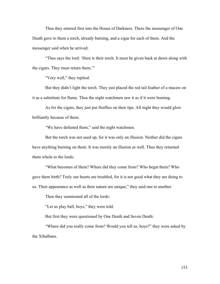Thus they entered first into the House of Darkness. There the messenger of One Death gave to them a torch, already burning, and a cigar for each of them. And the messenger said when he arrived:

 "Thus says the lord: 'Here is their torch. It must be given back at dawn along with the cigars. They must return them.'"

"Very well," they replied.

 But they didn't light the torch. They just placed the red tail feather of a macaw on it as a substitute for flame. Thus the night watchmen saw it as if it were burning.

 As for the cigars, they just put fireflies on their tips. All night they would glow brilliantly because of them.

"We have defeated them," said the night watchmen.

 But the torch was not used up, for it was only an illusion. Neither did the cigars have anything burning on them. It was merely an illusion as well. Thus they returned them whole to the lords:

 "What becomes of them? Where did they come from? Who begat them? Who gave them birth? Truly our hearts are troubled, for it is not good what they are doing to us. Their appearance as well as their nature are unique," they said one to another.

Then they summoned all of the lords:

"Let us play ball, boys," they were told.

But first they were questioned by One Death and Seven Death:

 "Where did you really come from? Would you tell us, boys?" they were asked by the Xibalbans.

153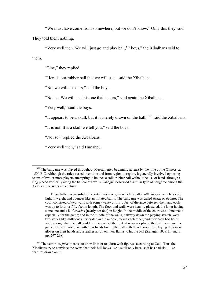"We must have come from somewhere, but we don't know." Only this they said. They told them nothing.

"Very well then. We will just go and play ball,  $378$  boys," the Xibalbans said to

them.

 $\overline{a}$ 

"Fine," they replied.

"Here is our rubber ball that we will use," said the Xibalbans.

"No, we will use ours," said the boys.

"Not so. We will use this one that is ours," said again the Xibalbans.

"Very well," said the boys.

"It appears to be a skull, but it is merely drawn on the ball,"<sup>379</sup> said the Xibalbans.

"It is not. It is a skull we tell you," said the boys.

"Not so," replied the Xibalbans.

"Very well then," said Hunahpu.

<sup>&</sup>lt;sup>378</sup> The ballgame was played throughout Mesoamerica beginning at least by the time of the Olmecs ca. 1500 B.C. Although the rules varied over time and from region to region, it generally involved opposing teams of two or more players attempting to bounce a solid rubber ball without the use of hands through a ring placed vertically along the ballcourt's walls. Sahagun described a similar type of ballgame among the Aztecs in the sixteenth century:

These balls... were solid, of a certain resin or gum which is called *ulli* [rubber] which is very light in weight and bounces like an inflated ball.... The ballgame was called *tlaxtli* or *tlachtli*. The court consisted of two walls with some twenty or thirty feet of distance between them and each was up to forty or fifty feet in length. The floor and walls were heavily plastered, the latter having some one and a half *estados* [nearly ten feet] in height. In the middle of the court was a line made especially for the game; and in the middle of the walls, halfway down the playing stretch, were two stones like millstones perforated in the middle, facing each other, and they each had holes wide enough that the ball could fit into each of them. And whoever placed the ball there won the game. They did not play with their hands but hit the ball with their flanks. For playing they wore gloves on their hands and a leather apron on their flanks to hit the ball (Sahagún 1938, II.viii.10, pp. 297-298).

<sup>&</sup>lt;sup>379</sup> The verb root, *juch'* means "to draw lines or to adorn with figures" according to Coto. Thus the Xibalbans try to convince the twins that their ball looks like a skull only because it has had skull-like features drawn on it.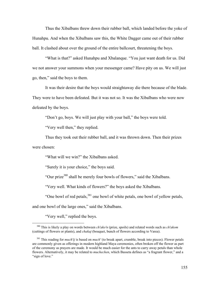Thus the Xibalbans threw down their rubber ball, which landed before the yoke of Hunahpu. And when the Xibalbans saw this, the White Dagger came out of their rubber ball. It clashed about over the ground of the entire ballcourt, threatening the boys.

 "What is that?" asked Hunahpu and Xbalanque. "You just want death for us. Did we not answer your summons when your messenger came? Have pity on us. We will just go, then," said the boys to them.

 It was their desire that the boys would straightaway die there because of the blade. They were to have been defeated. But it was not so. It was the Xibalbans who were now defeated by the boys.

"Don't go, boys. We will just play with your ball," the boys were told.

"Very well then," they replied.

Thus they took out their rubber ball, and it was thrown down. Then their prizes

were chosen:

"What will we win?" the Xibalbans asked.

"Surely it is your choice," the boys said.

"Our prize<sup>380</sup> shall be merely four bowls of flowers," said the Xibalbans.

"Very well. What kinds of flowers?" the boys asked the Xibalbans.

"One bowl of red petals,<sup>381</sup> one bowl of white petals, one bowl of yellow petals,

and one bowl of the large ones," said the Xibalbans.

"Very well," replied the boys.

 <sup>380</sup> This is likely a play on words between *ch'ako'n* (prize, spoils) and related words such as *ch'akom* (cuttings of flowers or plants), and *chakaj* (bouquet, bunch of flowers according to Varea).

<sup>&</sup>lt;sup>381</sup> This reading for *much'ij* is based on *much'* (to break apart, crumble, break into pieces). Flower petals are commonly given as offerings in modern highland Maya ceremonies, often broken off the flower as part of the ceremony as prayers are made. It would be much easier for the ants to carry away petals than whole flowers. Alternatively, it may be related to *muchechen*, which Basseta defines as "a fragrant flower," and a "sign of love."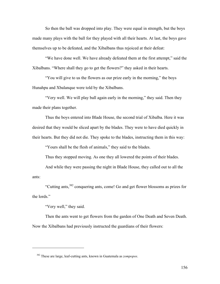So then the ball was dropped into play. They were equal in strength, but the boys made many plays with the ball for they played with all their hearts. At last, the boys gave themselves up to be defeated, and the Xibalbans thus rejoiced at their defeat:

"We have done well. We have already defeated them at the first attempt," said the Xibalbans. "Where shall they go to get the flowers?" they asked in their hearts.

 "You will give to us the flowers as our prize early in the morning," the boys Hunahpu and Xbalanque were told by the Xibalbans.

 "Very well. We will play ball again early in the morning," they said. Then they made their plans together.

 Thus the boys entered into Blade House, the second trial of Xibalba. Here it was desired that they would be sliced apart by the blades. They were to have died quickly in their hearts. But they did not die. They spoke to the blades, instructing them in this way:

"Yours shall be the flesh of animals," they said to the blades.

Thus they stopped moving. As one they all lowered the points of their blades.

 And while they were passing the night in Blade House, they called out to all the ants:

"Cutting ants,<sup>382</sup> conquering ants, come! Go and get flower blossoms as prizes for the lords."

"Very well," they said.

 $\overline{a}$ 

 Then the ants went to get flowers from the garden of One Death and Seven Death. Now the Xibalbans had previously instructed the guardians of their flowers:

<sup>382</sup> These are large, leaf-cutting ants, known in Guatemala as *zompopos*.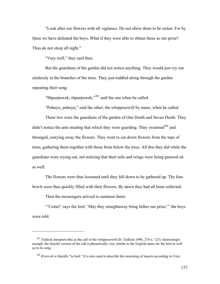"Look after our flowers with all vigilance. Do not allow them to be stolen. For by these we have defeated the boys. What if they were able to obtain these as our prize? Thus do not sleep all night."

"Very well," they said then.

 But the guardians of the garden did not notice anything. They would just cry out aimlessly in the branches of the trees. They just toddled along through the garden repeating their song:

"Shpurpuwek, shpurpuwek,"<sup>383</sup> said the one when he called.

"Puhuyu, puhuyu," said the other, the whippoorwill by name, when he called.

 These two were the guardians of the garden of One Death and Seven Death. They didn't notice the ants stealing that which they were guarding. They swarmed<sup>384</sup> and thronged, carrying away the flowers. They went to cut down flowers from the tops of trees, gathering them together with those from below the trees. All this they did while the guardians were crying out, not noticing that their tails and wings were being gnawed on as well.

 The flowers were thus loosened until they fell down to be gathered up. The four bowls were thus quickly filled with their flowers. By dawn they had all been collected.

Then the messengers arrived to summon them:

 $\overline{a}$ 

"'Come!' says the lord. 'May they straightaway bring hither our prize," the boys were told.

<sup>&</sup>lt;sup>383</sup> Tedlock interprets this as the call of the whippoorwill (D. Tedlock 1996, 274 n. 123). Interestingly enough, the Quiché version of the call is phonetically very similar to the English name for the bird as well as to its song.

<sup>&</sup>lt;sup>384</sup> *B'olowik* is literally "to boil." It is also used to describe the swarming of insects according to Coto.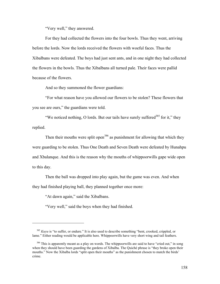"Very well," they answered.

 For they had collected the flowers into the four bowls. Thus they went, arriving before the lords. Now the lords received the flowers with woeful faces. Thus the Xibalbans were defeated. The boys had just sent ants, and in one night they had collected the flowers in the bowls. Thus the Xibalbans all turned pale. Their faces were pallid because of the flowers.

And so they summoned the flower guardians:

 "For what reason have you allowed our flowers to be stolen? These flowers that you see are ours," the guardians were told.

"We noticed nothing, O lords. But our tails have surely suffered<sup>385</sup> for it," they replied.

Then their mouths were split open<sup>386</sup> as punishment for allowing that which they were guarding to be stolen. Thus One Death and Seven Death were defeated by Hunahpu and Xbalanque. And this is the reason why the mouths of whippoorwills gape wide open to this day.

 Then the ball was dropped into play again, but the game was even. And when they had finished playing ball, they planned together once more:

"At dawn again," said the Xibalbans.

 $\overline{a}$ 

"Very well," said the boys when they had finished.

<sup>&</sup>lt;sup>385</sup> *Kuyu* is "to suffer, or endure." It is also used to describe something "bent, crooked, crippled, or lame." Either reading would be applicable here. Whippoorwills have very short wing and tail feathers.

<sup>&</sup>lt;sup>386</sup> This is apparently meant as a play on words. The whippoorwills are said to have "cried out," in song when they should have been guarding the gardens of Xibalba. The Quiché phrase is "they broke open their mouths." Now the Xibalba lords "split open their mouths" as the punishment chosen to match the birds' crime.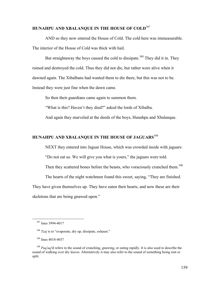### HUNAHPU AND XBALANQUE IN THE HOUSE OF COLD<sup>387</sup>

 AND so they now entered the House of Cold. The cold here was immeasurable. The interior of the House of Cold was thick with hail.

But straightaway the boys caused the cold to dissipate.<sup>388</sup> They did it in. They ruined and destroyed the cold. Thus they did not die, but rather were alive when it dawned again. The Xibalbans had wanted them to die there, but this was not to be. Instead they were just fine when the dawn came.

So then their guardians came again to summon them.

"What is this? Haven't they died?" asked the lords of Xibalba.

And again they marveled at the deeds of the boys, Hunahpu and Xbalanque.

### HUNAHPU AND XBALANQUE IN THE HOUSE OF JAGUARS<sup>389</sup>

NEXT they entered into Jaguar House, which was crowded inside with jaguars:

"Do not eat us. We will give you what is yours," the jaguars were told.

Then they scattered bones before the beasts, who voraciously crunched them.<sup>390</sup>

The hearts of the night watchmen found this sweet, saying, "They are finished.

They have given themselves up. They have eaten their hearts, and now these are their skeletons that are being gnawed upon."

<sup>&</sup>lt;sup>387</sup> lines 3994-4017

<sup>&</sup>lt;sup>388</sup> *Tzaj* is to "evaporate, dry up, dissipate, exhaust."

<sup>389</sup> lines 4018-4037

<sup>&</sup>lt;sup>390</sup> *Paq'aq'ik* refers to the sound of crunching, gnawing, or eating rapidly. It is also used to describe the sound of walking over dry leaves. Alternatively it may also refer to the sound of something being rent or split.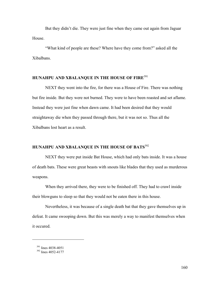But they didn't die. They were just fine when they came out again from Jaguar House.

 "What kind of people are these? Where have they come from?" asked all the Xibalbans.

### HUNAHPU AND XBALANQUE IN THE HOUSE OF FIRE<sup>391</sup>

 NEXT they went into the fire, for there was a House of Fire. There was nothing but fire inside. But they were not burned. They were to have been roasted and set aflame. Instead they were just fine when dawn came. It had been desired that they would straightaway die when they passed through there, but it was not so. Thus all the Xibalbans lost heart as a result.

# HUNAHPU AND XBALANQUE IN THE HOUSE OF BATS<sup>392</sup>

 NEXT they were put inside Bat House, which had only bats inside. It was a house of death bats. These were great beasts with snouts like blades that they used as murderous weapons.

When they arrived there, they were to be finished off. They had to crawl inside their blowguns to sleep so that they would not be eaten there in this house.

 Nevertheless, it was because of a single death bat that they gave themselves up in defeat. It came swooping down. But this was merely a way to manifest themselves when it occured.

<sup>&</sup>lt;sup>391</sup> lines 4038-4051

<sup>&</sup>lt;sup>392</sup> lines 4052-4177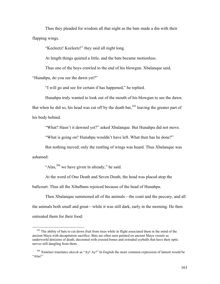Thus they pleaded for wisdom all that night as the bats made a din with their flapping wings.

"Keeleetz! Keeleetz!" they said all night long.

At length things quieted a little, and the bats became motionless.

Thus one of the boys crawled to the end of his blowgun. Xbalanque said,

"Hunahpu, do you see the dawn yet?"

 $\overline{a}$ 

"I will go and see for certain if has happened," he replied.

Hunahpu truly wanted to look out of the mouth of his blowgun to see the dawn.

But when he did so, his head was cut off by the death bat,  $393$  leaving the greater part of his body behind.

"What? Hasn't it dawned yet?" asked Xbalanque. But Hunahpu did not move.

"What is going on? Hunahpu wouldn't have left. What then has he done?"

 But nothing moved; only the rustling of wings was heard. Thus Xbalanque was ashamed:

"Alas,  $394$  we have given in already," he said.

At the word of One Death and Seven Death, the head was placed atop the

ballcourt. Thus all the Xibalbans rejoiced because of the head of Hunahpu.

 Then Xbalanque summoned all of the animals—the coati and the peccary, and all the animals both small and great—while it was still dark, early in the morning. He then entreated them for their food:

<sup>&</sup>lt;sup>393</sup> The ability of bats to cut down fruit from trees while in flight associated them in the mind of the ancient Maya with decapitation sacrifice. Bats are often seen painted on ancient Maya vessels as underworld denizens of death, decorated with crossed bones and extruded eyeballs that have their optic nerves still dangling from them.

<sup>&</sup>lt;sup>394</sup> Ximénez translates *akarok* as "Ay! Ay!" In English the more common expression of lament would be "Alas!"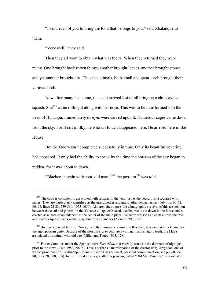"I send each of you to bring the food that belongs to you," said Xbalanque to them.

"Very well," they said.

 $\overline{a}$ 

 Then they all went to obtain what was theirs. When they returned they were many. One brought back rotten things, another brought leaves, another brought stones, and yet another brought dirt. Thus the animals, both small and great, each brought their various foods.

 Now after many had come, the coati arrived last of all bringing a chilacayote squash. She<sup>395</sup> came rolling it along with her nose. This was to be transformed into the head of Hunahpu. Immediately its eyes were carved upon it. Numerous sages came down from the sky. For Heart of Sky, he who is Huracan, appeared here. He arrived here in Bat House.

 But the face wasn't completed successfully in time. Only its beautiful covering had appeared. It only had the ability to speak by the time the horizon of the sky began to redden, for it was about to dawn.

"Blacken it again with soot, old man," $396$  the possum $397$  was told.

<sup>&</sup>lt;sup>395</sup> The coati is consistently associated with females in the text, just as the peccary is associated with males. They are particularly identified as the grandmother and grandfather deities respectively (pp. 60-61, 80, 98; lines 22-23, 559-560, 1055-1056). Akkeren cites a possible ethnographic survival of this association between the coati and gourds. In the Yucatec village of Xcacal, a ceiba tree is cut down in the forest and reerected as a "tree of abundance" in the center of the main plaza. An actor dressed as a coati climbs the tree and scatters squash seeds while tying fruit to its branches (Akkeren 2000, 296).

<sup>396</sup> *Ama'* is a general term for "male," whether human or animal. In this case, it is used as a nickname for the aged possum deity. Because of the possum's gray coat, awkward gait, and snaggly teeth, the Maya associated this animal with old age (Miller and Taube 1993, 128).

<sup>&</sup>lt;sup>397</sup> Father Coto lists under the Spanish word *Escuridad*, that *vuch* (possum) is the darkness of night just prior to the dawn (Coto 1983, 207-8). This is perhaps a manifestation of the creator deity Xpiyacoc, one of whose principal titles is Hunahpu Possum (Karen Bassie-Sweet, personal communication; see pp. 60, 79- 80; lines 20, 500, 555). In the Tzotzil area, a grandfather possum, called "Old Man Possum," is associated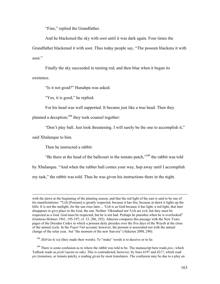"Fine," replied the Grandfather.

 And he blackened the sky with soot until it was dark again. Four times the Grandfather blackened it with soot. Thus today people say, "The possum blackens it with soot."

 Finally the sky succeeded in turning red, and then blue when it began its existence.

"Is it not good?" Hunahpu was asked.

"Yes, it is good," he replied.

For his head was well supported. It became just like a true head. Then they

planned a deception;<sup>398</sup> they took counsel together:

"Don't play ball. Just look threatening. I will surely be the one to accomplish it,"

said Xbalanque to him.

Then he instructed a rabbit:

"Be there at the head of the ballcourt in the tomato patch,"<sup>399</sup> the rabbit was told

by Xbalanque. "And when the rubber ball comes your way, hop away until I accomplish

my task," the rabbit was told. Thus he was given his instructions there in the night.

<sup>398</sup> *Xkib'an ki tzij* (they made their words). To "make" words is to deceive or to lie.

with the dawn at the beginning of the planting season, and that the red light of the east is said to be one of his manifestations: "'Uch [Possum] is greatly respected, because it has fire, because at dawn it lights up the hills. It is not the sunlight, for the sun rises later.... 'Uch is as God because it has light, a red light, that later disappears to give place to the God, the sun. Neither 'Okinahual nor 'Uch are evil, but they must be respected as a God. God must be respected, but he is not bad. Perhaps he punishes when he is overlooked" (Guiteras-Holmes 1961, 195-197; cf. 33, 206, 292). Akkeren compares this passage with the New Years pages of the Dresden Codex in which a possum deity presides over the five days of the Wayeb at the close of the annual cycle. In the *Popol Vuh* account, however, the possum is associated not with the annual change of the solar year, but "the moment of the new Sun-era" (Akkeren 2000, 290).

<sup>&</sup>lt;sup>399</sup> There is some confusion as to where the rabbit was told to be. The manuscript here reads *pixc*, which Tedlock reads as *pixik'* (acorn or oak). This is contradicted, however, by lines 4197 and 4217, which read *pix* (tomatoes, or tomato patch), a reading given by most translators. The confusion may be due to a play on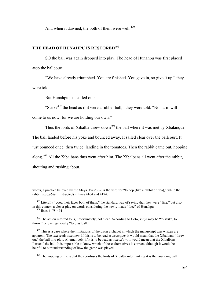And when it dawned, the both of them were well. $400$ 

#### THE HEAD OF HUNAHPU IS RESTORED<sup>401</sup>

 SO the ball was again dropped into play. The head of Hunahpu was first placed atop the ballcourt.

 "We have already triumphed. You are finished. You gave in, so give it up," they were told.

But Hunahpu just called out:

"Strike<sup>402</sup> the head as if it were a rubber ball," they were told. "No harm will

come to us now, for we are holding our own."

Thus the lords of Xibalba threw down<sup> $403$ </sup> the ball where it was met by Xbalanque.

The ball landed before his yoke and bounced away. It sailed clear over the ballcourt. It

just bounced once, then twice, landing in the tomatoes. Then the rabbit came out, hopping

along.<sup>404</sup> All the Xibalbans thus went after him. The Xibalbans all went after the rabbit,

shouting and rushing about.

words, a practice beloved by the Maya. *Pixk'onik* is the verb for "to hop (like a rabbit or flea)," while the rabbit is *pixab'ax* (instructed) in lines 4164 and 4174.

<sup>&</sup>lt;sup>400</sup> Literally "good their faces both of them," the standard way of saying that they were "fine," but also in this context a clever play on words considering the newly-made "face" of Hunahpu.

<sup>&</sup>lt;sup>401</sup> lines 4178-4241

<sup>&</sup>lt;sup>402</sup> The action referred to is, unfortunately, not clear. According to Coto, *k'aqa* may be "to strike, to throw," or even generally "to play ball."

<sup>&</sup>lt;sup>403</sup> This is a case where the limitations of the Latin alphabet in which the manuscript was written are apparent. The text reads *xetzacou*. If this is to be read as *xetzaqow*, it would mean that the Xibalbans "threw out" the ball into play. Alternatively, if it is to be read as *xetzak'ow*, it would mean that the Xibalbans "struck" the ball. It is impossible to know which of these alternatives is correct, although it would be helpful to our understanding of how the game was played.

 $404$  The hopping of the rabbit thus confuses the lords of Xibalba into thinking it is the bouncing ball.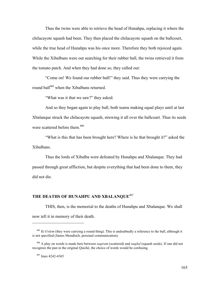Thus the twins were able to retrieve the head of Hunahpu, replacing it where the chilacayote squash had been. They then placed the chilacayote squash on the ballcourt, while the true head of Hunahpu was his once more. Therefore they both rejoiced again. While the Xibalbans were out searching for their rubber ball, the twins retrieved it from the tomato patch. And when they had done so, they called out:

 "Come on! We found our rubber ball!" they said. Thus they were carrying the round ball<sup>405</sup> when the Xibalbans returned.

"What was it that we saw?" they asked.

 And so they began again to play ball, both teams making equal plays until at last Xbalanque struck the chilacayote squash, strewing it all over the ballcourt. Thus its seeds were scattered before them.<sup>406</sup>

 "What is this that has been brought here? Where is he that brought it?" asked the Xibalbans.

 Thus the lords of Xibalba were defeated by Hunahpu and Xbalanque. They had passed through great affliction, but despite everything that had been done to them, they did not die.

#### THE DEATHS OF HUNAHPU AND XBALANQUE<sup>407</sup>

 THIS, then, is the memorial to the deaths of Hunahpu and Xbalanque. We shall now tell it in memory of their death.

<sup>&</sup>lt;sup>405</sup> *Ki k'olem* (they were carrying a round thing). This is undoubtedly a reference to the ball, although it is not specified (James Mondloch, personal communication).

<sup>406</sup> A play on words is made here between *saqiram* (scattered) and *saqilal* (squash seeds). If one did not recognize the pun in the original Quiché, the choice of words would be confusing.

<sup>&</sup>lt;sup>407</sup> lines 4242-4365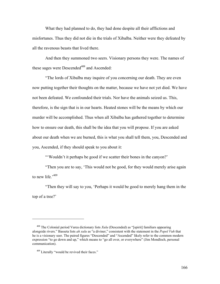What they had planned to do, they had done despite all their afflictions and misfortunes. Thus they did not die in the trials of Xibalba. Neither were they defeated by all the ravenous beasts that lived there.

 And then they summoned two seers. Visionary persons they were. The names of these sages were Descended<sup>408</sup> and Ascended:

 "The lords of Xibalba may inquire of you concerning our death. They are even now putting together their thoughts on the matter, because we have not yet died. We have not been defeated. We confounded their trials. Nor have the animals seized us. This, therefore, is the sign that is in our hearts. Heated stones will be the means by which our murder will be accomplished. Thus when all Xibalba has gathered together to determine how to ensure our death, this shall be the idea that you will propose. If you are asked about our death when we are burned, this is what you shall tell them, you, Descended and you, Ascended, if they should speak to you about it:

"'Wouldn't it perhaps be good if we scatter their bones in the canyon?'

 "Then you are to say, 'This would not be good, for they would merely arise again to new life. $1409$ 

 "Then they will say to you, 'Perhaps it would be good to merely hang them in the top of a tree?'

<sup>&</sup>lt;sup>408</sup> The Colonial period Varea dictionary lists *Xulu* (Descended) as "[spirit] familiars appearing alongside rivers." Basseta lists *ah xulu* as "a diviner," consistent with the statement in the *Popol Vuh* that he is a visionary seer. The paired figures "Descended" and "Ascended" likely refer to the common modern expression "to go down and up," which means to "go all over, or everywhere" (Jim Mondloch, personal communication).

<sup>&</sup>lt;sup>409</sup> Literally "would be revived their faces."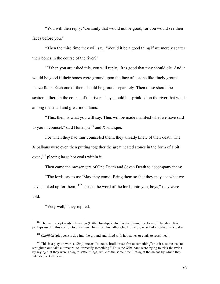"You will then reply, 'Certainly that would not be good, for you would see their faces before you.'

 "Then the third time they will say, 'Would it be a good thing if we merely scatter their bones in the course of the river?'

 "If then you are asked this, you will reply, 'It is good that they should die. And it would be good if their bones were ground upon the face of a stone like finely ground maize flour. Each one of them should be ground separately. Then these should be scattered there in the course of the river. They should be sprinkled on the river that winds among the small and great mountains.'

 "This, then, is what you will say. Thus will be made manifest what we have said to you in counsel," said Hunahpu $410$  and Xbalanque.

 For when they had thus counseled them, they already knew of their death. The Xibalbans were even then putting together the great heated stones in the form of a pit oven,<sup>411</sup> placing large hot coals within it.

Then came the messengers of One Death and Seven Death to accompany them:

 "The lords say to us: 'May they come! Bring them so that they may see what we have cooked up for them.<sup>412</sup> This is the word of the lords unto you, boys," they were told.

"Very well," they replied.

<sup>&</sup>lt;sup>410</sup> The manuscript reads Xhunahpu (Little Hunahpu) which is the diminutive form of Hunahpu. It is perhaps used in this section to distinguish him from his father One Hunahpu, who had also died in Xibalba.

<sup>&</sup>lt;sup>411</sup> *Chojib'al* (pit oven) is dug into the ground and filled with hot stones or coals to roast meat.

<sup>&</sup>lt;sup>412</sup> This is a play on words. *Chojij* means "to cook, broil, or set fire to something"; but it also means "to straighten out, take a direct route, or rectify something." Thus the Xibalbans were trying to trick the twins by saying that they were going to settle things, while at the same time hinting at the means by which they intended to kill them.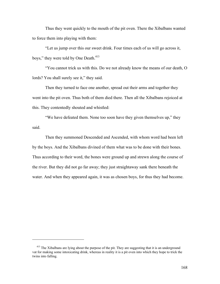Thus they went quickly to the mouth of the pit oven. There the Xibalbans wanted to force them into playing with them:

"Let us jump over this our sweet drink. Four times each of us will go across it, boys," they were told by One Death.<sup>413</sup>

 "You cannot trick us with this. Do we not already know the means of our death, O lords? You shall surely see it," they said.

 Then they turned to face one another, spread out their arms and together they went into the pit oven. Thus both of them died there. Then all the Xibalbans rejoiced at this. They contentedly shouted and whistled:

 "We have defeated them. None too soon have they given themselves up," they said.

 Then they summoned Descended and Ascended, with whom word had been left by the boys. And the Xibalbans divined of them what was to be done with their bones. Thus according to their word, the bones were ground up and strewn along the course of the river. But they did not go far away; they just straightaway sank there beneath the water. And when they appeared again, it was as chosen boys, for thus they had become.

<sup>&</sup>lt;sup>413</sup> The Xibalbans are lying about the purpose of the pit. They are suggesting that it is an underground vat for making some intoxicating drink, whereas in reality it is a pit oven into which they hope to trick the twins into falling.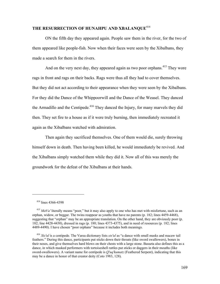### THE RESURRECTION OF HUNAHPU AND XBALANQUE<sup>414</sup>

 ON the fifth day they appeared again. People saw them in the river, for the two of them appeared like people-fish. Now when their faces were seen by the Xibalbans, they made a search for them in the rivers.

And on the very next day, they appeared again as two poor orphans.<sup>415</sup> They wore rags in front and rags on their backs. Rags were thus all they had to cover themselves. But they did not act according to their appearance when they were seen by the Xibalbans. For they did the Dance of the Whippoorwill and the Dance of the Weasel. They danced the Armadillo and the Centipede.<sup>416</sup> They danced the Injury, for many marvels they did then. They set fire to a house as if it were truly burning, then immediately recreated it again as the Xibalbans watched with admiration.

 Then again they sacrificed themselves. One of them would die, surely throwing himself down in death. Then having been killed, he would immediately be revived. And the Xibalbans simply watched them while they did it. Now all of this was merely the groundwork for the defeat of the Xibalbans at their hands.

<sup>414</sup> lines 4366-4398

<sup>&</sup>lt;sup>415</sup> *Meb'a'* literally means "poor," but it may also apply to one who has met with misfortune, such as an orphan, widow, or beggar. The twins reappear as youths that have no parents (p. 182; lines 4459-4468), suggesting that "orphan" may be an appropriate translation. On the other hand, they are obviously poor (p. 182; line 4428-4430), dressed in rags (p. 180; lines 4373-4375), and in need of resources (p. 182; lines 4489-4490). I have chosen "poor orphans" because it includes both meanings.

<sup>416</sup> *Xtz'ul* is a centipede. The Varea dictionary lists *xts'ul* as "a dance with small masks and macaw tail feathers." During this dance, participants put sticks down their throats (like sword swallowers), bones in their noses, and give themselves hard blows on their chests with a large stone. Basseta also defines this as a dance, in which masked performers with tortoiseshell rattles put sticks or daggers in their mouths (like sword-swallowers). A variant name for centipede is *Q'uq'kumatz* (Feathered Serpent), indicating that this may be a dance in honor of that creator deity (Coto 1983, 128).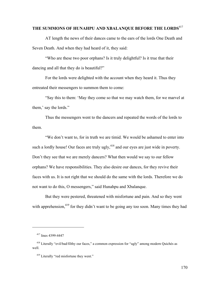#### THE SUMMONS OF HUNAHPU AND XBALANQUE BEFORE THE LORDS<sup>417</sup>

 AT length the news of their dances came to the ears of the lords One Death and Seven Death. And when they had heard of it, they said:

 "Who are these two poor orphans? Is it truly delightful? Is it true that their dancing and all that they do is beautiful?"

 For the lords were delighted with the account when they heard it. Thus they entreated their messengers to summon them to come:

 "Say this to them: 'May they come so that we may watch them, for we marvel at them,' say the lords."

 Thus the messengers went to the dancers and repeated the words of the lords to them.

 "We don't want to, for in truth we are timid. We would be ashamed to enter into such a lordly house! Our faces are truly ugly,  $418$  and our eyes are just wide in poverty. Don't they see that we are merely dancers? What then would we say to our fellow orphans? We have responsibilities. They also desire our dances, for they revive their faces with us. It is not right that we should do the same with the lords. Therefore we do not want to do this, O messengers," said Hunahpu and Xbalanque.

 But they were pestered, threatened with misfortune and pain. And so they went with apprehension,<sup>419</sup> for they didn't want to be going any too soon. Many times they had

<sup>417</sup> lines 4399-4447

<sup>&</sup>lt;sup>418</sup> Literally "evil/bad/filthy our faces," a common expression for "ugly" among modern Quichés as well.

<sup>&</sup>lt;sup>419</sup> Literally "red misfortune they went."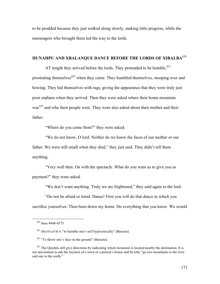to be prodded because they just walked along slowly, making little progress, while the messengers who brought them led the way to the lords.

#### HUNAHPU AND XBALANQUE DANCE BEFORE THE LORDS OF XIBALBA<sup>420</sup>

AT length they arrived before the lords. They pretended to be humble,  $421$ prostrating themselves<sup>422</sup> when they came. They humbled themselves, stooping over and bowing. They hid themselves with rags, giving the appearance that they were truly just poor orphans when they arrived. Then they were asked where their home mountain was<sup>423</sup> and who their people were. They were also asked about their mother and their father:

"Where do you come from?" they were asked.

 "We do not know, O lord. Neither do we know the faces of our mother or our father. We were still small when they died," they just said. They didn't tell them anything.

 "Very well then. On with the spectacle. What do you want us to give you as payment?" they were asked.

"We don't want anything. Truly we are frightened," they said again to the lord.

"Do not be afraid or timid. Dance! First you will do that dance in which you sacrifice yourselves. Then burn down my home. Do everything that you know. We would

<sup>420</sup> lines 4448-4573

<sup>421</sup> *Moch'och'ik* is "to humble one's self hypocritically" (Basseta).

<sup>&</sup>lt;sup>422</sup> "To throw one's face on the ground" (Basseta).

<sup>&</sup>lt;sup>423</sup> The Quichés still give directions by indicating which mountain is located nearby the destination. It is not uncommon to ask the location of a town or a person's house and be told, "go two mountains to the west and one to the north."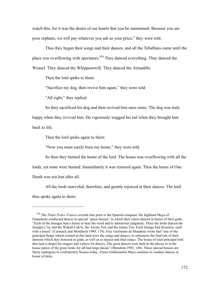watch this, for it was the desire of our hearts that you be summoned. Because you are poor orphans, we will pay whatever you ask as your price," they were told.

 Thus they began their songs and their dances, and all the Xibalbans came until the place was overflowing with spectators.<sup>424</sup> They danced everything. They danced the Weasel. They danced the Whippoorwill. They danced the Armadillo.

Then the lord spoke to them:

"Sacrifice my dog, then revive him again," they were told.

"All right," they replied.

 $\overline{a}$ 

 So they sacrificed his dog and then revived him once more. The dog was truly happy when they revived him. He vigorously wagged his tail when they brought him back to life.

Then the lord spoke again to them:

"Now you must surely burn my home," they were told.

 So then they burned the home of the lord. The house was overflowing with all the lords, yet none were burned. Immediately it was restored again. Thus the home of One Death was not lost after all.

 All the lords marveled, therefore, and greatly rejoiced at their dances. The lord thus spoke again to them:

<sup>&</sup>lt;sup>424</sup> The *Título Pedro Velasco* records that prior to the Spanish conquest, the highland Maya of Guatemala conducted dances in special "guest houses" in which their rulers danced in honor of their gods: "Each of the lineages had a house to hear the word and to administer judgment. There the lords danced the Junajpu C'oy and the Wukub Cak'ix, the Awata Tun, and the Jolom Tun. Each lineage had divisions, each with a house" (Carmack and Mondloch 1989, 178). Fray Gerónimo de Mendieta wrote that "one of the principal things which existed in this land were the songs and dances, to solemnize the festivals of their demons which they honored as gods, as well as to rejoice and find solace. The house of each principal lord thus had a chapel for singers and a place for dances. The great dances were held in the plazas or in the house patios of the great lords, for all had large plazas" (Mendieta 1993, 140). These special houses are likely analogous to confraternity houses today, where traditionalist Maya continue to conduct dances in honor of deity.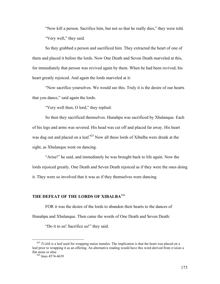"Now kill a person. Sacrifice him, but not so that he really dies," they were told. "Very well," they said.

 So they grabbed a person and sacrificed him. They extracted the heart of one of them and placed it before the lords. Now One Death and Seven Death marveled at this, for immediately that person was revived again by them. When he had been revived, his heart greatly rejoiced. And again the lords marveled at it:

 "Now sacrifice yourselves. We would see this. Truly it is the desire of our hearts that you dance," said again the lords.

"Very well then, O lord," they replied.

 So then they sacrificed themselves. Hunahpu was sacrificed by Xbalanque. Each of his legs and arms was severed. His head was cut off and placed far away. His heart was dug out and placed on a leaf.<sup>425</sup> Now all these lords of Xibalba were drunk at the sight, as Xbalanque went on dancing.

 "Arise!" he said, and immediately he was brought back to life again. Now the lords rejoiced greatly. One Death and Seven Death rejoiced as if they were the ones doing it. They were so involved that it was as if they themselves were dancing.

#### THE DEFEAT OF THE LORDS OF XIBALBA<sup>426</sup>

 FOR it was the desire of the lords to abandon their hearts to the dances of Hunahpu and Xbalanque. Then came the words of One Death and Seven Death:

"Do it to us! Sacrifice us!" they said.

<sup>&</sup>lt;sup>425</sup> *Tz'alik* is a leaf used for wrapping maize tamales. The implication is that the heart was placed on a leaf prior to wrapping it as an offering. An alternative reading would have this word derived from *tz'alam* a flat stone or altar.

<sup>&</sup>lt;sup>426</sup> lines 4574-4639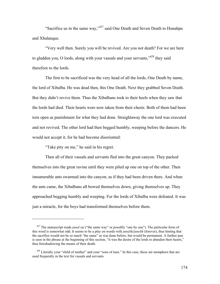"Sacrifice us in the same way," $427$  said One Death and Seven Death to Hunahpu and Xbalanque.

 "Very well then. Surely you will be revived. Are you not death? For we are here to gladden you, O lords, along with your vassals and your servants,"<sup>428</sup> they said therefore to the lords.

 The first to be sacrificed was the very head of all the lords, One Death by name, the lord of Xibalba. He was dead then, this One Death. Next they grabbed Seven Death. But they didn't revive them. Thus the Xibalbans took to their heels when they saw that the lords had died. Their hearts were now taken from their chests. Both of them had been torn open as punishment for what they had done. Straightaway the one lord was executed and not revived. The other lord had then begged humbly, weeping before the dancers. He would not accept it, for he had become disoriented:

"Take pity on me," he said in his regret.

 $\overline{a}$ 

 Then all of their vassals and servants fled into the great canyon. They packed themselves into the great ravine until they were piled up one on top of the other. Then innumerable ants swarmed into the canyon, as if they had been driven there. And when the ants came, the Xibalbans all bowed themselves down, giving themselves up. They approached begging humbly and weeping. For the lords of Xibalba were defeated. It was just a miracle, for the boys had transformed themselves before them.

<sup>&</sup>lt;sup>427</sup> The manuscript reads *junal taj* ("the same way" or possibly "one by one"). The particular form of this word is somewhat odd. It seems to be a play on words with *junalik/junelik* (forever), thus hinting that the sacrifice would not be so much "the same" as was done before, but would be permanent. A further pun is seen in the phrase at the beginning of this section, "it was the desire of the lords to abandon their hearts," thus foreshadowing the means of their death.

<sup>&</sup>lt;sup>428</sup> Literally your "child of mother" and your "sons of men." In this case, these are metaphors that are used frequently in the text for vassals and servants.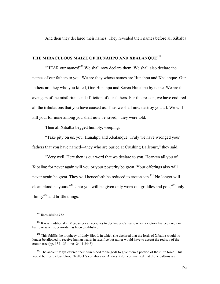And then they declared their names. They revealed their names before all Xibalba.

# THE MIRACULOUS MAIZE OF HUNAHPU AND XBALANQUE<sup>429</sup>

"HEAR our names! $430$  We shall now declare them. We shall also declare the names of our fathers to you. We are they whose names are Hunahpu and Xbalanque. Our fathers are they who you killed, One Hunahpu and Seven Hunahpu by name. We are the avengers of the misfortune and affliction of our fathers. For this reason, we have endured all the tribulations that you have caused us. Thus we shall now destroy you all. We will kill you, for none among you shall now be saved," they were told.

Then all Xibalba begged humbly, weeping.

 "Take pity on us, you, Hunahpu and Xbalanque. Truly we have wronged your fathers that you have named—they who are buried at Crushing Ballcourt," they said.

 "Very well. Here then is our word that we declare to you. Hearken all you of Xibalba; for never again will you or your posterity be great. Your offerings also will never again be great. They will henceforth be reduced to croton sap.<sup>431</sup> No longer will clean blood be yours.<sup>432</sup> Unto you will be given only worn-out griddles and pots,<sup>433</sup> only flimsy<sup>434</sup> and brittle things.

<sup>429</sup> lines 4640-4772

<sup>&</sup>lt;sup>430</sup> It was traditional in Mesoamerican societies to declare one's name when a victory has been won in battle or when superiority has been established.

<sup>&</sup>lt;sup>431</sup> This fulfills the prophecy of Lady Blood, in which she declared that the lords of Xibalba would no longer be allowed to receive human hearts in sacrifice but rather would have to accept the red sap of the croton tree (pp. 132-133; lines 2444-2445).

<sup>&</sup>lt;sup>432</sup> The ancient Maya offered their own blood to the gods to give them a portion of their life force. This would be fresh, clean blood. Tedlock's collaborator, Andrés Xiloj, commented that the Xibalbans are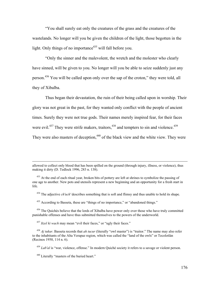"You shall surely eat only the creatures of the grass and the creatures of the wastelands. No longer will you be given the children of the light, those begotten in the light. Only things of no importance<sup>435</sup> will fall before you.

 "Only the sinner and the malevolent, the wretch and the molester who clearly have sinned, will be given to you. No longer will you be able to seize suddenly just any person.<sup>436</sup> You will be called upon only over the sap of the croton," they were told, all they of Xibalba.

 Thus began their devastation, the ruin of their being called upon in worship. Their glory was not great in the past, for they wanted only conflict with the people of ancient times. Surely they were not true gods. Their names merely inspired fear, for their faces were evil.<sup>437</sup> They were strife makers, traitors,<sup>438</sup> and tempters to sin and violence.<sup>439</sup> They were also masters of deception,  $440$  of the black view and the white view. They were

<sup>434</sup> The adjective *ch'uch'* describes something that is soft and flimsy and thus unable to hold its shape.

<sup>435</sup> According to Basseta, these are "things of no importance," or "abandoned things."

<sup>436</sup> The Quichés believe that the lords of Xibalba have power only over those who have truly committed punishable offenses and have thus submitted themselves to the powers of the underworld.

<sup>437</sup> *Itzel ki wach* may mean "evil their faces," or "ugly their faces."

 <sup>438</sup> *Aj tukur*. Basseta records that *ah tucur* (literally "owl master") is "traitor." The name may also refer to the inhabitants of the Alta Verapaz region, which was called the "land of the owls" or Tecolotlán (Recinos 1950, 114 n. 6).

<sup>439</sup> *Lab'al* is "war, violence, offense." In modern Quiché society it refers to a savage or violent person.

<sup>440</sup> Literally "masters of the buried heart."

allowed to collect only blood that has been spilled on the ground (through injury, illness, or violence), thus making it dirty (D. Tedlock 1996, 283 n. 138).

<sup>&</sup>lt;sup>433</sup> At the end of each ritual year, broken bits of pottery are left at shrines to symbolize the passing of one age to another. New pots and utensils represent a new beginning and an opportunity for a fresh start in life.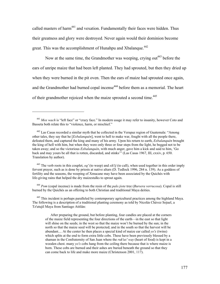called masters of harm<sup>441</sup> and vexation. Fundamentally their faces were hidden. Thus their greatness and glory were destroyed. Never again would their dominion become great. This was the accomplishment of Hunahpu and Xbalanque.<sup>442</sup>

Now at the same time, the Grandmother was weeping, crying out<sup>443</sup> before the ears of unripe maize that had been left planted. They had sprouted, but then they dried up when they were burned in the pit oven. Then the ears of maize had sprouted once again, and the Grandmother had burned copal incense<sup>444</sup> before them as a memorial. The heart of their grandmother rejoiced when the maize sprouted a second time.<sup>445</sup>

 $\overline{a}$ 

<sup>443</sup> The verb roots in this couplet,  $oq'$  (to weep) and *sik'ij* (to call), when used together in this order imply fervent prayer, such as is done by priests at native altars (D. Tedlock 1996, 284 n. 139). As a goddess of fertility and the seasons, the weeping of Xmucane may have been associated by the Quichés with life-giving rains that helped the dry maizestalks to sprout again.

 <sup>444</sup> *Pom* (copal incense) is made from the resin of the *palo jiote* tree (*Bursera verrucosa*). Copal is still burned by the Quichés as an offering to both Christian and traditional Maya deities.

<sup>445</sup> This incident is perhaps paralleled by contemporary agricultural practices among the highland Maya. The following is a description of a traditional planting ceremony as told by Nicolás Chávez Sojuel, a Tz'utujil Maya from Santiago Atitlán:

 After preparing the ground, but before planting, four candles are placed at the corners of the maize field representing the four directions of the earth—in the east so that light will shine on the seeds; in the west so that the maize won't be burned by the sun; in the north so that the maize seed will be protected; and in the south so that the harvest will be abundant.... At the center he then places a special kind of maize ear called *yo'x* (twins) which splits at the end to form extra little cobs. These have been previously blessed by a shaman in the Confraternity of San Juan where the *ruk'ux' way* (heart of food) is kept in a wooden chest. many *yo'x* cobs hang from the ceiling there because that is where maize is born. These cobs are burned and their ashes are buried beneath the ground so that they can come back to life and make more maize (Christenson 2001, 117).

<sup>&</sup>lt;sup>441</sup> *Mox wach* is "left face" or "crazy face." In modern usage it may refer to insanity, however Coto and Basseta both relate this to "violence, harm, or mischief."

<sup>&</sup>lt;sup>442</sup> Las Casas recorded a similar myth that he collected in the Verapaz region of Guatemala: "Among other tales, they say that he [*Exbalanquén*], went to hell to make war, fought with all the people there, defeated them, and captured the king and many of his army. Upon his return to earth, *Exbalanquén* brought the king of hell with him, but when they were only three or four steps from the light, he begged not to be taken away; and so the victorious *Exbalanquén*, with much anger, gave him a kick and said to him, 'Go back and may yours be all that is rotten, discarded, and stinks'" (Las Casas 1967, III, cxxiv, p. 650. Translation by author).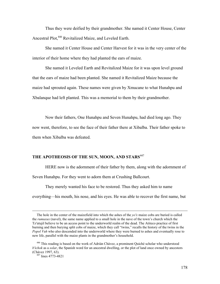Thus they were deified by their grandmother. She named it Center House, Center Ancestral Plot,<sup>446</sup> Revitalized Maize, and Leveled Earth.

 She named it Center House and Center Harvest for it was in the very center of the interior of their home where they had planted the ears of maize.

 She named it Leveled Earth and Revitalized Maize for it was upon level ground that the ears of maize had been planted. She named it Revitalized Maize because the maize had sprouted again. These names were given by Xmucane to what Hunahpu and Xbalanque had left planted. This was a memorial to them by their grandmother.

 Now their fathers, One Hunahpu and Seven Hunahpu, had died long ago. They now went, therefore, to see the face of their father there at Xibalba. Their father spoke to them when Xibalba was defeated.

#### THE APOTHEOSIS OF THE SUN, MOON, AND STARS<sup>447</sup>

 HERE now is the adornment of their father by them, along with the adornment of Seven Hunahpu. For they went to adorn them at Crushing Ballcourt.

They merely wanted his face to be restored. Thus they asked him to name

everything—his mouth, his nose, and his eyes. He was able to recover the first name, but

The hole in the center of the maizefield into which the ashes of the *yo'x* maize cobs are buried is called the *rumuxux* (navel), the same name applied to a small hole in the nave of the town's church which the Tz*'*utujil believe to be an access point to the underworld realm of the dead. The Atiteco practice of first burning and then burying split cobs of maize, which they call "twins," recalls the history of the twins in the *Popol Vuh* who also descended into the underworld where they were burned to ashes and eventually rose to new life, parallel with the maize plants in the grandmother's household.

<sup>&</sup>lt;sup>446</sup> This reading is based on the work of Adrián Chávez, a prominent Quiché scholar who understood *b'ichok* as a *solar*, the Spanish word for an ancestral dwelling, or the plot of land once owned by ancestors (Chávez 1997, 63).

 $\frac{447}{1}$  lines 4773-4821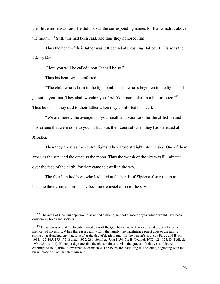then little more was said. He did not say the corresponding names for that which is above the mouth.<sup>448</sup> Still, this had been said, and thus they honored him.

 Thus the heart of their father was left behind at Crushing Ballcourt. His sons then said to him:

"Here you will be called upon. It shall be so."

Thus his heart was comforted.

 $\overline{a}$ 

 "The child who is born in the light, and the son who is begotten in the light shall go out to you first. They shall worship you first. Your name shall not be forgotten.<sup>449</sup> Thus be it so," they said to their father when they comforted his heart.

 "We are merely the avengers of your death and your loss, for the affliction and misfortune that were done to you." Thus was their counsel when they had defeated all Xibalba.

 Then they arose as the central lights. They arose straight into the sky. One of them arose as the sun, and the other as the moon. Thus the womb of the sky was illuminated over the face of the earth, for they came to dwell in the sky.

 The four hundred boys who had died at the hands of Zipacna also rose up to become their companions. They became a constellation of the sky.

<sup>&</sup>lt;sup>448</sup> The skull of One Hunahpu would have had a mouth, but not a nose or eyes, which would have been only empty holes and sockets.

<sup>&</sup>lt;sup>449</sup> Hunahpu is one of the twenty named days of the Quiché calendar. It is dedicated especially to the memory of ancestors. When there is a death within the family, the patrilineage priest goes to the family shrine on a Hunahpu day that falls after the day of death to pray for the person's soul (La Farge and Byers 1931, 157-165, 173-175; Bunzel 1952, 280; Schultze-Jena 1954, 71; B. Tedlock 1982, 124-125; D. Tedlock 1996, 286 n. 141). Hunahpu days are also the chosen times to visit the graves of relatives and leave offerings of food, drink, flower petals, or incense. The twins are instituting this practice, beginning with the burial place of One Hunahpu himself.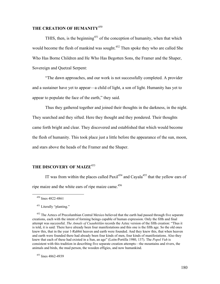### THE CREATION OF HUMANITY<sup>450</sup>

THIS, then, is the beginning<sup>451</sup> of the conception of humanity, when that which would become the flesh of mankind was sought.<sup>452</sup> Then spoke they who are called She Who Has Borne Children and He Who Has Begotten Sons, the Framer and the Shaper, Sovereign and Quetzal Serpent:

 "The dawn approaches, and our work is not successfully completed. A provider and a sustainer have yet to appear—a child of light, a son of light. Humanity has yet to appear to populate the face of the earth," they said.

Thus they gathered together and joined their thoughts in the darkness, in the night. They searched and they sifted. Here they thought and they pondered. Their thoughts came forth bright and clear. They discovered and established that which would become the flesh of humanity. This took place just a little before the appearance of the sun, moon, and stars above the heads of the Framer and the Shaper.

### THE DISCOVERY OF MAIZE<sup>453</sup>

IT was from within the places called  $Paxil<sup>454</sup>$  and Cayala<sup>455</sup> that the yellow ears of ripe maize and the white ears of ripe maize came. $456$ 

 <sup>450</sup> lines 4822-4861

<sup>&</sup>lt;sup>451</sup> Literally "planting."

<sup>&</sup>lt;sup>452</sup> The Aztecs of Precolumbian Central Mexico believed that the earth had passed through five separate creations, each with the intent of forming beings capable of human expression. Only the fifth and final attempt was successful. *The Annals of Cuauhtitlán* records the Aztec version of the fifth creation: "Thus it is told, it is said: There have already been four manifestations and this one is the fifth age. So the old ones knew this, that in the year 1-Rabbit heaven and earth were founded. And they knew this, that when heaven and earth were founded there had already been four kinds of men, four kinds of manifestations. Also they knew that each of these had existed in a Sun, an age" (León-Portilla 1980, 137). The *Popol Vuh* is consistent with this tradition in describing five separate creation attempts—the mountains and rivers, the animals and birds, the mud person, the wooden effigies, and now humankind.

<sup>453</sup> lines 4862-4939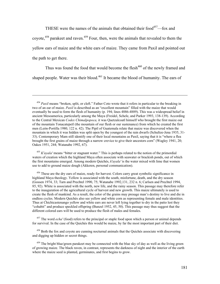THESE were the names of the animals that obtained their food<sup>457</sup>—fox and

coyote,<sup>458</sup> parakeet and raven.<sup>459</sup> Four, then, were the animals that revealed to them the

yellow ears of maize and the white ears of maize. They came from Paxil and pointed out

#### the path to get there.

 $\overline{a}$ 

Thus was found the food that would become the flesh<sup>460</sup> of the newly framed and shaped people. Water was their blood.<sup>461</sup> It became the blood of humanity. The ears of

 <sup>455</sup> *K'ayala'* means "bitter or stagnant water." This is perhaps related to the notion of the primordial waters of creation which the highland Maya often associate with seawater or brackish ponds, out of which the first mountains emerged. Among modern Quichés, *k'ayala'* is the water mixed with lime that women use to add to ground maize dough (Akkeren, personal communication).

<sup>456</sup> These are the dry ears of maize, ready for harvest. Colors carry great symbolic significance in highland Maya theology. Yellow is associated with the south, misfortune, death, and the dry season (Gossen 1974, 33; Tarn and Prechtel 1990, 75; Watanabe 1992,131, 232 n. 6; Carlsen and Prechtel 1994, 85, 92). White is associated with the north, new life, and the rainy season. This passage may therefore refer to the inauguration of the agricultural cycle of harvest and new growth. This maize ultimately is used to create the flesh of mankind. As a result, the color of the grains may presage man's destiny to live and die in endless cycles. Modern Quichés also see yellow and white corn as representing female and male identities. Thus at Chichicastenango yellow and white ears are never left lying together to dry in the patio lest they "cohabit" and produce speckled offspring (Bunzel 1952, 45, 50). This passage may thus suggest that the different colored ears will be used to produce the flesh of males and females.

<sup>457</sup> The word *echa'* (food) refers to the principal or staple food upon which a person or animal depends for survival. In the case of the Quichés this would be maize, by far the most important part of their diet.

<sup>458</sup> Both the fox and coyote are cunning nocturnal animals that the Quichés associate with discovering and digging up hidden or secret things.

<sup>459</sup> The bright blue/green parakeet may be connected with the blue sky of day as well as the living green of growing maize. The black raven, in contrast, represents the darkness of night and the interior of the earth where the maize seed is planted, germinates, and first begins to grow.

<sup>454</sup> *Paxil* means "broken, split, or cleft." Father Coto wrote that it refers in particular to the breaking in two of an ear of maize. *Paxil* is described as an "excellent mountain" filled with the maize that would eventually be used to form the flesh of humanity (p. 194; lines 4886-4889). This was a widespread belief in ancient Mesoamerica, particularly among the Maya (Freidel, Schele, and Parker 1993, 138-139). According to the Central Mexican *Codex Chimalpopoca,* it was Quetzalcoatl himself who brought the first maize out of the mountain Tonacatepetl (the mountain of our flesh or our sustenance) from which he created the first men (León-Portilla 1980, 122 n. 42). The Pipil of Guatemala relate that maize was discovered when the mountain in which it was hidden was split open by the youngest of the rain dwarfs (Schultze-Jena 1935, 31- 33). Contemporary Mam still identify one of their local mountains as Paxil, saying that it is "where a flea brought the first grains of maize through a narrow crevice to give their ancestors corn" (Wagley 1941, 20; Oakes 1951, 244; Watanabe 1992, 67).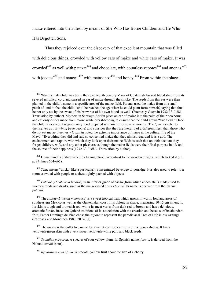maize entered into their flesh by means of She Who Has Borne Children and He Who

Has Begotten Sons.

 Thus they rejoiced over the discovery of that excellent mountain that was filled with delicious things, crowded with yellow ears of maize and white ears of maize. It was crowded<sup>462</sup> as well with pataxte<sup>463</sup> and chocolate, with countless zapotes<sup>464</sup> and anonas,<sup>465</sup> with jocotes<sup>466</sup> and nances,  $467$  with matasanos<sup>468</sup> and honey.  $469$  From within the places

<sup>461</sup> Humankind is distinguished by having blood, in contrast to the wooden effigies, which lacked it (cf. p. 84; lines 664-665).

<sup>462</sup> *Tzatz* means "thick," like a particularly concentrated beverage or porridge. It is also used to refer to a room crowded with people or a chest tightly packed with objects.

 <sup>463</sup> *Pataxte* (*Theobroma bicolor*) is an inferior grade of cacao (from which chocolate is made) used to sweeten foods and drinks, such as the maize-based drink *chorote*. Its name is derived from the Nahuatl *pataxtli*.

 <sup>464</sup> The *zapote* (*Lucuma mammosa*) is a sweet tropical fruit which grows in warm, lowland areas of southeastern Mexico as well as the Guatemalan coast. It is oblong in shape, measuring 10-15 cm in length. Its skin is tough and brownish-red, while its meat varies from dark red to brown and has a delicious, aromatic flavor. Based on Quiché traditions of its association with the creation and because of its abundant fruit, Father Domingo de Vico chose the *zapote* to represent the paradisiacal Tree of Life in his writings (Carmack and Mondloch 1983, 207-208).

 <sup>465</sup> The *anona* is the collective name for a variety of tropical fruits of the genus *Anona*. It has a yellowish-green skin with a very sweet yellowish-white pulp and black seeds.

 <sup>466</sup> *Spondias purpurea*. A species of sour yellow plum. Its Spanish name, *jocote*, is derived from the Nahuatl *xocotl* (sour).

<sup>467</sup> *Byrosinima crassifolia*. A smooth, yellow fruit about the size of a cherry.

 <sup>460</sup> When a male child was born, the seventeenth century Maya of Guatemala burned blood shed from its severed umbilical cord and passed an ear of maize through the smoke. The seeds from this ear were then planted in the child's name in a specific area of the maize field. Parents used the maize from this small patch of land to feed the child "until he reached the age when he could plant form himself, saying that thus he not only ate by the sweat of his brow but of his own blood as well" (Fuentes y Guzmán 1932-33, I.281. Translation by author). Mothers in Santiago Atitlán place an ear of maize into the palm of their newborns and eat only dishes made from maize while breast-feeding to ensure that the child grows "true flesh." Once the child is weaned, it is given only food prepared with maize for several months. The Quichés refer to themselves as *qas winaq* (true people) and consider that they are literally of a different flesh than those who do not eat maize. Fuentes y Guzmán noted the extreme importance of maize in the cultural life of the Maya: "Everything they did and said so concerned maize that they almost regarded it as a god. The enchantment and rapture with which they look upon their maize fields is such that on their account they forget children, wife, and any other pleasure, as though the maize fields were their final purpose in life and the source of their happiness (1932-33, I.xii.3. Translation by author).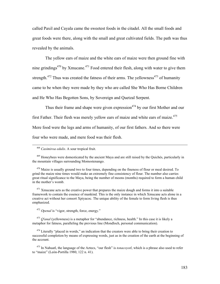called Paxil and Cayala came the sweetest foods in the citadel. All the small foods and great foods were there, along with the small and great cultivated fields. The path was thus revealed by the animals.

 The yellow ears of maize and the white ears of maize were then ground fine with nine grindings<sup>470</sup> by Xmucane.<sup>471</sup> Food entered their flesh, along with water to give them strength.<sup>472</sup> Thus was created the fatness of their arms. The yellowness<sup>473</sup> of humanity came to be when they were made by they who are called She Who Has Borne Children and He Who Has Begotten Sons, by Sovereign and Quetzal Serpent.

Thus their frame and shape were given expression<sup>474</sup> by our first Mother and our first Father. Their flesh was merely yellow ears of maize and white ears of maize.<sup>475</sup> Mere food were the legs and arms of humanity, of our first fathers. And so there were four who were made, and mere food was their flesh.

 $470$  Maize is usually ground two to four times, depending on the fineness of flour or meal desired. To grind the maize nine times would make an extremely fine consistency of flour. The number also carries great ritual significance to the Maya, being the number of moons (months) required to form a human child in the mother's womb.

 $471$  Xmucane acts as the creative power that prepares the maize dough and forms it into a suitable framework to contain the essence of mankind. This is the only instance in which Xmucane acts alone in a creative act without her consort Xpiyacoc. The unique ability of the female to form living flesh is thus emphasized.

<sup>472</sup> *Openal* is "vigor, strength, force, energy."

 <sup>473</sup> *Q'anal* (yellowness) is a metaphor for "abundance, richness, health." In this case it is likely a metaphor for fatness, paralleling the previous line (Mondloch, personal communication).

<sup>474</sup> Literally "placed in words," an indication that the creators were able to bring their creation to successful completion by means of expressing words, just as in the creation of the earth at the beginning of the account.

<sup>475</sup> In Nahuatl, the language of the Aztecs, "our flesh" is *tonacoyotl*, which is a phrase also used to refer to "maize" (León-Portilla 1980, 122 n. 41).

 <sup>468</sup> *Casimiroa edulis*. A sour tropical fruit.

<sup>&</sup>lt;sup>469</sup> Honeybees were domesticated by the ancient Maya and are still raised by the Quichés, particularly in the mountain villages surrounding Momostenango.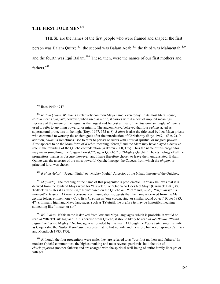## THE FIRST FOUR MEN<sup>476</sup>

 THESE are the names of the first people who were framed and shaped: the first person was Balam Quitze,  $477$  the second was Balam Acab,  $478$  the third was Mahucutah,  $479$ and the fourth was Iqui Balam.<sup>480</sup> These, then, were the names of our first mothers and fathers<sup>481</sup>

<sup>478</sup> *B'alam Aq'ab'.* "Jaguar Night" or "Mighty Night." Ancestor of the Nihaib lineage of the Quichés.

<sup>479</sup> *Majukutaj*. The meaning of the name of this progenitor is problematic. Carmack believes that it is derived from the lowland Maya word for "Traveler," or "One Who Does Not Stay" (Carmack 1981, 49). Tedlock translates it as "Not Right Now" based on the Quiché *ma*, "not," and *jukotaj*, "right away/in a moment" (Basseta). Akkeren (personal communication) suggests that the name is derived from the Mam *jukotaj* (elder, eminent one). Coto lists *hu cotah* as "one crown, ring, or similar round object" (Coto 1983, 474). In many highland Maya languages, such as Tz'utujil, the prefix *Ma* may be honorific, meaning something like "mister, or sir."

 <sup>480</sup> *Ik'i B'alam*. If this name is derived from lowland Maya languages, which is probable, it would be read as "Black/Dark Jaguar." If it is derived from Quiché, it should likely be read as *Iq'i B'alam*, "Wind Jaguar" or "Wind Mighty." No lineage was founded by this man. Although the *Popol Vuh* names his wife as Caquixaha, the *Título Totonicapán* records that he had no wife and therefore had no offspring (Carmack and Mondloch 1983, 175).

<sup>481</sup> Although the four progenitors were male, they are referred to as "our first mothers and fathers." In modern Quiché communities, the highest ranking and most revered patriarchs hold the title of *chuch-qajawab* (mother-fathers) and are charged with the spiritual well-being of entire family lineages or villages.

 <sup>476</sup> lines 4940-4947

<sup>477</sup> *B'alam Quitze. B'alam* is a relatively common Maya name, even today. In its most literal sense, *b'alam* means "jaguar"; however, when used as a title, it carries with it a host of implicit meanings. Because of the nature of the jaguar as the largest and fiercest animal of the Guatemalan jungle, *b'alam* is used to refer to anything powerful or mighty. The ancient Maya believed that four *balams* acted as supernatural protectors in the night (Roys 1967, 152 n. 8). *B'alam* is also the title used by Itzá-Maya priests who continued to worship the ancient gods after the introduction of Christianity (Roys 1967, 163 n. 2). In addition, *balam* is sometimes used to refer to priests or rulers with unusual spiritual or magical powers. *Kitze* appears to be the Mam form of *K'iche'*, meaning "forest," and the Mam may have played a decisive role in the founding of the Quiché confederation (Akkeren 2000, 155). Thus the name of this progenitor may mean something like "Jaguar Forest," "Jaguar Quiché," or "Mighty Quiché." The etymology of all the progenitors' names is obscure, however, and I have therefore chosen to leave them untranslated. Balam Quitze was the ancestor of the most powerful Quiché lineage, the Cavecs, from which the *ah pop*, or principal lord, was chosen.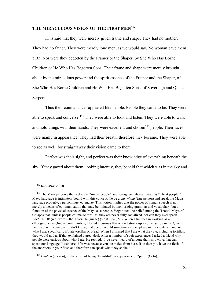## THE MIRACULOUS VISION OF THE FIRST MEN<sup>482</sup>

 IT is said that they were merely given frame and shape. They had no mother. They had no father. They were merely lone men, as we would say. No woman gave them birth. Nor were they begotten by the Framer or the Shaper, by She Who Has Borne Children or He Who Has Begotten Sons. Their frame and shape were merely brought about by the miraculous power and the spirit essence of the Framer and the Shaper, of She Who Has Borne Children and He Who Has Begotten Sons, of Sovereign and Quetzal Serpent.

 Thus their countenances appeared like people. People they came to be. They were able to speak and converse.<sup>483</sup> They were able to look and listen. They were able to walk and hold things with their hands. They were excellent and chosen<sup>484</sup> people. Their faces were manly in appearance. They had their breath, therefore they became. They were able to see as well, for straightaway their vision came to them.

Perfect was their sight, and perfect was their knowledge of everything beneath the sky. If they gazed about them, looking intently, they beheld that which was in the sky and

<sup>&</sup>lt;sup>482</sup> lines 4948-5010

<sup>&</sup>lt;sup>483</sup> The Maya perceive themselves as "maize people" and foreigners who eat bread as "wheat people." Maya language is intimately bound with this concept. To be a *qas winaq* (true person) and speak the Maya language properly, a person must eat maize. This notion implies that the power of human speech is not merely a means of communication that may be imitated by memorizing grammar and vocabulary, but a function of the physical essence of the Maya as a people. Vogt noted the belief among the Tzotzil-Maya of Chiapas that "unless people eat maize tortillas, they are never fully socialized, nor can they ever speak BAZ'IK'OP (real word—the Tzotzil language) (Vogt 1976, 50). When I first began working as an ethnographer in Quiché communities, I found it curious that when I struck up a conversation in the Quiché language with someone I didn't know, that person would sometimes interrupt me in mid-sentence and ask what I ate, specifically if I ate tortillas or bread. When I affirmed that I ate what they ate, including tortillas, they would nod as if that explained a great deal. After a number of such experiences I asked a friend why people were curious about what I ate. He replied, "I've never heard of anyone that isn't Maya that can speak our language. I wondered if it was because you ate maize from here. If so then you have the flesh of the ancestors in your flesh and therefore can speak what they spoke."

<sup>&</sup>lt;sup>484</sup> *Cha'om* (chosen), in the sense of being "beautiful" in appearance or "pure" (Coto).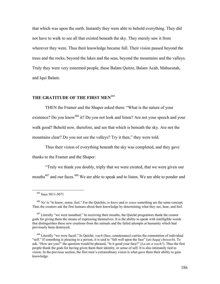that which was upon the earth. Instantly they were able to behold everything. They did not have to walk to see all that existed beneath the sky. They merely saw it from wherever they were. Thus their knowledge became full. Their vision passed beyond the trees and the rocks, beyond the lakes and the seas, beyond the mountains and the valleys. Truly they were very esteemed people, these Balam Quitze, Balam Acab, Mahucutah, and Iqui Balam.

## THE GRATITUDE OF THE FIRST MEN<sup>485</sup>

 THEN the Framer and the Shaper asked them: "What is the nature of your existence? Do you know<sup>486</sup> it? Do you not look and listen? Are not your speech and your walk good? Behold now, therefore, and see that which is beneath the sky. Are not the mountains clear? Do you not see the valleys? Try it then," they were told.

 Thus their vision of everything beneath the sky was completed, and they gave thanks to the Framer and the Shaper:

 "Truly we thank you doubly, triply that we were created, that we were given our mouths<sup>487</sup> and our faces.<sup>488</sup> We are able to speak and to listen. We are able to ponder and

 <sup>485</sup> lines 5011-5071

<sup>486</sup> *Na'* is "to know, sense, feel." For the Quichés, *to know* and *to sense* something are the same concept. Thus the creators ask the first humans about their knowledge by determining what they see, hear, and feel.

<sup>&</sup>lt;sup>487</sup> Literally "we were mouthed." In receiving their mouths, the Quiché progenitors thank the creator gods for giving them the means of expressing themselves. It is the ability to speak with intelligible words that distinguishes these new creations from the animals and the failed attempts at humanity which had previously been destroyed.

<sup>488</sup> Literally "we were faced." In Quiché, *wach* (face, countenance) carries the connotation of individual "self." If something is pleasing to a person, it is said to "fall well upon the face" (*utz kaqaj chuwach*). To ask, "How are you?" the question would be phrased, "Is it good your face?" (*La utz a wach?*). Thus the first people thank the gods for having given them their identity, or sense of self. It is also intimately tied to vision. In the previous section, the first men's extraordinary vision is what gave them their ability to gain knowledge.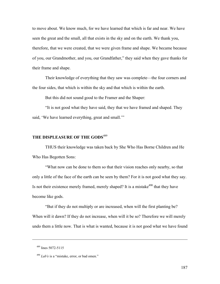to move about. We know much, for we have learned that which is far and near. We have seen the great and the small, all that exists in the sky and on the earth. We thank you, therefore, that we were created, that we were given frame and shape. We became because of you, our Grandmother, and you, our Grandfather," they said when they gave thanks for their frame and shape.

 Their knowledge of everything that they saw was complete—the four corners and the four sides, that which is within the sky and that which is within the earth.

But this did not sound good to the Framer and the Shaper:

 "It is not good what they have said, they that we have framed and shaped. They said, 'We have learned everything, great and small.'"

#### THE DISPLEASURE OF THE GODS<sup>489</sup>

 THUS their knowledge was taken back by She Who Has Borne Children and He Who Has Begotten Sons:

 "What now can be done to them so that their vision reaches only nearby, so that only a little of the face of the earth can be seen by them? For it is not good what they say. Is not their existence merely framed, merely shaped? It is a mistake $490$  that they have become like gods.

 "But if they do not multiply or are increased, when will the first planting be? When will it dawn? If they do not increase, when will it be so? Therefore we will merely undo them a little now. That is what is wanted, because it is not good what we have found

<sup>489</sup> lines 5072-5115

<sup>490</sup> *Lab'e* is a "mistake, error, or bad omen."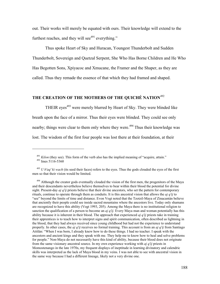out. Their works will merely be equated with ours. Their knowledge will extend to the furthest reaches, and they will see $^{491}$  everything."

 Thus spoke Heart of Sky and Huracan, Youngest Thunderbolt and Sudden Thunderbolt, Sovereign and Quetzal Serpent, She Who Has Borne Children and He Who Has Begotten Sons, Xpiyacoc and Xmucane, the Framer and the Shaper, as they are called. Thus they remade the essence of that which they had framed and shaped.

# THE CREATION OF THE MOTHERS OF THE QUICHÉ NATION<sup>492</sup>

THEIR eyes<sup>493</sup> were merely blurred by Heart of Sky. They were blinded like breath upon the face of a mirror. Thus their eyes were blinded. They could see only nearby; things were clear to them only where they were.<sup>494</sup> Thus their knowledge was lost. The wisdom of the first four people was lost there at their foundation, at their

<sup>&</sup>lt;sup>491</sup> *Kilon* (they see). This form of the verb also has the implied meaning of "acquire, attain."  $492$  lines 5116-5360

<sup>493</sup> *U b'aq' ki wach* (its seed their faces) refers to the eyes. Thus the gods clouded the eyes of the first men so that their vision would be limited.

<sup>&</sup>lt;sup>494</sup> Although the creator gods eventually clouded the vision of the first men, the progenitors of the Maya and their descendants nevertheless believe themselves to bear within their blood the potential for divine sight. Present-day *aj q'ij* priests believe that their divine ancestors, who set the pattern for contemporary rituals, continue to operate through them as conduits. It is this ancestral vision that allows the *aj q'ij* to "see" beyond the limits of time and distance. Evon Vogt noted that the Tzotzil-Maya of Zinacantán believe that anciently their people could see inside sacred mountains where the ancestors live. Today only shamans are recognized to have this ability (Vogt 1993, 205). Among the Maya there is no institutional religion to sanction the qualification of a person to become an *aj q'ij.* Every Maya man and woman potentially has this ability because it is inherent in their blood. The approach that experienced *aj q'ij* priests take in training their apprentices is to teach how to interpret signs and spirit communication, often described as lightning in the blood, that they had always received since young childhood but had not the experience to understand properly. In other cases, the *aj q'ij* receives no formal training. This account is from an *aj q'ij* from Santiago Atitlán: "When I was born, I already knew how to do these things. I had no teacher. I speak with the ancestors and ancient kings and they speak with me. They help me to know how to heal and solve problems for people." Non-Maya do not necessarily have this kind of ability, because their blood does not originate from the same visionary ancestral source. In my own experience working with *aj q'ij* priests in Momostenango in the late 1970s, my frequent displays of ineptitude in learning divinatory and calendric skills was interpreted as the lack of Maya blood in my veins. I was not able to see with ancestral vision in the same way because I had a different lineage, likely not a very divine one.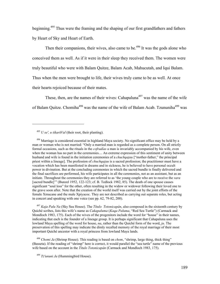beginning.<sup>495</sup> Thus were the framing and the shaping of our first grandfathers and fathers by Heart of Sky and Heart of Earth.

Then their companions, their wives, also came to be.<sup>496</sup> It was the gods alone who conceived them as well. As if it were in their sleep they received them. The women were truly beautiful who were with Balam Quitze, Balam Acab, Mahucutah, and Iqui Balam. Thus when the men were brought to life, their wives truly came to be as well. At once their hearts rejoiced because of their mates.

These, then, are the names of their wives: Cahapaluna<sup>497</sup> was the name of the wife of Balam Quitze. Chomiha<sup>498</sup> was the name of the wife of Balam Acab. Tzununiha<sup>499</sup> was

<sup>495</sup> *U xe', u tikarib'al* (their root, their planting).

 $\overline{a}$ 

 <sup>497</sup> *Kaja Palu Na* (Sky Sea House). The *Título Totonicapán*, also composed in the sixteenth century by Quiché scribes, lists this wife's name as *Cakapaluma* (*Kaqa Paluma*, "Red Sea Turtle") (Carmack and Mondloch 1983, 175). Each of the wives of the progenitors include the word for "house" in their names, indicating that each is the founder of a lineage group. It is perhaps significant that Cahapaluna uses the lowland Maya spelling of the word for house, *na*, rather than the Quiché form of the word, *ja*. The preservation of this spelling may indicate the dimly recalled memory of the royal marriage of their most important Quiché ancestor with a royal princess from lowland Maya lands.

 <sup>498</sup> *Chomi Ja* (Shrimp House). This reading is based on *chom*, "shrimp, large thing, thick thing" (Basseta). If the reading of "shrimp" here is correct, it would parallel the "sea turtle" name of the previous wife based on the account in the *Título Totonicapán* (Carmack and Mondloch 1983, 175).

<sup>&</sup>lt;sup>496</sup> Marriage is considered essential in highland Maya society. No significant office may be held by a man or woman who is not married: "Only a married man is regarded as a complete person. On all strictly formal occasions, such as the rituals in the *cofradías* a man is invariably accompanied by his wife, even when the woman has no part in the ceremonies.... An extreme expression of this sentiment of unity between husband and wife is found in the initiation ceremonies of a *chuchqajau* ["mother-father," the principal priest within a lineage]. The profession of *chuchqajau* is a sacred profession; the practitioner must have a vocation which has been manifested in dreams and in sickness, he is believed to have personal occult power in divination. But at the concluding ceremonies in which the sacred bundle is finally delivered and the final sacrifices are performed, his wife participates in all the ceremonies, not as an assistant, but as an initiate. Throughout the ceremonies they are referred to as 'the young couple who are to receive the *vara* [sacred bundle]'" (Bunzel 1952, 122-123; cf. B. Tedlock 1982, 85). The death of one spouse causes significant "soul loss" for the other, often resulting in the widow or widower following their loved one to the grave soon after. Note that the creation of the world itself was carried out by the joint efforts of the female Xmucane and the male Xpiyacoc. They are not described as carrying out separate roles, but acting in concert and speaking with one voice (see pp. 62, 79-82, 200).

<sup>499</sup> *Tz'ununi Ja* (Hummingbird House).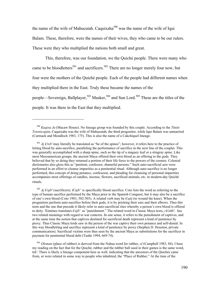the name of the wife of Mahucutah. Caquixaha $500$  was the name of the wife of Iqui Balam. These, therefore, were the names of their wives, they who came to be our rulers. These were they who multiplied the nations both small and great.

 This, therefore, was our foundation, we the Quiché people. There were many who came to be bloodletters<sup>501</sup> and sacrificers.<sup>502</sup> There are no longer merely four now, but four were the mothers of the Quiché people. Each of the people had different names when they multiplied there in the East. Truly these became the names of the people—Sovereign, Ballplayer,<sup>503</sup> Masker,<sup>504</sup> and Sun Lord.<sup>505</sup> These are the titles of the people. It was there in the East that they multiplied.

 $\overline{a}$ 

 <sup>503</sup> *Oloman* (place of rubber) is derived from the Nahua word for rubber, *ol* (Campbell 1983, 84). I base my reading on the fact that for the Quiché, rubber and the rubber ball used in their games is the same word, *kik'*. There is likely a lineage component here as well, indicating that the ancestors of the Quichés came from, or were related in some way to people who inhabited, the "Place of Rubber." At the time of the

<sup>500</sup> *Kaqixa Ja* (Macaw House). No lineage group was founded by this couple. According to the *Título Totonicapán*, Caquixaha was the wife of Mahucutah, the third progenitor, while Iqui Balam was unmarried (Carmack and Mondloch 1983, 175). This is also the name of a Cakchiquel lineage.

<sup>&</sup>lt;sup>501</sup> *Aj k'ixb'* may literally be translated as "he of the spines"; however, it refers here to the practice of letting blood by auto-sacrifice, paralleling the performance of sacrifice in the next line of the couplet. This was generally accomplished with a sharp spine, such as the tip of a maguey leaf or a stingray spine. Like most Mesoamerican groups, the ancient Maya offered their own blood as an offering to the gods. They believed that by so doing they returned a portion of their life force to the powers of the cosmos. Colonial dictionaries also gloss this as "penitent, confessor, shameful persons." Such auto-sacrificial acts were performed in an effort to cleanse impurities as a penitential ritual. Although auto-sacrifice is no longer performed, this concept of doing penance, confession, and pleading for cleansing of personal impurities accompanies most offerings of candles, incense, flowers, sacrificed animals, etc. in modern-day Quiché rituals.

<sup>502</sup> *Aj k'ajb'* (sacrificers). *K'ajb'* is specifically blood sacrifice. Coto lists the word as referring to the type of human sacrifice performed by the Maya prior to the Spanish Conquest, but it may also be a sacrifice of one's own blood (Coto 1983, 502-503). A related verb may be *k'ajij* (to wound the knee). When the progenitors perform auto-sacrifice before their gods, it is by pricking their ears and their elbows. Thus this term and the one that precede it likely refer to auto-sacrificial rites whereby a person's own blood is offered to deity. Ximénez translates *k'ajb'* as "punishment." The related word in Classic Maya texts, *ch'ahb',* has two related meanings with regard to war contexts. In one sense, it refers to the punishment of captives, and at the same time the notion that captives destined for sacrificial death represent a kind of penitence by proxy. Thus Classic Maya lords saw in the person of the war captive their own penance and self-denial. In this way bloodletting and sacrifice represent a kind of penitence by proxy (Stephen D. Houston, private communication). Sacrificial victims were thus seen by the ancient Maya as substitutions for the sacrificer in payment for penitential blood debt (Taube 1994, 669-74).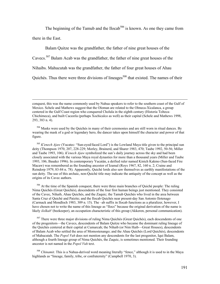The beginning of the Tamub and the Ilocab<sup>506</sup> is known. As one they came from

there in the East.

Balam Quitze was the grandfather, the father of nine great houses of the Cavecs.<sup>507</sup> Balam Acab was the grandfather, the father of nine great houses of the Nihaibs. Mahucutah was the grandfather, the father of four great houses of Ahau Quichés. Thus there were three divisions of lineages<sup>508</sup> that existed. The names of their

 <sup>505</sup> *K'enech Ajaw* (Yucatec: "Sun-eyed/faced Lord") is the Lowland Maya title given to the principal sun deity (Thompson 1970, 207, 228-229; Morley, Brainerd, and Sharer 1983, 470; Taube 1992, 50-56; Miller and Taube 1993, 106). *K'enech Ajaw* symbolized the sun's daily journey across the sky and had been closely associated with the various Maya royal dynasties for more than a thousand years (Miller and Taube 1993, 106; Baudez 1996). In contemporary Yucatán, a deified ruler named Kinich Kakmo (Sun-faced Fire Macaw) was remembered as the founding ancestor of Izamal (Roys 1967, 82, 160 n. 2; Craine and Reindorp 1979, 83-84 n. 78). Apparently, Quiché lords also saw themselves as earthly manifestations of the sun deity. The use of this archaic, non-Quiché title may indicate the antiquity of the concept as well as the origins of its Cavec authors.

 $506$  At the time of the Spanish conquest, there were three main branches of Quiché people: The ruling Nima Quichés (Great Quichés), descendents of the four first human beings just mentioned. They consisted of the Cavec, Nihaib, Ahau Quichés, and the Zaquic; the Tamub Quichés who lived in the area between Santa Cruz el Quiché and Patzite; and the Ilocab Quichés near present-day San Antonio Ilotenago (Carmack and Mondloch 1983, 309 n. 15). The –ab suffix in Ilocab functions as a pluralizer, however, I have chosen not to write the name of this lineage as "Ilocs" because the original derivation of the name is likely *ilolkab'* (beekeeper), an occupation characteristic of this group (Akkeren, personal communication).

<sup>507</sup> There were three major divisions of ruling Nima Quichés (Great Quichés), each descendents of one of the progenitors—the Cavecs, descendents of Balam Quitze who became the dominant ruling lineage of the Quichés centered at their capital at Cumarcah; the Nihaib (or Nim Haib—Great Houses), descendents of Balam Acab who settled the area of Momostenango; and the Ahau Quichés (Lord Quichés), descendents of Mahucutah. The *Popol Vuh* does not mention any descendents for the last progenitor, Iqui Balam, although a fourth lineage group of Nima Quichés, the Zaquic, is sometimes mentioned. Their founding ancestor is not named in the *Popol Vuh* text.

 <sup>508</sup> *Chinamit*. This is a Nahua-derived word meaning literally "fence," although it is used to in the Maya highlands as "lineage, family, tribe, or confraternity" (Campbell 1970, 3).

conquest, this was the name commonly used by Nahua speakers to refer to the southern coast of the Gulf of Mexico. Schele and Mathews suggest that the Oloman are related to the Olmeca-Xicalanca, a group centered in the Gulf Coast region who conquered Cholula in the eighth century (Historia Tolteca-Chichimeca), and built Cacaxtla (perhaps Xochicalco as well) as their capital (Schele and Mathews 1998, 293, 383 n. 4).

<sup>&</sup>lt;sup>504</sup> Masks were used by the Quichés in many of their ceremonies and are still worn in ritual dances. By wearing the mask of a god or legendary hero, the dancer takes upon himself the character and power of that figure.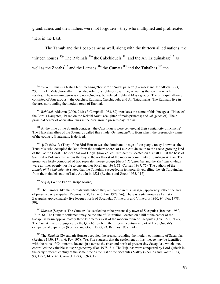grandfathers and their fathers were not forgotten—they who multiplied and proliferated there in the East.

The Tamub and the Ilocab came as well, along with the thirteen allied nations, the thirteen houses:<sup>509</sup> The Rabinals,<sup>510</sup> the Cakchiquels,<sup>511</sup> and the Ah Tziquinahas;<sup>512</sup> as well as the Zacahs<sup>513</sup> and the Lamacs,  $5^{14}$  the Cumatz<sup>515</sup> and the Tuhalhas,  $5^{16}$  the

 <sup>510</sup> *Rab'inal.* Akkeren (2000, 248; cf. Campbell 1983, 82) translates the name of this lineage as "Place of the Lord's Daughter," based on the Kekchi *rab'in* (daughter of male/princess) and *-al* (place of)*.* Their principal center of occupation was in the area around present-day Rabinal.

<sup>511</sup> At the time of the Spanish conquest, the Cakchiquels were centered at their capital city of Iximche'. The Tlaxcalan allies of the Spaniards called this citadel *Quauhtemallan*, from which the present-day name of the country, Guatemala, is derived.

 <sup>512</sup> *Aj Tz'ikina Ja* (They of the Bird House) was the dominant lineage of the people today known as the Tzutuhils, who occupied the land from the southern shores of Lake Atitlán south to the cacao-growing land of the Pacific Coast. Their capital was Chiya' (now called Chutinamit), located on a small hill at the base of San Pedro Volcano just across the bay to the northwest of the modern community of Santiago Atitlán. The group was likely composed of two separate lineage groups (the *Ah Tziquinahas* and the *Tzutuhils*), which were at times openly hostile to one another (Orellana 1984, 81; Carlsen 1997, 75). The authors of the *Annals of the Cakchiquels* stated that the Tzutuhils succeeded in temporarily expelling the Ah Tziquinahas from their citadel south of Lake Atitlán in 1521 (Recinos and Goetz 1953, 117).

<sup>513</sup> *Saq Aj* (White Ear of Unripe Maize).

 $\overline{a}$ 

<sup>514</sup> The Lamacs, like the Cumatz with whom they are paired in this passage, apparently settled the area of present-day Sacapulas (Recinos 1950, 171 n. 6; Fox 1978, 76). There is a site known as Lamak-Zacapulas approximately five leagues north of Sacapulas (Villacorta and Villacorta 1930, 94; Fox 1978, 90).

 <sup>515</sup> *Kumatz* (Serpent). The Cumatz also settled near the present-day town of Sacapulas (Recinos 1950, 171 n. 6). The Cumatz settlement may be the site of Chutixtiox, located on a hill at the center of the Sacapulas basin approximately three kilometers west of the modern town of Sacapulas (Fox 1978, 71-77). The Cumatz were subjugated by the Quichés early in the fifteenth century as part of Lord Quicab's campaign of expansion (Recinos and Goetz 1953, 93; Recinos 1957, 141).

<sup>516</sup> The *Tujal Ja* (Sweatbath House) occupied the area surrounding the modern community of Sacapulas (Recinos 1950, 171 n. 6; Fox 1978, 76). Fox suggests that the settlement of this lineage may be identified with the ruins of Chutinamit, located just across the river and north of present-day Sacapulas, which once controlled the valuable salt springs nearby (Fox 1978, 81). The Tujalhas were conquered by Lord Quicab in the early fifteenth century at the same time as the rest of the Sacapulas Valley (Recinos and Goetz 1953, 93; 1957, 141-143; Carmack 1973, 369-371).

<sup>509</sup> *Tecpan*. This is a Nahua term meaning "house," or "royal palace" (Carmack and Mondloch 1983, 233 n. 191). Metaphorically it may also refer to a noble or royal line, as well as the town in which it resides. The remaining groups are non-Quichés, but related highland Maya groups. The principal alliance consisted of four groups—the Quichés, Rabinals, Cakchiquels, and Ah Tziquinahas. The Rabinals live in the area surrounding the modern town of Rabinal.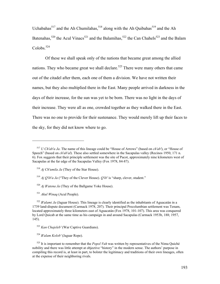Uchabahas<sup>517</sup> and the Ah Chumilahas,  $518$  along with the Ah Quibahas<sup>519</sup> and the Ah Batenahas,<sup>520</sup> the Acul Vinacs<sup>521</sup> and the Balamihas,<sup>522</sup> the Can Chahels<sup>523</sup> and the Balam  $Colobs.<sup>524</sup>$ 

Of these we shall speak only of the nations that became great among the allied nations. They who became great we shall declare.<sup>525</sup> There were many others that came out of the citadel after them, each one of them a division. We have not written their names, but they also multiplied there in the East. Many people arrived in darkness in the days of their increase, for the sun was yet to be born. There was no light in the days of their increase. They were all as one, crowded together as they walked there in the East. There was no one to provide for their sustenance. They would merely lift up their faces to the sky, for they did not know where to go.

<sup>520</sup> *Aj B'atena Ja* (They of the Ballgame Yoke House).

<sup>517</sup> *U Ch'ab'a Ja*. The name of this lineage could be "House of Arrows" (based on *ch'ab'*), or "House of Speech" (based on *ch'ab'al*). These also settled somewhere in the Sacapulas valley (Recinos 1950, 171 n. 6). Fox suggests that their principle settlement was the site of Pacot, approximately nine kilometers west of Sacapulas at the far edge of the Sacapulas Valley (Fox 1978, 84-87).

<sup>518</sup> *Aj Ch'umila Ja* (They of the Star House).

<sup>519</sup> *Aj Q'ib'a Ja* ("They of the Clever House). *Q'ib'* is "sharp, clever, student."

<sup>521</sup> *Akul Winaq* (Acul People).

<sup>522</sup> *B'alami Ja* (Jaguar House). This lineage is clearly identified as the inhabitants of Aguacatán in a 1739 land-dispute document (Carmack 1978, 207). Their principal Precolumbian settlement was Tenam, located approximately three kilometers east of Aguacatán (Fox 1978, 101-107). This area was conquered by Lord Quicab at the same time as his campaign in and around Sacapulas (Carmack 1953b, 188; 1957, 145).

<sup>523</sup> *Kan Chajeleb'* (War Captive Guardians).

<sup>524</sup> *B'alam Kolob'* (Jaguar Rope).

<sup>&</sup>lt;sup>525</sup> It is important to remember that the *Popol Vuh* was written by representatives of the Nima Quiché nobility and there was little attempt at objective "history" in the modern sense. The authors' purpose in compiling this record is, at least in part, to bolster the legitimacy and traditions of their own lineages, often at the expense of their neighboring rivals.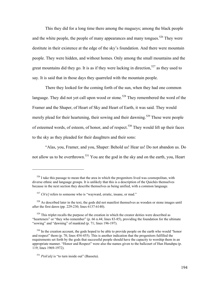This they did for a long time there among the magueys; among the black people and the white people, the people of many appearances and many tongues.<sup>526</sup> They were destitute in their existence at the edge of the sky's foundation. And there were mountain people. They were hidden, and without homes. Only among the small mountains and the great mountains did they go. It is as if they were lacking in direction,  $527$  as they used to say. It is said that in those days they quarreled with the mountain people.

There they looked for the coming forth of the sun, when they had one common language. They did not yet call upon wood or stone.<sup>528</sup> They remembered the word of the Framer and the Shaper, of Heart of Sky and Heart of Earth, it was said. They would merely plead for their heartening, their sowing and their dawning.<sup>529</sup> These were people of esteemed words, of esteem, of honor, and of respect.<sup>530</sup> They would lift up their faces to the sky as they pleaded for their daughters and their sons:

"Alas, you, Framer, and you, Shaper: Behold us! Hear us! Do not abandon us. Do not allow us to be overthrown.<sup>531</sup> You are the god in the sky and on the earth, you, Heart

 $526$  I take this passage to mean that the area in which the progenitors lived was cosmopolitan, with diverse ethnic and language groups. It is unlikely that this is a description of the Quichés themselves because in the next section they describe themselves as being unified, with a common language.

<sup>527</sup> *Ch'u'j* refers to someone who is "wayward, erratic, insane, or mad."

<sup>&</sup>lt;sup>528</sup> As described later in the text, the gods did not manifest themselves as wooden or stone images until after the first dawn (pp. 229-230; lines 6137-6140).

<sup>&</sup>lt;sup>529</sup> This triplet recalls the purpose of the creation in which the creator deities were described as "hearteners" or "they who remember" (p. 66 n.44; lines 83-85), providing the foundation for the ultimate "sowing" and "dawning" of mankind (p. 71; lines 196-197).

<sup>&</sup>lt;sup>530</sup> In the creation account, the gods hoped to be able to provide people on the earth who would "honor and respect" them (p. 78; lines 454-455). This is another indication that the progenitors fulfilled the requirements set forth by the gods that successful people should have the capacity to worship them in an appropriate manner. "Honor and Respect" were also the names given to the ballcourt of Hun Hunahpu (p. 119; lines 1969-1972).

<sup>531</sup> *Pisk'alij* is "to turn inside out" (Basseta).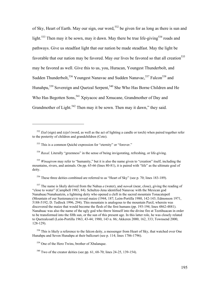of Sky, Heart of Earth. May our sign, our word,<sup>532</sup> be given for as long as there is sun and light.<sup>533</sup> Then may it be sown, may it dawn. May there be true life-giving<sup>534</sup> roads and pathways. Give us steadfast light that our nation be made steadfast. May the light be favorable that our nation may be favored. May our lives be favored so that all creation $535$ may be favored as well. Give this to us, you, Huracan, Youngest Thunderbolt, and Sudden Thunderbolt,<sup>536</sup> Youngest Nanavac and Sudden Nanavac,<sup>537</sup> Falcon<sup>538</sup> and Hunahpu,<sup>539</sup> Sovereign and Quetzal Serpent,<sup>540</sup> She Who Has Borne Children and He Who Has Begotten Sons,<sup>541</sup> Xpiyacoc and Xmucane, Grandmother of Day and Grandmother of Light.<sup>542</sup> Then may it be sown. Then may it dawn," they said.

 $\overline{a}$ 

<sup>536</sup> These three deities combined are referred to as "Heart of Sky" (see p. 70; lines 183-189).

 <sup>537</sup> The name is likely derived from the Nahua *a* (water), and *nawak* (near, close), giving the reading of "close to water" (Campbell 1983, 84). Schultze-Jena identified Nanavac with the Mexican god Nanahuac/Nanahuatzin, a lightning deity who opened a cleft in the sacred mountain Tonacatepetl (Mountain of our Sustenance) to reveal maize (1944, 187; León-Portilla 1980, 142-143; Edmonson 1971, 5188-5192; D. Tedlock 1996, 294). This mountain is analogous to the mountain Paxil, wherein was discovered the maize that would become the flesh of the first humans (pp. 193-194; lines 4862-4881). Nanahuac was also the name of the ugly god who threw himself into the divine fire at Teotihuacan in order to be transformed into the fifth sun, or the sun of this present age. In this latter role, he was closely related to Quetzalcoatl (León-Portilla 1963, 43-44; 1980, 143 n. 86; Akkeren 2000, 162, 333; Townsend 2000, 128-129).

<sup>538</sup> This is likely a reference to the falcon deity, a messenger from Heart of Sky, that watched over One Hunahpu and Seven Hunahpu at their ballcourt (see p. 114; lines 1786-1796).

<sup>539</sup> One of the Hero Twins, brother of Xbalanque.

<sup>540</sup> Two of the creator deities (see pp. 61, 68-70; lines 24-25, 139-154).

<sup>532</sup> *Etal* (sign) and *tzijel* (word, as well as the act of lighting a candle or torch) when paired together refer to the posterity of children and grandchildren (Coto).

<sup>&</sup>lt;sup>533</sup> This is a common Quiché expression for "eternity" or "forever."

<sup>534</sup> *Raxal*. Literally "greenness" in the sense of being invigorating, refreshing, or life-giving.

<sup>&</sup>lt;sup>535</sup> *Winaqirem* may refer to "humanity," but it is also the name given to "creation" itself, including the mountains, rivers, and animals. On pp. 65-66 (lines 80-81), it is paired with "life" as the ultimate goal of deity.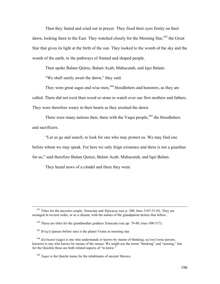Then they fasted and cried out in prayer. They fixed their eyes firmly on their dawn, looking there to the East. They watched closely for the Morning Star,<sup>543</sup> the Great Star that gives its light at the birth of the sun. They looked to the womb of the sky and the womb of the earth, to the pathways of framed and shaped people.

Then spoke Balam Quitze, Balam Acab, Mahucutah, and Iqui Balam:

"We shall surely await the dawn," they said.

They were great sages and wise men,<sup>544</sup> bloodletters and honorers, as they are called. There did not exist then wood or stone to watch over our first mothers and fathers. They were therefore weary in their hearts as they awaited the dawn.

There were many nations then, there with the Yaqui people,  $545$  the bloodletters and sacrificers.

"Let us go and search, to look for one who may protect us. We may find one before whom we may speak. For here we only feign existence and there is not a guardian for us," said therefore Balam Quitze, Balam Acab, Mahucutah, and Iqui Balam.

They heard news of a citadel and there they went.

<sup>&</sup>lt;sup>541</sup> Titles for the ancestor couple, Xmucane and Xpiyacoc (see p. 200; lines 5107-5110). They are arranged in reverse order, or as a chiasm, with the names of the grandparent deities that follow.

<sup>&</sup>lt;sup>542</sup> These are titles for the grandmother goddess Xmucane (see pp. 79-80; lines 508-517).

<sup>543</sup> *Ik'oq'ij* (passes before sun) is the planet Venus as morning star.

<sup>544</sup> *Eta'manel* (sage) is one who understands or knows by means of thinking; *na'onel* (wise person, knower) is one who knows by means of the senses. We might use the terms "thinking" and "sensing," but for the Quichés these are both related aspects of "to know."

<sup>545</sup> *Yaqui* is the Quiché name for the inhabitants of ancient Mexico.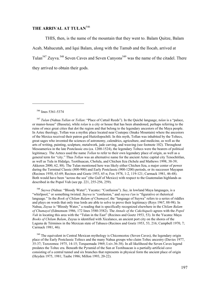## THE ARRIVAL AT TULAN<sup>546</sup>

THIS, then, is the name of the mountain that they went to. Balam Quitze, Balam Acab, Mahucutah, and Iqui Balam, along with the Tamub and the Ilocab, arrived at Tulan<sup>547</sup> Zuyva.<sup>548</sup> Seven Caves and Seven Canyons<sup>549</sup> was the name of the citadel. There they arrived to obtain their gods.

<sup>546</sup> lines 5361-5374

 $\overline{a}$ 

 <sup>547</sup> *Tulan* (Nahua *Tullan* or *Tollan*: "Place of Cattail Reeds"). In the Quiché language, *tulan* is a "palace, or manor-house" (Basseta), while *tolan* is a city or house that has been abandoned, perhaps referring to the ruins of once great cities that dot the region and that belong to the legendary ancestors of the Maya people. In Aztec theology, Tollan was a mythic place located near Coatepec (Snake Mountain) where the ancestors of the Mexica received their patron god Huitzilopochtli. In this myth, Tollan was inhabited by the Toltecs, great sages who invented the sciences of astronomy, calendrics, agriculture, and medicine, as well as the arts of writing, painting, sculpture, metalwork, jade carving, and weaving (see footnote 102). Throughout Mesoamerica in the late Postclassic era (ca. 1200-1524), the legendary Toltecs were the bearers of political legitimacy. The Aztecs used the name *Tollan* to refer to their own legendary place of origin, as well as a general term for "city." Thus *Tollan* was an alternative name for the ancient Aztec capital city Tenochtitlan, as well as Tula in Hidalgo, Teotihuacan, Cholula, and Chichen Itza (Schele and Mathews 1998, 38-39; Akkeren 2000, 62, 88). The Tulan mentioned here was likely either Chichen Itza, a major center of power during the Terminal Classic (800-900) and Early Postclassic (900-1200) periods, or its successor Mayapan (Recinos 1950, 63-69; Recinos and Goetz 1953, 65 n; Fox 1978, 1-2, 119-121; Carmack 1981, 46-48). Both would have been "across the sea" (the Gulf of Mexico) with respect to the Guatemalan highlands as described in the Popol Vuh (see pp. 221, 255-256, 259).

 <sup>548</sup> *Suywa* (Nahua: "Bloody Water"; Yucatec: "Confusion"). *Suy*, in lowland Maya languages, is a "whirlpool," or something twisted. *Suywa* is "confusion," and *suywa t'an* is "figurative or rhetorical language." In the *Book of Chilam Balam of Chumayel*, the "language of Suywa" refers to a series of riddles and plays on words that only true lords are able to solve to prove their legitimacy (Roys 1967, 88-98). In Nahua, *Zuyua* is "Bloody Water," a reading that is specifically recognized elsewhere in the *Chilam Balam of Chumayel* (Edmonson 1986, 172 lines 3580-3582). The *Annals of the Cakchiquels* agrees with the *Popol Vuh* in locating this area with the "Tulan in the East" (Recinos and Goetz 1953, 53). In the Yucatec Maya *Books of Chilam Balam*, Zuyua is identified with Xicalanco, an ancient port city on the shores of the Laguna de Términos in the Mexican state of Tabasco (Recinos and Goetz 1953, 53, 216; Campbell 1970, 7; Carmack 1981, 46).

<sup>549</sup> The equivalent in Central Mexican mythology is Chicomoztoc (Seven Caves), the legendary origin place of the Early Postclassic Toltecs and the many Nahua groups who claim Toltec ancestry (Davies 1977, 35-37; Tezozomoc 1975, 14-15; Torquemada 1969, I.xiv.36-38). In all likelihood the Seven Caves legend predates the Toltec era. Beneath the Pyramid of the Sun at Teotihuacan is a partially-artificial cave consisting of a central tunnel and six branches that represents in physical form the ancient place of origin (Heyden 1975, 1981; Taube 1986; Millon 1993, 20-22).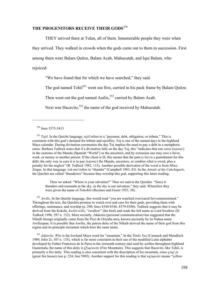## THE PROGENITORS RECEIVE THEIR GODS<sup>550</sup>

THEY arrived there at Tulan, all of them. Innumerable people they were when they arrived. They walked in crowds when the gods came out to them in succession. First among them were Balam Quitze, Balam Acab, Mahucutah, and Iqui Balam, who rejoiced:

"We have found that for which we have searched," they said.

The god named Tohil<sup>551</sup> went out first, carried in his pack frame by Balam Quitze.

Then went out the god named Auilix,<sup>552</sup> carried by Balam Acab.

Next was Hacavitz,<sup>553</sup> the name of the god received by Mahucutah.

 $\overline{a}$ 

 <sup>551</sup> *Tojil.* In the Quiché language, *tojil* refers to a "payment, debt, obligation, or tribute." This is consistent with this god's demand for tribute and sacrifice. Toj is one of the named days in the highland Maya calendar. During divination ceremonies the day Toj implies the need to pay a debt in a metaphoric sense. Barbara Tedlock notes that if a divination falls on the day Toj, this "indicates that one owes (*tojonic*) in the customs of the Mundo [Spanish "World"] or the ancestors, and by extension one may owe a favor, work, or money to another person. If the client is ill, this means that the pain (*c'äx*) is a punishment for this debt; the only way to cure it is to pay (*tojonic*) the Mundo, ancestors, or creditor what is owed, plus a penalty for the neglect" (B. Tedlock 1982, 115). Another possible derivation of the word is from Mixe-Zoque. In that language*, toh-mel* refers to "thunder" (Campbell 1983, 83). In the *Annals of the Cakchiquels*, the Quichés are called "thunderers" because they worship this god, supporting this latter reading:

 Then we asked: "Where is your salvation?" Thus we said to the Quichés. "Since it thunders and resounds in the sky, in the sky is our salvation," they said. Wherefore they were given the name of *Tohohils* (Recinos and Goetz 1953, 58).

 <sup>552</sup> *Awilix.* In the Quiché language, this would read "you are watched over/cared for/commissioned." Throughout the text, the Quichés promise to watch over and care for their gods, providing them with offerings, sustenance, and worship (p. 290; lines 8344-8346, 8379-8388). Tedlock suggests that it may be derived from the Kekchi, *kwilix/wilix*, "swallow" (the bird) and reads the full name as Lord Swallow (D. Tedlock 1996, 297 n. 152). More recently, Akkeren (personal communication) has suggested that the Nihaib lineage originally came from the Pico de Orizaba area, known anciently by its Nahua name Awilizapan. It is possible that Awilix, the patron deity of the Nihaib derived the name of their god from this region and its principle mountain which bore the same name.

 <sup>553</sup> *Jakawitz. Witz* is the lowland Maya word for "mountain." In the *Título Yax* (Carmack and Mondloch 1989, folio 2r, 107 n. 135)*,* which is far more consistent in their use of the modified Latin alphabet developed by Father Francisco de la Parra in the sixteenth century and used by scribes throughout highland Guatemala, the name of this deity is *Q'aq'awitz* (Fire Mountain)*.* This suggests that Hacavitz, like Tohil, is primarily a fire deity. This reading is also consistent with the description of his mountain, *nima q'aq' ja* (great fire house) (see p. 224; line 5905). Another support for this reading is that xq*'aqwitz* means "yellow

<sup>&</sup>lt;sup>550</sup> lines 5375-5413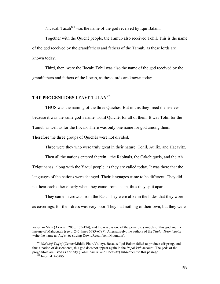Nicacah Tacah<sup>554</sup> was the name of the god received by Iqui Balam.

Together with the Quiché people, the Tamub also received Tohil. This is the name of the god received by the grandfathers and fathers of the Tamub, as these lords are known today.

Third, then, were the Ilocab: Tohil was also the name of the god received by the grandfathers and fathers of the Ilocab, as these lords are known today.

### THE PROGENITORS LEAVE TULAN<sup>555</sup>

THUS was the naming of the three Quichés. But in this they freed themselves because it was the same god's name, Tohil Quiché, for all of them. It was Tohil for the Tamub as well as for the Ilocab. There was only one name for god among them. Therefore the three groups of Quichés were not divided.

Three were they who were truly great in their nature: Tohil, Auilix, and Hacavitz.

Then all the nations entered therein—the Rabinals, the Cakchiquels, and the Ah Tziquinahas, along with the Yaqui people, as they are called today. It was there that the languages of the nations were changed. Their languages came to be different. They did not hear each other clearly when they came from Tulan, thus they split apart.

They came in crowds from the East. They were alike in the hides that they wore as coverings, for their dress was very poor. They had nothing of their own, but they were

wasp" in Mam (Akkeren 2000, 173-174), and the wasp is one of the principle symbols of this god and the lineage of Mahucutah (see p. 245; lines 6783-6787). Alternatively, the authors of the *Título Totonicapán* write the name as *Jaq'awitz* (Lying Down/Recumbent Mountain).

<sup>554</sup> *Nik'akaj Taq'aj* (Center/Middle Plain/Valley). Because Iqui Balam failed to produce offspring, and thus a nation of descendents, this god does not appear again in the *Popol Vuh* account. The gods of the progenitors are listed as a trinity (Tohil, Auilix, and Hacavitz) subsequent to this passage.

 $\frac{555}{1}$  lines 5414-5485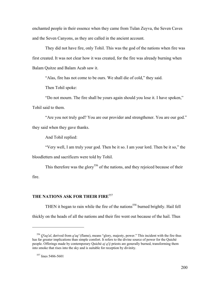enchanted people in their essence when they came from Tulan Zuyva, the Seven Caves and the Seven Canyons, as they are called in the ancient account.

They did not have fire, only Tohil. This was the god of the nations when fire was first created. It was not clear how it was created, for the fire was already burning when Balam Quitze and Balam Acab saw it.

"Alas, fire has not come to be ours. We shall die of cold," they said.

Then Tohil spoke:

"Do not mourn. The fire shall be yours again should you lose it. I have spoken," Tohil said to them.

"Are you not truly god? You are our provider and strengthener. You are our god." they said when they gave thanks.

And Tohil replied:

"Very well, I am truly your god. Then be it so. I am your lord. Then be it so," the bloodletters and sacrificers were told by Tohil.

This therefore was the glory<sup>556</sup> of the nations, and they rejoiced because of their fire.

#### THE NATIONS ASK FOR THEIR FIRE<sup>557</sup>

THEN it began to rain while the fire of the nations<sup>558</sup> burned brightly. Hail fell thickly on the heads of all the nations and their fire went out because of the hail. Thus

<sup>556</sup> *Q'aq'al*, derived from *q'aq'* (flame), means "glory, majesty, power." This incident with the fire thus has far greater implications than simple comfort. It refers to the divine source of power for the Quiché people. Offerings made by contemporary Quiché *aj q'ij* priests are generally burned, transforming them into smoke that rises into the sky and is suitable for reception by divinity.

<sup>&</sup>lt;sup>557</sup> lines 5486-5601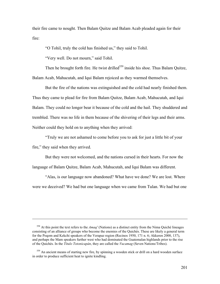their fire came to nought. Then Balam Quitze and Balam Acab pleaded again for their fire:

"O Tohil, truly the cold has finished us," they said to Tohil.

"Very well. Do not mourn," said Tohil.

 $\overline{a}$ 

Then he brought forth fire. He twist drilled<sup>559</sup> inside his shoe. Thus Balam Quitze, Balam Acab, Mahucutah, and Iqui Balam rejoiced as they warmed themselves.

But the fire of the nations was extinguished and the cold had nearly finished them. Thus they came to plead for fire from Balam Quitze, Balam Acab, Mahucutah, and Iqui Balam. They could no longer bear it because of the cold and the hail. They shuddered and trembled. There was no life in them because of the shivering of their legs and their arms. Neither could they hold on to anything when they arrived:

"Truly we are not ashamed to come before you to ask for just a little bit of your fire," they said when they arrived.

But they were not welcomed, and the nations cursed in their hearts. For now the language of Balam Quitze, Balam Acab, Mahucutah, and Iqui Balam was different.

"Alas, is our language now abandoned? What have we done? We are lost. Where were we deceived? We had but one language when we came from Tulan. We had but one

<sup>558</sup> At this point the text refers to the *Amaq'* (Nations) as a distinct entity from the Nima Quiché lineages consisting of an alliance of groups who become the enemies of the Quichés. These are likely a general term for the Poqom and Kekchi speakers of the Verapaz region (Recinos 1950, 171 n. 6; Akkeren 2000, 137), and perhaps the Mam speakers further west who had dominated the Guatemalan highlands prior to the rise of the Quichés. In the *Título Totonicapán*, they are called the *Vucamag* (Seven Nations/Tribes).

<sup>&</sup>lt;sup>559</sup> An ancient means of starting new fire, by spinning a wooden stick or drill on a hard wooden surface in order to produce sufficient heat to ignite kindling.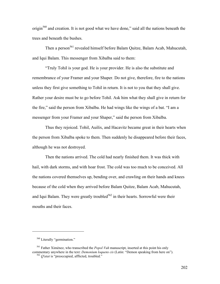origin<sup>560</sup> and creation. It is not good what we have done," said all the nations beneath the trees and beneath the bushes.

Then a person<sup>561</sup> revealed himself before Balam Quitze, Balam Acab, Mahucutah, and Iqui Balam. This messenger from Xibalba said to them:

"Truly Tohil is your god. He is your provider. He is also the substitute and remembrance of your Framer and your Shaper. Do not give, therefore, fire to the nations unless they first give something to Tohil in return. It is not to you that they shall give. Rather your desire must be to go before Tohil. Ask him what they shall give in return for the fire," said the person from Xibalba. He had wings like the wings of a bat. "I am a messenger from your Framer and your Shaper," said the person from Xibalba.

Thus they rejoiced. Tohil, Auilix, and Hacavitz became great in their hearts when the person from Xibalba spoke to them. Then suddenly he disappeared before their faces, although he was not destroyed.

Then the nations arrived. The cold had nearly finished them. It was thick with hail, with dark storms, and with hoar frost. The cold was too much to be conceived. All the nations covered themselves up, bending over, and crawling on their hands and knees because of the cold when they arrived before Balam Quitze, Balam Acab, Mahucutah, and Iqui Balam. They were greatly troubled<sup>562</sup> in their hearts. Sorrowful were their mouths and their faces.

<sup>560</sup> Literally "germination."

<sup>&</sup>lt;sup>561</sup> Father Ximénez, who transcribed the *Popol Vuh* manuscript, inserted at this point his only commentary anywhere in the text: *Demonium loquens cis* (Latin: "Demon speaking from here on").

<sup>562</sup> *Q'atat* is "preoccupied, afflicted, troubled."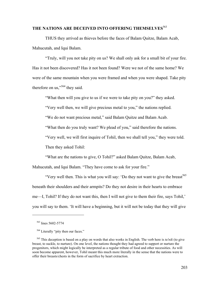## THE NATIONS ARE DECEIVED INTO OFFERING THEMSELVES<sup>563</sup>

THUS they arrived as thieves before the faces of Balam Quitze, Balam Acab, Mahucutah, and Iqui Balam.

"Truly, will you not take pity on us? We shall only ask for a small bit of your fire. Has it not been discovered? Has it not been found? Were we not of the same home? We were of the same mountain when you were framed and when you were shaped. Take pity therefore on us,"<sup>564</sup> they said.

"What then will you give to us if we were to take pity on you?" they asked.

"Very well then, we will give precious metal to you," the nations replied.

"We do not want precious metal," said Balam Quitze and Balam Acab.

"What then do you truly want? We plead of you," said therefore the nations.

"Very well, we will first inquire of Tohil, then we shall tell you," they were told.

Then they asked Tohil:

"What are the nations to give, O Tohil?" asked Balam Quitze, Balam Acab, Mahucutah, and Iqui Balam. "They have come to ask for your fire."

"Very well then. This is what you will say: 'Do they not want to give the breast<sup>565</sup> beneath their shoulders and their armpits? Do they not desire in their hearts to embrace me—I, Tohil? If they do not want this, then I will not give to them their fire, says Tohil,' you will say to them. 'It will have a beginning, but it will not be today that they will give

<sup>563</sup> lines 5602-5774

<sup>&</sup>lt;sup>564</sup> Literally "pity then our faces."

<sup>565</sup> This deception is based on a play on words that also works in English. The verb here is *tu'nik* (to give breast, to suckle, to nurture). On one level, the nations thought they had agreed to support or nurture the progenitors, which might logically be interpreted as a regular tribute of food and other necessities. As will soon become apparent, however, Tohil meant this much more literally in the sense that the nations were to offer their breasts/chests in the form of sacrifice by heart extraction.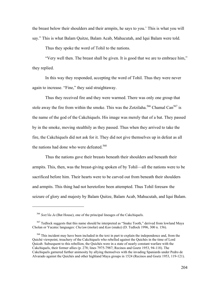the breast below their shoulders and their armpits, he says to you.' This is what you will say." This is what Balam Quitze, Balam Acab, Mahucutah, and Iqui Balam were told.

Thus they spoke the word of Tohil to the nations.

"Very well then. The breast shall be given. It is good that we are to embrace him," they replied.

In this way they responded, accepting the word of Tohil. Thus they were never again to increase. "Fine," they said straightaway.

Thus they received fire and they were warmed. There was only one group that stole away the fire from within the smoke. This was the Zotzilaha.<sup>566</sup> Chamal Can<sup>567</sup> is the name of the god of the Cakchiquels. His image was merely that of a bat. They passed by in the smoke, moving stealthily as they passed. Thus when they arrived to take the fire, the Cakchiquels did not ask for it. They did not give themselves up in defeat as all the nations had done who were defeated.<sup>568</sup>

Thus the nations gave their breasts beneath their shoulders and beneath their armpits. This, then, was the breast-giving spoken of by Tohil—all the nations were to be sacrificed before him. Their hearts were to be carved out from beneath their shoulders and armpits. This thing had not heretofore been attempted. Thus Tohil foresaw the seizure of glory and majesty by Balam Quitze, Balam Acab, Mahucutah, and Iqui Balam.

<sup>566</sup> *Sotz'ila Ja* (Bat House), one of the principal lineages of the Cakchiquels.

<sup>&</sup>lt;sup>567</sup> Tedlock suggests that this name should be interpreted as "Snake Tooth," derived from lowland Maya Cholan or Yucatec languages: *Cha'am* (molar) and *Kan* (snake) (D. Tedlock 1996, 300 n. 156).

<sup>&</sup>lt;sup>568</sup> This incident may have been included in the text in part to explain the independence and, from the Quiché viewpoint, treachery of the Cakchiquels who rebelled against the Quichés in the time of Lord Quicab. Subsequent to this rebellion, the Quichés were in a state of nearly constant warfare with the Cakchiquels, their former allies (p. 278; lines 7975-7987; Recinos and Goetz 1953, 94-118). The Cakchiquels garnered further animosity by allying themselves with the invading Spaniards under Pedro de Alvarado against the Quichés and other highland Maya groups in 1524 (Recinos and Goetz 1953, 119-121).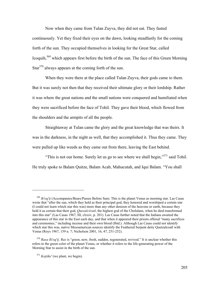Now when they came from Tulan Zuyva, they did not eat. They fasted continuously. Yet they fixed their eyes on the dawn, looking steadfastly for the coming forth of the sun. They occupied themselves in looking for the Great Star, called Icoquih,<sup>569</sup> which appears first before the birth of the sun. The face of this Green Morning Star<sup>570</sup> always appears at the coming forth of the sun.

When they were there at the place called Tulan Zuyva, their gods came to them. But it was surely not then that they received their ultimate glory or their lordship. Rather it was where the great nations and the small nations were conquered and humiliated when they were sacrificed before the face of Tohil. They gave their blood, which flowed from the shoulders and the armpits of all the people.

Straightaway at Tulan came the glory and the great knowledge that was theirs. It was in the darkness, in the night as well, that they accomplished it. Thus they came. They were pulled up like weeds as they came out from there, leaving the East behind.

"This is not our home. Surely let us go to see where we shall begin,"<sup>571</sup> said Tohil. He truly spoke to Balam Quitze, Balam Acab, Mahucutah, and Iqui Balam. "You shall

<sup>569</sup> *Ik'oq'ij* (Accompanies/Bears/Passes Before Sun). This is the planet Venus as morning star. Las Casas wrote that "after the sun, which they held as their principal god, they honored and worshiped a certain star (I could not learn which star this was) more than any other denizen of the heavens or earth, because they held it as certain that their god, *Quezalcóvatl*, the highest god of the Cholulans, when he died transformed into this star" (Las Casas 1967, III, clxxiv, p. 201). Las Casas further noted that the Indians awaited the appearance of this star in the East each day, and that when it appeared their priests offered "many sacrifices and ceremonies," including incense and their own blood (Ibid.). Although Las Casas could not identify which star this was, native Mesoamerican sources identify the Feathered Serpent deity Quetzalcoatl with Venus (Roys 1967, 159 n. 7; Nicholson 2001, 16, 47, 251-252).

<sup>570</sup> *Raxa Ik'oq'ij*. *Rax* is "green, new, fresh, sudden, regenerated, revived." It is unclear whether this refers to the green color of the planet Venus, or whether it refers to the life-generating power of the Morning Star to assist in the birth of the sun.

<sup>571</sup> *Kojtike'* (we plant, we begin).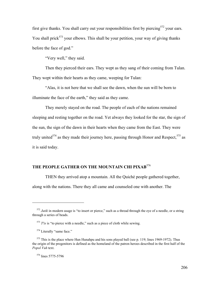first give thanks. You shall carry out your responsibilities first by piercing<sup>572</sup> your ears. You shall prick<sup>573</sup> your elbows. This shall be your petition, your way of giving thanks before the face of god."

"Very well," they said.

Then they pierced their ears. They wept as they sang of their coming from Tulan. They wept within their hearts as they came, weeping for Tulan:

"Alas, it is not here that we shall see the dawn, when the sun will be born to illuminate the face of the earth," they said as they came.

They merely stayed on the road. The people of each of the nations remained sleeping and resting together on the road. Yet always they looked for the star, the sign of the sun, the sign of the dawn in their hearts when they came from the East. They were truly united<sup>574</sup> as they made their journey here, passing through Honor and Respect,  $575$  as it is said today.

# THE PEOPLE GATHER ON THE MOUNTAIN CHI PIXAB<sup>576</sup>

THEN they arrived atop a mountain. All the Quiché people gathered together, along with the nations. There they all came and counseled one with another. The

<sup>&</sup>lt;sup>572</sup> *Jutik* in modern usage is "to insert or pierce," such as a thread through the eye of a needle, or a string through a series of beads.

<sup>&</sup>lt;sup>573</sup> *T'is* is "to pierce with a needle," such as a piece of cloth while sewing.

<sup>&</sup>lt;sup>574</sup> Literally "same face."

 $575$  This is the place where Hun Hunahpu and his sons played ball (see p. 119; lines 1969-1972). Thus the origin of the progenitors is defined as the homeland of the patron heroes described in the first half of the *Popol Vuh* text.

<sup>&</sup>lt;sup>576</sup> lines 5775-5796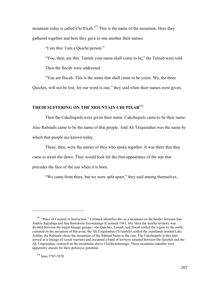mountain today is called Chi Pixab.<sup>577</sup> This is the name of the mountain. Here they gathered together and here they gave to one another their names:

"I am this: I am a Quiché person."

"You, then, are this: Tamub your name shall come to be," the Tamub were told. Then the Ilocab were addressed:

"You are Ilocab. This is the name that shall come to be yours. We, the three Quichés, will not be lost, for our word is one," they said when their names were given.

#### THEIR SUFFERING ON THE MOUNTAIN CHI PIXAB<sup>578</sup>

Then the Cakchiquels were given their name. Cakchiquels came to be their name. Also Rabinals came to be the name of that people. And Ah Tziquinahas was the name by which that people are known today.

These, then, were the names of they who spoke together. It was there that they came to await the dawn. They would look for the first appearance of the star that precedes the face of the sun when it is born.

"We came from there, but we were split apart," they said among themselves.

<sup>&</sup>lt;sup>577</sup> "Place of Counsel or Instruction." Carmack identifies this as a mountain on the border between San Andrés Sajcabaja and San Bartolomé Jocotenango (Carmack 1981, 66). Here the nearby territory was divided between the major lineage groups—the Quichés, Tamub, and Ilocab settled the region to the north, centered on the mountain of Hacavitz; the Ah Tziquinahas (Tz'utuhils) settled the coastlands around Lake Atitlán; the Rabinals chose the mountains of the Rabinal basin to the east. The Cakchiquels at this time served as a lineage of vassal warriors and occupied a band of territory situated between the Quichés and the Ah Tziquinahas, centered on the mountains above Chichicastenango. These mountain redoubts were apparently chosen for their defensive potential.

<sup>578</sup> lines 5797-5870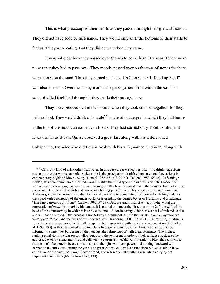This is what preoccupied their hearts as they passed through their great afflictions. They did not have food or sustenance. They would only sniff the bottoms of their staffs to feel as if they were eating. But they did not eat when they came.

It was not clear how they passed over the sea to come here. It was as if there were no sea that they had to pass over. They merely passed over on the tops of stones for there were stones on the sand. Thus they named it "Lined Up Stones"; and "Piled up Sand" was also its name. Over these they made their passage here from within the sea. The water divided itself and through it they made their passage here.

They were preoccupied in their hearts when they took counsel together, for they had no food. They would drink only atole<sup>579</sup> made of maize grains which they had borne to the top of the mountain named Chi Pixab. They had carried only Tohil, Auilix, and Hacavitz. Thus Balam Quitze observed a great fast along with his wife, named Cahapaluna; the same also did Balam Acab with his wife, named Chomiha; along with

<sup>&</sup>lt;sup>579</sup> Uk' is any kind of drink other than water. In this case the text specifies that it is a drink made from maize, or in other words, an atole. Maize atole is the principal drink offered on ceremonial occasions in contemporary highland Maya society (Bunzel 1952, 45, 233-234; B. Tedlock 1982, 65-66). At Santiago Atitlán, this ceremonial atole is called *maatz'*. Unlike the usual type of maize drink which is made from watered-down corn dough, *maatz'* is made from grain that has been toasted and then ground fine before it is mixed with two handfuls of ash and placed in a boiling pot of water. This procedure, the only time that Atitecos grind maize kernels into dry flour, or allow maize to come into direct contact with fire, matches the Popol Vuh description of the underworld lords grinding the burned bones of Hunahpu and Xbalanque "like finely ground corn flour" (Carlsen 1997, 57-59). Because traditionalist Atitecos believe that the preparation of *maatz'* is fraught with danger, it is carried out under the direction of the Xo', the wife of the head of the confraternity in which it is to be consumed. A confraternity elder blesses her beforehand so that she will not be burned in the process. I was told by a prominent Atiteco that drinking *maatz'* symbolizes victory over "death and the fires of the underworld" (Christenson 2001, 123-124). The resulting mixture is sometimes addressed as mother's milk or sperm, both associated with rebirth and regeneration (Freidel et al. 1993, 180). Although confraternity members frequently share food and drink in an atmosphere of informality sometimes bordering on the raucous, they drink *maatz'* with great solemnity. The highestranking confraternity elder present distributes it to those present in order of their rank. As he does so he addressed each by name and title and calls on the patron saint of the confraternity to bless the recipient so that person's feet, knees, heart, arms, head, and thoughts will have power and nothing untoward will happen to the individual during the year. The great Atiteco culture hero Francisco Sojuel is said to have called *maatz'* the true *ruk'ux way* (heart of food) and refused to eat anything else when carrying out important ceremonies (Mendelson 1957, 139).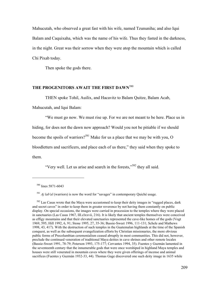Mahucutah, who observed a great fast with his wife, named Tzununiha; and also Iqui Balam and Caquixaha, which was the name of his wife. Thus they fasted in the darkness, in the night. Great was their sorrow when they were atop the mountain which is called Chi Pixab today.

Then spoke the gods there.

## THE PROGENITORS AWAIT THE FIRST DAWN<sup>580</sup>

THEN spoke Tohil, Auilix, and Hacavitz to Balam Quitze, Balam Acab,

Mahucutah, and Iqui Balam:

"We must go now. We must rise up. For we are not meant to be here. Place us in hiding, for does not the dawn now approach? Would you not be pitiable if we should become the spoils of warriors?<sup>581</sup> Make for us a place that we may be with you, O bloodletters and sacrificers, and place each of us there," they said when they spoke to them.

"Very well. Let us arise and search in the forests,"<sup>582</sup> they all said.

 $\overline{a}$ 

<sup>581</sup> *Aj lab'al* (warriors) is now the word for "savages" in contemporary Quiché usage.

<sup>580</sup> lines 5871-6043

<sup>&</sup>lt;sup>582</sup> Las Casas wrote that the Maya were accustomed to keep their deity images in "rugged places, dark and secret caves" in order to keep them in greater reverence by not having them constantly on public display. On special occasions, the images were carried in procession to the temples where they were placed in sanctuaries (Las Casas 1967, III.clxxvii, 216). It is likely that ancient temples themselves were conceived as effigy mountains and that their elevated sanctuaries represented the cave-like homes of the gods (Vogt 1969, 595; Hill 1992, 6, 91; Stone 1995, 27, 35-36; Bassie-Sweet 1996, 111-131; Schele and Mathews 1998, 43, 417). With the destruction of such temples in the Guatemalan highlands at the time of the Spanish conquest, as well as the subsequent evangelization efforts by Christian missionaries, the more obvious public forms of Precolumbian ceremonialism ceased abruptly in most communities. This did not, however, preclude the continued veneration of traditional Maya deities in cave shrines and other remote locales (Bassie-Sweet 1991, 78-79; Peterson 1993, 175-177; Cervantes 1994, 35). Fuentes y Guzmán lamented in the seventeenth century that the innumerable gods that were once worshiped in highland Maya temples and houses were still venerated in mountain caves where they were given offerings of incense and animal sacrifices (Fuentes y Guzmán 1932-33, 44). Thomas Gage discovered one such deity image in 1635 while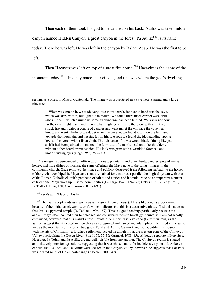Then each of them took his god to be carried on his back. Auilix was taken into a

canyon named Hidden Canyon, a great canyon in the forest. Pa Auilix<sup>583</sup> is its name

today. There he was left. He was left in the canyon by Balam Acab. He was the first to be

left.

Then Hacavitz was left on top of a great fire house.<sup>584</sup> Hacavitz is the name of the

mountain today.<sup>585</sup> This they made their citadel, and this was where the god's dwelling

 When we came to it, we made very little more search, for near at hand was the cave, which was dark within, but light at the mouth. We found there more earthenware, with ashes in them, which assured us some frankincense had been burned. We knew not how far the cave might reach within, nor what might be in it, and therefore with a flint we struck fire and lighted a couple of candles and went in. At the entrance the cave was broad, and went a little forward, but when we were in, we found it turn on the left hand towards the mountain, and not far, for within two rods we found the idol standing upon a low stool covered with a linen cloth. The substance of it was wood, black shining like jet, as if it had been painted or smoked; the form was of a man's head unto the shoulders, without either beard or mustachios. His look was grim with a wrinkled forehead and broad startling eyes (Gage 1958, 280-281).

 The image was surrounded by offerings of money, plaintains and other fruits, candles, pots of maize, honey, and little dishes of incense, the same offerings the Maya gave to the saints' images in the community church. Gage removed the image and publicly destroyed it the following sabbath, to the horror of those who worshiped it. Maya cave rituals remained for centuries a parallel theological system with that of the Roman Catholic church's pantheon of saints and deities and it continues to be an important element of traditional Maya worship in some communities (La Farge 1947, 124-128; Oakes 1951, 7; Vogt 1970, 13; B. Tedlock 1986, 128; Christenson 2001, 78-91).

<sup>583</sup> *Pa Awilix.* "Place of Auilix."

 <sup>584</sup> The manuscript reads *hun nima ca*ε *ha* (a great fire/red house). This is likely not a proper name because of the initial article *hun* (a, one), which indicates that this is a descriptive phrase. Tedlock suggests that this is a pyramid temple (D. Tedlock 1996, 159). This is a good reading, particularly because the ancient Maya often painted their temples red and considered them to be effigy mountains. I am not wholly convinced, however, that this wasn't a true mountain, or in this case a volcano (fiery mountain) as the authors suggest that it existed in their day as a recognized and named mountain place, identified in the same way as the mountains of the other two gods, Tohil and Auilix. Carmack and Fox identify this mountain with the site of Chitinamit, a fortified settlement located on a high hill at the western edge of the Chujuyup Valley overlooking the Queca River (Fox 1978, 57-58; Carmack 1981, 65). Although separate hilltop sites, Hacavitz, Pa Tohil, and Pa Auilix are mutually visible from one another. The Chujuyup region is rugged and relatively poor for agriculture, suggesting that it was chosen more for its defensive potential. Akkeren concurs that Pa Tohil and Pa Auilix were located in the Chuyup Valley, however, he suggests that Hacavitz was located south of Chichicastenango (Akkeren 2000, 42).

serving as a priest in Mixco, Guatemala. The image was sequestered in a cave near a spring and a large pine tree: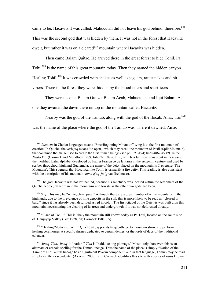came to be. Hacavitz it was called. Mahucutah did not leave his god behind, therefore.<sup>586</sup> This was the second god that was hidden by them. It was not in the forest that Hacavitz dwelt, but rather it was on a cleared<sup>587</sup> mountain where Hacavitz was hidden.

Then came Balam Quitze. He arrived there in the great forest to hide Tohil. Pa Tohil<sup>588</sup> is the name of this great mountain today. Then they named the hidden canyon Healing Tohil.<sup>589</sup> It was crowded with snakes as well as jaguars, rattlesnakes and pit vipers. There in the forest they were, hidden by the bloodletters and sacrificers.

They were as one, Balam Quitze, Balam Acab, Mahucutah, and Iqui Balam. As one they awaited the dawn there on top of the mountain called Hacavitz.

Nearby was the god of the Tamub, along with the god of the Ilocab. Amac  $Tan<sup>590</sup>$ 

was the name of the place where the god of the Tamub was. There it dawned. Amac

<sup>586</sup> The god Hacavitz was not left behind, because his sanctuary was located within the settlement of the Quiché people, rather than in the mountains and forests as the other two gods had been.

 <sup>587</sup> *Saq*. This may be "white, clear, pure." Although there are a great number of white mountains in the highlands, due to the prevalence of lime deposits in the soil, this is more likely to be read as "cleared or bald," since it has already been described as red in color. The first citadel of the Quichés was built atop this mountain, necessitating the clearing of its trees and undergrowth if it was not deforested already.

<sup>588</sup> "Place of Tohil." This is likely the mountain still known today as Pa Tojil, located on the south side of Chujuyup Valley (Fox 1978, 58; Carmack 1981, 65).

<sup>589</sup> "Healing/Medicine Tohil." Quiché *aj q'ij* priests frequently go to mountain shrines to perform healing ceremonies at specific shrines dedicated to certain deities, or the lords of days of the traditional calendar.

 <sup>590</sup> *Amaq' T'an*. *Amaq'* is "nation;" *T'an* is "bald, lacking plumage." Most likely, however, this is an alternate or archaic spelling for the Tamub lineage. Thus the name of the place is simply "Nation of the Tamub." The Tamub lineage has a significant Pokom component, and in that language, Tamub may be read simply as "the descendents" (Akkeren 2000, 125). Carmack identifies this site with a series of ruins known

 <sup>585</sup> *Jakawitz* in Cholan languages means "First/Beginning Mountain" tying it to the first mountain of creation. In Quiché, the verb *jaq* means "to open," which may recall the mountain of Paxil (Split Mountain) that contained the maize used to create the first human beings (see pp. 193-194; lines 4862-4939). In the *Título Yax* (Carmack and Mondloch 1989, folio 2r, 107 n. 135)*,* which is far more consistent in their use of the modified Latin alphabet developed by Father Francisco de la Parra in the sixteenth century and used by scribes throughout highland Guatemala, the name of the deity placed on the mountain is *Q'aq'awitz* (Fire Mountain)*.* This suggests that Hacavitz, like Tohil, is primarily a fire deity. This reading is also consistent with the description of his mountain, *nima q'aq' ja* (great fire house).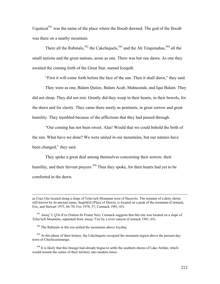Uquincat<sup>591</sup> was the name of the place where the Ilocab dawned. The god of the Ilocab was there on a nearby mountain.

There all the Rabinals,  $592$  the Cakchiquels,  $593$  and the Ah Tziquinahas,  $594$  all the small nations and the great nations, arose as one. There was but one dawn. As one they awaited the coming forth of the Great Star, named Icoquih.

"First it will come forth before the face of the sun. Then it shall dawn," they said.

They were as one, Balam Quitze, Balam Acab, Mahucutah, and Iqui Balam. They did not sleep. They did not rest. Greatly did they weep in their hearts, in their bowels, for the dawn and for clarity. They came there surely as penitents, in great sorrow and great humility. They trembled because of the afflictions that they had passed through.

"Our coming has not been sweet. Alas! Would that we could behold the birth of the sun. What have we done? We were united in our mountains, but our natures have been changed," they said.

They spoke a great deal among themselves concerning their sorrow, their humility, and their fervent prayers.<sup>595</sup> Thus they spoke, for their hearts had yet to be comforted in the dawn.

as Cruz Che located along a slope of Telec'uch Mountain west of Hacavitz. The remains of a deity shrine still known by its ancient name, Saqirib'al (Place of Dawn), is located on a peak of the mountain (Carmack, Fox, and Stewart 1975, 66-70; Fox 1978, 57; Carmack 1981, 65).

<sup>591</sup> *Amaq' U Q'in K'at* (Nation Its Frame Net). Carmack suggests that this site was located on a slope of Telec'uch Mountain, separated from *Amaq' T'an* by a river canyon (Carmack 1981, 65).

<sup>592</sup> The Rabinals in this era settled the mountains above Joyabaj.

<sup>&</sup>lt;sup>593</sup> At this phase of their history, the Cakchiquels occupied the mountain region above the present-day town of Chichicastenango.

<sup>&</sup>lt;sup>594</sup> It is likely that this lineage had already begun to settle the southern shores of Lake Atitlán, which would remain the center of their territory into modern times.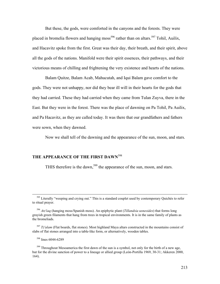But these, the gods, were comforted in the canyons and the forests. They were placed in bromelia flowers and hanging moss<sup>596</sup> rather than on altars.<sup>597</sup> Tohil, Auilix, and Hacavitz spoke from the first. Great was their day, their breath, and their spirit, above all the gods of the nations. Manifold were their spirit essences, their pathways, and their victorious means of chilling and frightening the very existence and hearts of the nations.

Balam Quitze, Balam Acab, Mahucutah, and Iqui Balam gave comfort to the gods. They were not unhappy, nor did they bear ill will in their hearts for the gods that they had carried. These they had carried when they came from Tulan Zuyva, there in the East. But they were in the forest. There was the place of dawning on Pa Tohil, Pa Auilix, and Pa Hacavitz, as they are called today. It was there that our grandfathers and fathers were sown, when they dawned.

Now we shall tell of the dawning and the appearance of the sun, moon, and stars.

#### THE APPEARANCE OF THE FIRST DAWN<sup>598</sup>

THIS therefore is the dawn,  $599$  the appearance of the sun, moon, and stars.

<sup>&</sup>lt;sup>595</sup> Literally "weeping and crying out." This is a standard couplet used by contemporary Quichés to refer to ritual prayer.

<sup>596</sup> *Atz'iaq* (hanging moss/Spanish moss). An epiphytic plant (*Tillandsia usneoides*) that forms long grayish green filaments that hang from trees in tropical environments. It is in the same family of plants as the bromeliads.

<sup>597</sup> *Tz'alam* (Flat boards, flat stones). Most highland Maya altars constructed in the mountains consist of slabs of flat stones arranged into a table-like form, or alternatively, wooden tables.

<sup>598</sup> lines 6044-6289

<sup>&</sup>lt;sup>599</sup> Throughout Mesoamerica the first dawn of the sun is a symbol, not only for the birth of a new age, but for the divine sanction of power to a lineage or allied group (León-Portilla 1969, 30-31; Akkeren 2000, 164).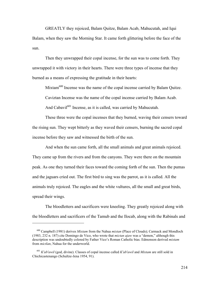GREATLY they rejoiced, Balam Quitze, Balam Acab, Mahucutah, and Iqui Balam, when they saw the Morning Star. It came forth glittering before the face of the sun.

Then they unwrapped their copal incense, for the sun was to come forth. They unwrapped it with victory in their hearts. There were three types of incense that they burned as a means of expressing the gratitude in their hearts:

Mixtam<sup>600</sup> Incense was the name of the copal incense carried by Balam Quitze. Caviztan Incense was the name of the copal incense carried by Balam Acab. And Cabavil<sup>601</sup> Incense, as it is called, was carried by Mahucutah.

These three were the copal incenses that they burned, waving their censers toward the rising sun. They wept bitterly as they waved their censers, burning the sacred copal incense before they saw and witnessed the birth of the sun.

And when the sun came forth, all the small animals and great animals rejoiced. They came up from the rivers and from the canyons. They were there on the mountain peak. As one they turned their faces toward the coming forth of the sun. Then the pumas and the jaguars cried out. The first bird to sing was the parrot, as it is called. All the animals truly rejoiced. The eagles and the white vultures, all the small and great birds, spread their wings.

The bloodletters and sacrificers were kneeling. They greatly rejoiced along with the bloodletters and sacrificers of the Tamub and the Ilocab, along with the Rabinals and

<sup>600</sup> Campbell (1981) derives *Mixtam* from the Nahua *mixtan* (Place of Clouds); Carmack and Mondloch (1983, 232 n. 187) cite Domingo de Vico, who wrote that *mictan ajaw* was a "demon," although this description was undoubtedly colored by Father Vico's Roman Catholic bias. Edmonson derived *mixtam* from *mictlan*, Nahua for the underworld.

<sup>601</sup> *K'ab'awil* (god, divine). Classes of copal incense called *K'ab'awil* and *Mixtam* are still sold in Chichicastenango (Schultze-Jena 1954, 91).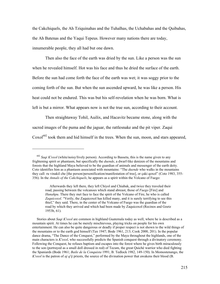the Cakchiquels, the Ah Tziquinahas and the Tuhalhas, the Uchabahas and the Quibahas, the Ah Batenas and the Yaqui Tepeus. However many nations there are today, innumerable people, they all had but one dawn.

Then also the face of the earth was dried by the sun. Like a person was the sun when he revealed himself. Hot was his face and thus he dried the surface of the earth. Before the sun had come forth the face of the earth was wet; it was soggy prior to the coming forth of the sun. But when the sun ascended upward, he was like a person. His heat could not be endured. This was but his self-revelation when he was born. What is left is but a mirror. What appears now is not the true sun, according to their account.

Then straightaway Tohil, Auilix, and Hacavitz became stone, along with the sacred images of the puma and the jaguar, the rattlesnake and the pit viper. Zaqui  $\text{Coxol}^{602}$  took them and hid himself in the trees. When the sun, moon, and stars appeared,

<sup>602</sup> *Saqi K'oxol* (white/noisy/lively person). According to Basseta, this is the name given to any frightening spirit or phantasm, but specifically the *duende*, a dwarf-like denizen of the mountains and forests that the highland Maya believed to be the guardian of animals and messenger of the earth deity. Coto identifies him as a phantasm associated with mountains: "The *duende* who walks in the mountains they call: ru vinakil che [the person/personification/manifestation of tree], or çaki qoxol" (Coto 1983, 355- 356). In the *Annals of the Cakchiquels*, he appears as a spirit within the Volcano of Fuego:

Afterwards they left there, they left Chiyol and Chiabak, and twice they traveled their road, passing between the volcanoes which stand abreast, those of *Fuego* [Fire] and *Hunahpu*. There they met face to face the spirit of the Volcano of Fire, he who is called *Zaquicoxol*. "Verily, the Zaquicoxol has killed many, and it is surely terrifying to see this thief," they said. There, in the center of the Volcano of Fuego was the guardian of the road by which they arrived and which had been made by Zaquicoxol (Recinos and Goetz 1953b, 61).

Stories about *Saqi K'oxol* are common in highland Guatemala today as well, where he is described as a mountain spirit. At times he can be merely mischievous, playing tricks on people for his own entertainment. He can also be quite dangerous or deadly if proper respect is not shown to the wild things of the mountains or to the earth god himself (Tax 1947; Bode 1961, 213; Cook 2000, 201). In the popular dance drama, "The Dance of the Conquest," performed by the Maya throughout the highlands, one of the main characters is *K'oxol*, who successfully predicts the Spanish conquest through a divinatory ceremony. Following the Conquest, he refuses baptism and escapes into the forest where he gives birth miraculously to the son (portrayed as a small doll dressed in red) of Tecum, the great Quiché warrior who died fighting the Spaniards (Bode 1961; *Baile de la Conquista* 1991; B. Tedlock 1982, 149-150). In Momostenango, the *K'oxol* is the patron of *aj q'ij* priests, the source of the divination power that awakens their blood (B.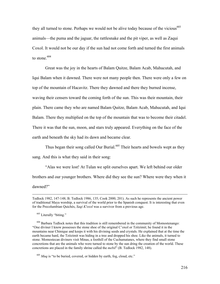they all turned to stone. Perhaps we would not be alive today because of the vicious<sup>603</sup> animals—the puma and the jaguar, the rattlesnake and the pit viper, as well as Zaqui Coxol. It would not be our day if the sun had not come forth and turned the first animals to stone  $604$ 

Great was the joy in the hearts of Balam Quitze, Balam Acab, Mahucutah, and Iqui Balam when it dawned. There were not many people then. There were only a few on top of the mountain of Hacavitz. There they dawned and there they burned incense, waving their censers toward the coming forth of the sun. This was their mountain, their plain. There came they who are named Balam Quitze, Balam Acab, Mahucutah, and Iqui Balam. There they multiplied on the top of the mountain that was to become their citadel. There it was that the sun, moon, and stars truly appeared. Everything on the face of the earth and beneath the sky had its dawn and became clear.

Thus began their song called Our Burial. $605$  Their hearts and bowels wept as they sang. And this is what they said in their song:

"Alas we were lost! At Tulan we split ourselves apart. We left behind our older brothers and our younger brothers. Where did they see the sun? Where were they when it dawned?"

Tedlock 1982, 147-148; B. Tedlock 1986, 135; Cook 2000, 201). As such he represents the ancient power of traditional Maya worship, a survival of the world prior to the Spanish conquest. It is interesting that even for the Precolumbian Quichés, *Saqi K'oxol* was a survivor from a previous age.

<sup>&</sup>lt;sup>603</sup> Literally "biting."

<sup>&</sup>lt;sup>604</sup> Barbara Tedlock notes that this tradition is still remembered in the community of Momostenango: "One diviner I know possesses the stone shoe of the original C'oxol or Tzitzimit; he found it in the mountains near Chinique and keeps it with his divining seeds and crystals. He explained that at the time the earth became hard, the Tzitzimit was hiding in a tree and dropped his shoe. Like the animals, it turned to stone. Momostecan diviners visit Minas, a foothill of the Cuchumatanes, where they find small stone concretions that are the animals who were turned to stone by the sun dring the creation of the world. These concretions are placed in the family shrine called the *mebil*" (B. Tedlock 1982, 148).

 $605$  *Muq* is "to be buried, covered, or hidden by earth, fog, cloud, etc."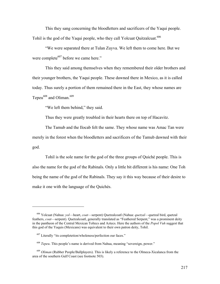This they sang concerning the bloodletters and sacrificers of the Yaqui people. Tohil is the god of the Yaqui people, who they call Yolcuat Quitzalcuat.<sup>606</sup>

"We were separated there at Tulan Zuyva. We left them to come here. But we were complete<sup>607</sup> before we came here."

This they said among themselves when they remembered their older brothers and their younger brothers, the Yaqui people. These dawned there in Mexico, as it is called today. Thus surely a portion of them remained there in the East, they whose names are Tepeu<sup>608</sup> and Oliman.<sup>609</sup>

"We left them behind," they said.

Thus they were greatly troubled in their hearts there on top of Hacavitz.

The Tamub and the Ilocab felt the same. They whose name was Amac Tan were merely in the forest when the bloodletters and sacrificers of the Tamub dawned with their god.

Tohil is the sole name for the god of the three groups of Quiché people. This is also the name for the god of the Rabinals. Only a little bit different is his name: One Toh being the name of the god of the Rabinals. They say it this way because of their desire to make it one with the language of the Quichés.

<sup>606</sup> Yolcuat (Nahua: *yol*—heart, *coat*—serpent) Quetzalcoatl (Nahua: *quetzal*—quetzal bird, quetzal feathers, *coat*—serpent). Quetzalcoatl, generally translated as "Feathered Serpent," was a prominent deity in the pantheon of the Central Mexican Toltecs and Aztecs. Here the authors of the *Popol Vuh* suggest that this god of the Yaquis (Mexicans) was equivalent to their own patron deity, Tohil.

<sup>&</sup>lt;sup>607</sup> Literally "its completetion/wholeness/perfection our faces."

<sup>608</sup> *Tepeu*. This people's name is derived from Nahua, meaning "sovereign, power."

<sup>609</sup> *Oliman* (Rubber People/Ballplayers). This is likely a reference to the Olmeca-Xicalanca from the area of the southern Gulf Coast (see footnote 503).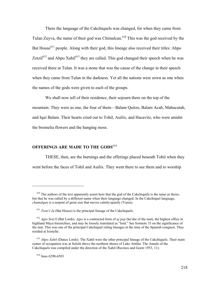There the language of the Cakchiquels was changed, for when they came from Tulan Zuyva, the name of their god was Chimalcan.<sup>610</sup> This was the god received by the Bat House<sup>611</sup> people. Along with their god, this lineage also received their titles: Ahpo Zotzil<sup>612</sup> and Ahpo Xahil<sup>613</sup> they are called. This god changed their speech when he was received there at Tulan. It was a stone that was the cause of the change in their speech when they came from Tulan in the darkness. Yet all the nations were sown as one when the names of the gods were given to each of the groups.

We shall now tell of their residence, their sojourn there on the top of the mountain. They were as one, the four of them—Balam Quitze, Balam Acab, Mahucutah, and Iqui Balam. Their hearts cried out to Tohil, Auilix, and Hacavitz, who were amidst the bromelia flowers and the hanging moss.

#### OFFERINGS ARE MADE TO THE GODS<sup>614</sup>

THESE, then, are the burnings and the offerings placed beneath Tohil when they went before the faces of Tohil and Auilix. They went there to see them and to worship

 $610$  The authors of the text apparently assert here that the god of the Cakchiquels is the same as theirs, but that he was called by a different name when their language changed. In the Cakchiquel language, *chamalgan* is a serpent of great size that moves calmly/quietly (Varea).

<sup>611</sup> *Tzotz'i Ja* (Bat House) is the principal lineage of the Cakchiquels.

<sup>612</sup> *Ajpo Sotz'il* (Bat Lords). *Ajpo* is a contracted form of *aj pop* (he/she of the mat), the highest office in highland Maya hierarchies, and may be loosely translated as "lord." See footnote 33 on the significance of the mat. This was one of the principal Cakchiquel ruling lineages at the time of the Spanish conquest. They resided at Iximché.

<sup>613</sup> *Ahpo Xahil* (Dance Lords). The Xahil were the other principal lineage of the Cakchiquels. Their main center of occupation was at Sololá above the northern shores of Lake Atitlán. The Annals of the Cakchiquels was compiled under the direction of the Xahil (Recinos and Goetz 1953, 11).

<sup>&</sup>lt;sup>614</sup> lines 6290-6503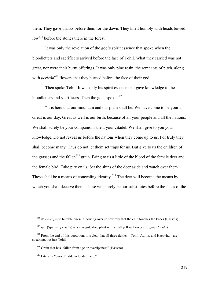them. They gave thanks before them for the dawn. They knelt humbly with heads bowed low<sup>615</sup> before the stones there in the forest.

It was only the revelation of the god's spirit essence that spoke when the bloodletters and sacrificers arrived before the face of Tohil. What they carried was not great, nor were their burnt offerings. It was only pine resin, the remnants of pitch, along with *pericón*<sup>616</sup> flowers that they burned before the face of their god.

Then spoke Tohil. It was only his spirit essence that gave knowledge to the bloodletters and sacrificers. Then the gods spoke: $617$ 

"It is here that our mountain and our plain shall be. We have come to be yours. Great is our day. Great as well is our birth, because of all your people and all the nations. We shall surely be your companions then, your citadel. We shall give to you your knowledge. Do not reveal us before the nations when they come up to us. For truly they shall become many. Thus do not let them set traps for us. But give to us the children of the grasses and the fallen<sup>618</sup> grain. Bring to us a little of the blood of the female deer and the female bird. Take pity on us. Set the skins of the deer aside and watch over them. These shall be a means of concealing identity.<sup>619</sup> The deer will become the means by which you shall deceive them. These will surely be our substitutes before the faces of the

<sup>615</sup> *Wonowoj* is to humble oneself, bowing over so severely that the chin touches the knees (Basseta).

<sup>616</sup> *Iya'* (Spanish *pericón*) is a marigold-like plant with small yellow flowers (*Tagetes lucida*).

 $617$  From the end of this quotation, it is clear that all three deities—Tohil, Auilix, and Hacavitz—are speaking, not just Tohil.

<sup>&</sup>lt;sup>618</sup> Grain that has "fallen from age or overripeness" (Basseta).

<sup>&</sup>lt;sup>619</sup> Literally "buried/hidden/clouded face."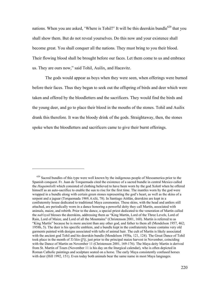nations. When you are asked, 'Where is Tohil?' It will be this deerskin bundle<sup>620</sup> that you shall show them. But do not reveal yourselves. Do this now and your existence shall become great. You shall conquer all the nations. They must bring to you their blood. Their flowing blood shall be brought before our faces. Let them come to us and embrace us. They are ours now," said Tohil, Auilix, and Hacavitz.

The gods would appear as boys when they were seen, when offerings were burned before their faces. Thus they began to seek out the offspring of birds and deer which were taken and offered by the bloodletters and the sacrificers. They would find the birds and the young deer, and go to place their blood in the mouths of the stones. Tohil and Auilix drank this therefore. It was the bloody drink of the gods. Straightaway, then, the stones spoke when the bloodletters and sacrificers came to give their burnt offerings.

 $620$  Sacred bundles of this type were well known by the indigenous people of Mesoamerica prior to the Spanish conquest. Fr. Juan de Torquemada cited the existence of a sacred bundle in central Mexico called the *Haquimilolli* which consisted of clothing believed to have been worn by the god Xolotl when he offered himself as an auto-sacrifice to enable the sun to rise for the first time. The mantles worn by the god were wrapped in a bundle along with certain green stones representing the god's heart, as well as the skins of a serpent and a jaguar (Torquemada 1969, 6.xlii, 78). In Santiago Atitlán, deerskins are kept in a confraternity house dedicated to traditional Maya ceremonies. These skins, with the head and antlers still attached, are periodically worn in a dance honoring a powerful deity they call Martín, associated with animals, maize, and rebirth. Prior to the dance, a special priest dedicated to the veneration of Martín called the *nab'eysil* blesses the deerskins, addressing them as "King Martín, Lord of the Three Levels, Lord of Rain, Lord of Maize, and Lord of all the Mountains" (Christenson 2001, 160). Martín is referred to as "King Martín" because he is more ancient than any other god, and father to them all (Mendelson 1957, 462; 1958b, 5). The deer is his specific emblem, and a bundle kept in the confraternity house contains very old garments painted with designs associated with tufts of animal hair. The cult of Martín is likely associated with the ancient god Tohil and his deerskin bundle (Mendelson 1958a, 121, 124). The Great Dance of Tohil took place in the month of *Tz'ikin Q'ij*, just prior to the principal maize harvest in November, coinciding with the Dance of Martín on November 11 (Christenson 2001, 169-176). The Maya deity Martín is derived from St. Martin of Tours (November 11 is his day on the liturgical calendar), who is often depicted in Roman Catholic paintings and sculpture seated on a horse. The early Maya consistently confused horses with deer (Hill 1992, 151). Even today both animals bear the same name in most Maya languages.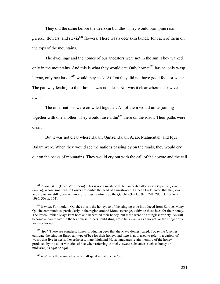They did the same before the deerskin bundles. They would burn pine resin, *pericón* flowers, and stevia<sup>621</sup> flowers. There was a deer skin bundle for each of them on the tops of the mountains.

The dwellings and the homes of our ancestors were not in the sun. They walked only in the mountains. And this is what they would eat: Only hornet<sup>622</sup> larvae, only wasp larvae, only bee larvae $^{623}$  would they seek. At first they did not have good food or water. The pathway leading to their homes was not clear. Nor was it clear where their wives dwelt.

The other nations were crowded together. All of them would unite, joining together with one another. They would raise a  $\dim^{624}$  there on the roads. Their paths were clear.

But it was not clear where Balam Quitze, Balam Acab, Mahucutah, and Iqui Balam were. When they would see the nations passing by on the roads, they would cry out on the peaks of mountains. They would cry out with the call of the coyote and the call

<sup>621</sup> *Jolom Okox* (Head Mushroom). This is not a mushroom, but an herb called stevia (Spanish *pericón blanco*), whose small white flowers resemble the head of a mushroom. Duncan Earle noted that the *pericón* and stevia are still given as minor offerings in rituals by the Quichés (Earle 1983, 294, 297; D. Tedlock 1996, 308 n. 164).

<sup>&</sup>lt;sup>622</sup> *Wonon*. For modern Quichés this is the honeybee of the stinging type introduced from Europe. Many Quiché communities, particularly in the region around Momostenango, cultivate these bees for their honey. The Precolumbian Maya kept bees and harvested their honey, but these were of a stingless variety. As will become apparent later in the text, these insects could sting. Coto lists *wonon* as a hornet, or the stinger of a wasp or hornet.

<sup>&</sup>lt;sup>623</sup> *Aqal*. These are stingless, honey-producing bees that the Maya domesticated. Today the Quichés cultivate the stinging European type of bee for their honey, and *aqal* is now used to refer to a variety of wasps that live in nests. Nevertheless, many highland Maya languages retain memory of the honey produced by the older varieties of bee when referring to sticky, sweet substances such as honey or molasses, as *aqat* or *aqal*.

 $624 B'olow$  is the sound of a crowd all speaking at once (Coto).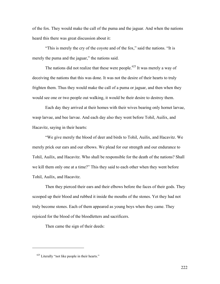of the fox. They would make the call of the puma and the jaguar. And when the nations heard this there was great discussion about it:

"This is merely the cry of the coyote and of the fox," said the nations. "It is merely the puma and the jaguar," the nations said.

The nations did not realize that these were people.<sup>625</sup> It was merely a way of deceiving the nations that this was done. It was not the desire of their hearts to truly frighten them. Thus they would make the call of a puma or jaguar, and then when they would see one or two people out walking, it would be their desire to destroy them.

Each day they arrived at their homes with their wives bearing only hornet larvae, wasp larvae, and bee larvae. And each day also they went before Tohil, Auilix, and Hacavitz, saying in their hearts:

"We give merely the blood of deer and birds to Tohil, Auilix, and Hacavitz. We merely prick our ears and our elbows. We plead for our strength and our endurance to Tohil, Auilix, and Hacavitz. Who shall be responsible for the death of the nations? Shall we kill them only one at a time?" This they said to each other when they went before Tohil, Auilix, and Hacavitz.

Then they pierced their ears and their elbows before the faces of their gods. They scooped up their blood and rubbed it inside the mouths of the stones. Yet they had not truly become stones. Each of them appeared as young boys when they came. They rejoiced for the blood of the bloodletters and sacrificers.

Then came the sign of their deeds:

 $625$  Literally "not like people in their hearts."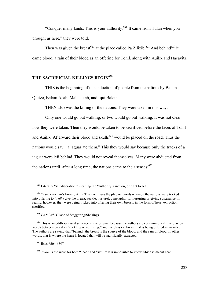"Conquer many lands. This is your authority.<sup>626</sup> It came from Tulan when you brought us here," they were told.

Then was given the breast  $627$  at the place called Pa Zilizib.<sup>628</sup> And behind  $629$  it came blood, a rain of their blood as an offering for Tohil, along with Auilix and Hacavitz.

### THE SACRIFICIAL KILLINGS BEGIN<sup>630</sup>

THIS is the beginning of the abduction of people from the nations by Balam Quitze, Balam Acab, Mahucutah, and Iqui Balam.

THEN also was the killing of the nations. They were taken in this way:

Only one would go out walking, or two would go out walking. It was not clear how they were taken. Then they would be taken to be sacrificed before the faces of Tohil and Auilix. Afterward their blood and skulls $^{631}$  would be placed on the road. Thus the nations would say, "a jaguar ate them." This they would say because only the tracks of a jaguar were left behind. They would not reveal themselves. Many were abducted from the nations until, after a long time, the nations came to their senses:  $632$ 

 $626$  Literally "self-liberation," meaning the "authority, sanction, or right to act."

<sup>&</sup>lt;sup>627</sup> *Tz'um* (woman's breast, skin). This continues the play on words whereby the nations were tricked into offering to *tu'nik* (give the breast, suckle, nurture), a metaphor for nurturing or giving sustenance. In reality, however, they were being tricked into offering their own breasts in the form of heart extraction sacrifice.

<sup>628</sup> *Pa Silisib'* (Place of Staggering/Shaking).

 $629$  This is an oddly-phrased sentence in the original because the authors are continuing with the play on words between breast as "suckling or nurturing," and the physical breast that is being offered in sacrifice. The authors are saying that "behind" the breast is the source of the blood, and the rain of blood. In other words, that is where the heart is located that will be sacrificially extracted.

<sup>&</sup>lt;sup>630</sup> lines 6504-6597

<sup>&</sup>lt;sup>631</sup> *Jolom* is the word for both "head" and "skull." It is impossible to know which is meant here.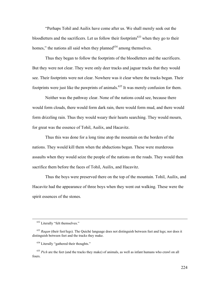"Perhaps Tohil and Auilix have come after us. We shall merely seek out the bloodletters and the sacrificers. Let us follow their footprints<sup>633</sup> when they go to their homes," the nations all said when they planned $^{634}$  among themselves.

Thus they began to follow the footprints of the bloodletters and the sacrificers. But they were not clear. They were only deer tracks and jaguar tracks that they would see. Their footprints were not clear. Nowhere was it clear where the tracks began. Their footprints were just like the pawprints of animals.<sup>635</sup> It was merely confusion for them.

Neither was the pathway clear. None of the nations could see, because there would form clouds, there would form dark rain, there would form mud, and there would form drizzling rain. Thus they would weary their hearts searching. They would mourn, for great was the essence of Tohil, Auilix, and Hacavitz.

Thus this was done for a long time atop the mountain on the borders of the nations. They would kill them when the abductions began. These were murderous assaults when they would seize the people of the nations on the roads. They would then sacrifice them before the faces of Tohil, Auilix, and Hacavitz.

Thus the boys were preserved there on the top of the mountain. Tohil, Auilix, and Hacavitz had the appearance of three boys when they went out walking. These were the spirit essences of the stones.

<sup>&</sup>lt;sup>632</sup> Literally "felt themselves."

<sup>633</sup> *Raqan* (their feet/legs). The Quiché language does not distinguish between feet and legs; nor does it distinguish between feet and the tracks they make.

<sup>&</sup>lt;sup>634</sup> Literally "gathered their thoughts."

<sup>&</sup>lt;sup>635</sup> *Pich* are the feet (and the tracks they make) of animals, as well as infant humans who crawl on all fours.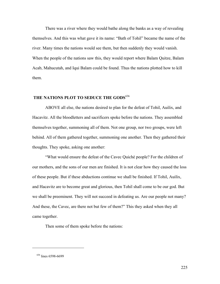There was a river where they would bathe along the banks as a way of revealing themselves. And this was what gave it its name: "Bath of Tohil" became the name of the river. Many times the nations would see them, but then suddenly they would vanish. When the people of the nations saw this, they would report where Balam Quitze, Balam Acab, Mahucutah, and Iqui Balam could be found. Thus the nations plotted how to kill them.

### THE NATIONS PLOT TO SEDUCE THE GODS<sup>636</sup>

ABOVE all else, the nations desired to plan for the defeat of Tohil, Auilix, and Hacavitz. All the bloodletters and sacrificers spoke before the nations. They assembled themselves together, summoning all of them. Not one group, nor two groups, were left behind. All of them gathered together, summoning one another. Then they gathered their thoughts. They spoke, asking one another:

"What would ensure the defeat of the Cavec Quiché people? For the children of our mothers, and the sons of our men are finished. It is not clear how they caused the loss of these people. But if these abductions continue we shall be finished. If Tohil, Auilix, and Hacavitz are to become great and glorious, then Tohil shall come to be our god. But we shall be preeminent. They will not succeed in defeating us. Are our people not many? And these, the Cavec, are there not but few of them?" This they asked when they all came together.

Then some of them spoke before the nations:

<sup>&</sup>lt;sup>636</sup> lines 6598-6699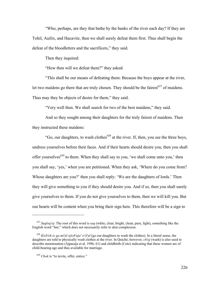"Who, perhaps, are they that bathe by the banks of the river each day? If they are Tohil, Auilix, and Hacavitz, then we shall surely defeat them first. Thus shall begin the defeat of the bloodletters and the sacrificers," they said.

Then they inquired:

"How then will we defeat them?" they asked.

"This shall be our means of defeating them: Because the boys appear at the river, let two maidens go there that are truly chosen. They should be the fairest<sup>637</sup> of maidens. Thus may they be objects of desire for them," they said.

"Very well then. We shall search for two of the best maidens," they said.

And so they sought among their daughters for the truly fairest of maidens. Then they instructed these maidens:

"Go, our daughters, to wash clothes<sup>638</sup> at the river. If, then, you see the three boys, undress yourselves before their faces. And if their hearts should desire you, then you shall offer yourselves<sup>639</sup> to them. When they shall say to you, 'we shall come unto you,' then you shall say, 'yes,' when you are petitioned. When they ask, 'Where do you come from? Whose daughters are you?' then you shall reply: 'We are the daughters of lords.' Then they will give something to you if they should desire you. And if so, then you shall surely give yourselves to them. If you do not give yourselves to them, then we will kill you. But our hearts will be content when you bring their sign here. This therefore will be a sign to

<sup>637</sup> *Saqloq'oj.* The root of this word is *saq* (white, clear, bright, clean, pure, light), something like the English word "fair," which does not necessarily refer to skin complexion.

<sup>638</sup> *Kixb'ek ix qa mi'al ojich'aja' ri k'ul* (go our daughters to wash the clothes). In a literal sense, the daughters are told to physically wash clothes at the river. In Quiché, however, *ch'aj* (wash) is also used to describe menstruation (Ajpacaja et al. 1996, 61) and childbirth (Coto) indicating that these women are of child-bearing age and thus available for marriage.

<sup>&</sup>lt;sup>639</sup> *Chok* is "to invite, offer, entice."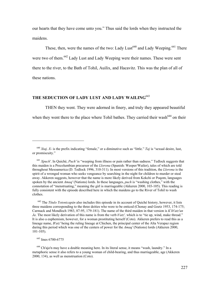our hearts that they have come unto you." Thus said the lords when they instructed the maidens.

These, then, were the names of the two: Lady Lust<sup>640</sup> and Lady Weeping.<sup>641</sup> There were two of them.<sup>642</sup> Lady Lust and Lady Weeping were their names. These were sent there to the river, to the Bath of Tohil, Auilix, and Hacavitz. This was the plan of all of these nations.

# THE SEDUCTION OF LADY LUST AND LADY WAILING<sup>643</sup>

THEN they went. They were adorned in finery, and truly they appeared beautiful when they went there to the place where Tohil bathes. They carried their wash<sup>644</sup> on their

 <sup>642</sup> The *Título Totonicapán* also includes this episode in its account of Quiché history, however, it lists three maidens corresponding to the three deities who were to be enticed (Chonay and Goetz 1953, 174-175; Carmack and Mondloch 1983, 87-95, 179-181). The name of the third maiden in that version is *K'ib'atz'un Ja*. The most likely derivation of this name is from the verb *b'atz',* which is to "tie up, wind, make thread." It is also a euphemism, however, for a woman prostituting herself (Coto). Akkeren prefers to read this as a lineage name, *B'atz'* being the ruling lineage at Chichen, the principal center of the Alta Verapaz region during this period which was one of the centers of power for the *Amaq'* (Nations) lords (Akkeren 2000, 101-105).

 $\overline{a}$ 

<sup>644</sup> Ch'ajo'n may have a double meaning here. In its literal sense, it means "wash, laundry." In a metaphoric sense it also refers to a young woman of child-bearing, and thus marriageable, age (Akkeren 2000, 134), as well as menstruation (Coto).

<sup>640</sup> *Xtaj*. *X*- is the prefix indicating "female," or a diminutive such as "little." *Taj* is "sexual desire, lust, or promiscuity."

<sup>641</sup> *Xpuch'*. In Quiché, *Puch'* is "weeping from illness or pain rather than sadness." Tedlock suggests that this maiden is a Precolumbian precursor of the *Llorona* (Spanish: Weeper/Wailer), tales of which are told throughout Mesoamerica (D. Tedlock 1996, 310-311). In most versions of this tradition, the *Llorona* is the spirit of a wronged woman who seeks vengeance by searching in the night for children to murder or steal away. Akkeren suggests, however that the name is more likely derived from Kekchi or Poqom, languages spoken by the ancient *Amaq'* (Nations) lords. In these languages, *puch* is "washing clothes," with the connotation of "menstruating," meaning the girl is marriageable (Akkeren 2000, 103-105). This reading is fully consistent with the episode described here in which the maidens go to the River of Tohil to wash clothes.

<sup>&</sup>lt;sup>643</sup> lines 6700-6775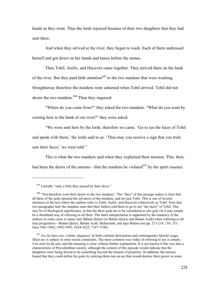heads as they went. Thus the lords rejoiced because of their two daughters that they had sent there.

And when they arrived at the river, they began to wash. Each of them undressed herself and got down on her hands and knees before the stones.

Then Tohil, Auilix, and Hacavitz came together. They arrived there on the bank of the river. But they paid little attention<sup>645</sup> to the two maidens that were washing. Straightaway therefore the maidens were ashamed when Tohil arrived. Tohil did not desire the two maidens.<sup>646</sup> Then they inquired:

"Where do you come from?" they asked the two maidens. "What do you want by coming here to the bank of our river?" they were asked.

"We were sent here by the lords, therefore we came. 'Go to see the faces of Tohil and speak with them,' the lords said to us. 'Thus may you receive a sign that you truly saw their faces,' we were told."

This is what the two maidens said when they explained their mission. This, then, had been the desire of the nations—that the maidens be violated  $647$  by the spirit essence

 $645$  Literally "only a little they passed by their faces."

<sup>&</sup>lt;sup>646</sup> "Not therefore went their desire to the two maidens." The "they" of this passage makes it clear that all three of the gods spurned the advances of the maidens, and not just Tohil. This is one of several instances in the text where the authors refer to Tohil, Auilix, and Hacavitz collectively as Tohil. Note that two paragraphs later the maidens state that their fathers told them to go to see "the faces" of Tohil. This may be of theological significance, in that the three gods are to be considered as one god. Or it may simply be a shorthand way of referring to all three. The latter interpretation is supported by the tendency of the authors in some cases to name only Balam Quitze (or Balam Quitze and Balam Acab) when referring to all four progenitors—Balam Quitze, Balam Acab, Mahucutah, and Iqui Balam (see pp. 213-214, 216, 251; lines 5461-5462, 5492-5493, 5624-5625, 7147-7148).

<sup>647</sup> *Jox* (to have sex, violate, disgrace). In both colonial dictionaries and contemporary Quiché usage, illicit sex is subject to strict social constraints. The most common way today of referring to sex is simply *b'an mak* (to do sin), and the meaning is clear without further explanation. It is not known if this was also a characteristic of Precolumbian society, although the context of this episode would indicate that the daughters were being forced to do something beyond the bounds of propriety. In addition, the nations hoped that they could defeat the gods by enticing them into an act that would destroy their power in some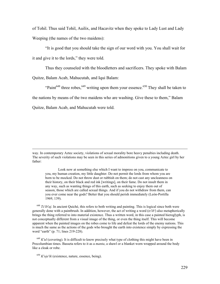of Tohil. Thus said Tohil, Auilix, and Hacavitz when they spoke to Lady Lust and Lady Weeping (the names of the two maidens):

"It is good that you should take the sign of our word with you. You shall wait for it and give it to the lords," they were told.

Thus they counseled with the bloodletters and sacrificers. They spoke with Balam

Quitze, Balam Acab, Mahucutah, and Iqui Balam:

"Paint<sup>648</sup> three robes,  $649$  writing upon them your essence.<sup>650</sup> They shall be taken to the nations by means of the two maidens who are washing. Give these to them," Balam Quitze, Balam Acab, and Mahucutah were told.

Look now at something else which I want to impress on you, communicate to you, my human creation, my little daughter. Do not permit the lords from whom you are born to be mocked. Do not throw dust or rubbish on them; do not cast any uncleanness on their history, on their black and red ink [writings], on their fame. Do not insult them in any way, such as wanting things of this earth, such as seeking to enjoy them out of season, those which are called sexual things. And if you do not withdraw from them, can you ever come near the gods? Better that you should perish immediately (León-Portilla 1969, 139).

 <sup>648</sup> *Tz'ib'aj*. In ancient Quiché, this refers to both writing and painting. This is logical since both were generally done with a paintbrush. In addition, however, the act of writing a word (*tz'ib'*) also metaphorically brings the thing referred to into material existence. Thus a written word, in this case a painted hieroglyph, is not conceptually different from a visual image of the thing, or even the thing itself. This will become apparent when the painted images on the robes come to life and defeat the lords of the enemy nations. This is much the same as the actions of the gods who brought the earth into existence simply by expressing the word "earth" (p. 71; lines 219-228).

<sup>649</sup> *K'ul* (covering). It is difficult to know precisely what type of clothing this might have been in Precolumbian times. Basseta refers to it as a *manta*, a shawl or a blanket worn wrapped around the body like a cloak or robe.

way. In contemporary Aztec society, violations of sexual morality bore heavy penalties including death. The severity of such violations may be seen in this series of admonitions given to a young Aztec girl by her father:

<sup>650</sup> *K'oje'ik* (existence, nature, essence, being).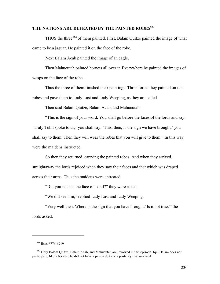## THE NATIONS ARE DEFEATED BY THE PAINTED ROBES<sup>651</sup>

THUS the three $652$  of them painted. First, Balam Quitze painted the image of what came to be a jaguar. He painted it on the face of the robe.

Next Balam Acab painted the image of an eagle.

Then Mahucutah painted hornets all over it. Everywhere he painted the images of wasps on the face of the robe.

Thus the three of them finished their paintings. Three forms they painted on the robes and gave them to Lady Lust and Lady Weeping, as they are called.

Then said Balam Quitze, Balam Acab, and Mahucutah:

"This is the sign of your word. You shall go before the faces of the lords and say: 'Truly Tohil spoke to us,' you shall say. 'This, then, is the sign we have brought,' you shall say to them. Then they will wear the robes that you will give to them." In this way were the maidens instructed.

So then they returned, carrying the painted robes. And when they arrived, straightaway the lords rejoiced when they saw their faces and that which was draped across their arms. Thus the maidens were entreated:

"Did you not see the face of Tohil?" they were asked.

"We did see him," replied Lady Lust and Lady Weeping.

"Very well then. Where is the sign that you have brought? Is it not true?" the lords asked.

<sup>&</sup>lt;sup>651</sup> lines 6776-6919

<sup>&</sup>lt;sup>652</sup> Only Balam Quitze, Balam Acab, and Mahucutah are involved in this episode. Iqui Balam does not participate, likely because he did not have a patron deity or a posterity that survived.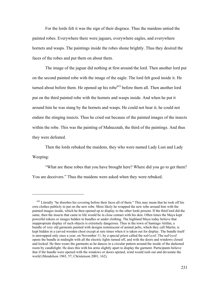For the lords felt it was the sign of their disgrace. Thus the maidens untied the painted robes. Everywhere there were jaguars, everywhere eagles, and everywhere hornets and wasps. The paintings inside the robes shone brightly. Thus they desired the faces of the robes and put them on about them.

The image of the jaguar did nothing at first around the lord. Then another lord put on the second painted robe with the image of the eagle. The lord felt good inside it. He turned about before them. He opened up his robe<sup>653</sup> before them all. Then another lord put on the third painted robe with the hornets and wasps inside. And when he put it around him he was stung by the hornets and wasps. He could not bear it; he could not endure the stinging insects. Thus he cried out because of the painted images of the insects within the robe. This was the painting of Mahucutah, the third of the paintings. And thus they were defeated.

Then the lords rebuked the maidens, they who were named Lady Lust and Lady Weeping:

"What are these robes that you have brought here? Where did you go to get them? You are deceivers." Thus the maidens were asked when they were rebuked.

<sup>&</sup>lt;sup>653</sup> Literally "he disrobes his covering before their faces all of them." This may mean that he took off his own clothes publicly to put on the new robe. More likely he wrapped the new robe around him with the painted images inside, which he then opened up to display to the other lords present. If the third lord did the same, then the insects that came to life would be in close contact with his skin. Often times the Maya kept powerful tokens or images hidden in bundles or under clothing. The highland Maya today believe that inappropriate display of such objects is extremely dangerous. Thus in the town of Santiago Atitlán, a bundle of very old garments painted with designs reminiscent of animal pelts, which they call Martín, is kept hidden in a carved wooden chest except at rare times when it is taken out for display. The bundle itself is unwrapped only once a year, on November 11, by a special priest called the *nab'eysil*. The *nab'eysil* opens the bundle at midnight with all the electric lights turned off, and with the doors and windows closed and locked. He then wears the garments as he dances in a circular pattern around the inside of the darkened room by candlelight. He does this with his arms slightly apart to display the garment. Participants believe that if the bundle were opened with the windows or doors opened, wind would rush out and devastate the world (Mendelson 1965, 57; Christenson 2001, 162).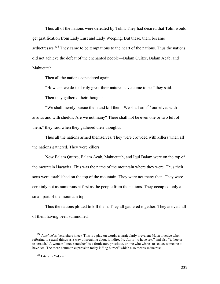Thus all of the nations were defeated by Tohil. They had desired that Tohil would get gratification from Lady Lust and Lady Weeping. But these, then, became seductresses.<sup>654</sup> They came to be temptations to the heart of the nations. Thus the nations did not achieve the defeat of the enchanted people—Balam Quitze, Balam Acab, and Mahucutah.

Then all the nations considered again:

"How can we do it? Truly great their natures have come to be," they said. Then they gathered their thoughts:

"We shall merely pursue them and kill them. We shall arm<sup>655</sup> ourselves with arrows and with shields. Are we not many? There shall not be even one or two left of them," they said when they gathered their thoughts.

Thus all the nations armed themselves. They were crowded with killers when all the nations gathered. They were killers.

Now Balam Quitze, Balam Acab, Mahucutah, and Iqui Balam were on the top of the mountain Hacavitz. This was the name of the mountain where they were. Thus their sons were established on the top of the mountain. They were not many then. They were certainly not as numerous at first as the people from the nations. They occupied only a small part of the mountain top.

Thus the nations plotted to kill them. They all gathered together. They arrived, all of them having been summoned.

<sup>654</sup> *Joxol ch'ek* (scratchers knee). This is a play on words, a particularly prevalent Maya practice when referring to sexual things as a way of speaking about it indirectly. *Jox* is "to have sex," and also "to hoe or to scratch." A woman "knee scratcher" is a fornicator, prostitute, or one who wishes to seduce someone to have sex. The more common expression today is "leg burner" which also means seductress.

<sup>&</sup>lt;sup>655</sup> Literally "adorn."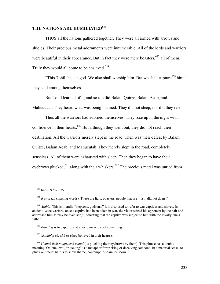## THE NATIONS ARE HUMILIATED<sup>656</sup>

THUS all the nations gathered together. They were all armed with arrows and shields. Their precious metal adornments were innumerable. All of the lords and warriors were beautiful in their appearance. But in fact they were mere boasters,  $657$  all of them. Truly they would all come to be enslaved.<sup>658</sup>

"This Tohil, he is a god. We also shall worship him. But we shall capture<sup>659</sup> him," they said among themselves.

But Tohil learned of it, and so too did Balam Quitze, Balam Acab, and Mahucutah. They heard what was being planned. They did not sleep, nor did they rest.

Thus all the warriors had adorned themselves. They rose up in the night with confidence in their hearts.<sup>660</sup> But although they went out, they did not reach their destination. All the warriors merely slept in the road. Then was their defeat by Balam Quitze, Balam Acab, and Mahucutah. They merely slept in the road, completely senseless. All of them were exhausted with sleep. Then they began to have their eyebrows plucked,  $661$  along with their whiskers.  $662$  The precious metal was untied from

<sup>656</sup> lines 6920-7075

<sup>657</sup> *B'anoj tzij* (making words). These are liars, boasters, people that are "just talk, not doers."

<sup>&</sup>lt;sup>658</sup> *Alab'il*. This is literally "stepsons, godsons." It is also used to refer to war captives and slaves. In ancient Aztec warfare, once a captive had been taken in war, the victor seized his opponent by the hair and addressed him as "my beloved son," indicating that the captive was subject to him with the loyalty due a father.

<sup>659</sup> *Kanab'ij* is to capture, and also to make use of something.

<sup>660</sup> *Xkokib'ej chi ki k'ux* (they believed in their hearts).

<sup>661</sup> *U mich'ik ki muquwach rumal* (its plucking their eyebrows by them). This phrase has a double meaning. On one level, "plucking" is a metaphor for tricking or deceiving someone. In a material sense, to pluck out facial hair is to show shame, contempt, disdain, or scorn.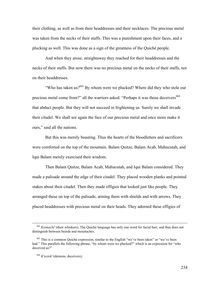their clothing, as well as from their headdresses and their necklaces. The precious metal was taken from the necks of their staffs. This was a punishment upon their faces, and a plucking as well. This was done as a sign of the greatness of the Quiché people.

And when they arose, straightaway they reached for their headdresses and the necks of their staffs. But now there was no precious metal on the necks of their staffs, nor on their headdresses.

"Who has taken us?<sup>663</sup> By whom were we plucked? Where did they who stole our precious metal come from?" all the warriors asked. "Perhaps it was those deceivers<sup>664</sup> that abduct people. But they will not succeed in frightening us. Surely we shall invade their citadel. We shall see again the face of our precious metal and once more make it ours," said all the nations.

But this was merely boasting. Thus the hearts of the bloodletters and sacrificers were comforted on the top of the mountain. Balam Quitze, Balam Acab, Mahucutah, and Iqui Balam merely exercised their wisdom.

Then Balam Quitze, Balam Acab, Mahucutah, and Iqui Balam considered. They made a palisade around the edge of their citadel. They placed wooden planks and pointed stakes about their citadel. Then they made effigies that looked just like people. They arranged these on top of the palisade, arming them with shields and with arrows. They placed headdresses with precious metal on their heads. They adorned these effigies of

 <sup>662</sup> *Kismachi'* (their whiskers). The Quiché language has only one word for facial hair, and thus does not distinguish between beards and moustaches.

<sup>&</sup>lt;sup>663</sup> This is a common Quiché expression, similar to the English "we've been taken" or "we've been had." This parallels the following phrase, "by whom were we plucked?" which is an expression for "who deceived us?"

<sup>664</sup> *K'axtok'* (demons, deceivers).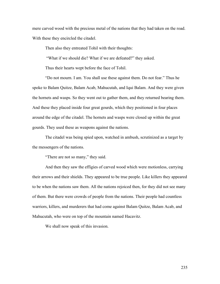mere carved wood with the precious metal of the nations that they had taken on the road. With these they encircled the citadel.

Then also they entreated Tohil with their thoughts:

"What if we should die? What if we are defeated?" they asked.

Thus their hearts wept before the face of Tohil.

"Do not mourn. I am. You shall use these against them. Do not fear." Thus he spoke to Balam Quitze, Balam Acab, Mahucutah, and Iqui Balam. And they were given the hornets and wasps. So they went out to gather them, and they returned bearing them. And these they placed inside four great gourds, which they positioned in four places around the edge of the citadel. The hornets and wasps were closed up within the great gourds. They used these as weapons against the nations.

The citadel was being spied upon, watched in ambush, scrutinized as a target by the messengers of the nations.

"There are not so many," they said.

And then they saw the effigies of carved wood which were motionless, carrying their arrows and their shields. They appeared to be true people. Like killers they appeared to be when the nations saw them. All the nations rejoiced then, for they did not see many of them. But there were crowds of people from the nations. Their people had countless warriors, killers, and murderers that had come against Balam Quitze, Balam Acab, and Mahucutah, who were on top of the mountain named Hacavitz.

We shall now speak of this invasion.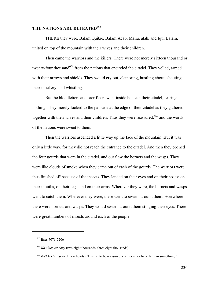## THE NATIONS ARE DEFEATED<sup>665</sup>

THERE they were, Balam Quitze, Balam Acab, Mahucutah, and Iqui Balam, united on top of the mountain with their wives and their children.

Then came the warriors and the killers. There were not merely sixteen thousand or twenty-four thousand<sup>666</sup> from the nations that encircled the citadel. They yelled, armed with their arrows and shields. They would cry out, clamoring, hustling about, shouting their mockery, and whistling.

But the bloodletters and sacrificers went inside beneath their citadel, fearing nothing. They merely looked to the palisade at the edge of their citadel as they gathered together with their wives and their children. Thus they were reassured, <sup>667</sup> and the words of the nations were sweet to them.

Then the warriors ascended a little way up the face of the mountain. But it was only a little way, for they did not reach the entrance to the citadel. And then they opened the four gourds that were in the citadel, and out flew the hornets and the wasps. They were like clouds of smoke when they came out of each of the gourds. The warriors were thus finished off because of the insects. They landed on their eyes and on their noses; on their mouths, on their legs, and on their arms. Wherever they were, the hornets and wasps went to catch them. Wherever they were, these went to swarm around them. Everwhere there were hornets and wasps. They would swarm around them stinging their eyes. There were great numbers of insects around each of the people.

<sup>665</sup> lines 7076-7206

<sup>666</sup> *Ka chuy, ox chuy* (two eight thousands, three eight thousands).

<sup>667</sup> *Ku'l ki k'ux* (seated their hearts). This is "to be reassured, confident, or have faith in something."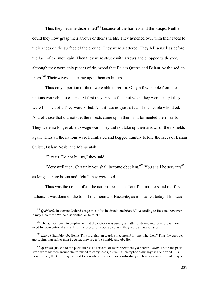Thus they became disoriented<sup>668</sup> because of the hornets and the wasps. Neither could they now grasp their arrows or their shields. They hunched over with their faces to their knees on the surface of the ground. They were scattered. They fell senseless before the face of the mountain. Then they were struck with arrows and chopped with axes, although they were only pieces of dry wood that Balam Quitze and Balam Acab used on them.<sup>669</sup> Their wives also came upon them as killers.

Thus only a portion of them were able to return. Only a few people from the nations were able to escape. At first they tried to flee, but when they were caught they were finished off. They were killed. And it was not just a few of the people who died. And of those that did not die, the insects came upon them and tormented their hearts. They were no longer able to wage war. They did not take up their arrows or their shields again. Thus all the nations were humiliated and begged humbly before the faces of Balam Quitze, Balam Acab, and Mahucutah:

"Pity us. Do not kill us," they said.

 $\overline{a}$ 

"Very well then. Certainly you shall become obedient.<sup>670</sup> You shall be servants<sup>671</sup> as long as there is sun and light," they were told.

Thus was the defeat of all the nations because of our first mothers and our first fathers. It was done on the top of the mountain Hacavitz, as it is called today. This was

<sup>668</sup> *Q'ab'arik*. In current Quiché usage this is "to be drunk, enebriated." According to Basseta, however, it may also mean "to be disoriented, or to faint."

<sup>&</sup>lt;sup>669</sup> The authors wish to emphasize that the victory was purely a matter of divine intervention, without need for conventional arms. Thus the pieces of wood acted as if they were arrows or axes.

<sup>670</sup> *Kame'l* (humble, obedient). This is a play on words since *kamel* is "one who dies." Thus the captives are saying that rather than be *dead*, they are to be humble and obedient.

<sup>671</sup> *Aj patan* (he/she of the pack strap) is a servant, or more specifically a bearer. *Patan* is both the pack strap worn by men around the forehead to carry loads, as well as metaphorically any task or errand. In a larger sense, the term may be used to describe someone who is subsidiary such as a vassal or tribute payer.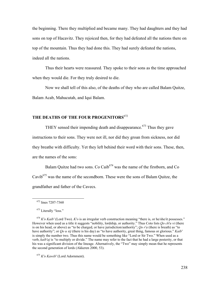the beginning. There they multiplied and became many. They had daughters and they had sons on top of Hacavitz. They rejoiced then, for they had defeated all the nations there on top of the mountain. Thus they had done this. They had surely defeated the nations, indeed all the nations.

Thus their hearts were reassured. They spoke to their sons as the time approached when they would die. For they truly desired to die.

Now we shall tell of this also, of the deaths of they who are called Balam Quitze, Balam Acab, Mahucutah, and Iqui Balam.

# THE DEATHS OF THE FOUR PROGENITORS<sup>672</sup>

THEY sensed their impending death and disappearance. $673$  Thus they gave instructions to their sons. They were not ill, nor did they groan from sickness, nor did they breathe with difficulty. Yet they left behind their word with their sons. These, then, are the names of the sons:

Balam Quitze had two sons. Co Caib<sup>674</sup> was the name of the firstborn, and Co Cavib<sup>675</sup> was the name of the secondborn. These were the sons of Balam Quitze, the grandfather and father of the Cavecs.

<sup>675</sup> *K'o Kawib'* (Lord Adornment).

 <sup>672</sup> lines 7207-7360

<sup>673</sup> Literally "loss."

<sup>674</sup> *K'o Kaib'* (Lord Two). *K'o* is an irregular verb construction meaning "there is, or he/she/it possesses." However when used as a title it suggests "nobility, lordship, or authority." Thus Coto lists *Qo ch'u vi* (there is on his head, or above) as "to be charged, or have jurisdiction/authority"; *Qo r'a* (there is breath) as "to have authority"; or *Qo u* ε*ij* (there is his day) as "to have authority, great thing, famous or glorious." *Kaib'* is simply the number two. Thus this name would be something like "Lord or Sir Two." When used as a verb, *kaib'aj* is "to multiply or divide." The name may refer to the fact that he had a large posterity, or that his was a significant division of the lineage. Alternatively, the "Two" may simply mean that he represents the second generation of lords (Akkeren 2000, 53).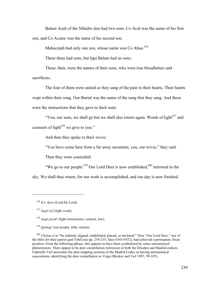Balam Acab of the Nihaibs also had two sons. Co Acul was the name of his first son, and Co Acutec was the name of his second son.

Mahucutah had only one son, whose name was  $Co$  Ahau.<sup>676</sup>

These three had sons, but Iqui Balam had no sons.

These, then, were the names of their sons, who were true bloodletters and sacrificers.

The four of them were united as they sang of the pain in their hearts. Their hearts wept within their song. Our Burial was the name of the song that they sang. And these were the instructions that they gave to their sons:

"You, our sons, we shall go but we shall also return again. Words of light $677$  and counsels of light $678$  we give to you."

And then they spoke to their wives:

"You have come here from a far away mountain, you, our wives," they said.

Then they were counseled:

"We go to our people.<sup>679</sup> Our Lord Deer is now established,  $680$  mirrored in the sky. We shall thus return, for our work is accomplished, and our day is now finished.

<sup>676</sup> *K'o Ajaw* (Lord/Sir Lord).

<sup>677</sup> *Saqil tzij* (light word).

<sup>678</sup> *Saqil pixab'* (light instructions, counsel, law).

<sup>679</sup> *Qamaq'* (our people, tribe, nation).

<sup>680</sup> *Cholan* is to "be ordered, aligned, established, placed, or declared." Thus "Our Lord Deer," one of the titles for their patron god Tohil (see pp. 234-235; lines 6343-6352), had achieved a permanent, fixed position. From the following phrase, this appears to have been symbolized by some astronomical phenomenon. There appear to be deer constellation references in both the Dresden and Madrid codices. Gabrielle Vail associates the deer-trapping sections of the Madrid Codex as having astronomical associations, identifying the deer constellation as Virgo (Bricker and Vail 1997, 99-107).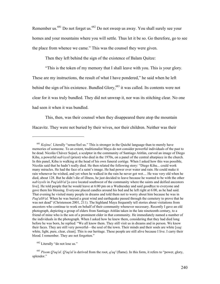Remember us.<sup>681</sup> Do not forget us.<sup>682</sup> Do not sweep us away. You shall surely see your homes and your mountains where you will settle. Thus let it be so. Go therefore, go to see the place from whence we came." This was the counsel they were given.

Then they left behind the sign of the existence of Balam Quitze:

"This is the token of my memory that I shall leave with you. This is your glory. These are my instructions, the result of what I have pondered," he said when he left behind the sign of his existence. Bundled Glory,<sup>683</sup> it was called. Its contents were not clear for it was truly bundled. They did not unwrap it, nor was its stitching clear. No one had seen it when it was bundled.

This, then, was their counsel when they disappeared there atop the mountain Hacavitz. They were not buried by their wives, nor their children. Neither was their

<sup>681</sup> *Kojina'.* Literally "sense/feel us." This is stronger in the Quiché language than to merely have memories of someone. To an extent, traditionalist Maya do not consider powerful individuals of the past to be dead. Nicolás Chávez Sojuel, a sculptor in the community of Santiago Atitlán, carved an image of Diego Kihu, a powerful *nab'eysil* (priest) who died in the 1970s, on a panel of the central altarpiece in the church. In this panel, Kihu is walking at the head of his own funeral cortège. When I asked how this was possible, Nicolás said that he hadn't really died. He then related the following story: "Diego Kihu... could work many miracles. He had the face of a saint's image. He had power over water and rain. He could make it rain whenever he wished, and yet when he walked in the rain he never got wet.... He was very old when he died, about 128. But he didn't die of illness, he just decided to leave because he wanted to be with the other *nab'eysils* in *Paq'alib'al* [a cave located southwest of the community where the saints and deified ancestors live]. He told people that he would leave at 6:00 pm on a Wednesday and said goodbye to everyone and gave them his blessing. Everyone placed candles around his bed and he left right at 6:00, as he had said. That evening he visited many people in dreams and told them not to worry about him because he was in *Paq'alib'al.* When he was buried a great wind and earthquake passed through the cemetery to prove that he was not dead" (Christenson 2001, 211). The highland Maya frequently tell stories about visitations from ancestors who continue to work on behalf of their community whenever necessary. Recently I gave an old photograph, depicting a group of elders from Santiago Atitlán taken in the late nineteenth century, to a friend of mine who is the son of a prominent elder in that community. He immediately named a number of the individuals in the photograph. When I asked how he knew them, considering that they had died long before he was born, he replied: "We all know them. They still visit us in dreams and in person. We know their faces. They are still very powerful—the soul of the town. Their minds and their souls are white [*saq*: white, light, pure, clear, clean]. This is our heritage. These people are still alive because I live. I carry their blood. I remember. They are not forgotten."

<sup>&</sup>lt;sup>682</sup> Literally "do not lose us."

<sup>683</sup> *Pisom Q'aq'al. Q'aq'al* is derived from the root, *q'aq'* (flame). In this form, it refers to "power, glory, splendor."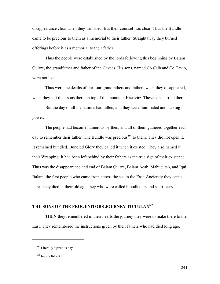disappearance clear when they vanished. But their counsel was clear. Thus the Bundle came to be precious to them as a memorial to their father. Straightaway they burned offerings before it as a memorial to their father.

Thus the people were established by the lords following this beginning by Balam Quitze, the grandfather and father of the Cavecs. His sons, named Co Caib and Co Cavib, were not lost.

Thus were the deaths of our four grandfathers and fathers when they disappeared, when they left their sons there on top of the mountain Hacavitz. These sons tarried there.

But the day of all the nations had fallen, and they were humiliated and lacking in power.

The people had become numerous by then, and all of them gathered together each day to remember their father. The Bundle was precious<sup>684</sup> to them. They did not open it. It remained bundled. Bundled Glory they called it when it existed. They also named it their Wrapping. It had been left behind by their fathers as the true sign of their existence. Thus was the disappearance and end of Balam Quitze, Balam Acab, Mahucutah, and Iqui Balam, the first people who came from across the sea in the East. Anciently they came here. They died in their old age, they who were called bloodletters and sacrificers.

### THE SONS OF THE PROGENITORS JOURNEY TO TULAN<sup>685</sup>

THEN they remembered in their hearts the journey they were to make there to the East. They remembered the instructions given by their fathers who had died long ago.

<sup>&</sup>lt;sup>684</sup> Literally "great its day."

<sup>685</sup> lines 7361-7411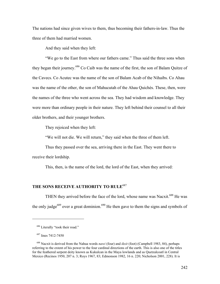The nations had since given wives to them, thus becoming their fathers-in-law. Thus the three of them had married women.

And they said when they left:

"We go to the East from where our fathers came." Thus said the three sons when they began their journey.<sup>686</sup> Co Caib was the name of the first, the son of Balam Quitze of the Cavecs. Co Acutec was the name of the son of Balam Acab of the Nihaibs. Co Ahau was the name of the other, the son of Mahucutah of the Ahau Quichés. These, then, were the names of the three who went across the sea. They had wisdom and knowledge. They were more than ordinary people in their nature. They left behind their counsel to all their older brothers, and their younger brothers.

They rejoiced when they left:

"We will not die. We will return," they said when the three of them left.

Thus they passed over the sea, arriving there in the East. They went there to receive their lordship.

This, then, is the name of the lord, the lord of the East, when they arrived:

## THE SONS RECEIVE AUTHORITY TO RULE<sup>687</sup>

THEN they arrived before the face of the lord, whose name was Nacxit.<sup>688</sup> He was the only judge<sup>689</sup> over a great dominion.<sup>690</sup> He then gave to them the signs and symbols of

<sup>686</sup> Literally "took their road."

<sup>&</sup>lt;sup>687</sup> lines 7412-7450

<sup>&</sup>lt;sup>688</sup> Nacxit is derived from the Nahua words *nawi* (four) and *ikxit* (foot) (Campbell 1983, 84), perhaps referring to the extent of his power to the four cardinal directions of the earth. This is also one of the titles for the feathered serpent deity known as Kukulcan in the Maya lowlands and as Quetzalcoatl in Central Mexico (Recinos 1950, 207 n. 3; Roys 1967, 83; Edmonson 1982, 16 n. 220; Nicholson 2001, 228). It is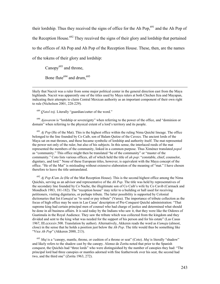their lordship. Thus they received the signs of office for the Ah Pop,<sup>691</sup> and the Ah Pop of the Reception House.<sup>692</sup> They received the signs of their glory and lordship that pertained to the offices of Ah Pop and Ah Pop of the Reception House. These, then, are the names of the tokens of their glory and lordship:

Canopy $^{693}$  and throne,

 $\overline{a}$ 

Bone flute<sup>694</sup> and drum,<sup>695</sup>

likely that Nacxit was a ruler from some major political center in the general direction east from the Maya highlands. Nacxit was apparently one of the titles used by Maya rulers at both Chichen Itza and Mayapan, indicating their attempts to claim Central Mexican authority as an important component of their own right to rule (Nicholson 2001, 228-229).

<sup>689</sup> *Q'atol tzij.* Literally "guardian/cutter of the word."

 <sup>690</sup> *Ajawarem* is "lordship or sovereignty" when referring to the power of the office, and "dominion or domain" when referring to the physical extent of a lord's territory and its people.

 $^{691}$  *Aj Pop* (He of the Mat). This is the highest office within the ruling Nima Quiché lineage. The office belonged to the line founded by Co Caib, son of Balam Quitze of the Cavecs. The ancient lords of the Maya sat on mat thrones, and these became symbolic of lordship and authority itself. The mat represented the power not only of the ruler, but also of his subjects. In this sense, the interlaced reeds of the mat represented the members of the community, linked in a common purpose. Thus Ximénez translated *popol* as "community." This office might then be translated "he of the community" or "master of the community." Coto lists various offices, all of which held the title of *ah pop*: "constable, chief, counselor, dignitary, and lord." None of these European titles, however, is equivalent with the Maya concept of the office. "He of the Mat" is misleading without extensive elaboration of the meaning of "mat." I have chosen therefore to leave the title untranslated.

 <sup>692</sup> *Aj Pop K'am Ja* (He of the Mat Reception House). This is the second highest office among the Nima Quichés, serving as an advisor and representative of the *Ah Pop*. The title was held by representatives of the secondary line founded by Co Nache, the illegitimate son of Co Caib's wife by Co Cavib (Carmack and Mondloch 1983, 181-182). The "reception house" may refer to a building or hall used for receiving petitioners, visiting dignitaries, or perhaps tribute. The latter possibility is supported by Colonial dictionaries that list *k'amajal* as "to send or pay tribute" (Varea). The importance of tribute collection as the focus of high office may be seen in Las Casas' description of Pre-Conquest Quiché administration: "That supreme king had certain principal men of counsel who had charge of justice and determined what should be done in all business affairs. It is said today by the Indians who saw it, that they were like the Oidores of Guatimala in the Royal Audience. They saw the tribute which was collected from the kingdom and they divided and sent to the king what was needed for the support of his person and for his estate" (Las Casas 1967, III.ccxxxiv.500. Translation by author). Alternatively, Akkeren reads the word as *k'amaja* (almost, close) in the sense that he holds a position just below the *Ah Pop*. The title would thus be something like "Vice *Ah Pop*" (Akkeren 2000, 213).

<sup>693</sup> *Muj* is a "canopy, mantle, throne, or cushion of a throne or seat" (Coto). *Muj* is literally "shadow" and likely refers to the shadow cast by the canopy. Alonso de Zorita noted that prior to the Spanish conquest, the Quichés had "three lords" who were distinguished by the number of canopies they had: "The principal lord had three canopies or mantles adorned with fine featherwork over his seat, the second had two, and the third one" (Zorita 1963, 272).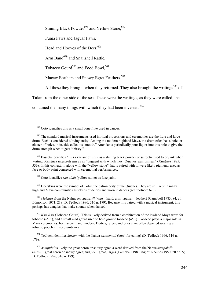Shining Black Powder<sup>696</sup> and Yellow Stone,<sup>697</sup>

Puma Paws and Jaguar Paws,

Head and Hooves of the Deer.<sup>698</sup>

Arm Band<sup>699</sup> and Snailshell Rattle,

Tobacco Gourd<sup>700</sup> and Food Bowl,<sup>701</sup>

Macaw Feathers and Snowy Egret Feathers.<sup>702</sup>

All these they brought when they returned. They also brought the writings<sup>703</sup> of

Tulan from the other side of the sea. These were the writings, as they were called, that

contained the many things with which they had been invested.<sup>704</sup>

 $694$  Coto identifies this as a small bone flute used in dances.

 $\overline{a}$ 

<sup>696</sup> Basseta identifies *tatil* (a variant of *titil*), as a shining black powder or saltpetre used to dry ink when writing. Ximénez interprets *titil* as an "unguent with which they [Quichés] paint/smear" (Ximénez 1985, 536). In this context, it, along with the "yellow stone" that is paired with it, were likely pigments used as face or body paint connected with ceremonial performances.

<sup>697</sup> Coto identifies ε*an abah* (yellow stone) as face paint.

<sup>698</sup> Deerskins were the symbol of Tohil, the patron deity of the Quichés. They are still kept in many highland Maya communities as tokens of deities and worn in dances (see footnote 620).

 <sup>699</sup> *Makutax* from the Nahua *macuetlaxtli* (*mah*—hand, arm; *cuetlax*—leather) (Campbell 1983, 84; cf. Edmonson 1971, 218; D. Tedlock 1996, 316 n. 179). Because it is paired with a musical instrument, this perhaps has dangles that make sounds when danced.

 <sup>700</sup> *K'us B'us* (Tobacco Gourd). This is likely derived from a combination of the lowland Maya word for tobacco (*k'utz*), and a small wild gourd used to hold ground tobacco (*b'ux*). Tobacco plays a major role in Maya ceremonies, both ancient and modern. Deities, rulers, and priests are often depicted wearing a tobacco pouch in Precolumbian art.

 <sup>701</sup> Tedlock identifies *kaxkon* with the Nahua *caxcomulli* (bowl for eating) (D. Tedlock 1996, 316 n. 179).

 <sup>702</sup> *Astapulul* is likely the great heron or snowy egret, a word derived from the Nahua *aztapololli* (*aztatl*—great heron or snowy egret; and *pol*—great, large) (Campbell 1983, 84; cf. Recinos 1950, 209 n. 5; D. Tedlock 1996, 316 n. 179).

 $695$  The standard musical instruments used in ritual processions and ceremonies are the flute and large drum. Each is considered a living entity. Among the modern highland Maya, the drum often has a hole, or cluster of holes, in its side called its "mouth." Attendants periodically pour liquor into this hole to give the drum strength when it gets "thirsty."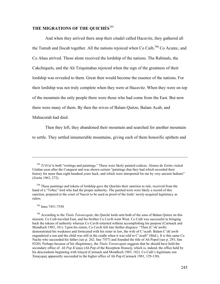# THE MIGRATIONS OF THE QUICHÉS<sup>705</sup>

And when they arrived there atop their citadel called Hacavitz, they gathered all the Tamub and Ilocab together. All the nations rejoiced when Co Caib,  $\frac{706}{6}$  Co Acutec, and Co Ahau arrived. These alone received the lordship of the nations. The Rabinals, the Cakchiquels, and the Ah Tziquinahas rejoiced when the sign of the greatness of their lordship was revealed to them. Great then would become the essence of the nations. For their lordship was not truly complete when they were at Hacavitz. When they were on top of the mountain the only people there were those who had come from the East. But now there were many of them. By then the wives of Balam Quitze, Balam Acab, and

Mahucutah had died.

 $\overline{a}$ 

Then they left, they abandoned their mountain and searched for another mountain

to settle. They settled innumerable mountains, giving each of them honorific epithets and

<sup>705</sup> lines 7451-7550

<sup>703</sup> *Tz'ib'al* is both "writings and paintings." These were likely painted codices. Alonso de Zorita visited Utatlan soon after the Conquest and was shown certain "paintings that they had which recorded their history for more than eight hundred years back, and which were interpreted for me by very ancient Indians" (Zorita 1963, 272).

 $704$  These paintings and tokens of lordship gave the Quichés their sanction to rule, received from the hand of a "Toltec" lord who had the proper authority. The painted texts were likely a record of this sanction, prepared at the court of Nacxit to be used as proof of the lords' newly-acquired legitimacy as rulers.

<sup>706</sup> According to the *Título Totonicapán*, the Quiché lords sent both of the sons of Balam Quitze on this mission. Co Caib traveled East, and his brother Co Cavib went West. Co Caib was successful in bringing back the tokens of authority whereas Co Cavib returned without accomplishing his purpose (Carmack and Mondloch 1983, 181). Upon his return, Co Cavib fell into further disgrace: "Then (C'ok'awib) demonstrated his weakness and fornicated with his sister in law, the wife of C'ocaib. Balam C'ok'awib engendered a son and the child was still in the cradle when it was told to C'ocaib" (Ibid.). It is this same Co Nache who succeeded his father (see p. 262; line 7557) and founded the title of Ah Popol (see p. 293; line 8520). Perhaps because of his illegitimacy, the *Título Totonicapán* suggests that he should have held the secondary office of *Ah Pop K'amja* (Ah Pop of the Reception House)j, which is, indeed, the office held by his descendents beginning with Iztayul (Carmack and Mondloch 1983, 182). Co Caib's legitimate son Xmayquej apparently succeeded to the higher office of Ah Pop (Carmack 1981, 129-130).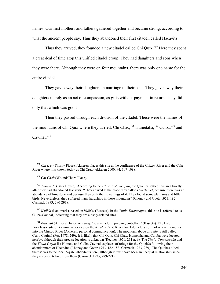names. Our first mothers and fathers gathered together and became strong, according to what the ancient people say. Thus they abandoned their first citadel, called Hacavitz.

Thus they arrived, they founded a new citadel called Chi Quix.<sup>707</sup> Here they spent a great deal of time atop this unified citadel group. They had daughters and sons when they were there. Although they were on four mountains, there was only one name for the entire citadel.

They gave away their daughters in marriage to their sons. They gave away their daughters merely as an act of compassion, as gifts without payment in return. They did only that which was good.

Then they passed through each division of the citadel. These were the names of the mountains of Chi Quix where they tarried: Chi Chac,  $\frac{708}{10}$  Humetaha,  $\frac{709}{10}$  Culba,  $\frac{710}{10}$  and Cavinal. $711$ 

 $\overline{a}$ 

 <sup>710</sup> *K'ulb'a* (Landmark), based on *k'ulb'at* (Basseta). In the *Título Totonicapán*, this site is referred to as Culba-Cavinal, indicating that they are closely-related sites.

<sup>707</sup> *Chi K'ix* (Thorny Place). Akkeren places this site at the confluence of the Chixoy River and the Calá River where it is known today as Chi Cruz (Akkeren 2000, 94, 107-108).

<sup>708</sup> *Chi Chak* (Wound/Thorn Place).

<sup>709</sup> *Jumeta Ja* (Bark House). According to the *Título Totonicapán*, the Quichés settled this area briefly after they had abandoned Hacavitz: "They arrived at the place they called *Chi-Humet*, because there was an abundance of limestone and because they built their dwellings of it. They found some plantains and little birds. Nevertheless, they suffered many hardships in those mountains" (Chonay and Goetz 1953, 182; Carmack 1973, 290-291).

<sup>711</sup> *Kawinal* (Armory), based on *cawij*, "to arm, adorn, prepare, embellish" (Basseta). The Late Postclassic site of Kawinal is located on the *Ka'ala* (Calá) River two kilometers north of where it empties into the Chixoy River (Akkeren, personal communication). The mountain above this site is still called Cerro Cauinal (Fox 1978, 249). It is likely that Chi Quix, Chi Chac, Humetaha and Culuba were located nearby, although their precise location is unknown (Recinos 1950, 211 n. 9). The *Título Totonicapán* and the *Título C'oyoi* list Humeta and Culba-Cavinal as places of refuge for the Quichés following their abandonment of Hacavitz. (Chonay and Goetz 1953, 182-183; Carmack 1973, 289). The Quichés allied themselves to the local Aq'ab' inhabitants here, although it must have been an unequal relationship since they received tribute from them (Carmack 1973, 289-291).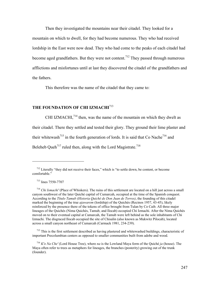Then they investigated the mountains near their citadel. They looked for a mountain on which to dwell, for they had become numerous. They who had received lordship in the East were now dead. They who had come to the peaks of each citadel had become aged grandfathers. But they were not content.<sup>712</sup> They passed through numerous afflictions and misfortunes until at last they discovered the citadel of the grandfathers and the fathers.

This therefore was the name of the citadel that they came to:

### THE FOUNDATION OF CHI IZMACHI<sup>713</sup>

CHI IZMACHI, $^{714}$  then, was the name of the mountain on which they dwelt as their citadel. There they settled and tested their glory. They ground their lime plaster and their whitewash<sup>715</sup> in the fourth generation of lords. It is said that Co Nache<sup>716</sup> and Beleheb Queh<sup>717</sup> ruled then, along with the Lord Magistrate.<sup>718</sup>

 $\overline{a}$ 

<sup>715</sup> This is the first settlement described as having plastered and whitewashed buildings, characteristic of important Precolumbian centers as opposed to smaller communities built from adobe and wood.

 $712$  Literally "they did not receive their faces," which is "to settle down, be content, or become comfortable."

<sup>713</sup> lines 7550-7707

<sup>714</sup> *Chi Ismachi'* (Place of Whiskers). The ruins of this settlement are located on a hill just across a small canyon southwest of the later Quiché capital of Cumarcah, occupied at the time of the Spanish conquest. According to the *Título Tamub (Historia Quiché de Don Juan de Torres)*, the founding of this citadel marked the beginning of the true *ajawarem* (lordship) of the Quichés (Recinos 1957, 43-45), likely reinforced by the presence there of the tokens of office brought from Tulan by Co Caib. All three major lineages of the Quichés (Nima Quichés, Tamub, and Ilocab) occupied Chi Izmachi. After the Nima Quichés moved on to their eventual capital at Cumarcah, the Tamub were left behind as the sole inhabitants of Chi Izmachi. The disgraced Ilocab occupied the site of Chisalin (also known as Mukwitz Pilocab), located across a small canyon northeast of Cumarcah (Carmack 1981, 234-239).

<sup>716</sup> *K'o Na Che'* (Lord House Tree), where *na* is the Lowland Maya form of the Quiché *ja* (house). The Maya often refer to trees as metaphors for lineages, the branches (posterity) growing out of the trunk (founder).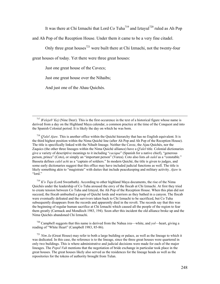It was there at Chi Izmachi that Lord Co Tuha<sup>719</sup> and Iztayul<sup>720</sup> ruled as Ah Pop

and Ah Pop of the Reception House. Under them it came to be a very fine citadel.

Only three great houses<sup>721</sup> were built there at Chi Izmachi, not the twenty-four

great houses of today. Yet there were three great houses:

Just one great house of the Cavecs;

Just one great house over the Nihaibs;

And just one of the Ahau Quichés.

 $\overline{a}$ 

 <sup>717</sup> *B'elejeb' Kej* (Nine Deer). This is the first occurence in the text of a historical figure whose name is derived from a day on the Highland Maya calendar, a common practice at the time of the Conquest and into the Spanish Colonial period. It is likely the day on which he was born.

 <sup>718</sup> *Q'alel Ajaw.* This is another office within the Quiché hierarchy that has no English equivalent. It is the third highest position within the Nima Quiché line (after Ah Pop and Ah Pop of the Reception House). The title is specifically linked with the Nihaib lineage. Neither the Cavec, the Ajau Quichés, nor the Zaquics (the other three lineages within the Nima Quiché alliance) have a *Q'alel* title. Colonial dictionaries give a variety of descriptive meanings to it including "*cacique*" (Spanish for a native chief), "generous person, prince" (Coto), or simply an "important person" (Varea). Coto also lists *ah* ε*alel* as a "constable." Basseta defines *calel achi* as a "captain of soldiers." In modern Quiché, the title is given to judges, and some early dictionaries suggest that this office may have included judicial functions as well. The title is likely something akin to "magistrate" with duties that include peacekeeping and military activity. *Ajaw* is "lord."

 <sup>719</sup> *K'o Tuja* (Lord Sweatbath). According to other highland Maya documents, the rise of the Nima Quichés under the leadership of Co Tuha aroused the envy of the Ilocab at Chi Izmachi. At first they tried to create tension between Co Tuha and Iztayul, the Ah Pop of the Reception House. When this plan did not succeed, the Ilocab ambushed a group of Quiché lords and warriors as they bathed in a canyon. The Ilocab were eventually defeated and the survivors taken back to Chi Izmachi to be sacrificed, but Co Tuha subsequently disappears from the records and apparently died in the revolt. The records say that this was the beginning of regular human sacrifice at Chi Izmachi which caused all the people of the region to fear them greatly (Carmack and Mondloch 1983, 194). Soon after this incident the old alliance broke up and the Nima Quichés abandoned Chi Izmachi.

 <sup>720</sup> Campbell suggests that this name is derived from the Nahua *ista*—white, and *yol*—heart, giving a reading of "White Heart" (Campbell 1983, 85-86).

 <sup>721</sup> *Nim Ja* (Great House) may refer to both a large building or palace, as well as the lineage to which it was dedicated. In this case, the reference is to the lineage, since the three great houses were quartered in only two buildings. This is where administrative and judicial decisions were made for each of the major lineages. The *Popol Vuh* mentions that the negotiation of bride exchange in particular took place in the great houses. The great houses likely also served as the residences for the lineage heads as well as the repositories for the tokens of authority brought from Tulan.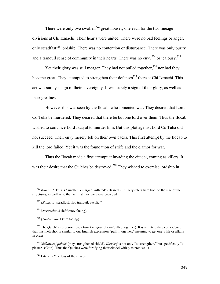There were only two swollen<sup>722</sup> great houses, one each for the two lineage divisions at Chi Izmachi. Their hearts were united. There were no bad feelings or anger, only steadfast<sup>723</sup> lordship. There was no contention or disturbance. There was only purity and a tranquil sense of community in their hearts. There was no envy<sup>724</sup> or jealousy.<sup>725</sup>

Yet their glory was still meager. They had not pulled together,<sup>726</sup> nor had they become great. They attempted to strengthen their defenses<sup>727</sup> there at Chi Izmachi. This act was surely a sign of their sovereignty. It was surely a sign of their glory, as well as their greatness.

However this was seen by the Ilocab, who fomented war. They desired that Lord Co Tuha be murdered. They desired that there be but one lord over them. Thus the Ilocab wished to convince Lord Iztayul to murder him. But this plot against Lord Co Tuha did not succeed. Their envy merely fell on their own backs. This first attempt by the Ilocab to kill the lord failed. Yet it was the foundation of strife and the clamor for war.

Thus the Ilocab made a first attempt at invading the citadel, coming as killers. It was their desire that the Quichés be destroyed.<sup>728</sup> They wished to exercise lordship in

<sup>722</sup> *Kumatzil*. This is "swollen, enlarged, inflated" (Basseta). It likely refers here both to the size of the structures, as well as to the fact that they were overcrowded.

<sup>723</sup> *Li'anik* is "steadfast, flat, tranquil, pacific."

<sup>724</sup> *Moxwachinik* (left/crazy facing).

<sup>725</sup> *Q'aq'wachinik* (fire facing).

<sup>726</sup> The Quiché expression reads *kanuk'maijoq* (drawn/pulled together). It is an interesting coincidence that this metaphor is similar to our English expression "pull it together," meaning to get one's life or affairs in order.

<sup>727</sup> *Xkikowisaj pokob'* (they strengthened shield). *Kowisaj* is not only "to strengthen," but specifically "to plaster" (Coto). Thus the Quichés were fortifying their citadel with plastered walls.

 $728$  Literally "the loss of their faces."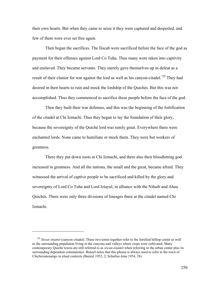their own hearts. But when they came to seize it they were captured and despoiled, and few of them were ever set free again.

Then began the sacrifices. The Ilocab were sacrificed before the face of the god as payment for their offenses against Lord Co Tuha. Thus many were taken into captivity and enslaved. They became servants. They merely gave themselves up in defeat as a result of their clamor for war against the lord as well as his canyon-citadel.<sup>729</sup> They had desired in their hearts to ruin and mock the lordship of the Quichés. But this was not accomplished. Thus they commenced to sacrifice these people before the face of the god.

Then they built their war defenses, and this was the beginning of the fortification of the citadel at Chi Izmachi. Thus they began to lay the foundation of their glory, because the sovereignty of the Quiché lord was surely great. Everywhere there were enchanted lords. None came to humiliate or mock them. They were but workers of greatness.

There they put down roots at Chi Izmachi, and there also their bloodletting god increased in greatness. And all the nations, the small and the great, became afraid. They witnessed the arrival of captive people to be sacrificed and killed by the glory and sovereignty of Lord Co Tuha and Lord Iztayul, in alliance with the Nihaib and Ahau Quichés. There were only three divisions of lineages there at the citadel named Chi Izmachi.

<sup>729</sup> *Siwan tinamit* (canyon citadel). These two terms together refer to the fortified hilltop center as well as the surrounding population living in the canyons and valleys where crops were cultivated. Many contemporary Quiché towns are still referred to as *siwan-tinamit* when referring to the urban center plus its surrounding dependent communities. Bunzel notes that this phrase is always used to refer to the town of Chichicastenango in ritual contexts (Bunzel 1952, 2; Schultze-Jena 1954, 28).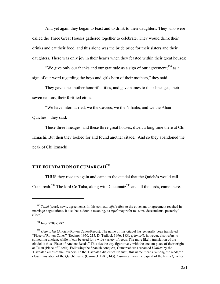And yet again they began to feast and to drink to their daughters. They who were called the Three Great Houses gathered together to celebrate. They would drink their drinks and eat their food, and this alone was the bride price for their sisters and their daughters. There was only joy in their hearts when they feasted within their great houses:

"We give only our thanks and our gratitude as a sign of our agreement;  $\frac{730}{2}$  as a sign of our word regarding the boys and girls born of their mothers," they said.

They gave one another honorific titles, and gave names to their lineages, their seven nations, their fortified cities.

"We have intermarried, we the Cavecs, we the Nihaibs, and we the Ahau

Quichés," they said.

These three lineages, and these three great houses, dwelt a long time there at Chi Izmachi. But then they looked for and found another citadel. And so they abandoned the peak of Chi Izmachi.

### THE FOUNDATION OF CUMARCAH<sup>731</sup>

THUS they rose up again and came to the citadel that the Quichés would call Cumarcah.<sup>732</sup> The lord Co Tuha, along with Cucumatz<sup>733</sup> and all the lords, came there.

<sup>730</sup> *Tzijel* (word, news, agreement). In this context, *tzijel* refers to the covenant or agreement reached in marriage negotiations. It also has a double meaning, as *tzijel* may refer to "sons, descendents, posterity" (Coto).

<sup>731</sup> lines 7708-7787

<sup>732</sup> *Q'umarkaj* (Ancient/Rotten Canes/Reeds). The name of this citadel has generally been translated "Place of Rotten Canes" (Recinos 1950, 215, D. Tedlock 1996, 183). *Q'umarik,* however, also refers to something ancient, while *aj* can be used for a wide variety of reeds. The more likely translation of the citadel is thus "Place of Ancient Reeds." This ties the city figuratively with the ancient place of their origin at Tulan (Place of Reeds). Following the Spanish conquest, Cumarcah was renamed *Utatlan* by the Tlaxcalan allies of the invaders. In the Tlaxcalan dialect of Nahuatl, this name means "among the reeds," a close translation of the Quiché name (Carmack 1981, 143). Cumarcah was the capital of the Nima Quichés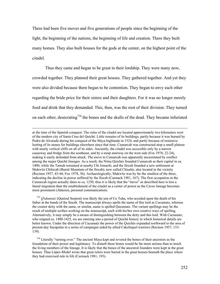There had been five moves and five generations of people since the beginning of the light, the beginning of the nations, the beginning of life and creation. There they built many homes. They also built houses for the gods at the center, on the highest point of the citadel.

Thus they came and began to be great in their lordship. They were many now, crowded together. They planned their great houses. They gathered together. And yet they were also divided because there began to be contention. They began to envy each other regarding the bride price for their sisters and their daughters. For it was no longer merely food and drink that they demanded. This, then, was the root of their division. They turned on each other, desecrating<sup>734</sup> the bones and the skulls of the dead. They became infuriated

 <sup>733</sup> *Q'ukumatz* (Quetzal Serpent) was likely the son of Co Tuha, who acceded upon the death of his father at the hands of the Ilocab. The manuscript always spells the name of this lord as Cucumatz, whereas the creator deity with the same, or similar, name is spelled Qucumatz. The variant spellings may be the result of multiple scribes working on the manuscript, each with his/her own creative ways of spelling. Alternatively, it may simply be a means of distinguishing between the deity and this lord. With Cucumatz, who reigned ca. 1400-1425, we are entering into a period of Quiché history in which historical details are better known. Under the direction of Cucumatz the power of the Quichés expanded northward to the area of present-day Sacapulas in a series of campaigns aided by allied Cakchiquel warriors (Recinos 1957, 133- 139).

 $^{734}$  Literally "turning over." The ancient Maya kept and revered the bones of their ancestors as the foundation of their power and legitimacy. To disturb these bones would be far more serious than to insult the living members of the lineage. It is likely that the bones of the ancestral founders were kept in the great houses. Thus López-Medel wrote that great rulers were buried in the great houses beneath the place where they had exercised rule in life (Carmack 1981, 193).

at the time of the Spanish conquest. The ruins of the citadel are located approximately two kilometers west of the modern city of Santa Cruz del Quiché. Little remains of its buildings, partly because it was burned by Pedro de Alvarado during his conquest of the Maya highlands in 1524, and partly because of extensive looting of its stones for buildings elsewhere since that time. Cumarcah was constructed atop a small plateau with nearly vertical cliffs on all of its sides. Anciently, the citadel was accessible only by a narrow causeway and bridge from the southeast, and by a steep stairway on the west side (Fox 1978, 22-24), making it easily defended from attack. The move to Cumarcah was apparently necessitated by conflict among the major Quiché lineages. As a result, the Nima Quichés founded Cumarcah as their capital in ca. 1400, while the Tamub remained at nearby Chi Izmachi, and the Ilocab founded a new settlement at Mukwitz Chilocab (Burial Mountain of the Ilocab), now called Chisalin, also located in the vicinity (Recinos 1957, 43-44; Fox 1978, 36). Archaeologically, Mukwitz was by far the smallest of the three, indicating the decline in power suffered by the Ilocab (Carmack 1981, 167). The first occupation in the Cumarcah region actually dates to ca. 1250, thus it is likely that the "move" as described here is less a literal migration than the establishment of the citadel as a center of power as the Cavec lineage becomes more prominent (Akkeren, personal communication).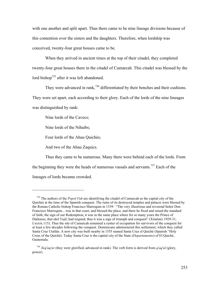with one another and split apart. Thus there came to be nine lineage divisions because of this contention over the sisters and the daughters. Therefore, when lordship was conceived, twenty-four great houses came to be.

When they arrived in ancient times at the top of their citadel, they completed twenty-four great houses there in the citadel of Cumarcah. This citadel was blessed by the lord bishop<sup>735</sup> after it was left abandoned.

They were advanced in rank,<sup>736</sup> differentiated by their benches and their cushions. They were set apart, each according to their glory. Each of the lords of the nine lineages was distinguished by rank:

Nine lords of the Cavecs;

Nine lords of the Nihaibs;

Four lords of the Ahau Quichés;

And two of the Ahau Zaquics.

 $\overline{a}$ 

Thus they came to be numerous. Many there were behind each of the lords. From the beginning they were the heads of numerous vassals and servants.<sup>737</sup> Each of the lineages of lords became crowded.

<sup>&</sup>lt;sup>735</sup> The authors of the *Popol Vuh* are identifying the citadel of Cumarcah as the capital city of the Quichés at the time of the Spanish conquest. The ruins of its destroyed temples and palaces were blessed by the Roman Catholic bishop Francisco Marroquín in 1539: "The very illustrious and reverend Señor Don Francisco Marroquín... was in that court, and blessed the place, and there he fixed and raised the standard of faith, the sign of our Redemption; it was in the same place where for so many years the Prince of Darkness, that idol Tojil, had reigned; thus it was a sign of triumph and conquest" (Ximénez 1929-31, I.xxxix.115). Thus the site of Cumarcah remained a center of occupation for survivors of the conquest for at least a few decades following the conquest. Dominicans administered this settlement, which they called Santa Cruz Utatlán. A new city was built nearby in 1555 named Santa Cruz el Quiché (Spanish "Holy Cross of the Quiché). Today Santa Cruz is the capital city of the State (*Departamento*) of El Quiché, Guatemala.

<sup>736</sup> *Xeq'aq'ar* (they were glorified, advanced in rank). The verb form is derived from *q'aq'al* (glory, power).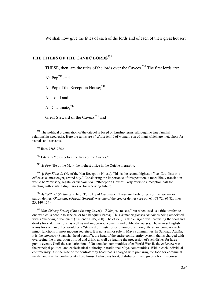We shall now give the titles of each of the lords and of each of their great houses:

# THE TITLES OF THE CAVEC LORDS<sup>738</sup>

THESE, then, are the titles of the lords over the Cavecs.<sup>739</sup> The first lords are:

Ah  $Pop^{740}$  and

Ah Pop of the Reception House; $^{741}$ 

Ah Tohil and

Ah Cucumatz; $^{742}$ 

Great Steward of the Cavecs<sup>743</sup> and

<sup>738</sup> lines 7788-7802

 $740$  *Aj Pop* (He of the Mat), the highest office in the Quiché hierarchy.

 <sup>741</sup> *Aj Pop K'am Ja* (He of the Mat Reception House). This is the second highest office. Coto lists this office as a "messenger, errand boy." Considering the importance of this position, a more likely translation would be "emissary, legate, or vice-*ah pop*." "Reception House" likely refers to a reception hall for meeting with visiting dignitaries or for receiving tribute.

 <sup>742</sup> *Aj Tojil, Aj Q'ukumatz* (He of Tojil, He of Cucumatz). These are likely priests of the two major patron deities*. Q'ukumatz* (Quetzal Serpent) was one of the creator deities (see pp. 61, 68-72, 80-82; lines 25, 140-154)

 <sup>743</sup> *Nim Ch'okoj Kaweq* (Great Seating Cavec). *Ch'okoj* is "to seat," but when used as a title it refers to one who calls people to service, or to a banquet (Varea). Thus Ximénez glosses *chocoh* as being associated with a "wedding or banquet" (Ximénez 1985, 200). The *ch'okoj* is also charged with providing the food and drinks for state functions, as well as making pronouncements and public discourses. The nearest English terms for such an office would be a "steward or master of ceremonies," although these are comparatively minor functions in most modern societies. It is not a minor role in Maya communities. In Santiago Atitlán, it is the *cabecera* (Spanish: "head person"), the head of the entire confraternity system, that is charged with overseeing the preparation of food and drink, as well as leading the procession of such dishes for large public events. Until the secularization of Guatemalan communities after World War II, the *cabecera* was the principal political and ecclesiastical authority in traditional Maya communities. Within each individual confraternity, it is the wife of the confraternity head that is charged with preparing the food for communal meals, and it is the confraternity head himself who pays for it, distributes it, and gives a brief discourse

<sup>&</sup>lt;sup>737</sup> The political organization of the citadel is based on kinship terms, although no true familial relationship need exist. Here the terms are *al, k'ajol* (child of woman, son of man) which are metaphors for vassals and servants.

 $^{739}$  Literally "lords before the faces of the Cavecs."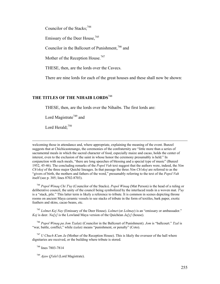Councilor of the Stacks;<sup>744</sup>

Emissary of the Deer House.<sup>745</sup>

Councilor in the Ballcourt of Punishment, $746$  and

Mother of the Reception House.<sup>747</sup>

THESE, then, are the lords over the Cavecs.

There are nine lords for each of the great houses and these shall now be shown:

#### THE TITLES OF THE NIHAIB LORDS<sup>748</sup>

THESE, then, are the lords over the Nihaibs. The first lords are:

Lord Magistrate<sup>749</sup> and

Lord Herald; $750$ 

 welcoming those in attendance and, where appropriate, explaining the meaning of the event. Bunzel suggests that at Chichicastenango, the ceremonies of the confraternity are "little more than a series of sacramental meals in which the sacred character of food, especially maize and cacao, holds the center of interest, even to the exclusion of the saint in whose honor the ceremony presumably is held." In conjunction with such meals, "there are long speeches of blessing and a special type of music" (Bunzel 1952, 45-46). The concluding remarks of the *Popol Vuh* text suggest that the authors were, indeed, the *Nim Ch'okoj* of the three major Quiché lineages. In that passage the three *Nim Ch'okoj* are referred to as the "givers of birth, the mothers and fathers of the word," presumably referring to the text of the *Popol Vuh* itself (see p. 305; lines 8702-8703).

 <sup>744</sup> *Popol Winaq Chi T'uy* (Councilor of the Stacks). *Popol Winaq* (Mat Person) is the head of a ruling or deliberative council, the unity of the council being symbolized by the interlaced reeds in a woven mat. *T'uy* is a "stack, pile." This latter term is likely a reference to tribute. It is common in scenes depicting throne rooms on ancient Maya ceramic vessels to see stacks of tribute in the form of textiles, bark paper, exotic feathers and skins, cacao beans, etc.

 <sup>745</sup> *Lolmet Kej Nay* (Emissary of the Deer House). *Lolmet* (or *Lolmay*) is an "emissary or ambassador." *Kej* is deer. *Na[y]* is the Lowland Maya version of the Quichéan *Ja[y]* (house).

 <sup>746</sup> *Popol Winaq pa Jom Tzalatz* (Councilor in the Ballcourt of Punishment). *Jom* is "ballcourt." *Tzal* is "war, battle, conflict," while *tzalatz* means "punishment, or penalty" (Coto).

 <sup>747</sup> *U Chuch K'am Ja* (Mother of the Reception House). This is likely the overseer of the hall where dignitaries are received, or the building where tribute is stored.

<sup>748</sup> lines 7803-7814

<sup>749</sup> *Ajaw Q'alel* (Lord Magistrate).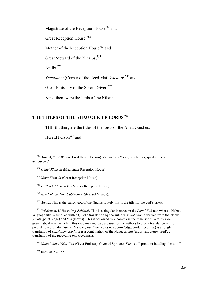Magistrate of the Reception House<sup>751</sup> and Great Reception House;<sup>752</sup> Mother of the Reception House<sup>753</sup> and Great Steward of the Nihaibs;<sup>754</sup> Auilix.<sup>755</sup> Yacolatam (Corner of the Reed Mat) Zaclatol,<sup>756</sup> and Great Emissary of the Sprout Giver.<sup>757</sup>

Nine, then, were the lords of the Nihaibs.

# THE TITLES OF THE AHAU QUICHÉ LORDS<sup>758</sup>

THESE, then, are the titles of the lords of the Ahau Quichés:

Herald Person<sup>759</sup> and

 $\overline{a}$ 

 <sup>750</sup> *Ajaw Aj Tzik' Winaq* (Lord Herald Person). *Aj Tzik'* is a "crier, proclaimer, speaker, herald, announcer."

<sup>751</sup> *Q'alel K'am Ja* (Magistrate Reception House).

<sup>752</sup> *Nima K'am Ja* (Great Reception House).

<sup>753</sup> *U Chuch K'am Ja* (Its Mother Reception House).

<sup>754</sup> *Nim Ch'okoj Nijaib'ab'* (Great Steward Nijaibs).

<sup>755</sup> *Awilix*. This is the patron god of the Nijaibs. Likely this is the title for the god's priest.

 <sup>756</sup> *Yakolatam*, *U Tza'm Pop Zaklatol*. This is a singular instance in the *Popol Vuh* text where a Nahua language title is supplied with a Quiché translation by the authors. *Yakolatam* is derived from the Nahua *yacatl* (point, edge) and *tam* (leaves). This is followed by a comma in the manuscript, a fairly rare grammatical mark which in this case may indicate a pause for the authors to give a translation of the preceding word into Quiché. *U tza'm pop* (Quiché: its nose/point/edge/border reed mat) is a rough translation of *yakolatam. Zaklatol* is a combination of the Nahua *zacatl* (grass) and *tollin* (reed), a translation of the preceding *pop* (reed mat).

<sup>757</sup> *Nima Lolmet Ye'ol T'ux* (Great Emissary Giver of Sprouts). *T'ux* is a "sprout, or budding blossom."

<sup>758</sup> lines 7815-7822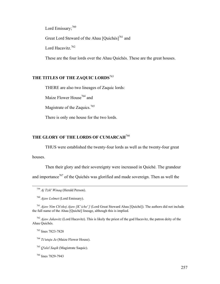Lord Emissary;<sup>760</sup>

Great Lord Steward of the Ahau [Quichés]<sup>761</sup> and

Lord Hacavitz.<sup>762</sup>

These are the four lords over the Ahau Quichés. These are the great houses.

# THE TITLES OF THE ZAQUIC LORDS<sup>763</sup>

THERE are also two lineages of Zaquic lords:

Maize Flower House<sup>764</sup> and

Magistrate of the Zaquics.<sup>765</sup>

There is only one house for the two lords.

# THE GLORY OF THE LORDS OF CUMARCAH<sup>766</sup>

THUS were established the twenty-four lords as well as the twenty-four great

houses.

Then their glory and their sovereignty were increased in Quiché. The grandeur

and importance<sup>767</sup> of the Quichés was glorified and made sovereign. Then as well the

 <sup>761</sup> *Ajaw Nim Ch'okoj Ajaw [K' iche' ]* (Lord Great Steward Ahau [Quiché]). The authors did not include the full name of the Ahau [Quiché] lineage, although this is implied.

 <sup>762</sup> *Ajaw Jakawitz* (Lord Hacavitz). This is likely the priest of the god Hacavitz, the patron deity of the Ahau Quichés.

<sup>763</sup> lines 7823-7828

<sup>764</sup> *Tz'utuju Ja* (Maize Flower House).

<sup>765</sup> *Q'alel Saqik* (Magistrate Saquic).

<sup>766</sup> lines 7829-7943

 <sup>759</sup> *Aj Tzik' Winaq* (Herald Person).

<sup>760</sup> *Ajaw Lolmet* (Lord Emissary).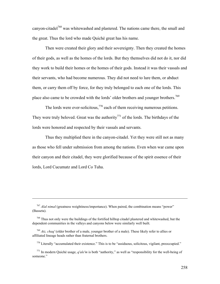canyon-citadel<sup>768</sup> was whitewashed and plastered. The nations came there, the small and the great. Thus the lord who made Quiché great has his name.

Then were created their glory and their sovereignty. Then they created the homes of their gods, as well as the homes of the lords. But they themselves did not do it, nor did they work to build their homes or the homes of their gods. Instead it was their vassals and their servants, who had become numerous. They did not need to lure them, or abduct them, or carry them off by force, for they truly belonged to each one of the lords. This place also came to be crowded with the lords' older brothers and younger brothers.<sup>769</sup>

The lords were ever-solicitous,  $770$  each of them receiving numerous petitions. They were truly beloved. Great was the authority<sup>771</sup> of the lords. The birthdays of the lords were honored and respected by their vassals and servants.

Thus they multiplied there in the canyon-citadel. Yet they were still not as many as those who fell under submission from among the nations. Even when war came upon their canyon and their citadel, they were glorified because of the spirit essence of their lords, Lord Cucumatz and Lord Co Tuha.

<sup>767</sup> *Alal nimal* (greatness weightiness/importance). When paired, the combination means "power" (Basseta).

<sup>&</sup>lt;sup>768</sup> Thus not only were the buildings of the fortified hilltop citadel plastered and whitewashed, but the dependent communities in the valleys and canyons below were similarly well built.

<sup>769</sup> *Atz, chaq'* (older brother of a male, younger brother of a male). These likely refer to allies or affiliated lineage heads rather than fraternal brothers.

<sup>&</sup>lt;sup>770</sup> Literally "accumulated their existence." This is to be "assiduous, solicitous, vigilant, preoccupied."

<sup>&</sup>lt;sup>771</sup> In modern Quiché usage, *q'ale'm* is both "authority," as well as "responsibility for the well-being of someone."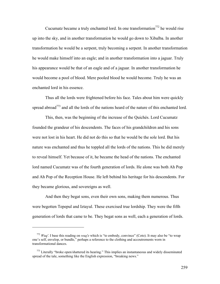Cucumatz became a truly enchanted lord. In one transformation $<sup>772</sup>$  he would rise</sup> up into the sky, and in another transformation he would go down to Xibalba. In another transformation he would be a serpent, truly becoming a serpent. In another transformation he would make himself into an eagle; and in another transformation into a jaguar. Truly his appearance would be that of an eagle and of a jaguar. In another transformation he would become a pool of blood. Mere pooled blood he would become. Truly he was an enchanted lord in his essence.

Thus all the lords were frightened before his face. Tales about him were quickly spread abroad<sup>773</sup> and all the lords of the nations heard of the nature of this enchanted lord.

This, then, was the beginning of the increase of the Quichés. Lord Cucumatz founded the grandeur of his descendents. The faces of his grandchildren and his sons were not lost in his heart. He did not do this so that he would be the sole lord. But his nature was enchanted and thus he toppled all the lords of the nations. This he did merely to reveal himself. Yet because of it, he became the head of the nations. The enchanted lord named Cucumatz was of the fourth generation of lords. He alone was both Ah Pop and Ah Pop of the Reception House. He left behind his heritage for his descendents. For they became glorious, and sovereigns as well.

And then they begat sons, even their own sons, making them numerous. Thus were begotten Tepepul and Iztayul. These exercised true lordship. They were the fifth generation of lords that came to be. They begat sons as well, each a generation of lords.

<sup>772</sup> *Wuq'.* I base this reading on *wuq'e* which is "to embody, convince" (Coto). It may also be "to wrap one's self, envelop, or bundle," perhaps a reference to the clothing and accoutrements worn in transformational dances.

<sup>&</sup>lt;sup>773</sup> Literally "broke open/shattered its hearing." This implies an instantaneous and widely disseminated spread of the tale, something like the English expression, "breaking news."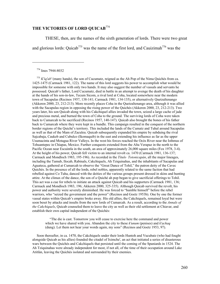# THE VICTORIES OF LORD QUICAB<sup>774</sup>

THESE, then, are the names of the sixth generation of lords. There were two great and glorious lords: Quicab<sup>775</sup> was the name of the first lord, and Cauizimah<sup>776</sup> was the

 $\overline{a}$ 

 <sup>775</sup> *K'iq'ab'* (many hands), the son of Cucumatz, reigned as the Ah Pop of the Nima Quichés from ca. 1425-1475 (Carmack 1981, 122). The name of this lord suggests his power to accomplish what would be impossible for someone with only two hands. It may also suggest the number of vassals and servants he possessed. Quicab's father, Lord Cucumatz, died in battle in an attempt to avenge the death of his daughter at the hands of his son-in-law, Tecum Sicom, a rival lord at Coha, located somewhere near the modern town of Sacapulas (Recinos 1957, 138-141; Carmack 1981, 134-135), or alternatively Quetzaltenango (Akkeren 2000, 23, 212-213). More recently places Coha in the Quetzaltenango area, although it was allied with the Sacapulas region in opposing the rising power of the Quichés (Akkeren 2000, 23, 212-213). Two years later, his son Quicab along with his Cakchiquel allies invaded the town, seized a large cache of jade and precious metal, and burned the town of Coha to the ground. The surviving lords of Coha were taken back to Cumarcah to be sacrificed (Recinos 1957, 140-147). Quicab also brought the bones of his father back to Cumarcah where they were kept in a bundle. This campaign resulted in the conquest of the northern border regions of the Quiché's territory. This included the lands of the Cumatz and Tuhal around Sacapulas as well as that of the Mam of Zaculeu. Quicab subsequently expanded his empire by subduing the rival Sajcabaja, Caukeb and Cubulco (Ikomaquib) in the east and extending his influence as far as the upper Usumacinta and Motagua River Valleys. In the west his forces reached the Ocós River near the Isthmus of Tehuantepec in Chiapas, Mexico. Further conquests extended from the Alta Verapaz in the north to the Pacific Ocean near Escuintla in the south, an area of approximately 26,000 square miles (Fox 1978, 3-4). At the height of his power, Quicab fell victim to an internal revolt ca. 1470 (Carmack 1981, 136-137; Carmack and Mondloch 1983, 195-196). As recorded in the *Título Totonicapán*, all the major lineages, including the Tamub, Ilocab, Rabinals, Cakchiquels, Ah Tziquinahas, and the inhabitants of Sacapulas and Aguateca, gathered at Cumarcah to observe the "Great Dance of Tohil," the patron deity of the Cavec Quichés. In the presence of all the lords, rebel nobles, apparently related to the same faction that had rebelled against Co Tuha, danced with the deities of the various groups present dressed in skins and hunting attire. At the climax of the dance, the son of a Quiché ah pop began to give sacrificial offerings to Tohil. This act was a cue for rebels to initiate an attack against Quicab and his supporters (Carmack 1981, 136; Carmack and Mondloch 1983, 196; Akkeren 2000, 325-335). Although Quicab survived the revolt, his power and authority were severely diminished. He was forced to "humble himself" before the rebel warriors, who "seized the government and the power" (Recinos and Goetz 1953b). One by one the former vassal states within Quicab's empire broke away. His old allies, the Cakchiquels, remained loyal but were soon beset by attacks and insults from the new lords of Cumarcah. As a result, according to the *Annals of the Cakchiquels*, Quicab counseled them to leave the city as well as their old settlement at Chiavar, and establish their own capital independent of the Quichés:

 "The die is cast. Tomorrow you will cease to exercise here the command and power which we have shared with you. Abandon the city to these *k'unum* (penises) and *k'achaq* (dung). Let them not hear your words again, my sons" (Recinos and Goetz 1953, 97).

 Soon thereafter, in ca. 1470, the Cakchiquels under their lords Huntoh and Vucubatz (who had fought alongside Quicab as his allies) founded the citadel of Iximche', an act that initiated a series of disasterous wars between the Quichés and Cakchiquels that persisted until the coming of the Spaniards in 1524. The Ah Tziquinahas were already independent for most, if not all, of the time of their occupation around Lake Atitlán, leaving the Quichés isolated and surrounded by their enemies.

<sup>774</sup> lines 7944-8032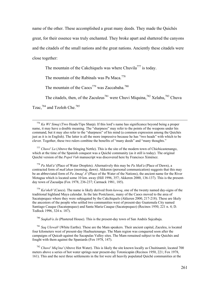name of the other. These accomplished a great many deeds. They made the Quichés great, for their essence was truly enchanted. They broke apart and shattered the canyons and the citadels of the small nations and the great nations. Anciently these citadels were close together:

The mountain of the Cakchiquels was where Chuvila<sup>777</sup> is today.

The mountain of the Rabinals was Pa Maca.<sup>778</sup>

The mountain of the Caocs<sup>779</sup> was Zaccabaha.<sup>780</sup>

The citadels, then, of the Zaculeus<sup>781</sup> were Chuvi Miquina,  $^{782}$  Xelahu,  $^{783}$  Chuva

Tzac,<sup>784</sup> and Tzoloh Che.<sup>785</sup>

 $\overline{a}$ 

 <sup>777</sup> *Chuwi' La* (Above the Stinging Nettle). This is the site of the modern town of Chichicastenango, which at the time of the Spanish conquest was a Quiché community (as it still is today). The original Quiché version of the *Popol Vuh* manuscript was discovered here by Francisco Ximénez.

 <sup>778</sup> *Pa Mak'a'* (Place of Water Droplets). Alternatively this may be *Pa Mak'a* (Place of Dawn), a contracted form of *mak'ahan* (morning, dawn). Akkeren (personal communication) suggests that this may be an abbreviated form of *Pa Amaq' A'* (Place of the Water of the Nations), the ancient name for the River Motagua which is located some 10 km. away (Hill 1996, 357; Akkeren 2000, 136-137). This is the presentday town of Zacualpa (Fox 1978, 236-237; Carmack 1981, 185).

 <sup>779</sup> *Ka'okeb'* (Caocs). The name is likely derived from *kawoq*, one of the twenty named day-signs of the traditional highland Maya calendar. In the late Postclassic, many of the Caocs moved to the area of Sacatepequez where they were subjugated by the Cakchiquels (Akkeren 2000, 217-218). These are likely the ancestors of the people who settled two communities west of present-day Guatemala City named Santiago Cauque (Sacatepequez) and Santa Maria Cauque (Sacatepequez) (Recinos 1950, 221 n. 4; D. Tedlock 1996, 324 n. 187).

<sup>780</sup> *Saqkab'a Ja* (Plastered House). This is the present-day town of San Andrés Sajcabaja.

 <sup>781</sup> *Saq Ulewab'* (White Earths). These are the Mam speakers. Their ancient capital, Zaculeu, is located four kilometers west of present-day Huehuetenango. The Mam region was conquered soon after the campaigns of Quicab against the Sacapulas Valley sites. The Mam remained subject to the Quichés and fought with them against the Spaniards (Fox 1978, 147).

 <sup>782</sup> *Chuwi' Miq'ina'* (Above Hot Water). This is likely the site known locally as Chuitinamit, located 700 meters above a series of hot water springs near present-day Totonicapán (Recinos 1950, 221; Fox 1978, 161). This and the next three settlements in the list were all heavily populated Quiché communities at the

<sup>776</sup> *Ka Wi' Simaj* (Two Heads/Tips Sharp). If this lord's name has significance beyond being a proper name, it may have a double meaning. The "sharpness" may refer to the points of the weapons under his command, but it may also refer to the "sharpness" of his mind (a common expression among the Quichés just as it is in English). The latter is all the more impressive because he has "two heads" with which to be clever. Together, these two rulers combine the benefits of "many deeds" and "many thoughts."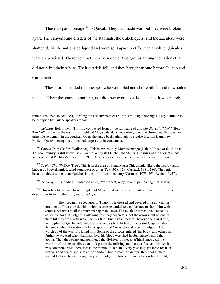These all paid homage<sup>786</sup> to Quicab. They had made war, but they were broken apart. The canyons and citadels of the Rabinals, the Cakchiquels, and the Zaculeus were shattered. All the nations collapsed and were split apart. Yet for a great while Quicab's warriors persisted. There were not then even one or two groups among the nations that did not bring their tribute. Their citadels fell, and they brought tribute before Quicab and Cauizimah.

These lords invaded the lineages, who were bled and shot while bound to wooden posts.<sup>787</sup> Their day came to nothing, nor did they ever have descendents. It was merely

 <sup>783</sup> *Xe' Laju* (Below Ten). This is a contracted form of the full name of this site, *Xe' Laju[j No'j]* (Below Ten *No'j*—a day on the traditional highland Maya calendar). According to native chronicles, this was the principle settlement in the southern Quetzaltenango basin, although its precise location is unknown. Modern Quetzaltenango is the second largest city in Guatemala.

 <sup>784</sup> *Chuwa Tz'aq* (Before Wall/Altar). This is present-day Momostenango (Nahua "Place of the Altars). This community is still known as *Chuwa Tz'aq* by its Quiché inhabitants. The ruins of the ancient citadel are now called Pueblo Viejo (Spanish "Old Town), located some six kilometers northwest of town.

 <sup>785</sup> *Tz'oloj Che'* (Willow Tree). This is in the area of Santa María Chiquimula, likely the nearby ruins known as Pugertinamit located southwest of town (Fox 1978, 129; Carmack 1981, 186). The region became subject to the Nima Quichés in the mid-fifteenth century (Carmack 1973, 291; Recinos 1957).

<sup>786</sup> *Xrixowaj*. This reading is based on *xowaj*, "to respect, obey, revere, pay homage" (Basseta).

 $^{787}$  This refers to an early form of highland Maya ritual sacrifice or execution. The following is a description from the *Annals of the Cakchiquels*:

Then began the execution of Tolgom. He dressed and covered himself with his ornaments. Then they tied him with his arms extended to a poplar tree to shoot him with arrows. Afterwards all the warriors began to dance. The music to which they danced is called the song of Tolgom. Following this they began to shoot the arrows, but no one of them hit the cords [with which he was tied], but instead they fell beyond the gourd tree, in the place of Qakbatzulú where all the arrows fell. At last our ancestor Gagavitz shot the arrow which flew directly to the spot called *Cheetzulú* and pierced Tolgom. After which all of the warriors killed him. Some of the arrows entered [his body] and others fell farther away. And when that man died, his blood was shed in abundance behind the poplar. Then they came and completed the division [of pieces of him] among all the warriors of the seven tribes that took part in the offering and the sacrifice, and his death was commemorated thereafter in the month of Uchum. Every year they gathered for their festivals and orgies and shot at the children, but instead [of arrows] they shot at them with alder branches as though they were Tolgom. Thus our grandfathers related of old,

time of the Spanish conquest, attesting the effectiveness of Quicab's military campaigns. They continue to be occupied by Quiché speakers today.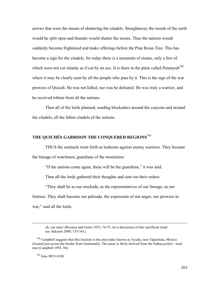arrows that were the means of shattering the citadels. Straightaway the mouth of the earth would be split open and thunder would shatter the stones. Thus the nations would suddenly become frightened and make offerings before the Pine Resin Tree. This has become a sign for the citadels, for today there is a mountain of stones, only a few of which were not cut cleanly as if cut by an axe. It is there in the plain called Petatayub<sup>788</sup> where it may be clearly seen by all the people who pass by it. This is the sign of the war prowess of Quicab. He was not killed, nor was he defeated. He was truly a warrior, and he received tribute from all the nations.

Then all of the lords planned, sending blockaders around the canyons and around the citadels, all the fallen citadels of the nations.

#### THE QUICHÉS GARRISON THE CONQUERED REGIONS<sup>789</sup>

THUS the sentinels went forth as lookouts against enemy warriors. They became the lineage of watchmen, guardians of the mountains:

"If the nations come again, these will be the guardians," it was said.

Then all the lords gathered their thoughts and sent out their orders:

"They shall be as our stockade, as the representatives of our lineage, as our fortress. They shall become our palisade, the expression of our anger, our prowess in war," said all the lords.

oh, our sons! (Recinos and Goetz 1953, 74-75; for a discussion of this sacrificial ritual see Akkeren 2000, 335-341).

<sup>&</sup>lt;sup>788</sup> Campbell suggests that this location is the area today known as Ayutla, near Tapachula, Mexico (located just across the border from Guatemala). The name is likely derived from the Nahua *petlatl*—reed mat (Campbell 1983, 84).

<sup>789</sup> lines 8033-8180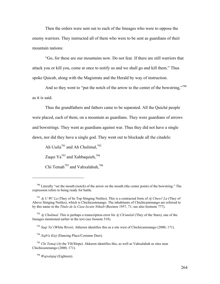Then the orders were sent out to each of the lineages who were to oppose the enemy warriors. They instructed all of them who were to be sent as guardians of their mountain nations:

"Go, for these are our mountains now. Do not fear. If there are still warriors that attack you or kill you, come at once to notify us and we shall go and kill them." Thus spoke Quicab, along with the Magistrate and the Herald by way of instruction.

And so they went to "put the notch of the arrow to the center of the bowstring,"<sup>790</sup> as it is said.

Thus the grandfathers and fathers came to be separated. All the Quiché people were placed, each of them, on a mountain as guardians. They were guardians of arrows and bowstrings. They went as guardians against war. Thus they did not have a single dawn, nor did they have a single god. They went out to blockade all the citadels:

Ah Uuila<sup>791</sup> and Ah Chulimal,<sup>792</sup>

Zaqui Ya<sup>793</sup> and Xahbaquieh,<sup>794</sup>

Chi Temah<sup>795</sup> and Vahxalahuh,<sup>796</sup>

 $^{790}$  Literally "set the mouth (notch) of the arrow on the mouth (the center point) of the bowstring." The expression refers to being ready for battle.

<sup>791</sup> *Aj U Wi' La* (They of Its Top Stinging Nettles). This is a contracted form of *Aj Chuwi' La* (They of Above Stinging Nettles), which is Chichicastenango. The inhabitants of Chichicastenango are referred to by this name in the *Título de la Casa Ixcuin Nihaib* (Recinos 1957, 71; see also footnote 777).

<sup>792</sup> *Aj Chulimal*. This is perhaps a transcription error for *Aj Ch'umilal* (They of the Stars), one of the lineages mentioned earlier in the text (see foonote 518).

<sup>793</sup> *Saqi Ya'* (White River). Akkeren identifies this as a site west of Chichicastenango (2000, 171).

<sup>794</sup> *Xajb'a Kiej* (Dancing Place/Costume Deer).

<sup>795</sup> *Chi Temaj* (At the Tilt/Slope). Akkeren identifies this, as well as Vahxalahuh as sites near Chichicastenango (2000, 171).

<sup>796</sup> *Wajxalajuj* (Eighteen).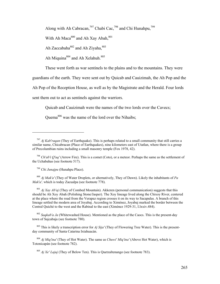Along with Ah Cabracan,<sup>797</sup> Chabi Cac,<sup>798</sup> and Chi Hunahpu,<sup>799</sup>

With Ah Maca $^{800}$  and Ah Xay Abah, $^{801}$ 

Ah Zaccabaha $^{802}$  and Ah Ziyaha, $^{803}$ 

Ah Miquina<sup>804</sup> and Ah Xelahuh.<sup>805</sup>

These went forth as war sentinels to the plains and to the mountains. They were

guardians of the earth. They were sent out by Quicab and Cauizimah, the Ah Pop and the

Ah Pop of the Reception House, as well as by the Magistrate and the Herald. Four lords

sent them out to act as sentinels against the warriors.

Quicab and Cauizimah were the names of the two lords over the Cavecs;

Quema<sup>806</sup> was the name of the lord over the Nihaibs;

 $\overline{a}$ 

 <sup>800</sup> *Aj Mak'a'* (They of Water Droplets, or alternatively, They of Dawn). Likely the inhabitants of *Pa Mak'a',* which is today Zacualpa (see footnote 778).

 <sup>801</sup> *Aj Xay Ab'aj* (They of Combed Mountain). Akkeren (personal communication) suggests that this should be Ah Xoy Abah (Polishing Stone/Jasper). The Xoy lineage lived along the Chixoy River, centered at the place where the road from the Verapaz region crosses it on its way to Sacapulas. A branch of this lineage settled the modern area of Joyabaj. According to Ximénez, Joyabaj marked the border between the Central Quiché to the west and the Rabinal to the east (Ximénez 1929-31, I.lxxiv.484).

 <sup>802</sup> *Saqkab'a Ja* (Whitewashed House). Mentioned as the place of the Caocs. This is the present-day town of Sajcabaja (see footnote 780).

 <sup>803</sup> This is likely a transcription error for *Aj Sija'* (They of Flowering Tree Water). This is the presentday community of Santa Catarina Ixtahuacán.

 <sup>804</sup> *Aj Miq'ina'* (They of Hot Water). The same as *Chuwi' Miq'ina'* (Above Hot Water), which is Totonicapán (see footnote 782).

<sup>805</sup> *Aj Xe' Lajuj* (They of Below Ten). This is Quetzaltenango (see footnote 783).

<sup>797</sup> *Aj Kab'raqan* (They of Earthquake). This is perhaps related to a small community that still carries a similar name, Chicabracan (Place of Earthquakes), nine kilometers east of Utatlan, where there is a group of Precolumbian ruins including a small masonry temple (Fox 1978, 42).

<sup>798</sup> *Ch'ab'i Q'aq'* (Arrow Fire). This is a comet (Coto), or a meteor. Perhaps the same as the settlement of the Uchabahas (see footnote 517).

<sup>799</sup> *Chi Junajpu* (Hunahpu Place).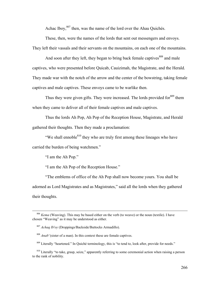Achac Iboy, $807$  then, was the name of the lord over the Ahau Quichés.

These, then, were the names of the lords that sent out messengers and envoys. They left their vassals and their servants on the mountains, on each one of the mountains.

And soon after they left, they began to bring back female captives<sup>808</sup> and male captives, who were presented before Quicab, Cauizimah, the Magistrate, and the Herald. They made war with the notch of the arrow and the center of the bowstring, taking female captives and male captives. These envoys came to be warlike then.

Thus they were given gifts. They were increased. The lords provided for  $809$  them when they came to deliver all of their female captives and male captives.

Thus the lords Ah Pop, Ah Pop of the Reception House, Magistrate, and Herald gathered their thoughts. Then they made a proclamation:

"We shall ennoble $810$  they who are truly first among these lineages who have carried the burden of being watchmen."

"I am the Ah Pop."

 $\overline{a}$ 

"I am the Ah Pop of the Reception House."

"The emblems of office of the Ah Pop shall now become yours. You shall be adorned as Lord Magistrates and as Magistrates," said all the lords when they gathered their thoughts.

<sup>806</sup> *Kema* (Weaving). This may be based either on the verb (to weave) or the noun (textile). I have chosen "Weaving" as it may be understood as either.

<sup>807</sup> *Achaq Ib'oy* (Droppings/Backside/Buttocks Armadillo).

<sup>808</sup> *Anab'* (sister of a man). In this context these are female captives.

<sup>&</sup>lt;sup>809</sup> Literally "heartened." In Quiché terminology, this is "to tend to, look after, provide for needs."

<sup>&</sup>lt;sup>810</sup> Literally "to take, grasp, seize," apparently referring to some ceremonial action when raising a person to the rank of nobility.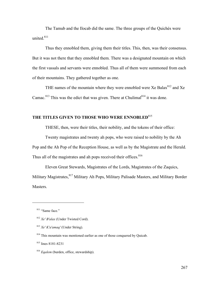The Tamub and the Ilocab did the same. The three groups of the Quichés were united.<sup>811</sup>

Thus they ennobled them, giving them their titles. This, then, was their consensus. But it was not there that they ennobled them. There was a designated mountain on which the first vassals and servants were ennobled. Thus all of them were summoned from each of their mountains. They gathered together as one.

THE names of the mountain where they were ennobled were Xe Balax $812$  and Xe Camac.<sup>813</sup> This was the edict that was given. There at Chulimal<sup>814</sup> it was done.

# THE TITLES GIVEN TO THOSE WHO WERE ENNOBLED<sup>815</sup>

THESE, then, were their titles, their nobility, and the tokens of their office:

Twenty magistrates and twenty ah pops, who were raised to nobility by the Ah Pop and the Ah Pop of the Reception House, as well as by the Magistrate and the Herald. Thus all of the magistrates and ah pops received their offices.<sup>816</sup>

Eleven Great Stewards, Magistrates of the Lords, Magistrates of the Zaquics, Military Magistrates, <sup>817</sup> Military Ah Pops, Military Palisade Masters, and Military Border Masters.

<sup>&</sup>lt;sup>811</sup> "Same face."

<sup>812</sup> *Xe' B'alax* (Under Twisted Cord).

<sup>813</sup> *Xe' K'a'amaq'* (Under String).

 $814$  This mountain was mentioned earlier as one of those conquered by Quicab.

<sup>815</sup> lines 8181-8231

<sup>816</sup> *Eqalem* (burden, office, stewardship).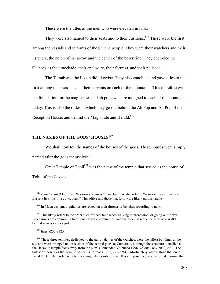These were the titles of the men who were elevated in rank.

They were also named to their seats and to their cushions.<sup>818</sup> These were the first among the vassals and servants of the Quiché people. They were their watchers and their listeners, the notch of the arrow and the center of the bowstring. They encircled the Quichés as their stockade, their enclosure, their fortress, and their palisade.

The Tamub and the Ilocab did likewise. They also ennobled and gave titles to the first among their vassals and their servants on each of the mountains. This therefore was the foundation for the magistrates and ah pops who are assigned to each of the mountains today. This is also the order in which they go out behind the Ah Pop and Ah Pop of the Reception House, and behind the Magistrate and Herald.<sup>819</sup>

#### THE NAMES OF THE GODS' HOUSES<sup>820</sup>

We shall now tell the names of the houses of the gods. These houses were simply named after the gods themselves:

Great Temple of Tohil $^{821}$  was the name of the temple that served as the house of Tohil of the Cavecs.

 <sup>817</sup> *Q'alel Achij* (Magistrate Warriors). *Achij* is "man" but may also refer to "warriors," as in this case. Basseta lists this title as "captain." This office and those that follow are likely military ranks.

 $818$  In Maya custom, dignitaries are seated on their thrones or benches according to rank.

<sup>&</sup>lt;sup>819</sup> This likely refers to the order such officers take when walking in procession, or going out to war. Processions are common in traditional Maya communities, and the order of sequence as to who walks behind who is rather rigid.

<sup>&</sup>lt;sup>820</sup> lines 8232-8325

<sup>&</sup>lt;sup>821</sup> These three temples, dedicated to the patron deities of the Quichés, were the tallest buildings at the site and were arranged on three sides of the central plaza at Cumarcah, although the structure identified as the Hacavitz temple faces away from the plaza (Fernández-Valbuena 1996, 78-80; Cook 2000, 204). The tallest of these was the Temple of Tohil (Carmack 1981, 225-226). Unfortunately, all the stone that once faced the temple has been looted, leaving only its rubble core. It is still possible, however, to determine that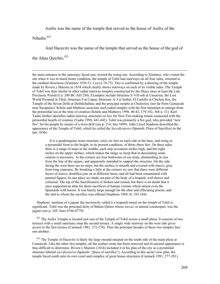Auilix was the name of the temple that served as the house of Auilix of the

Nihaibs.<sup>822</sup>

 $\overline{a}$ 

And Hacavitz was the name of the temple that served as the house of the god of

the Ahau Quichés.<sup>823</sup>

the main entrance to the sanctuary faced east, toward the rising sun. According to Ximénez, who visited the site when it was in much better condition, the temple of Tohil had stairways on all four sides, oriented to the cardinal directions (Ximénez 1929-31, I.xxvii.74-75). This is confirmed by a drawing of the temple made by Rivera y Maestra in 1834 which clearly shows stairways on each of its visible sides. The Temple of Tohil was thus similar to other radial stairway temples constructed by the Maya since at least the Late Preclassic Period (Ca. 200 BC-AD 250). Examples include Structure E-VII-sub at Uaxactun, the Lost World Pyramid at Tikal, Structure 4 at Copan, Structure A-3 at Seibal, El Castillo at Chichen Itza, the Temple of the Seven Dolls at Dzibilchaltun, and the principal temple at Chutixtiox (not far from Cumarcah near Sacapulas). Schele and Mathews associate such radial temples with the first mountain to emerge from the primordial sea at the time of creation (Schele and Mathews 1998, 40-42, 179-182, 368 n. 31). Karl Taube further identifies radial stairway structures as loci for New Fire-making rituals connected with the primordial hearth of creation (Taube 1998, 441-442). Tohil was primarily a fire god, who provided "new fire" for his people by means of a twist-drill (see p. 214; line 5499). John Lloyd Stephens described the appearance of the Temple of Tohil, which he called the *Sacrificatorio* (Spanish: Place of Sacrifice) in the late 1830s:

 It is a quadrangular stone structure, sixty-six feet on each side at the base, and rising in a pyramidal form to the height, in its present condition, of thirty-three feet. On three sides there is a range of steps in the middle, each step seventeen inches high, and but eight inches on the upper surface, which makes the range so steep that in descending some caution is necessary. At the corners are four buttresses of cut stone, diminishing in size from the line of the square, and apparently intended to support the structure. On the side facing the west there are no steps, but the surface is smooth and covered with stucco, gray from long exposure. By breaking a little at the corners we saw that there were different layers of stucco, doubtless put on at different times, and all had been ornamented with painted figures. In one place we made out part of the body of a leopard, well drawn and coloured. The top of the Sacrificatorio is broken and ruined, but there is no doubt that it once supported an altar for those sacrifices of human victims which struck even the Spaniards with horror. It was barely large enough for the altar and officiating priests, and the idol to whom the sacrifice was offered (Stephens 1969, II, 183-184).

 Stephens' mention of a jaguar (he incorrectly called it a leopard) mural on the temple of Tohil is significant. Tohil was the principal deity of Balam Quitze whose *nawal*, or animal counterpart, was the jaguar (see p. 245; lines 6766-6779).

<sup>822</sup> The Auilix Temple is located just east of the Temple of Tohil across a small plaza. It consists of two terraces with a small sanctuary atop the second terrace. A single wide stairway on the west side gives access to the first terrace (Carmack 1981, 272-274). Thus the principal facades of these two temples face one another.

 $823$  The Temple of Hacavitz is likely the large mound situated on the south side of the main plaza at Cumarcah. Like the other two temples, all the surface stone has been removed and its ancient appearance is thus difficult to determine. Rivera y Maestre (1834) included it in his plan of the city as a pyramidal structure labeled *sacrificatorio* (Spanish: "place of sacrifice"). According to this aerial view plan, the temple faced south onto its own court and complex of great house structures (Carmack 1981, 277-281).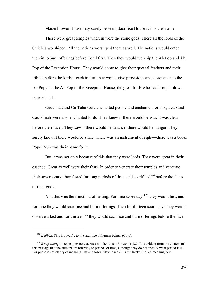Maize Flower House may surely be seen; Sacrifice House is its other name.

These were great temples wherein were the stone gods. There all the lords of the Quichés worshiped. All the nations worshiped there as well. The nations would enter therein to burn offerings before Tohil first. Then they would worship the Ah Pop and Ah Pop of the Reception House. They would come to give their quetzal feathers and their tribute before the lords—each in turn they would give provisions and sustenance to the Ah Pop and the Ah Pop of the Reception House, the great lords who had brought down their citadels.

Cucumatz and Co Tuha were enchanted people and enchanted lords. Quicab and Cauizimah were also enchanted lords. They knew if there would be war. It was clear before their faces. They saw if there would be death, if there would be hunger. They surely knew if there would be strife. There was an instrument of sight—there was a book. Popol Vuh was their name for it.

But it was not only because of this that they were lords. They were great in their essence. Great as well were their fasts. In order to venerate their temples and venerate their sovereignty, they fasted for long periods of time, and sacrificed $824$  before the faces of their gods.

And this was their method of fasting: For nine score days $825$  they would fast, and for nine they would sacrifice and burn offerings. Then for thirteen score days they would observe a fast and for thirteen $826$  they would sacrifice and burn offerings before the face

 $824$  *K'ajb'ik*. This is specific to the sacrifice of human beings (Coto).

<sup>&</sup>lt;sup>825</sup> *B'elej winaq* (nine people/scores). As a number this is 9 x 20, or 180. It is evident from the context of this passage that the authors are referring to periods of time, although they do not specify what period it is. For purposes of clarity of meaning I have chosen "days," which is the likely implied meaning here.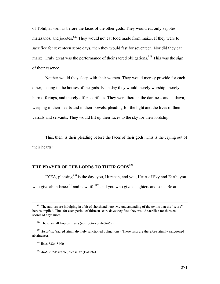of Tohil, as well as before the faces of the other gods. They would eat only zapotes, matasanos, and jocotes.<sup>827</sup> They would not eat food made from maize. If they were to sacrifice for seventeen score days, then they would fast for seventeen. Nor did they eat maize. Truly great was the performance of their sacred obligations.<sup>828</sup> This was the sign of their essence.

Neither would they sleep with their women. They would merely provide for each other, fasting in the houses of the gods. Each day they would merely worship, merely burn offerings, and merely offer sacrifices. They were there in the darkness and at dawn, weeping in their hearts and in their bowels, pleading for the light and the lives of their vassals and servants. They would lift up their faces to the sky for their lordship.

This, then, is their pleading before the faces of their gods. This is the crying out of their hearts:

### THE PRAYER OF THE LORDS TO THEIR GODS<sup>829</sup>

"YEA, pleasing<sup>830</sup> is the day, you, Huracan, and you, Heart of Sky and Earth, you who give abundance $^{831}$  and new life,  $^{832}$  and you who give daughters and sons. Be at

<sup>829</sup> lines 8326-8490

<sup>&</sup>lt;sup>826</sup> The authors are indulging in a bit of shorthand here. My understanding of the text is that the "score" here is implied. Thus for each period of thirteen score days they fast, they would sacrifice for thirteen scores of days more.

 $827$  These are all tropical fruits (see footnotes 463-469).

<sup>&</sup>lt;sup>828</sup> *Awasinik* (sacred ritual; divinely sanctioned obligations). These fasts are therefore ritually sanctioned abstinences.

<sup>830</sup> *Atob'* is "desirable, pleasing" (Basseta).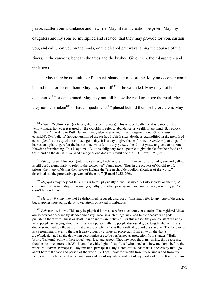peace, scatter your abundance and new life. May life and creation be given. May my daughters and my sons be multiplied and created, that they may provide for you, sustain you, and call upon you on the roads, on the cleared pathways, along the courses of the rivers, in the canyons, beneath the trees and the bushes. Give, then, their daughters and their sons.

May there be no fault, confinement, shame, or misfortune. May no deceiver come behind them or before them. May they not  $fall<sup>833</sup>$  or be wounded. May they not be dishonored<sup>834</sup> or condemned. May they not fall below the road or above the road. May they not be stricken<sup>835</sup> or have impediments<sup>836</sup> placed behind them or before them. May

 $\overline{a}$ 

<sup>832</sup> *Räxal*, "green/blueness" (vitality, newness, freshness, fertility). The combination of green and yellow is still used ceremonially to refer to the concept of "abundance." Thus in the prayers of Quiché *aj q'ij* priests, the litany of deities they invoke include the "green shoulder, yellow shoulder of the world," described as "the procreative powers of the earth" (Bunzel 1952, 266).

 <sup>833</sup> *Mepajik* (may they not fall). This is to fall physically as well as morally (into scandal or shame). A common expression today when saying goodbye, or when passing someone on the road, is *matzaq pa b'e* (don't fall on the road).

 <sup>834</sup> *Mejoxowik* (may they not be dishonored, seduced, disgraced). This may refer to any type of disgrace, but it applies most particularly to violations of sexual prohibitions.

<sup>835</sup> Pak' (strike, blow). This may be physical but it also refers to calumny or slander. The highland Maya are somewhat obsessed by slander and envy, because such things may lead to the ancestors or gods punishing them with illness or death if such words are believed. For this reason they are constantly asking what people are saying about them. When a person falls ill, people discuss at great length whether this is due to some fault on the part of that person, or whether it is the result of groundless slanders. The following is a ceremonial prayer to the Earth deity given by a priest as protection from envy on the day 8 *Aq'b'al,*designated as the day when ceremonies are to be performed as protection from slander: "Hail, World Tsokomá, come hither; reveal your face and aspect. Thou my seat, thou, my shrine, thou seest me, thou hearest me before this World and the white light of day. It is I who kneel and bow me down before the world of Heaven. Perhaps it is my mission, perhaps it is my sacred office that makes it necessary that I go about before the face and person of the world. Perhaps I pray for wealth from my business and from my land; out of my house and out of my corn and out of my wheat and out of my food and drink. It seems I am

<sup>&</sup>lt;sup>831</sup> *Q'anal*, "yellowness" (richness, abundance, ripeness). This is specifically the abundance of ripe yellow maize, however it is used by the Quichés to refer to abundance or wealth of any kind (B. Tedlock 1982, 114). According to Ruth Bunzel, it may also refer to rebirth and regeneration: "*Qanil* (*milpa*, cornfield). Symbolic of the regeneration of the earth, of rebirth after, death, as exemplified in the growth of corn. '*Qanil* is the day of the milpa, a good day. It is a day to give thanks for one's *siembres* [plantings], for harvest and planting. After the harvest one waits for the day *qanil*, either 2 or 3 *qanil*, to give thanks. And likewise after planting. This is optional. But it is obligatory for all people to give thanks for their food and their land on the day 8 *qanil*. And each year one does this, until one dies'" (Bunzel 1952, 282).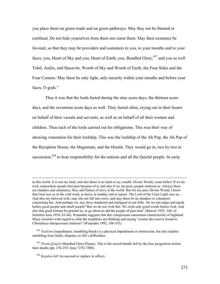you place them on green roads and on green pathways. May they not be blamed or confined. Do not hide yourselves from them nor curse them. May their existence be favored, so that they may be providers and sustainers to you, to your mouths and to your faces, you, Heart of Sky and you, Heart of Earth, you, Bundled Glory,<sup>837</sup> and you as well Tohil, Auilix, and Hacavitz, Womb of Sky and Womb of Earth, the Four Sides and the Four Corners. May there be only light, only security within your mouths and before your faces, O gods."

Thus it was that the lords fasted during the nine score days, the thirteen score days, and the seventeen score days as well. They fasted often, crying out in their hearts on behalf of their vassals and servants, as well as on behalf of all their women and children. Thus each of the lords carried out his obligations. This was their way of showing veneration for their lordship. This was the lordship of the Ah Pop, the Ah Pop of the Reception House, the Magistrate, and the Herald. They would go in, two by two in succession,<sup>838</sup> to bear responsibility for the nations and all the Quiché people. In unity

<sup>836</sup> *Toxk'om* (impediment, stumbling block) is a physical impediment or obstruction, but also implies stumbling from faults, disputes, or life's difficulties.

in this world. It is not my fault, and also there is no fault in my wealth. Divine World, come hither! If we do well, somewhere people feel pain because of it; and also if we are poor, people mistreat us. Always there are slanders and calumnies, fires and flames of envy in the world. But for my part, Divine World, I know that God sees us in the cold wind, at dawn, at midday and at sunset. The Lord of the Clear Light sees us.... And also my beloved wife, may she not fall into error; and may there be no slanders or calumnies concerning her. And perhaps we, too, have slandered and maligned in our folly. Do we not judge and speak before great people and small people? But we do not wish this. We wish only good words before God. And also that good fortune be granted us, to go about as did the people of past time" (Bunzel 1952, 346; cf. Schultze-Jena 1954, 43-44). Watanabe suggests that this conspicuous uneasiness characteristic of highland Maya societies with regard to what the neighbors are thinking and saying "creates the reserve found in Chimalteco interpersonal relations" (Watanabe 1992, 100-101).

<sup>&</sup>lt;sup>837</sup> *Pisom Q'aq'al* (Bundled Glory/Flame). This is the sacred bundle left by the four progenitors before their deaths (pp. 254-255; lines 7276-7300).

<sup>838</sup> *Kejalow kib'* (to succeed or replace in office).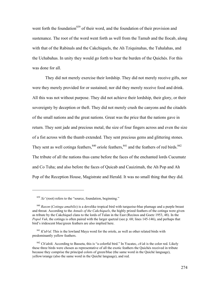went forth the foundation<sup>839</sup> of their word, and the foundation of their provision and sustenance. The root of the word went forth as well from the Tamub and the Ilocab, along with that of the Rabinals and the Cakchiquels, the Ah Tziquinahas, the Tuhalahas, and the Uchabahas. In unity they would go forth to bear the burden of the Quichés. For this was done for all.

They did not merely exercise their lordship. They did not merely receive gifts, nor were they merely provided for or sustained; nor did they merely receive food and drink. All this was not without purpose. They did not achieve their lordship, their glory, or their sovereignty by deception or theft. They did not merely crush the canyons and the citadels of the small nations and the great nations. Great was the price that the nations gave in return. They sent jade and precious metal, the size of four fingers across and even the size of a fist across with the thumb extended. They sent precious gems and glittering stones. They sent as well cotinga feathers,  $840$  oriole feathers,  $841$  and the feathers of red birds.  $842$ The tribute of all the nations thus came before the faces of the enchanted lords Cucumatz and Co Tuha; and also before the faces of Quicab and Cauizimah, the Ah Pop and Ah Pop of the Reception House, Magistrate and Herald. It was no small thing that they did.

 $839$   $Xe'$  (root) refers to the "source, foundation, beginning."

<sup>840</sup> *Raxon* (*Cotinga amabilis*) is a dovelike tropical bird with turquoise-blue plumage and a purple breast and throat. According to the *Annals of the Cakchiquels*, the highly prized feathers of the cotinga were given as tribute by the Cakchiquel clans to the lords of Tulan in the East (Recinos and Goetz 1953, 48). In the *Popol Vuh*, the cotinga is often paired with the larger quetzal (see p. 68; lines 145-146), and perhaps that bird's iridescent blue/green feathers are also implied here.

 $841$  *K'ub'ul.* This is the lowland Maya word for the oriole, as well as other related birds with predominantly yellow feathers.

<sup>842</sup> *Ch'aktik.* According to Basseta, this is "a colorful bird." In Yucatec, *ch'ak* is the color red. Likely these three birds were chosen as representative of all the exotic feathers the Quichés received in tribute because they comprise the principal colors of green/blue (the same word in the Quiché language), yellow/orange (also the same word in the Quiché language), and red.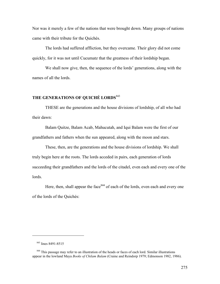Nor was it merely a few of the nations that were brought down. Many groups of nations came with their tribute for the Quichés.

The lords had suffered affliction, but they overcame. Their glory did not come quickly, for it was not until Cucumatz that the greatness of their lordship began.

We shall now give, then, the sequence of the lords' generations, along with the names of all the lords.

### THE GENERATIONS OF OUICHÉ LORDS<sup>843</sup>

THESE are the generations and the house divisions of lordship, of all who had their dawn:

Balam Quitze, Balam Acab, Mahucutah, and Iqui Balam were the first of our grandfathers and fathers when the sun appeared, along with the moon and stars.

These, then, are the generations and the house divisions of lordship. We shall truly begin here at the roots. The lords acceded in pairs, each generation of lords succeeding their grandfathers and the lords of the citadel, even each and every one of the lords.

Here, then, shall appear the face<sup>844</sup> of each of the lords, even each and every one of the lords of the Quichés:

<sup>&</sup>lt;sup>843</sup> lines 8491-8515

<sup>&</sup>lt;sup>844</sup> This passage may refer to an illustration of the heads or faces of each lord. Similar illustrations appear in the lowland Maya *Books of Chilam Balam* (Craine and Reindorp 1979; Edmonson 1982, 1986).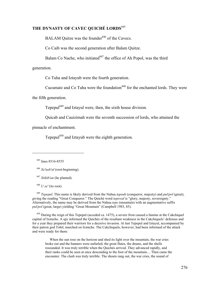## THE DYNASTY OF CAVEC QUICHÉ LORDS<sup>845</sup>

BALAM Quitze was the founder<sup>846</sup> of the Cavecs.

Co Caib was the second generation after Balam Quitze.

Balam Co Nache, who initiated<sup>847</sup> the office of Ah Popol, was the third

generation.

Co Tuha and Iztayub were the fourth generation.

Cucumatz and Co Tuha were the foundation<sup>848</sup> for the enchanted lords. They were

the fifth generation.

Tepepul<sup>849</sup> and Iztayul were, then, the sixth house division.

Quicab and Cauizimah were the seventh succession of lords, who attained the

pinnacle of enchantment.

Tepepul<sup>850</sup> and Iztayub were the eighth generation.

<sup>845</sup> lines 8516-8555

 $\overline{a}$ 

 $848$  *U xe'* (its root).

 <sup>849</sup> *Tepepul*. This name is likely derived from the Nahua *tepeuh* (conqueror, majesty) and *pul/pol* (great), giving the reading "Great Conqueror." The Quiché word *tepewal* is "glory, majesty, sovereignty." Alternatively, the name may be derived from the Nahua *tepe* (mountain) with an augmentative suffix *pul/pol* (great, large) yielding "Great Mountain" (Campbell 1983, 85).

<sup>850</sup> During the reign of this Tepepul (acceded ca. 1475), a severe frost caused a famine at the Cakchiquel capital of Iximche. A spy informed the Quichés of the resultant weakness in the Cakchiquels' defenses and for a year they prepared their warriors for a decisive invasion. At last Tepepul and Iztayul, accompanied by their patron god Tohil, marched on Iximche. The Cakchiquels, however, had been informed of the attack and were ready for them:

 When the sun rose on the horizon and shed its light over the mountain, the war cries broke out and the banners were unfurled; the great flutes, the drums, and the shells resounded. It was truly terrible when the Quichés arrived. They advanced rapidly, and their ranks could be seen at once descending to the foot of the mountain.... Then came the encounter. The clash was truly terrible. The shouts rang out, the war cries, the sound of

<sup>846</sup> *Xe'nab'al* (root-beginning).

<sup>847</sup> *Xtikib'an* (he planted).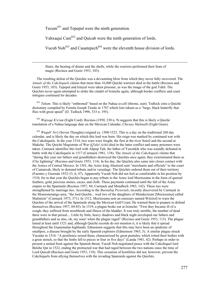Tecum<sup>851</sup> and Tepepul were the ninth generation.

Vahxaqui Cam<sup>852</sup> and Quicab were the tenth generation of lords.

Vucub Noh<sup>853</sup> and Cauatepech<sup>854</sup> were the eleventh house division of lords.

 flutes, the beating of drums and the shells, while the warriors performed their feats of magic (Recinos and Goetz 1953, 103).

 The resulting defeat of the Quichés was a devastating blow from which they never fully recovered. The *Annals of the Cakchiquels* claims that more than 16,000 Quiché warriors died in the battle (Recinos and Goetz 1953, 103). Tepepul and Iztayul were taken prisoner, as was the image of the god Tohil. The Quichés never again attempted to strike the citadel of Iximche again, although border conflicts and court intrigues continued for decades.

 <sup>851</sup> *Tekum*. This is likely "enthroned" based on the Nahua *tecalli* (throne, seat). Tedlock cites a Quiché dictionary compiled by Fermín Joseph Tirado in 1787 which lists tekum as a "large, black butterfly that flies with great speed" (D. Tedlock 1996, 333 n. 195).

 <sup>852</sup> *Wajxaqi K'a'am* (Eight Cord). Recinos (1950, 230 n. 9) suggests that this is likely a Quiché translation of a Nahua language date on the Mexican Calendar, *Chicuey Malinalli* (Eight Grass).

 <sup>853</sup> *Wuqub' No'j* (Seven Thoughts) reigned ca. 1500-1523. This is a day on the traditional 260 day calendar, and is likely the day on which this lord was born. His reign was marked by continued war with the Cakchiquels. In the year 1514, two wars were fought, the first at the river Sotzil and the second at Mukche. The Quiché Magistrate of War (*Q'alel Achi*) died in the latter conflict and many prisoners were taken. Carmack identifies this lord with Ahpop Tuh, the father of Yaxonkik who was soundly defeated in battle with the Cakchiquels in 1517 (Carmack 1981, 138). The *Annals of the Cakchiquels* claims that "during this year our fathers and grandfathers destroyed the Quichés once again; they exterminated them as if by lightning" (Recinos and Goetz 1953, 114). In his day, the Quichés also came into closer contact with the Aztecs of Central Mexico. In 1501, the Aztec king Ahuitzotl sent "merchants and officials" to the court of Cumarcah, likely to demand tribute and/or vassalage. The Quichés ordered them out of their territory (Fuentes y Guzmán 1932-33, 6, 47). Apparently Vucub Noh did not feel as comfortable in his position by 1510, for in that year the Quichés began to pay tribute to the Aztec lord Moctezuma in the form of quetzal feathers, gold, precious stones, cacao, and cloth. These payments continued until the fall of the Aztec empire to the Spaniards (Recinos 1957, 84; Carmack and Mondloch 1983, 142). These ties were strengthened by marriage ties. According to the *Buenabaj Pictorials*, recently discovered by Carmack in the Momostenango area, "the lord Quiché... wed two of the daughters of Mendectzum [Moctezuma] called Malintzin" (Carmack 1973, 371). In 1512, Moctezuma sent an emissary named Witzitzil to warn the Quichés of the arrival of the Spaniards along the Mexican Gulf Coast. He warned them to prepare to defend themselves (Recinos 1957, 84-85). In 1519, a plague broke out at Iximche: "First they became ill of a cough, they suffered from nosebleeds and illness of the bladder. It was truly terrible, the number of dead there were in that period.... Little by little, heavy shadows and black night enveloped our fathers and grandfathers and us also, oh, my sons! when the plague raged" (Recinos and Goetz 1953, 115). The plague lasted at least until 1521 and, although Quiché records do not mention it, it is likely that it spread throughout the Guatemalan highlands. Edmonson suggests that this may have been an epidemic of smallpox, a disease brought by the early Spanish explorers (Edmonson 1965, 5). A similar plague struck Yucatán in 1516: "A pestilence seized them, characterized by great pustules, which rotted their bodies with a great stench, so that the limbs fell to pieces in four or five days" (Landa 1941, 42). Perhaps in order to present a united front against the Spanish threat, Vucub Noh negotiated peace with the Cakchiquel lord Belehe Qat in 1522, ending the protracted war that had raged between the two nations since the time of Lord Quicab (Recinos and Goetz 1953, 118). This cessation of hostilities did not, however, prevent the Cakchiquels from allying themselves with the invading Spaniards against the Quichés.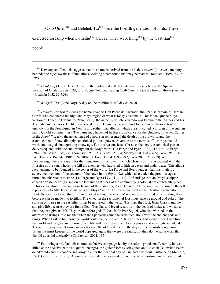Oxib Quieh<sup>855</sup> and Beleheb  $Tzi^{856}$  were the twelfth generation of lords. These

exercised lordship when Donadiu<sup>857</sup> arrived. They were hung<sup>858</sup> by the Castilian<sup>859</sup>

people.

 $\overline{a}$ 

<sup>856</sup> *B'elejeb' Tz'i'* (Nine Dog). A day on the traditional 260 day calendar.

 857 *Donadiu* (or *Tonatiu*) was the name given to Don Pedro de Alvarado, the Spanish captain of Hernán Cortés who conquered the highland Maya region of what is today Guatemala. This is the Quiché Maya version of Tonatiuh (Nahua for "sun, heat"), the name by which Alvarado was known to the Aztecs and his Tlaxcalan mercenaries. He likely received this nickname because of his blonde hair, a physical trait unknown in the Precolumbian New World (other than albinos, which are still called "children of the sun" in many Quiché communities). The name may have had further significance for the Quichés, however. Earlier in the *Popol Vuh* text, the appearance of a new sun represented the death of the old world and the establishment of new, divinely-sanctioned political power. Alvarado as the new "sun" destroys the old world and its gods inaugurating a new age. For this reason, Jesus Christ as the newly-established patron deity is equated with the sun throughout the Maya world (La Farge and Byers 1931, 113-114; La Farge 1947, 104; Mace 1970, 24; Thompson 1970, 234; Vogt 1970, 4; Morley et al. 1983, 465; Cook 1986, 140, 148; Tarn and Prechtel 1986, 174, 180-181; Freidel et al. 1993, 292; Cook 2000, 215-219). At Jacaltenango, there is a myth for the foundation of the town in which Christ's birth is associated with the first rise of the sun, whose rays kill his enemies who had tried to hide in caves and under water. This allows Jacaltenango to be founded in the center of the world. La Farge and Byers suggest that this myth is a syncretized version of the account of the dawn in the *Popol Vuh,* which also ended the previous age and turned its inhabitants to stone (La Farge and Byers 1931, 113-114). At Santiago Atitlán, Maya sculptors carved a vessel bearing a sun on the left and right sides of the community's colonial era church altarpiece. In his explanation of the sun vessels, one of the sculptors, Diego Chávez Petzey, said that the sun on the left represents a tortilla, because maize is the Maya "sun." The sun on the right is the Christian eucharistic Host. He went on to say that life cannot exist without sacrifice. Maize must be crushed on a grinding stone before it can be made into tortillas. The wheat in the sacramental Host must also be ground and baked. The sun can only rise in the east after it has been buried in the west: "Tortillas, the Host, Jesus Christ, and the sun give life because they are first killed. Tortillas and bread result from the death of maize and wheat so that they can give us life. They are therefore gods." Nicolás Chávez Sojuel, who also worked on the altarpiece carvings, told me that when the Spaniards came the earth died along with the ancient gods and kings. When I asked him how the world could die, he replied: "The earth has died many times. Each time the world and its gods are reborn to new life and they regain their former power and new gods are added.... The saints today have Spanish names because the old earth died in the days of the Spanish conquerors. When the spirit keepers of the world appeared again they were the saints, but they do the same work that the old gods did anciently" (Christenson 2001, 135).

<sup>858</sup> Following a brief and disasterous defensive campaign led by the ruler's grandson, Tecum (who was killed at the decisive battle at Quetzaltenango), the Quiché lords Oxib Quieh and Beleheb Tzi invited Pedro de Alvarado and his conquering army to enter their capital city of Cumarcah without resistance on March 7, 1524. Once inside the city, Alvarado suspected treachery and ordered the arrest, torture, and execution of

<sup>854</sup> Kawatepech. Tedlock suggests that this name is derived from the Nahua *cauani* (to leave a memory behind) and *tepechtli* (base, foundation), yielding a compound that may be read as "founder" (1996, 333 n. 195).

<sup>855</sup> *Oxib' Kiej* (Three Deer). A day on the traditional 260 day calendar. Shortly before the Spanish invasion of Guatemala in 1524, lord Vucub Noh died leaving Oxib Quiej to face the foreign threat (Fuentes y Guzmán 1932-33,7.390).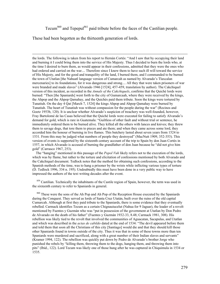Tecum<sup>860</sup> and Tepepul<sup>861</sup> paid tribute before the faces of the Castilian people.

These had been begotten as the thirteenth generation of lords.

 the lords. The following is taken from his report to Hernán Cortés: "And I saw that by occupying their land and burning it I could bring them into the service of His Majesty. Thus I decided to burn the lords who, at the time I desired to burn them, as would appear in their confessions, admitted that they were the ones who had ordered and carried on the war.... Therefore since I knew them to have such ill will toward the service of His Majesty, and for the good and tranquility of the land, I burned them, and I commanded to be burned the town of Utatlan [the Nahuatl language version of Cumarcah as named by Alvarado's Tlaxcalan mercenaries] to its foundations, for it was dangerous and strong.... All they that were taken prisoners of war were branded and made slaves" (Alvarado 1946 [1524], 457-459, translation by author). The Cakchiquel version of this incident, as recorded in the *Annals of the Cakchiquels*, confirms that the Quiché lords were burned: "Then [the Spaniards] went forth to the city of Gumarcaah, where they were received by the kings, the Ahpop and the Ahpop Qamahay, and the Quichés paid them tribute. Soon the kings were tortured by Tunatiuh. On the day 4 Qat [March 7, 1524] the kings Ahpop and Ahpop Qamahay were burned by Tunatiuh. The heart of Tunatiuh was without compassion for the people during the war" (Recinos and Goetz 1953b, 120). It is unclear whether Alvarado's suspicion of treachery was well-founded, however, Fray Bartolomé de las Casas believed that the Quiché lords were executed for failing to satisfy Alvarado's demand for gold, which is rare in Guatemala: "Guiltless of other fault and without trial or sentence, he immediately ordered them to be burned alive. They killed all the others with lances and knives; they threw them to savage dogs, that tore them to pieces and ate them; and when they came across some lord, they accorded him the honour of burning in live flames. This butchery lasted about seven years from 1524 to 1531. From this may be judged what numbers of people they destroyed" (MacNutt 1909, 352-353). This version of events is supported by the sixteenth century account of the trip to Spain by don Juan Cortés in 1557, in which Alvarado is accused of burning the grandfather of don Juan because he "did not give him gold" (Carrasco 1967, 253).

 The "hanging" mentioned in this passage of the *Popol Vuh* likely refers not to the execution of the lords, which was by flame, but rather to the torture and elicitation of confessions mentioned by both Alvarado and the Cakchiquel document. Tedlock notes that the method for obtaining such confessions, according to the Spanish methods of the time, was to hang a prisoner by the wrists while inflicting various types of torture (D. Tedlock 1996, 334 n. 195). Undoubtedly this must have been done in a very public way to have impressed the authors of the text writing decades after the event.

<sup>859</sup> Castilian. Technically the inhabitants of the Castile region of Spain, however, the term was used in the sixteenth century to refer to Spaniards in general.

<sup>860</sup> These were the sons of the Ah Pop and Ah Pop of the Reception House executed by the Spaniards during the Conquest. They served as lords of Santa Cruz Utatán, built over the ruins of the old capital Cumarcah. Although at first they paid tribute to the Spaniards, there is some evidence that they eventually rebelled. Carmack identifies Tecum as a certain Chignauiucelut (Nahua for 9 Jaguar), the leader of a revolt mentioned by Fuentes y Guzmán who was "put in possession of the government at Utatlan by Don Pedro de Alvarado on the death of his father" (Fuentes y Guzmán 1932-33, 8.48; Carmack 1981, 308). His rebellion was likely tied to the revolt that involved the communities of Aguacatan, Sacapulas, and Utatlan and which was described in the *actas de cabildo* dated at the end of 1534: "The devil appeared before them and told them that soon all the Christians of this city [Santiago] would die and that they should kill those other Spaniards found in towns outside of the city. Thus it was that in some of these towns more than ten Spaniards were murdered and sacrificed, along with a great number of their Indian slaves and servants" (Kramer 1994, 122). The rebellion was quickly put down by Pedro de Alvarado's brother Jorge who punished the rebels by "killing them, throwing them to the dogs, hanging them, and throwing them into pits" (Ibid., 122). Lord Tecum was likely one of those hung after he was captured in Chiquimula in 1534 or 1535.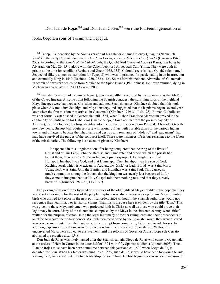Don Juan de Rojas<sup>862</sup> and Don Juan Cortes<sup>863</sup> were the fourteenth generation of

lords, begotten sons of Tecum and Tepepul.

<sup>861</sup> Tepepul is identified by the Nahua version of his calendric name Chicuey Quiaguit (Nahua: "8 Rain") in the early Colonial document, *Don Juan Cortés, cacique de Santa Cruz Quiché* (Carrasco 1967, 253). According to the *Annals of the Cakchiquels*, the Quiché lord Quivawit Caok (8 Rain), was hung by Alvarado on May 26, 1540 along with the Cakchiquel lord Ahpozotzil Cahi Ymox. They were both in prison at the time for rebellion (Recinos and Goetz 1953, 132). Colonial records list a Quiché ruler named Sequechul (likely a poor transcription for Tepepul) who was imprisoned for participating in an insurrection and eventually hung in 1540 (Recinos 1950, 232 n. 12). Soon after this incident, Alvarado left Guatemala in search of a western sea-route from Mexico to the Spice Islands (Philippines). He never returned, dying in Michoacan a year later in 1541 (Akkeren 2003).

<sup>862</sup> Juan de Rojas, son of Tecum (9 Jaguar), was eventuallly recognized by the Spaniards as the Ah Pop of the Cavec lineage. At some point following the Spanish conquest, the surviving lords of the highland Maya lineages were baptized as Christians and adopted Spanish names. Ximénez doubted that this took place when Alvarado invaded highland Maya territory, and suggested that the baptisms began several years later when the first missionaries arrived in Guatemala (Ximénez 1929-31, I.xli.128). Roman Catholicism was not formally established in Guatemala until 1534, when Bishop Francisco Marroquín arrived in the capital city of Santiago de los Caballeros (Pueblo Viejo, a town not far from the present-day city of Antigua), recently founded by Jorge de Alvarado, the brother of the conqueror Pedro de Alvarado. Over the next few years, Bishop Marroquín sent a few missionary friars with portable altars to the various Indian towns and villages to baptize the inhabitants and destroy any remnants of "idolatry" and "paganism" that may have survived the purges of the conquest itself. There were instances of serious resistance to the labors of the missionaries. The following is an account given by Ximénez:

 It happened in this kingdom soon after being conquered that, hearing of the lives of Christ and of Our Lady, John the Baptist, and Saint Peter and others which the priests had taught them, there arose a Mexican Indian, a pseudo-prophet. He taught them that Huhapu [Hunahpu] was God, and that Hununapu [One Hunahpu] was the son of God; Xuchinquezal, which is Mexican, or Aquiexquic [Xkik', or Lady Blood] was Saint Mary; Vaxaquicab was Saint John the Baptist, and Huntihax was Saint Paul. This caused so much commotion among the Indians that the kingdom was nearly lost because of it, for they came to imagine that our Holy Gospel told them nothing new and that they already knew of it (Ximénez 1929-31, I.xxiii.57).

 Early evangelization efforts focused on survivors of the old highland Maya nobility in the hope that they would set an example for the rest of the people. Baptism was also a necessary step for any Maya of noble birth who aspired to a place in the new political order, since without it the Spanish authorities would not recognize their legitimacy or territorial claims. That this is the case here is evident by the title "Don." This was given to those Maya noblemen who professed faith in Christ as well as those who could prove their legitimacy in court. Many of the documents composed by the Maya in the sixteenth century were "titles" written for the purpose of establishing the legal legitimacy of former ruling lords and their descendents in an effort to recover hereditary honors. As noblemen recognized by the Spanish Crown, they were allowed to receive some tribute from their subjects, to be exempt from compulsory labor, and to ride horses. In addition, baptism afforded a measure of protection from the excesses of Spanish rule. Without it, unconverted Maya were subject to enslavement until the reforms of Governor Alonso López de Cerrato abolished the practice after 1548.

 Don Juan de Rojas was likely named after the Spanish captain Diego de Rojas who came to Guatemala at the orders of Hernán Cortés in the latter half of 1524 with fifty Spanish soldiers (Akkeren 2003). Thus, Juan de Rojas must have been born sometime between this year and ca. 1530 when Diego de Rojas departed for Peru. When his father was hung in ca. 1535, Juan de Rojas would have been too young to rule, leaving the Quichés without effective leadership for some time. He had begun to exercise some measure of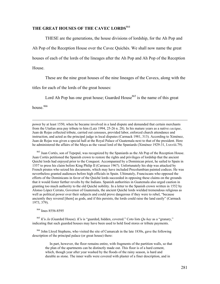#### THE GREAT HOUSES OF THE CAVEC LORDS<sup>864</sup>

THESE are the generations, the house divisions of lordship, for the Ah Pop and

Ah Pop of the Reception House over the Cavec Quichés. We shall now name the great

houses of each of the lords of the lineages after the Ah Pop and Ah Pop of the Reception

House.

These are the nine great houses of the nine lineages of the Cavecs, along with the

titles for each of the lords of the great houses:

Lord Ah Pop has one great house; Guarded House<sup>865</sup> is the name of this great

house.<sup>866</sup>

 $\overline{a}$ 

power by at least 1550, when he became involved in a land dispute and demanded that certain merchants from the Utatlan area pay tribute to him (Lutz 1994, 25-26 n. 28). In his mature years as a native *cacique*, Juan de Rojas collected tribute, carried out censuses, provided labor, enforced church attendance and instruction, and acted as the principal judge in local disputes (Carmack 1981, 313). According to Ximénez, Juan de Rojas was given a special hall at the Royal Palace of Guatemala next to that of the president. Here he administered the affairs of the Maya as the vassal lord of the Spaniards (Ximénez 1929-31, I.xxviii.79).

<sup>863</sup> Juan Cortés, son of Tepepul, was recognized by the Spaniards as the Ah Pop of the Reception House. Juan Cortés petitioned the Spanish crown to restore the rights and privileges of lordship that the ancient Quiché lords had enjoyed prior to the Conquest. Accompanied by a Dominican priest, he sailed to Spain in 1557 to press his claim before King Philip II (Carrasco 1967). Unfortunately his ship was attacked by French pirates who seized his documents, which may have included Precolumbian painted codices. He was nevertheless granted audiences before high officials in Spain. Ultimately, Franciscans who opposed the efforts of the Dominicans in favor of the Quiché lords succeeded in opposing these claims on the grounds that it would foster further revolts by the Indians. Spanish authorities in Guatemala also urged caution in granting too much authority to the old Quiché nobility. In a letter to the Spanish crown written in 1552 by Alonso López Cerrato, Governor of Guatemala, the ancient Quiché lords wielded tremendous religious as well as political power over their subjects and could prove dangerous if they were to rebel, "because anciently they revered [them] as gods, and if this persists, the lords could raise the land easily" (Carmack 1973, 379).

<sup>864</sup> lines 8556-8595

 <sup>865</sup> *K'u Ja* (Guarded House). *K'u* is "guarded, hidden, covered." Coto lists *Qu hay* as a "granary," indicating that such guarded houses may have been used to hold food stores or tribute payments.

<sup>866</sup> John Lloyd Stephens, who visited the site of Cumarcah in the late 1830s, gave the following description of the principal palace (or great house) there:

 In part, however, the floor remains entire, with fragments of the partition walls, so that the plan of the apartments can be distinctly made out. This floor is of a hard cement, which, though year after year washed by the floods of the rainy season, is hard and durable as stone. The inner walls were covered with plaster of a finer description, and in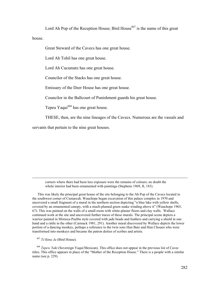Lord Ah Pop of the Reception House; Bird House<sup>867</sup> is the name of this great house.

Great Steward of the Cavecs has one great house.

Lord Ah Tohil has one great house.

Lord Ah Cucumatz has one great house.

Councilor of the Stacks has one great house.

Emissary of the Deer House has one great house.

Councilor in the Ballcourt of Punishment guards his great house.

Tepeu Yaqui<sup>868</sup> has one great house.

THESE, then, are the nine lineages of the Cavecs. Numerous are the vassals and

servants that pertain to the nine great houses.

 corners where there had been less exposure were the remains of colours; no doubt the whole interior had been ornamented with paintings (Stephens 1969, II, 183).

 This was likely the principal great house of the site belonging to the Ah Pop of the Cavecs located in the southwest corner of Cumarcah. Wauchope began excavation of this palace complex in 1970 and uncovered a small fragment of a mural in the northern section depicting "a blue lake with yellow shells, covered by an ornamented canopy, with a much-plumed green snake winding above it" (Wauchope 1965, 67). This was painted on the walls of a small room with white-plaster floors and clay walls. Wallace continued work at the site and uncovered further traces of these murals. The principal scene depicts a warrior painted in Mixteca-Puebla style covered with jade beads and feathers and carrying a shield in one hand and a rattle in the other (Carmack 1981, 291). Another mural discovered by Wallace depicts the lower portion of a dancing monkey, perhaps a reference to the twin sons Hun Batz and Hun Chouen who were transformed into monkeys and became the patron deities of scribes and artists.

<sup>867</sup> *Tz'ikina Ja* (Bird House).

 <sup>868</sup> *Tepew Yaki* (Sovereign Yaqui/Mexican). This office does not appear in the previous list of Cavec titles. This office appears in place of the "Mother of the Reception House." There is a people with a similar name (see p. 229).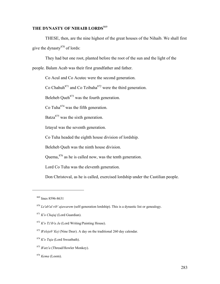### THE DYNASTY OF NIHAIB LORDS<sup>869</sup>

THESE, then, are the nine highest of the great houses of the Nihaib. We shall first give the dynasty $870$  of lords:

They had but one root, planted before the root of the sun and the light of the

people. Balam Acab was their first grandfather and father.

Co Acul and Co Acutec were the second generation.

Co Chahuh<sup>871</sup> and Co Tzibaha<sup>872</sup> were the third generation.

Beleheb Queh $^{873}$  was the fourth generation.

Co Tuha $^{874}$  was the fifth generation.

Batza $^{875}$  was the sixth generation.

Iztayul was the seventh generation.

Co Tuha headed the eighth house division of lordship.

Beleheb Queh was the ninth house division.

Quema, <sup>876</sup> as he is called now, was the tenth generation.

Lord Co Tuha was the eleventh generation.

Don Christoval, as he is called, exercised lordship under the Castilian people.

<sup>&</sup>lt;sup>869</sup> lines 8596-8631

<sup>870</sup> *Le'ab'al rib' ajawarem* (self-generation lordship). This is a dynastic list or genealogy.

<sup>871</sup> *K'o Chajuj* (Lord Guardian).

<sup>872</sup> *K'o Tz'ib'a Ja* (Lord Writing/Painting House).

<sup>873</sup> *B'elejeb' Kej* (Nine Deer). A day on the traditional 260 day calendar.

<sup>874</sup> *K'o Tuja* (Lord Sweatbath).

<sup>875</sup> *B'atz'a* (Thread/Howler Monkey).

<sup>876</sup> *Kema* (Loom).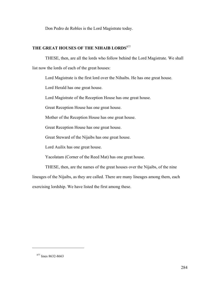Don Pedro de Robles is the Lord Magistrate today.

#### THE GREAT HOUSES OF THE NIHAIB LORDS<sup>877</sup>

THESE, then, are all the lords who follow behind the Lord Magistrate. We shall list now the lords of each of the great houses:

Lord Magistrate is the first lord over the Nihaibs. He has one great house.

Lord Herald has one great house.

Lord Magistrate of the Reception House has one great house.

Great Reception House has one great house.

Mother of the Reception House has one great house.

Great Reception House has one great house.

Great Steward of the Nijaibs has one great house.

Lord Auilix has one great house.

Yacolatam (Corner of the Reed Mat) has one great house.

THESE, then, are the names of the great houses over the Nijaibs, of the nine

lineages of the Nijaibs, as they are called. There are many lineages among them, each

exercising lordship. We have listed the first among these.

<sup>&</sup>lt;sup>877</sup> lines 8632-8663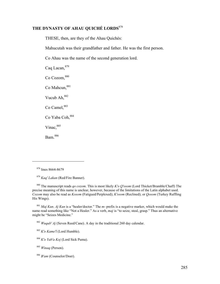## THE DYNASTY OF AHAU QUICHÉ LORDS<sup>878</sup>

THESE, then, are they of the Ahau Quichés:

Mahucutah was their grandfather and father. He was the first person.

Co Ahau was the name of the second generation lord.

Caq Lacan, 879

Co Cozom, 880

Co Mahcun, 881

Vucub Ah,  $882$ 

Co Camel.<sup>883</sup>

Co Yaba Coh, 884

Vinac,  $885$ 

Bam.<sup>886</sup>

 $\overline{a}$ 

<sup>879</sup> *Kaq' Lakan* (Red/Fire Banner).

 <sup>880</sup> The manuscript reads *qo cozom*. This is most likely *K'o Q'osom* (Lord Thicket/Bramble/Chaff) The precise meaning of this name is unclear, however, because of the limitations of the Latin alphabet used. *Cozom* may also be read as *Kosom* (Fatigued/Perplexed); *K'osom* (Reclined); or *Qosom* (Turkey Ruffling His Wings).

 <sup>881</sup> *Maj Kun*. *Aj Kun* is a "healer/doctor." The *m*- prefix is a negative marker, which would make the name read something like "Not a Healer." As a verb, *maj* is "to seize, steal, grasp." Thus an alternative might be "Seizes Medicine."

<sup>882</sup> *Wuqub' Aj* (Seven Reed/Cane). A day in the traditional 260 day calendar.

<sup>883</sup> *K'o Kame'l* (Lord Humble).

<sup>884</sup> *K'o Yab'a Koj* (Lord Sick Puma).

<sup>885</sup> *Winaq* (Person).

<sup>886</sup> *B'am* (Counselor/Doer).

<sup>878</sup> lines 8664-8679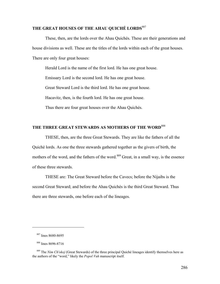### THE GREAT HOUSES OF THE AHAU QUICHÉ LORDS<sup>887</sup>

These, then, are the lords over the Ahau Quichés. These are their generations and house divisions as well. These are the titles of the lords within each of the great houses. There are only four great houses:

Herald Lord is the name of the first lord. He has one great house. Emissary Lord is the second lord. He has one great house. Great Steward Lord is the third lord. He has one great house. Hacavitz, then, is the fourth lord. He has one great house. Thus there are four great houses over the Ahau Quichés.

#### THE THREE GREAT STEWARDS AS MOTHERS OF THE WORD<sup>888</sup>

THESE, then, are the three Great Stewards. They are like the fathers of all the Quiché lords. As one the three stewards gathered together as the givers of birth, the mothers of the word, and the fathers of the word.<sup>889</sup> Great, in a small way, is the essence of these three stewards.

THESE are: The Great Steward before the Cavecs; before the Nijaibs is the second Great Steward; and before the Ahau Quichés is the third Great Steward. Thus there are three stewards, one before each of the lineages.

<sup>&</sup>lt;sup>887</sup> lines 8680-8695

<sup>&</sup>lt;sup>888</sup> lines 8696-8716

<sup>&</sup>lt;sup>889</sup> The *Nim Ch'okoj* (Great Stewards) of the three principal Quiché lineages identify themselves here as the authors of the "word," likely the *Popol Vuh* manuscript itself.